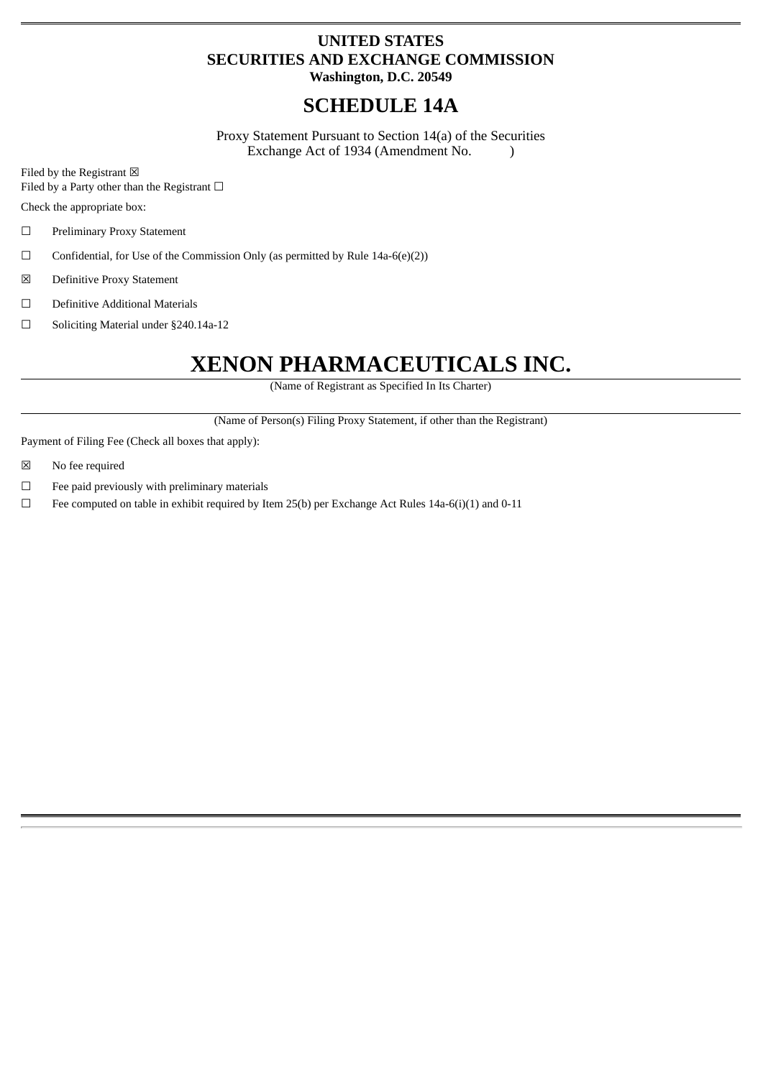# **UNITED STATES SECURITIES AND EXCHANGE COMMISSION**

**Washington, D.C. 20549**

# **SCHEDULE 14A**

Proxy Statement Pursuant to Section 14(a) of the Securities Exchange Act of 1934 (Amendment No. )

Filed by the Registrant  $\boxtimes$ 

Filed by a Party other than the Registrant  $□$ 

Check the appropriate box:

- ☐ Preliminary Proxy Statement
- $\Box$  Confidential, for Use of the Commission Only (as permitted by Rule 14a-6(e)(2))
- ☒ Definitive Proxy Statement
- ☐ Definitive Additional Materials
- ☐ Soliciting Material under §240.14a-12

# **XENON PHARMACEUTICALS INC.**

(Name of Registrant as Specified In Its Charter)

(Name of Person(s) Filing Proxy Statement, if other than the Registrant)

Payment of Filing Fee (Check all boxes that apply):

- ☒ No fee required
- $□$  Fee paid previously with preliminary materials
- $\Box$  Fee computed on table in exhibit required by Item 25(b) per Exchange Act Rules 14a-6(i)(1) and 0-11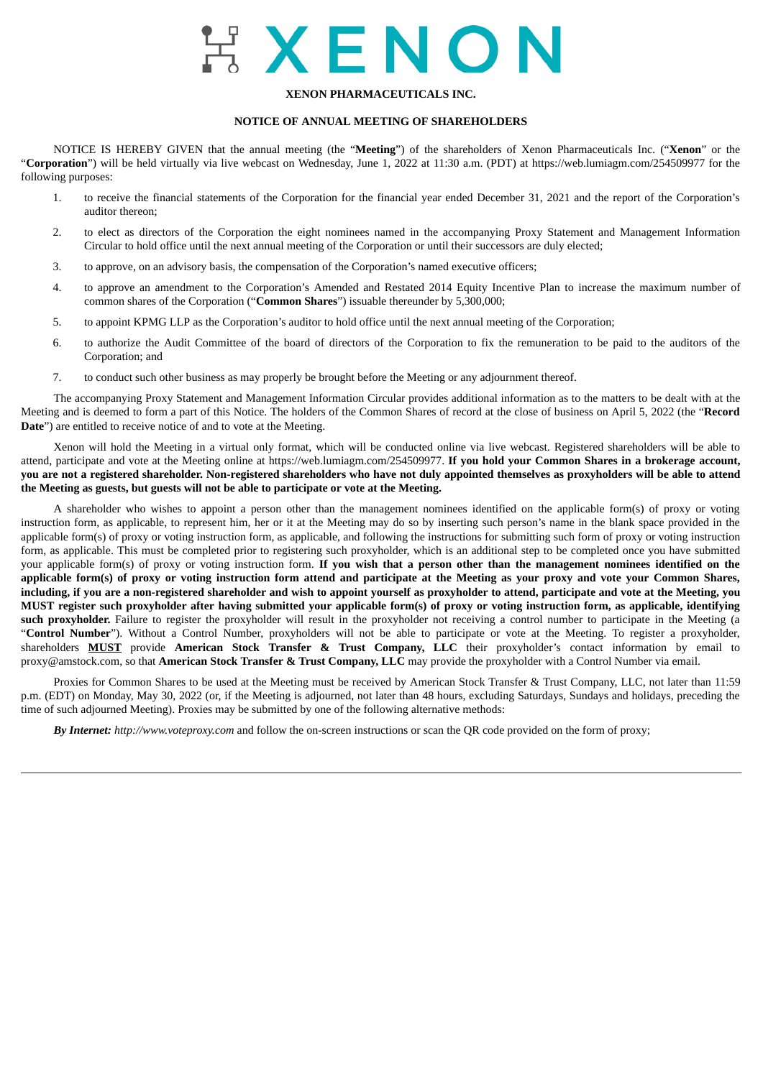# EXENON

# **XENON PHARMACEUTICALS INC.**

# **NOTICE OF ANNUAL MEETING OF SHAREHOLDERS**

NOTICE IS HEREBY GIVEN that the annual meeting (the "**Meeting**") of the shareholders of Xenon Pharmaceuticals Inc. ("**Xenon**" or the "**Corporation**") will be held virtually via live webcast on Wednesday, June 1, 2022 at 11:30 a.m. (PDT) at https://web.lumiagm.com/254509977 for the following purposes:

- 1. to receive the financial statements of the Corporation for the financial year ended December 31, 2021 and the report of the Corporation's auditor thereon;
- 2. to elect as directors of the Corporation the eight nominees named in the accompanying Proxy Statement and Management Information Circular to hold office until the next annual meeting of the Corporation or until their successors are duly elected;
- 3. to approve, on an advisory basis, the compensation of the Corporation's named executive officers;
- 4. to approve an amendment to the Corporation's Amended and Restated 2014 Equity Incentive Plan to increase the maximum number of common shares of the Corporation ("**Common Shares**") issuable thereunder by 5,300,000;
- 5. to appoint KPMG LLP as the Corporation's auditor to hold office until the next annual meeting of the Corporation;
- 6. to authorize the Audit Committee of the board of directors of the Corporation to fix the remuneration to be paid to the auditors of the Corporation; and
- 7. to conduct such other business as may properly be brought before the Meeting or any adjournment thereof.

The accompanying Proxy Statement and Management Information Circular provides additional information as to the matters to be dealt with at the Meeting and is deemed to form a part of this Notice. The holders of the Common Shares of record at the close of business on April 5, 2022 (the "**Record Date**") are entitled to receive notice of and to vote at the Meeting.

Xenon will hold the Meeting in a virtual only format, which will be conducted online via live webcast. Registered shareholders will be able to attend, participate and vote at the Meeting online at https://web.lumiagm.com/254509977. **If you hold your Common Shares in a brokerage account,** you are not a registered shareholder. Non-registered shareholders who have not duly appointed themselves as proxyholders will be able to attend **the Meeting as guests, but guests will not be able to participate or vote at the Meeting.**

A shareholder who wishes to appoint a person other than the management nominees identified on the applicable form(s) of proxy or voting instruction form, as applicable, to represent him, her or it at the Meeting may do so by inserting such person's name in the blank space provided in the applicable form(s) of proxy or voting instruction form, as applicable, and following the instructions for submitting such form of proxy or voting instruction form, as applicable. This must be completed prior to registering such proxyholder, which is an additional step to be completed once you have submitted your applicable form(s) of proxy or voting instruction form. If you wish that a person other than the management nominees identified on the applicable form(s) of proxy or voting instruction form attend and participate at the Meeting as your proxy and vote your Common Shares, including, if you are a non-registered shareholder and wish to appoint yourself as proxyholder to attend, participate and vote at the Meeting, you MUST register such proxyholder after having submitted your applicable form(s) of proxy or voting instruction form, as applicable, identifying such proxyholder. Failure to register the proxyholder will result in the proxyholder not receiving a control number to participate in the Meeting (a "**Control Number**"). Without a Control Number, proxyholders will not be able to participate or vote at the Meeting. To register a proxyholder, shareholders **MUST** provide **American Stock Transfer & Trust Company, LLC** their proxyholder's contact information by email to proxy@amstock.com, so that **American Stock Transfer & Trust Company, LLC** may provide the proxyholder with a Control Number via email.

Proxies for Common Shares to be used at the Meeting must be received by American Stock Transfer & Trust Company, LLC, not later than 11:59 p.m. (EDT) on Monday, May 30, 2022 (or, if the Meeting is adjourned, not later than 48 hours, excluding Saturdays, Sundays and holidays, preceding the time of such adjourned Meeting). Proxies may be submitted by one of the following alternative methods:

*By Internet: http://www.voteproxy.com* and follow the on-screen instructions or scan the QR code provided on the form of proxy;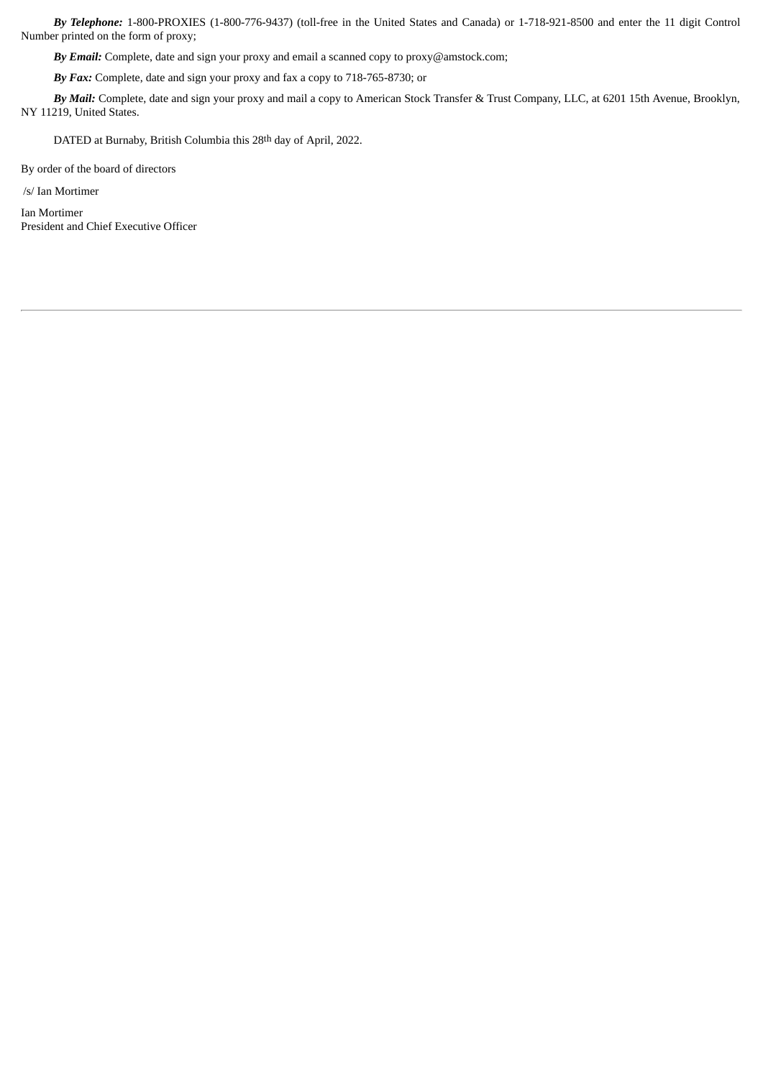*By Telephone:* 1-800-PROXIES (1-800-776-9437) (toll-free in the United States and Canada) or 1-718-921-8500 and enter the 11 digit Control Number printed on the form of proxy;

*By Email:* Complete, date and sign your proxy and email a scanned copy to proxy@amstock.com;

*By Fax:* Complete, date and sign your proxy and fax a copy to 718-765-8730; or

*By Mail:* Complete, date and sign your proxy and mail a copy to American Stock Transfer & Trust Company, LLC, at 6201 15th Avenue, Brooklyn, NY 11219, United States.

DATED at Burnaby, British Columbia this 28th day of April, 2022.

By order of the board of directors

/s/ Ian Mortimer

Ian Mortimer President and Chief Executive Officer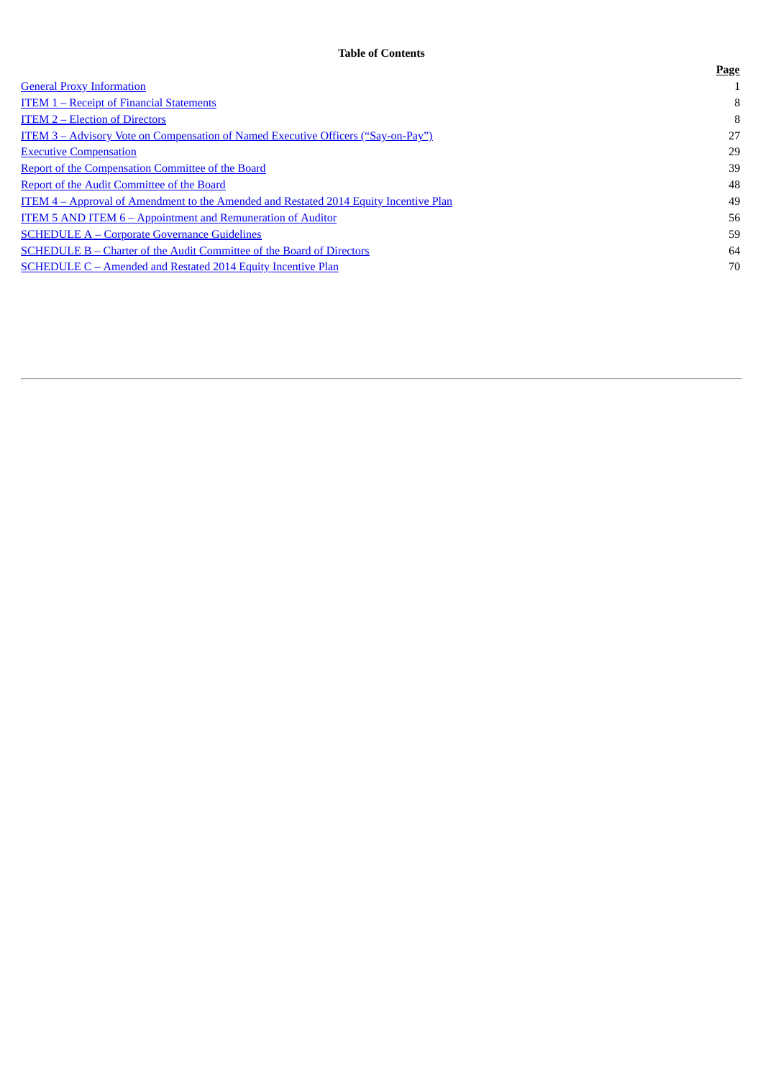|                                                                                              | --- |
|----------------------------------------------------------------------------------------------|-----|
| <b>General Proxy Information</b>                                                             |     |
| <b>ITEM 1 - Receipt of Financial Statements</b>                                              | 8   |
| <b>ITEM 2 – Election of Directors</b>                                                        | 8   |
| <u> ITEM 3 – Advisory Vote on Compensation of Named Executive Officers ("Say-on-Pay")</u>    | 27  |
| <b>Executive Compensation</b>                                                                | 29  |
| <b>Report of the Compensation Committee of the Board</b>                                     | 39  |
| <b>Report of the Audit Committee of the Board</b>                                            | 48  |
| <b>ITEM 4 – Approval of Amendment to the Amended and Restated 2014 Equity Incentive Plan</b> | 49  |
| <u><b>ITEM 5 AND ITEM 6 – Appointment and Remuneration of Auditor</b></u>                    | 56  |
| <b>SCHEDULE A – Corporate Governance Guidelines</b>                                          | 59  |
| SCHEDULE B – Charter of the Audit Committee of the Board of Directors                        | 64  |
| SCHEDULE C - Amended and Restated 2014 Equity Incentive Plan                                 | 70  |
|                                                                                              |     |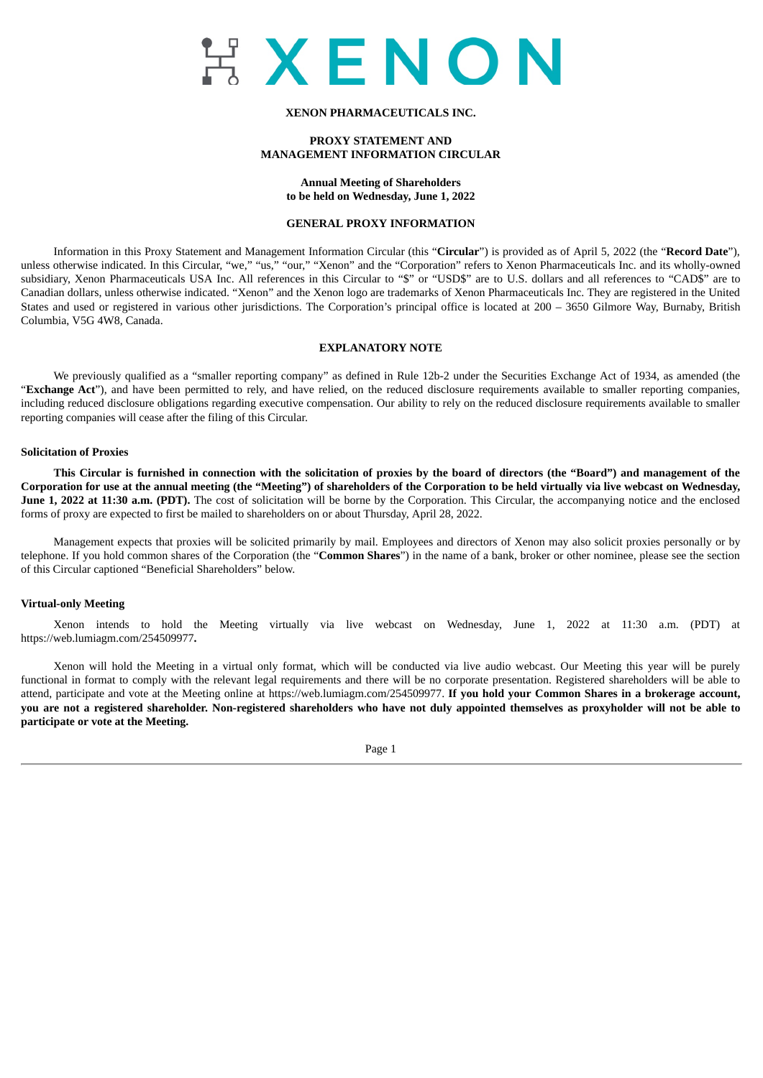

# **XENON PHARMACEUTICALS INC.**

# **PROXY STATEMENT AND MANAGEMENT INFORMATION CIRCULAR**

**Annual Meeting of Shareholders to be held on Wednesday, June 1, 2022**

#### **GENERAL PROXY INFORMATION**

<span id="page-4-0"></span>Information in this Proxy Statement and Management Information Circular (this "**Circular**") is provided as of April 5, 2022 (the "**Record Date**"), unless otherwise indicated. In this Circular, "we," "us," "our," "Xenon" and the "Corporation" refers to Xenon Pharmaceuticals Inc. and its wholly-owned subsidiary, Xenon Pharmaceuticals USA Inc. All references in this Circular to "\$" or "USD\$" are to U.S. dollars and all references to "CAD\$" are to Canadian dollars, unless otherwise indicated. "Xenon" and the Xenon logo are trademarks of Xenon Pharmaceuticals Inc. They are registered in the United States and used or registered in various other jurisdictions. The Corporation's principal office is located at 200 – 3650 Gilmore Way, Burnaby, British Columbia, V5G 4W8, Canada.

# **EXPLANATORY NOTE**

We previously qualified as a "smaller reporting company" as defined in Rule 12b-2 under the Securities Exchange Act of 1934, as amended (the "**Exchange Act**"), and have been permitted to rely, and have relied, on the reduced disclosure requirements available to smaller reporting companies, including reduced disclosure obligations regarding executive compensation. Our ability to rely on the reduced disclosure requirements available to smaller reporting companies will cease after the filing of this Circular.

#### **Solicitation of Proxies**

This Circular is furnished in connection with the solicitation of proxies by the board of directors (the "Board") and management of the Corporation for use at the annual meeting (the "Meeting") of shareholders of the Corporation to be held virtually via live webcast on Wednesday, **June 1, 2022 at 11:30 a.m. (PDT).** The cost of solicitation will be borne by the Corporation. This Circular, the accompanying notice and the enclosed forms of proxy are expected to first be mailed to shareholders on or about Thursday, April 28, 2022.

Management expects that proxies will be solicited primarily by mail. Employees and directors of Xenon may also solicit proxies personally or by telephone. If you hold common shares of the Corporation (the "**Common Shares**") in the name of a bank, broker or other nominee, please see the section of this Circular captioned "Beneficial Shareholders" below.

#### **Virtual-only Meeting**

Xenon intends to hold the Meeting virtually via live webcast on Wednesday, June 1, 2022 at 11:30 a.m. (PDT) at https://web.lumiagm.com/254509977**.**

Xenon will hold the Meeting in a virtual only format, which will be conducted via live audio webcast. Our Meeting this year will be purely functional in format to comply with the relevant legal requirements and there will be no corporate presentation. Registered shareholders will be able to attend, participate and vote at the Meeting online at https://web.lumiagm.com/254509977. **If you hold your Common Shares in a brokerage account,** you are not a registered shareholder. Non-registered shareholders who have not duly appointed themselves as proxyholder will not be able to **participate or vote at the Meeting.**

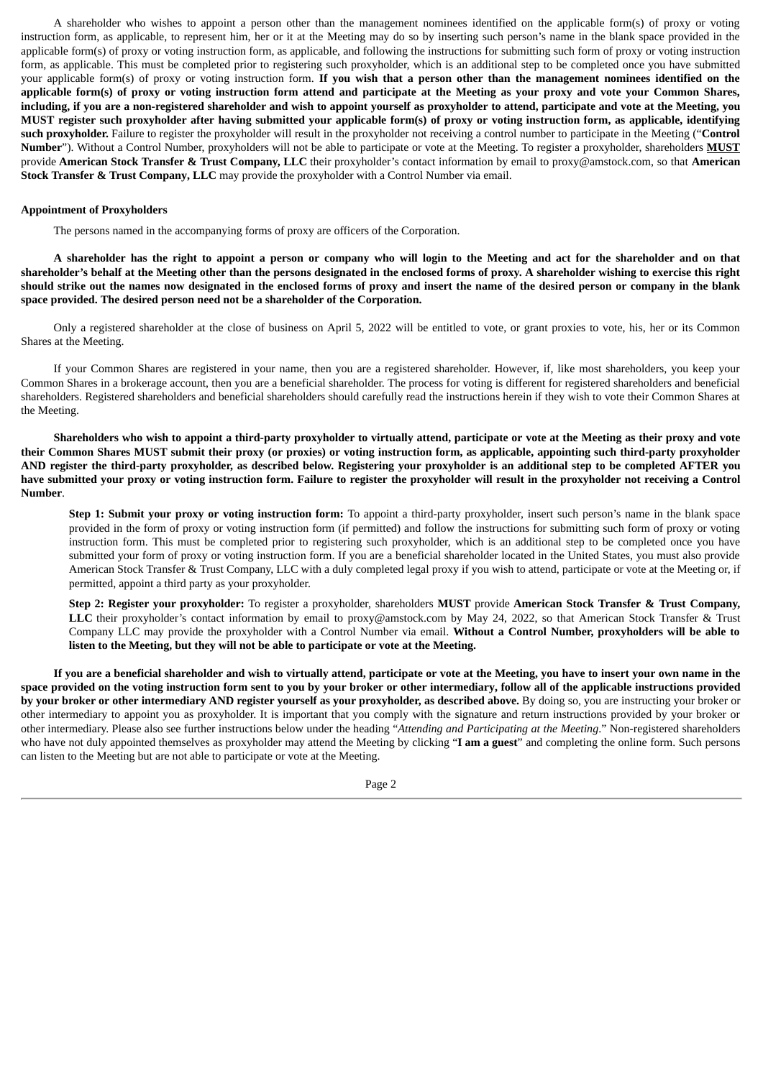A shareholder who wishes to appoint a person other than the management nominees identified on the applicable form(s) of proxy or voting instruction form, as applicable, to represent him, her or it at the Meeting may do so by inserting such person's name in the blank space provided in the applicable form(s) of proxy or voting instruction form, as applicable, and following the instructions for submitting such form of proxy or voting instruction form, as applicable. This must be completed prior to registering such proxyholder, which is an additional step to be completed once you have submitted your applicable form(s) of proxy or voting instruction form. If you wish that a person other than the management nominees identified on the applicable form(s) of proxy or voting instruction form attend and participate at the Meeting as your proxy and vote your Common Shares, including, if you are a non-registered shareholder and wish to appoint yourself as proxyholder to attend, participate and vote at the Meeting, you MUST register such proxyholder after having submitted your applicable form(s) of proxy or voting instruction form, as applicable, identifying **such proxyholder.** Failure to register the proxyholder will result in the proxyholder not receiving a control number to participate in the Meeting ("**Control Number**"). Without a Control Number, proxyholders will not be able to participate or vote at the Meeting. To register a proxyholder, shareholders **MUST** provide **American Stock Transfer & Trust Company, LLC** their proxyholder's contact information by email to proxy@amstock.com, so that **American Stock Transfer & Trust Company, LLC** may provide the proxyholder with a Control Number via email.

# **Appointment of Proxyholders**

The persons named in the accompanying forms of proxy are officers of the Corporation.

A shareholder has the right to appoint a person or company who will login to the Meeting and act for the shareholder and on that shareholder's behalf at the Meeting other than the persons designated in the enclosed forms of proxy. A shareholder wishing to exercise this right should strike out the names now designated in the enclosed forms of proxy and insert the name of the desired person or company in the blank **space provided. The desired person need not be a shareholder of the Corporation.**

Only a registered shareholder at the close of business on April 5, 2022 will be entitled to vote, or grant proxies to vote, his, her or its Common Shares at the Meeting.

If your Common Shares are registered in your name, then you are a registered shareholder. However, if, like most shareholders, you keep your Common Shares in a brokerage account, then you are a beneficial shareholder. The process for voting is different for registered shareholders and beneficial shareholders. Registered shareholders and beneficial shareholders should carefully read the instructions herein if they wish to vote their Common Shares at the Meeting.

Shareholders who wish to appoint a third-party proxyholder to virtually attend, participate or vote at the Meeting as their proxy and vote their Common Shares MUST submit their proxy (or proxies) or voting instruction form, as applicable, appointing such third-party proxyholder AND register the third-party proxyholder, as described below. Registering your proxyholder is an additional step to be completed AFTER you have submitted your proxy or voting instruction form. Failure to register the proxyholder will result in the proxyholder not receiving a Control **Number**.

**Step 1: Submit your proxy or voting instruction form:** To appoint a third-party proxyholder, insert such person's name in the blank space provided in the form of proxy or voting instruction form (if permitted) and follow the instructions for submitting such form of proxy or voting instruction form. This must be completed prior to registering such proxyholder, which is an additional step to be completed once you have submitted your form of proxy or voting instruction form. If you are a beneficial shareholder located in the United States, you must also provide American Stock Transfer & Trust Company, LLC with a duly completed legal proxy if you wish to attend, participate or vote at the Meeting or, if permitted, appoint a third party as your proxyholder.

**Step 2: Register your proxyholder:** To register a proxyholder, shareholders **MUST** provide **American Stock Transfer & Trust Company,** LLC their proxyholder's contact information by email to proxy@amstock.com by May 24, 2022, so that American Stock Transfer & Trust Company LLC may provide the proxyholder with a Control Number via email. **Without a Control Number, proxyholders will be able to listen to the Meeting, but they will not be able to participate or vote at the Meeting.**

If you are a beneficial shareholder and wish to virtually attend, participate or vote at the Meeting, you have to insert your own name in the space provided on the voting instruction form sent to you by your broker or other intermediary, follow all of the applicable instructions provided by your broker or other intermediary AND register yourself as your proxyholder, as described above. By doing so, you are instructing your broker or other intermediary to appoint you as proxyholder. It is important that you comply with the signature and return instructions provided by your broker or other intermediary. Please also see further instructions below under the heading "*Attending and Participating at the Meeting*." Non-registered shareholders who have not duly appointed themselves as proxyholder may attend the Meeting by clicking "**I am a guest**" and completing the online form. Such persons can listen to the Meeting but are not able to participate or vote at the Meeting.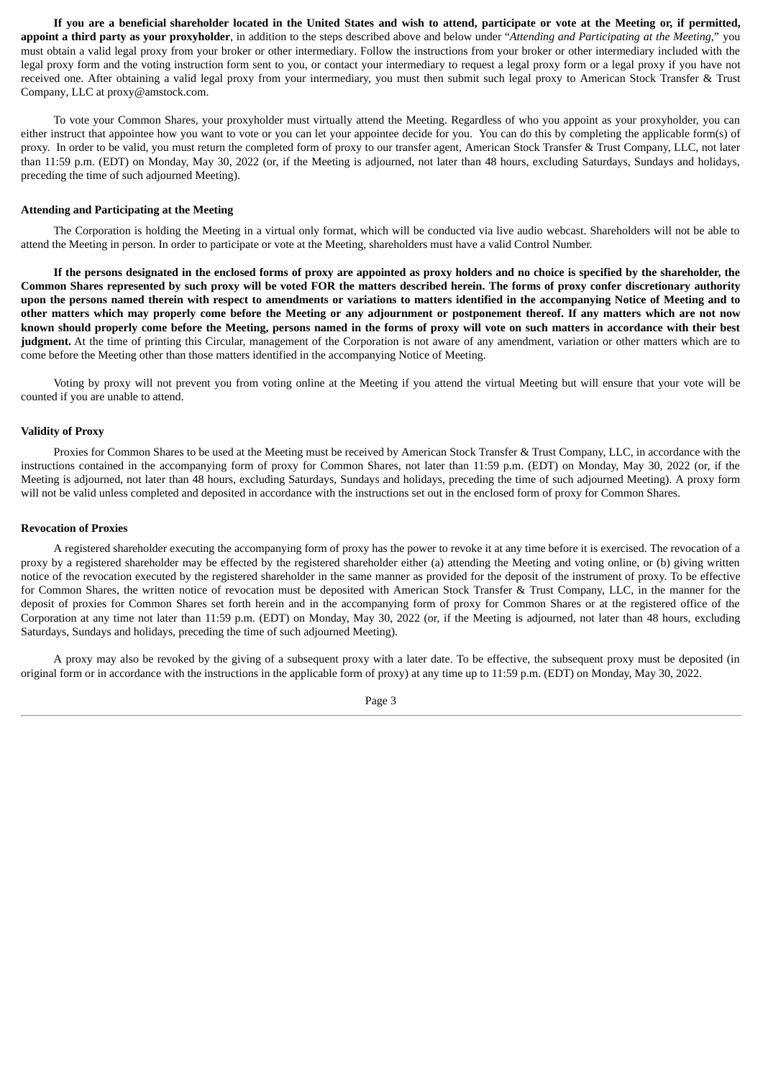If you are a beneficial shareholder located in the United States and wish to attend, participate or vote at the Meeting or, if permitted, appoint a third party as your proxyholder, in addition to the steps described above and below under "Attending and Participating at the Meeting," you must obtain a valid legal proxy from your broker or other intermediary. Follow the instructions from your broker or other intermediary included with the legal proxy form and the voting instruction form sent to you, or contact your intermediary to request a legal proxy form or a legal proxy if you have not received one. After obtaining a valid legal proxy from your intermediary, you must then submit such legal proxy to American Stock Transfer & Trust Company, LLC at proxy@amstock.com.

To vote your Common Shares, your proxyholder must virtually attend the Meeting. Regardless of who you appoint as your proxyholder, you can either instruct that appointee how you want to vote or you can let your appointee decide for you. You can do this by completing the applicable form(s) of proxy. In order to be valid, you must return the completed form of proxy to our transfer agent, American Stock Transfer & Trust Company, LLC, not later than 11:59 p.m. (EDT) on Monday, May 30, 2022 (or, if the Meeting is adjourned, not later than 48 hours, excluding Saturdays, Sundays and holidays, preceding the time of such adjourned Meeting).

#### **Attending and Participating at the Meeting**

The Corporation is holding the Meeting in a virtual only format, which will be conducted via live audio webcast. Shareholders will not be able to attend the Meeting in person. In order to participate or vote at the Meeting, shareholders must have a valid Control Number.

If the persons designated in the enclosed forms of proxy are appointed as proxy holders and no choice is specified by the shareholder, the Common Shares represented by such proxy will be voted FOR the matters described herein. The forms of proxy confer discretionary authority upon the persons named therein with respect to amendments or variations to matters identified in the accompanying Notice of Meeting and to other matters which may properly come before the Meeting or any adjournment or postponement thereof. If any matters which are not now known should properly come before the Meeting, persons named in the forms of proxy will vote on such matters in accordance with their best **judgment.** At the time of printing this Circular, management of the Corporation is not aware of any amendment, variation or other matters which are to come before the Meeting other than those matters identified in the accompanying Notice of Meeting.

Voting by proxy will not prevent you from voting online at the Meeting if you attend the virtual Meeting but will ensure that your vote will be counted if you are unable to attend.

# **Validity of Proxy**

Proxies for Common Shares to be used at the Meeting must be received by American Stock Transfer & Trust Company, LLC, in accordance with the instructions contained in the accompanying form of proxy for Common Shares, not later than 11:59 p.m. (EDT) on Monday, May 30, 2022 (or, if the Meeting is adjourned, not later than 48 hours, excluding Saturdays, Sundays and holidays, preceding the time of such adjourned Meeting). A proxy form will not be valid unless completed and deposited in accordance with the instructions set out in the enclosed form of proxy for Common Shares.

# **Revocation of Proxies**

A registered shareholder executing the accompanying form of proxy has the power to revoke it at any time before it is exercised. The revocation of a proxy by a registered shareholder may be effected by the registered shareholder either (a) attending the Meeting and voting online, or (b) giving written notice of the revocation executed by the registered shareholder in the same manner as provided for the deposit of the instrument of proxy. To be effective for Common Shares, the written notice of revocation must be deposited with American Stock Transfer & Trust Company, LLC, in the manner for the deposit of proxies for Common Shares set forth herein and in the accompanying form of proxy for Common Shares or at the registered office of the Corporation at any time not later than 11:59 p.m. (EDT) on Monday, May 30, 2022 (or, if the Meeting is adjourned, not later than 48 hours, excluding Saturdays, Sundays and holidays, preceding the time of such adjourned Meeting).

A proxy may also be revoked by the giving of a subsequent proxy with a later date. To be effective, the subsequent proxy must be deposited (in original form or in accordance with the instructions in the applicable form of proxy) at any time up to 11:59 p.m. (EDT) on Monday, May 30, 2022.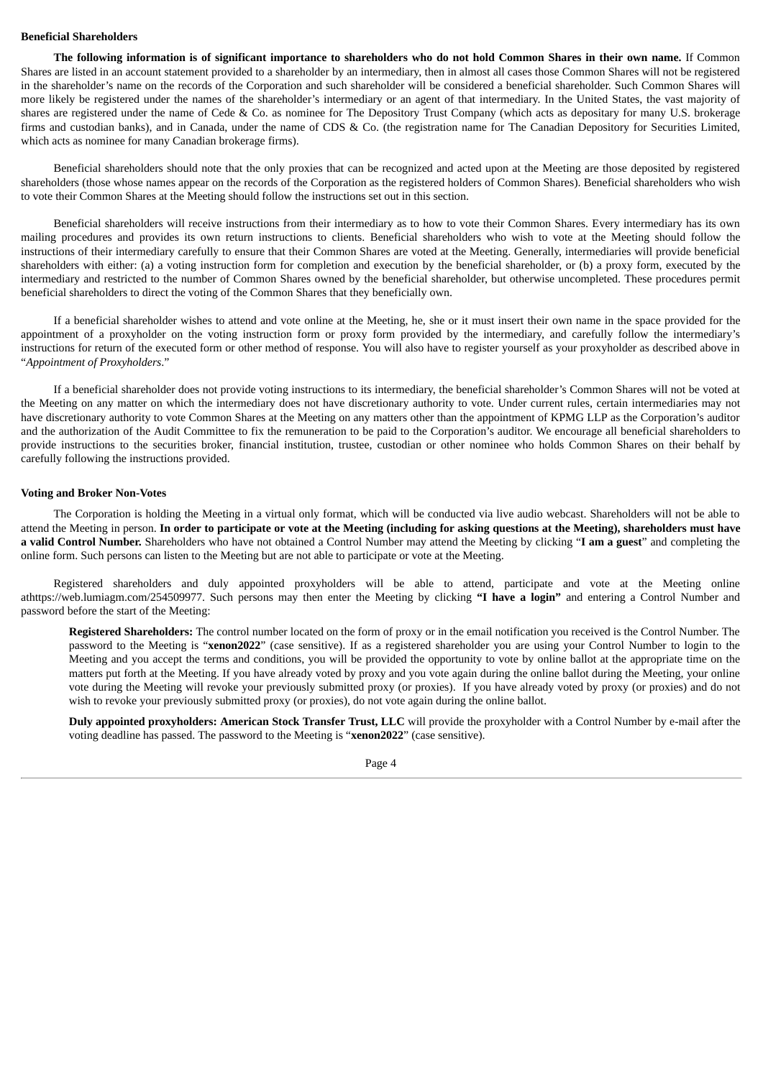# **Beneficial Shareholders**

The following information is of significant importance to shareholders who do not hold Common Shares in their own name. If Common Shares are listed in an account statement provided to a shareholder by an intermediary, then in almost all cases those Common Shares will not be registered in the shareholder's name on the records of the Corporation and such shareholder will be considered a beneficial shareholder. Such Common Shares will more likely be registered under the names of the shareholder's intermediary or an agent of that intermediary. In the United States, the vast majority of shares are registered under the name of Cede & Co. as nominee for The Depository Trust Company (which acts as depositary for many U.S. brokerage firms and custodian banks), and in Canada, under the name of CDS & Co. (the registration name for The Canadian Depository for Securities Limited, which acts as nominee for many Canadian brokerage firms).

Beneficial shareholders should note that the only proxies that can be recognized and acted upon at the Meeting are those deposited by registered shareholders (those whose names appear on the records of the Corporation as the registered holders of Common Shares). Beneficial shareholders who wish to vote their Common Shares at the Meeting should follow the instructions set out in this section.

Beneficial shareholders will receive instructions from their intermediary as to how to vote their Common Shares. Every intermediary has its own mailing procedures and provides its own return instructions to clients. Beneficial shareholders who wish to vote at the Meeting should follow the instructions of their intermediary carefully to ensure that their Common Shares are voted at the Meeting. Generally, intermediaries will provide beneficial shareholders with either: (a) a voting instruction form for completion and execution by the beneficial shareholder, or (b) a proxy form, executed by the intermediary and restricted to the number of Common Shares owned by the beneficial shareholder, but otherwise uncompleted. These procedures permit beneficial shareholders to direct the voting of the Common Shares that they beneficially own.

If a beneficial shareholder wishes to attend and vote online at the Meeting, he, she or it must insert their own name in the space provided for the appointment of a proxyholder on the voting instruction form or proxy form provided by the intermediary, and carefully follow the intermediary's instructions for return of the executed form or other method of response. You will also have to register yourself as your proxyholder as described above in "*Appointment of Proxyholders*."

If a beneficial shareholder does not provide voting instructions to its intermediary, the beneficial shareholder's Common Shares will not be voted at the Meeting on any matter on which the intermediary does not have discretionary authority to vote. Under current rules, certain intermediaries may not have discretionary authority to vote Common Shares at the Meeting on any matters other than the appointment of KPMG LLP as the Corporation's auditor and the authorization of the Audit Committee to fix the remuneration to be paid to the Corporation's auditor. We encourage all beneficial shareholders to provide instructions to the securities broker, financial institution, trustee, custodian or other nominee who holds Common Shares on their behalf by carefully following the instructions provided.

#### **Voting and Broker Non-Votes**

The Corporation is holding the Meeting in a virtual only format, which will be conducted via live audio webcast. Shareholders will not be able to attend the Meeting in person. In order to participate or vote at the Meeting (including for asking questions at the Meeting), shareholders must have **a valid Control Number.** Shareholders who have not obtained a Control Number may attend the Meeting by clicking "**I am a guest**" and completing the online form. Such persons can listen to the Meeting but are not able to participate or vote at the Meeting.

Registered shareholders and duly appointed proxyholders will be able to attend, participate and vote at the Meeting online athttps://web.lumiagm.com/254509977. Such persons may then enter the Meeting by clicking **"I have a login"** and entering a Control Number and password before the start of the Meeting:

**Registered Shareholders:** The control number located on the form of proxy or in the email notification you received is the Control Number. The password to the Meeting is "**xenon2022**" (case sensitive). If as a registered shareholder you are using your Control Number to login to the Meeting and you accept the terms and conditions, you will be provided the opportunity to vote by online ballot at the appropriate time on the matters put forth at the Meeting. If you have already voted by proxy and you vote again during the online ballot during the Meeting, your online vote during the Meeting will revoke your previously submitted proxy (or proxies). If you have already voted by proxy (or proxies) and do not wish to revoke your previously submitted proxy (or proxies), do not vote again during the online ballot.

**Duly appointed proxyholders: American Stock Transfer Trust, LLC** will provide the proxyholder with a Control Number by e-mail after the voting deadline has passed. The password to the Meeting is "**xenon2022**" (case sensitive).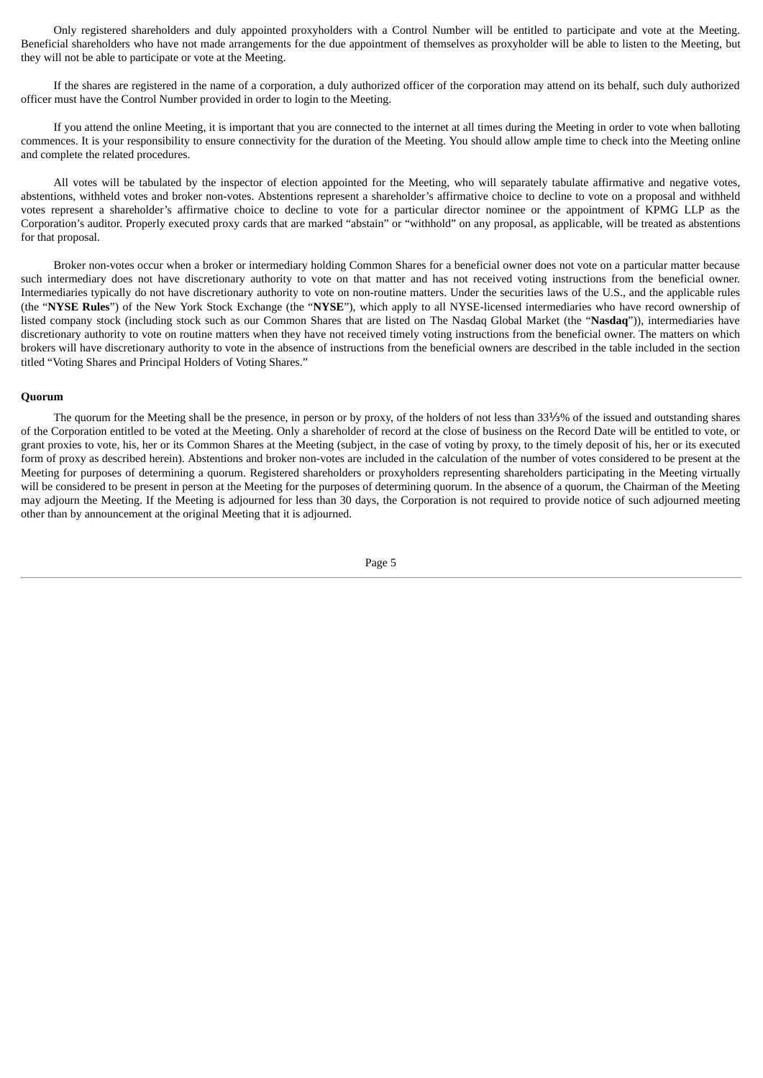Only registered shareholders and duly appointed proxyholders with a Control Number will be entitled to participate and vote at the Meeting. Beneficial shareholders who have not made arrangements for the due appointment of themselves as proxyholder will be able to listen to the Meeting, but they will not be able to participate or vote at the Meeting.

If the shares are registered in the name of a corporation, a duly authorized officer of the corporation may attend on its behalf, such duly authorized officer must have the Control Number provided in order to login to the Meeting.

If you attend the online Meeting, it is important that you are connected to the internet at all times during the Meeting in order to vote when balloting commences. It is your responsibility to ensure connectivity for the duration of the Meeting. You should allow ample time to check into the Meeting online and complete the related procedures.

All votes will be tabulated by the inspector of election appointed for the Meeting, who will separately tabulate affirmative and negative votes, abstentions, withheld votes and broker non-votes. Abstentions represent a shareholder's affirmative choice to decline to vote on a proposal and withheld votes represent a shareholder's affirmative choice to decline to vote for a particular director nominee or the appointment of KPMG LLP as the Corporation's auditor. Properly executed proxy cards that are marked "abstain" or "withhold" on any proposal, as applicable, will be treated as abstentions for that proposal.

Broker non-votes occur when a broker or intermediary holding Common Shares for a beneficial owner does not vote on a particular matter because such intermediary does not have discretionary authority to vote on that matter and has not received voting instructions from the beneficial owner. Intermediaries typically do not have discretionary authority to vote on non-routine matters. Under the securities laws of the U.S., and the applicable rules (the "**NYSE Rules**") of the New York Stock Exchange (the "**NYSE**"), which apply to all NYSE-licensed intermediaries who have record ownership of listed company stock (including stock such as our Common Shares that are listed on The Nasdaq Global Market (the "**Nasdaq**")), intermediaries have discretionary authority to vote on routine matters when they have not received timely voting instructions from the beneficial owner. The matters on which brokers will have discretionary authority to vote in the absence of instructions from the beneficial owners are described in the table included in the section titled "Voting Shares and Principal Holders of Voting Shares."

# **Quorum**

The quorum for the Meeting shall be the presence, in person or by proxy, of the holders of not less than 33⅓% of the issued and outstanding shares of the Corporation entitled to be voted at the Meeting. Only a shareholder of record at the close of business on the Record Date will be entitled to vote, or grant proxies to vote, his, her or its Common Shares at the Meeting (subject, in the case of voting by proxy, to the timely deposit of his, her or its executed form of proxy as described herein). Abstentions and broker non-votes are included in the calculation of the number of votes considered to be present at the Meeting for purposes of determining a quorum. Registered shareholders or proxyholders representing shareholders participating in the Meeting virtually will be considered to be present in person at the Meeting for the purposes of determining quorum. In the absence of a quorum, the Chairman of the Meeting may adjourn the Meeting. If the Meeting is adjourned for less than 30 days, the Corporation is not required to provide notice of such adjourned meeting other than by announcement at the original Meeting that it is adjourned.

Page 5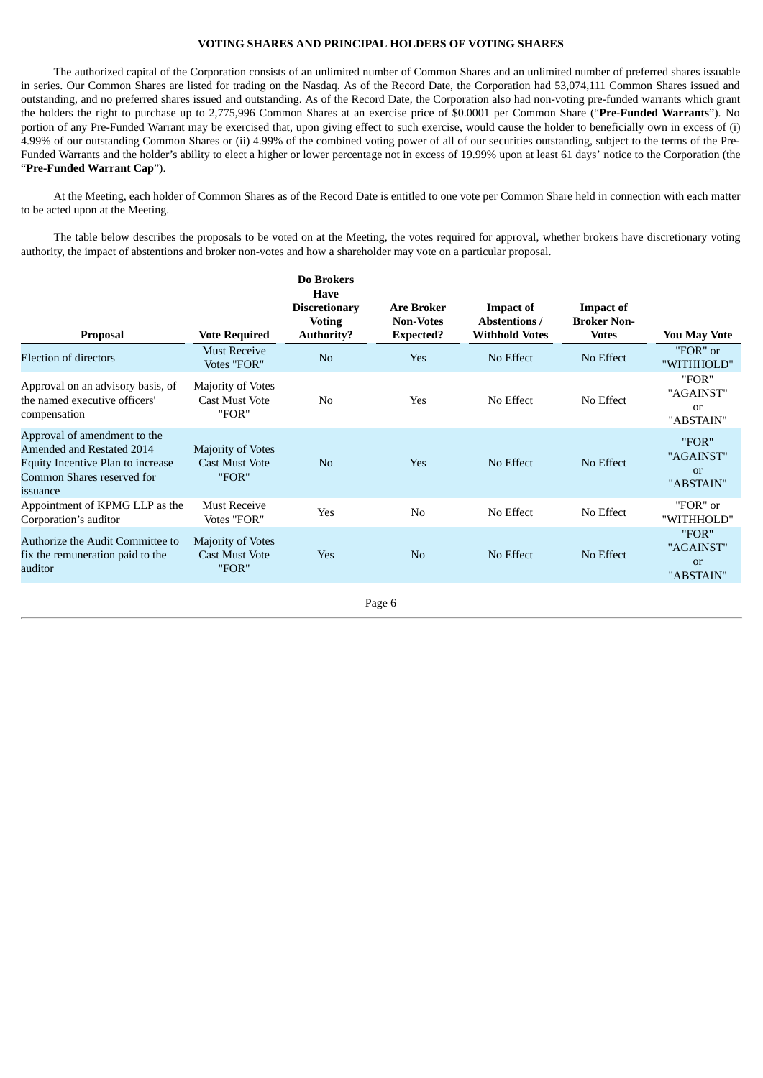# **VOTING SHARES AND PRINCIPAL HOLDERS OF VOTING SHARES**

The authorized capital of the Corporation consists of an unlimited number of Common Shares and an unlimited number of preferred shares issuable in series. Our Common Shares are listed for trading on the Nasdaq. As of the Record Date, the Corporation had 53,074,111 Common Shares issued and outstanding, and no preferred shares issued and outstanding. As of the Record Date, the Corporation also had non-voting pre-funded warrants which grant the holders the right to purchase up to 2,775,996 Common Shares at an exercise price of \$0.0001 per Common Share ("**Pre-Funded Warrants**"). No portion of any Pre-Funded Warrant may be exercised that, upon giving effect to such exercise, would cause the holder to beneficially own in excess of (i) 4.99% of our outstanding Common Shares or (ii) 4.99% of the combined voting power of all of our securities outstanding, subject to the terms of the Pre-Funded Warrants and the holder's ability to elect a higher or lower percentage not in excess of 19.99% upon at least 61 days' notice to the Corporation (the "**Pre-Funded Warrant Cap**").

At the Meeting, each holder of Common Shares as of the Record Date is entitled to one vote per Common Share held in connection with each matter to be acted upon at the Meeting.

The table below describes the proposals to be voted on at the Meeting, the votes required for approval, whether brokers have discretionary voting authority, the impact of abstentions and broker non-votes and how a shareholder may vote on a particular proposal.

| <b>Proposal</b>                                                                                                                          | <b>Vote Required</b>                                | Do Brokers<br><b>Have</b><br><b>Discretionary</b><br><b>Voting</b><br><b>Authority?</b> | <b>Are Broker</b><br><b>Non-Votes</b><br><b>Expected?</b> | <b>Impact of</b><br><b>Abstentions /</b><br><b>Withhold Votes</b> | <b>Impact of</b><br><b>Broker Non-</b><br><b>Votes</b> | You May Vote                          |
|------------------------------------------------------------------------------------------------------------------------------------------|-----------------------------------------------------|-----------------------------------------------------------------------------------------|-----------------------------------------------------------|-------------------------------------------------------------------|--------------------------------------------------------|---------------------------------------|
| <b>Election of directors</b>                                                                                                             | <b>Must Receive</b><br>Votes "FOR"                  | N <sub>o</sub>                                                                          | Yes                                                       | No Effect                                                         | No Effect                                              | "FOR" or<br>"WITHHOLD"                |
| Approval on an advisory basis, of<br>the named executive officers'<br>compensation                                                       | Majority of Votes<br><b>Cast Must Vote</b><br>"FOR" | N <sub>0</sub>                                                                          | Yes                                                       | No Effect                                                         | No Effect                                              | "FOR"<br>"AGAINST"<br>or<br>"ABSTAIN" |
| Approval of amendment to the<br>Amended and Restated 2014<br>Equity Incentive Plan to increase<br>Common Shares reserved for<br>issuance | Majority of Votes<br><b>Cast Must Vote</b><br>"FOR" | N <sub>o</sub>                                                                          | <b>Yes</b>                                                | No Effect                                                         | No Effect                                              | "FOR"<br>"AGAINST"<br>or<br>"ABSTAIN" |
| Appointment of KPMG LLP as the<br>Corporation's auditor                                                                                  | <b>Must Receive</b><br>Votes "FOR"                  | Yes                                                                                     | N <sub>0</sub>                                            | No Effect                                                         | No Effect                                              | "FOR" or<br>"WITHHOLD"                |
| Authorize the Audit Committee to<br>fix the remuneration paid to the<br>auditor                                                          | Majority of Votes<br><b>Cast Must Vote</b><br>"FOR" | Yes                                                                                     | No                                                        | No Effect                                                         | No Effect                                              | "FOR"<br>"AGAINST"<br>or<br>"ABSTAIN" |
|                                                                                                                                          |                                                     |                                                                                         | Page 6                                                    |                                                                   |                                                        |                                       |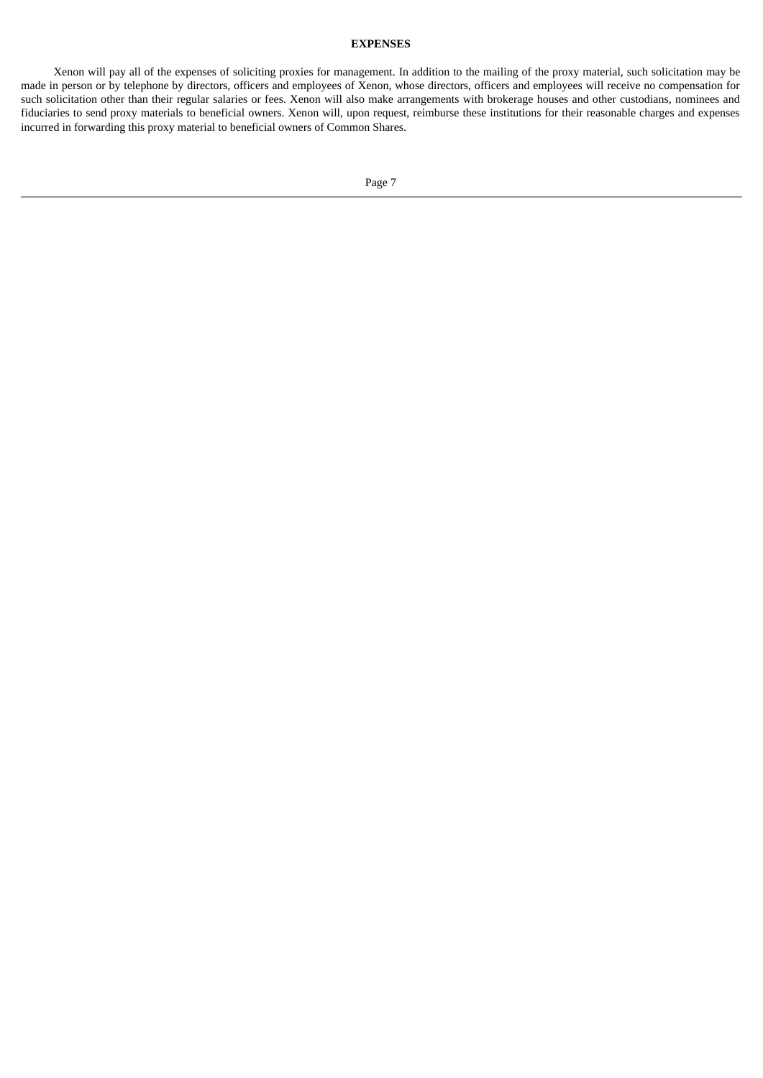# **EXPENSES**

Xenon will pay all of the expenses of soliciting proxies for management. In addition to the mailing of the proxy material, such solicitation may be made in person or by telephone by directors, officers and employees of Xenon, whose directors, officers and employees will receive no compensation for such solicitation other than their regular salaries or fees. Xenon will also make arrangements with brokerage houses and other custodians, nominees and fiduciaries to send proxy materials to beneficial owners. Xenon will, upon request, reimburse these institutions for their reasonable charges and expenses incurred in forwarding this proxy material to beneficial owners of Common Shares.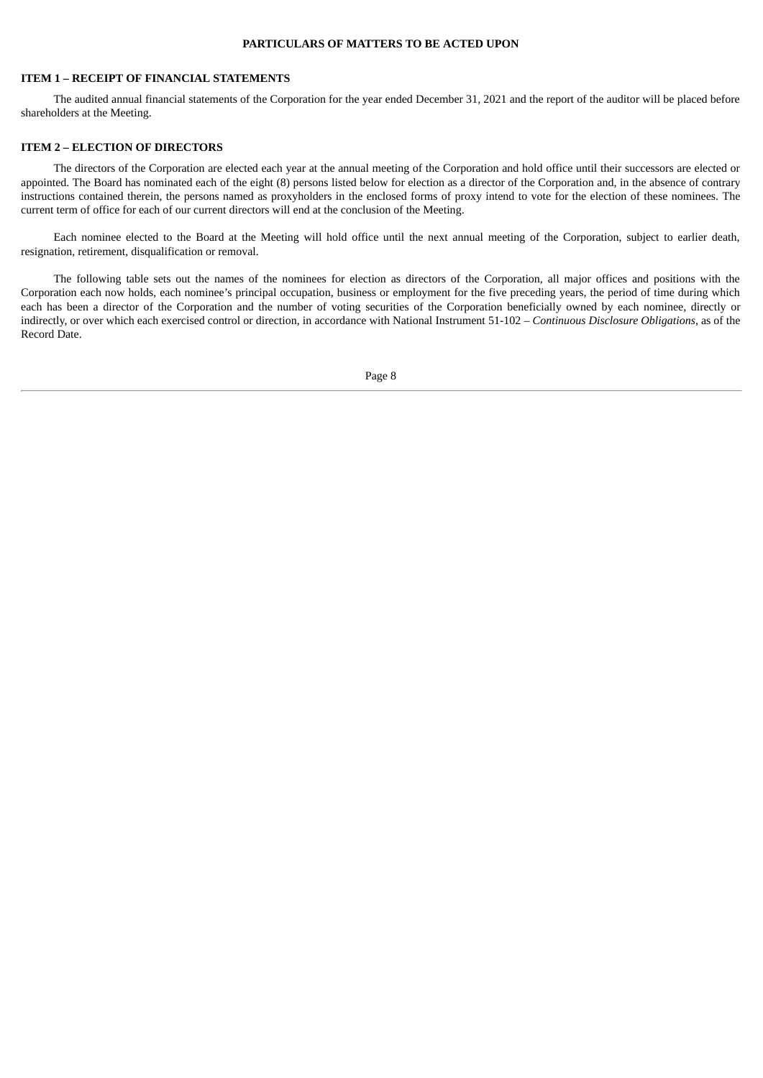# **PARTICULARS OF MATTERS TO BE ACTED UPON**

# <span id="page-11-0"></span>**ITEM 1 – RECEIPT OF FINANCIAL STATEMENTS**

The audited annual financial statements of the Corporation for the year ended December 31, 2021 and the report of the auditor will be placed before shareholders at the Meeting.

# <span id="page-11-1"></span>**ITEM 2 – ELECTION OF DIRECTORS**

The directors of the Corporation are elected each year at the annual meeting of the Corporation and hold office until their successors are elected or appointed. The Board has nominated each of the eight (8) persons listed below for election as a director of the Corporation and, in the absence of contrary instructions contained therein, the persons named as proxyholders in the enclosed forms of proxy intend to vote for the election of these nominees. The current term of office for each of our current directors will end at the conclusion of the Meeting.

Each nominee elected to the Board at the Meeting will hold office until the next annual meeting of the Corporation, subject to earlier death, resignation, retirement, disqualification or removal.

The following table sets out the names of the nominees for election as directors of the Corporation, all major offices and positions with the Corporation each now holds, each nominee's principal occupation, business or employment for the five preceding years, the period of time during which each has been a director of the Corporation and the number of voting securities of the Corporation beneficially owned by each nominee, directly or indirectly, or over which each exercised control or direction, in accordance with National Instrument 51-102 – *Continuous Disclosure Obligations*, as of the Record Date.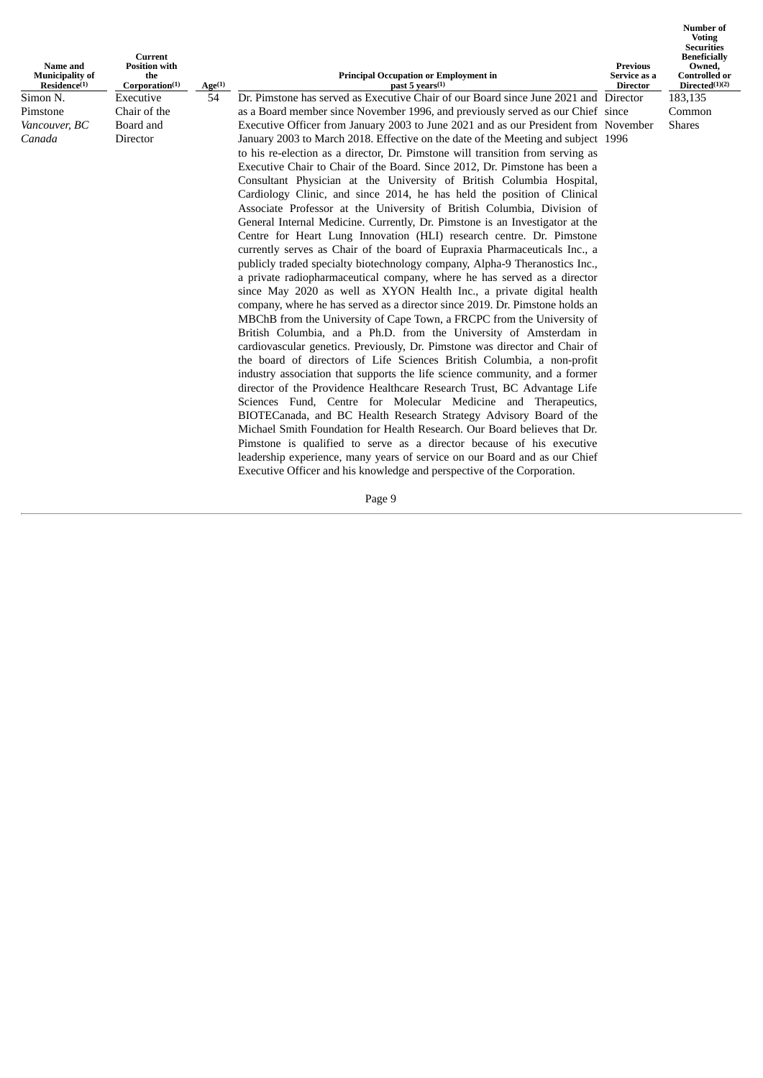| Name and<br><b>Municipality of</b><br>Residence <sup>(1)</sup> | Current<br><b>Position with</b><br>the<br>Corporation(1) | Age <sub>(1)</sub> | <b>Principal Occupation or Employment in</b><br>past 5 years(1)                      | Previous<br>Service as a<br>Director | <b>Number of</b><br><b>Voting</b><br><b>Securities</b><br><b>Beneficially</b><br>Owned,<br><b>Controlled or</b><br>Directed(1)(2) |
|----------------------------------------------------------------|----------------------------------------------------------|--------------------|--------------------------------------------------------------------------------------|--------------------------------------|-----------------------------------------------------------------------------------------------------------------------------------|
| Simon N.                                                       | Executive                                                | 54                 | Dr. Pimstone has served as Executive Chair of our Board since June 2021 and Director |                                      | 183,135                                                                                                                           |
| Pimstone                                                       | Chair of the                                             |                    | as a Board member since November 1996, and previously served as our Chief since      |                                      | Common                                                                                                                            |
| Vancouver, BC                                                  | Board and                                                |                    | Executive Officer from January 2003 to June 2021 and as our President from November  |                                      | <b>Shares</b>                                                                                                                     |
| Canada                                                         | <b>Director</b>                                          |                    | January 2003 to March 2018. Effective on the date of the Meeting and subject 1996    |                                      |                                                                                                                                   |
|                                                                |                                                          |                    | to his re-election as a director, Dr. Pimstone will transition from serving as       |                                      |                                                                                                                                   |
|                                                                |                                                          |                    | Executive Chair to Chair of the Board. Since 2012, Dr. Pimstone has been a           |                                      |                                                                                                                                   |
|                                                                |                                                          |                    | Consultant Physician at the University of British Columbia Hospital,                 |                                      |                                                                                                                                   |
|                                                                |                                                          |                    | Cardiology Clinic, and since 2014, he has held the position of Clinical              |                                      |                                                                                                                                   |
|                                                                |                                                          |                    | Associate Professor at the University of British Columbia, Division of               |                                      |                                                                                                                                   |
|                                                                |                                                          |                    | General Internal Medicine. Currently, Dr. Pimstone is an Investigator at the         |                                      |                                                                                                                                   |
|                                                                |                                                          |                    | Centre for Heart Lung Innovation (HLI) research centre. Dr. Pimstone                 |                                      |                                                                                                                                   |
|                                                                |                                                          |                    | currently serves as Chair of the board of Eupraxia Pharmaceuticals Inc., a           |                                      |                                                                                                                                   |
|                                                                |                                                          |                    | publicly traded specialty biotechnology company, Alpha-9 Theranostics Inc.,          |                                      |                                                                                                                                   |
|                                                                |                                                          |                    | a private radiopharmaceutical company, where he has served as a director             |                                      |                                                                                                                                   |
|                                                                |                                                          |                    | since May 2020 as well as XYON Health Inc., a private digital health                 |                                      |                                                                                                                                   |
|                                                                |                                                          |                    | company, where he has served as a director since 2019. Dr. Pimstone holds an         |                                      |                                                                                                                                   |
|                                                                |                                                          |                    | MBChB from the University of Cape Town, a FRCPC from the University of               |                                      |                                                                                                                                   |
|                                                                |                                                          |                    | British Columbia, and a Ph.D. from the University of Amsterdam in                    |                                      |                                                                                                                                   |
|                                                                |                                                          |                    | cardiovascular genetics. Previously, Dr. Pimstone was director and Chair of          |                                      |                                                                                                                                   |
|                                                                |                                                          |                    | the board of directors of Life Sciences British Columbia, a non-profit               |                                      |                                                                                                                                   |
|                                                                |                                                          |                    | industry association that supports the life science community, and a former          |                                      |                                                                                                                                   |
|                                                                |                                                          |                    | director of the Providence Healthcare Research Trust, BC Advantage Life              |                                      |                                                                                                                                   |
|                                                                |                                                          |                    | Sciences Fund, Centre for Molecular Medicine and Therapeutics,                       |                                      |                                                                                                                                   |
|                                                                |                                                          |                    | BIOTECanada, and BC Health Research Strategy Advisory Board of the                   |                                      |                                                                                                                                   |
|                                                                |                                                          |                    | Michael Smith Foundation for Health Research. Our Board believes that Dr.            |                                      |                                                                                                                                   |
|                                                                |                                                          |                    | Pimstone is qualified to serve as a director because of his executive                |                                      |                                                                                                                                   |
|                                                                |                                                          |                    | leadership experience, many years of service on our Board and as our Chief           |                                      |                                                                                                                                   |
|                                                                |                                                          |                    | Executive Officer and his knowledge and perspective of the Corporation.              |                                      |                                                                                                                                   |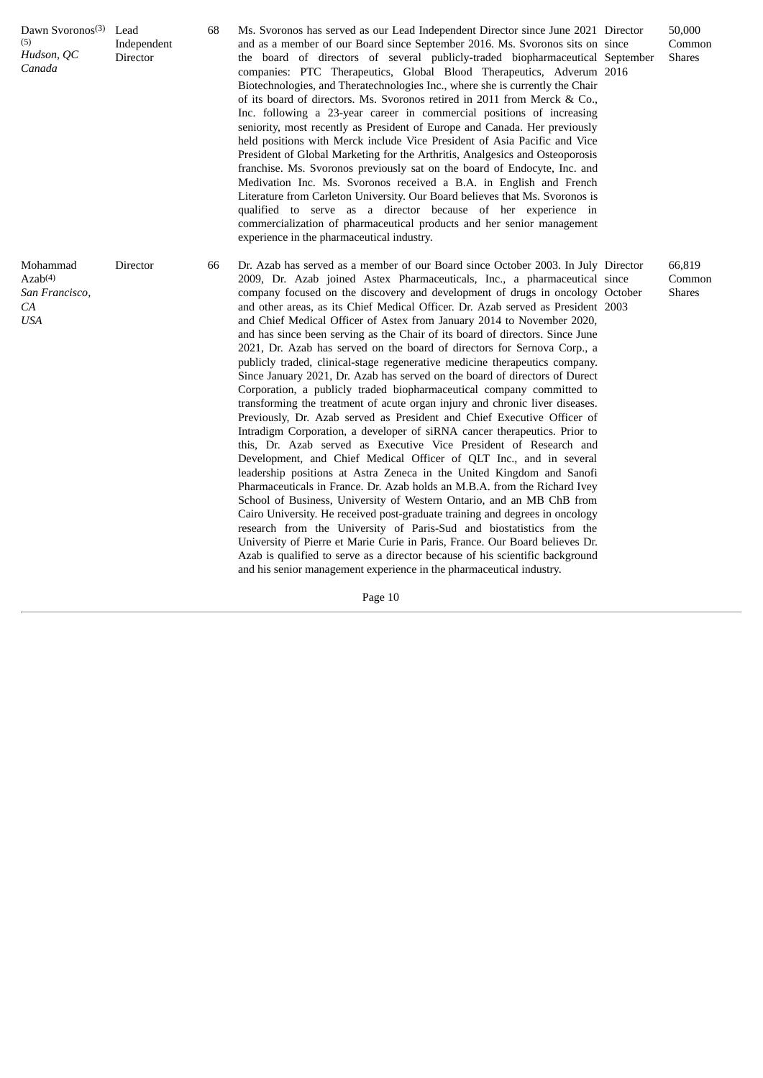| Dawn Svoronos <sup>(3)</sup> Lead<br>(5)<br>Hudson, QC<br>Canada      | Independent<br>Director | 68 | Ms. Svoronos has served as our Lead Independent Director since June 2021 Director<br>and as a member of our Board since September 2016. Ms. Svoronos sits on since<br>the board of directors of several publicly-traded biopharmaceutical September<br>companies: PTC Therapeutics, Global Blood Therapeutics, Adverum 2016<br>Biotechnologies, and Theratechnologies Inc., where she is currently the Chair<br>of its board of directors. Ms. Svoronos retired in 2011 from Merck & Co.,<br>Inc. following a 23-year career in commercial positions of increasing<br>seniority, most recently as President of Europe and Canada. Her previously<br>held positions with Merck include Vice President of Asia Pacific and Vice<br>President of Global Marketing for the Arthritis, Analgesics and Osteoporosis<br>franchise. Ms. Svoronos previously sat on the board of Endocyte, Inc. and<br>Medivation Inc. Ms. Svoronos received a B.A. in English and French<br>Literature from Carleton University. Our Board believes that Ms. Svoronos is<br>qualified to serve as a director because of her experience in<br>commercialization of pharmaceutical products and her senior management<br>experience in the pharmaceutical industry.                                                                                                                                                                                                                                                                                                                                                                                                                                   | 50,000<br>Common<br><b>Shares</b> |
|-----------------------------------------------------------------------|-------------------------|----|-----------------------------------------------------------------------------------------------------------------------------------------------------------------------------------------------------------------------------------------------------------------------------------------------------------------------------------------------------------------------------------------------------------------------------------------------------------------------------------------------------------------------------------------------------------------------------------------------------------------------------------------------------------------------------------------------------------------------------------------------------------------------------------------------------------------------------------------------------------------------------------------------------------------------------------------------------------------------------------------------------------------------------------------------------------------------------------------------------------------------------------------------------------------------------------------------------------------------------------------------------------------------------------------------------------------------------------------------------------------------------------------------------------------------------------------------------------------------------------------------------------------------------------------------------------------------------------------------------------------------------------------------------------------------------|-----------------------------------|
| Mohammad<br>Azab <sup>(4)</sup><br>San Francisco,<br>CA<br><b>USA</b> | Director                | 66 | Dr. Azab has served as a member of our Board since October 2003. In July Director<br>2009, Dr. Azab joined Astex Pharmaceuticals, Inc., a pharmaceutical since<br>company focused on the discovery and development of drugs in oncology October<br>and other areas, as its Chief Medical Officer. Dr. Azab served as President 2003<br>and Chief Medical Officer of Astex from January 2014 to November 2020,<br>and has since been serving as the Chair of its board of directors. Since June<br>2021, Dr. Azab has served on the board of directors for Sernova Corp., a<br>publicly traded, clinical-stage regenerative medicine therapeutics company.<br>Since January 2021, Dr. Azab has served on the board of directors of Durect<br>Corporation, a publicly traded biopharmaceutical company committed to<br>transforming the treatment of acute organ injury and chronic liver diseases.<br>Previously, Dr. Azab served as President and Chief Executive Officer of<br>Intradigm Corporation, a developer of siRNA cancer therapeutics. Prior to<br>this, Dr. Azab served as Executive Vice President of Research and<br>Development, and Chief Medical Officer of QLT Inc., and in several<br>leadership positions at Astra Zeneca in the United Kingdom and Sanofi<br>Pharmaceuticals in France. Dr. Azab holds an M.B.A. from the Richard Ivey<br>School of Business, University of Western Ontario, and an MB ChB from<br>Cairo University. He received post-graduate training and degrees in oncology<br>research from the University of Paris-Sud and biostatistics from the<br>University of Pierre et Marie Curie in Paris, France. Our Board believes Dr. | 66,819<br>Common<br><b>Shares</b> |

Azab is qualified to serve as a director because of his scientific background and his senior management experience in the pharmaceutical industry.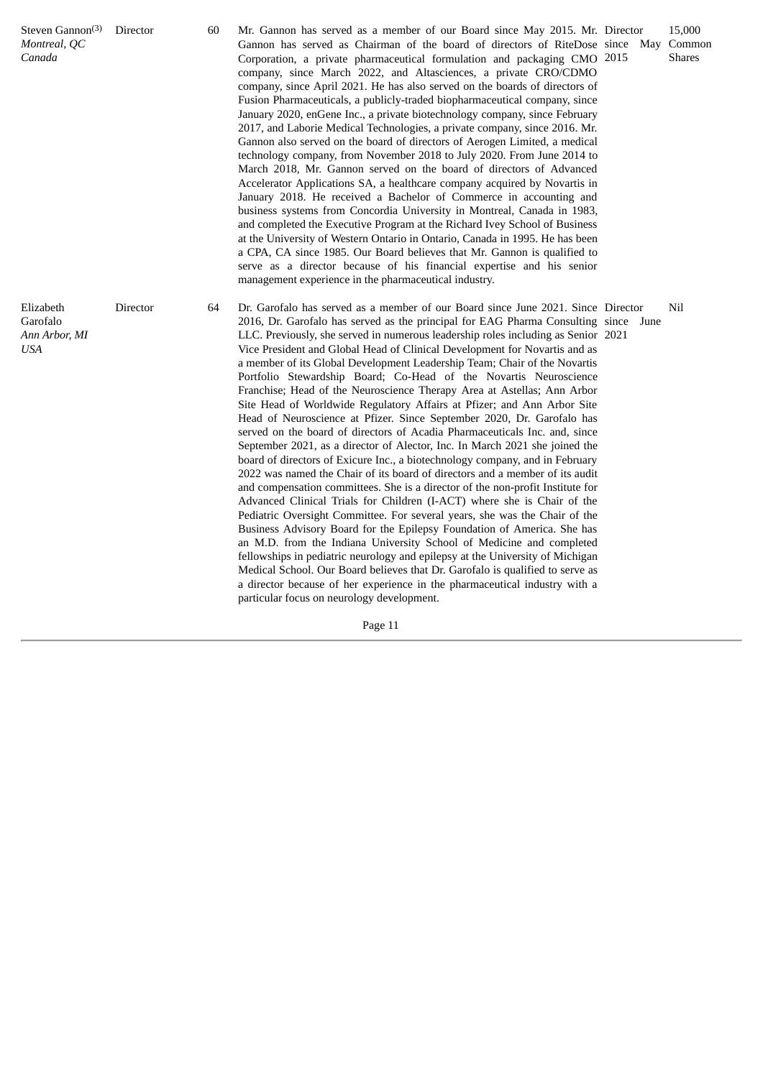| Steven Gannon <sup>(3)</sup><br>Montreal, QC<br>Canada | Director | 60 | Mr. Gannon has served as a member of our Board since May 2015. Mr. Director<br>Gannon has served as Chairman of the board of directors of RiteDose since May<br>Corporation, a private pharmaceutical formulation and packaging CMO 2015<br>company, since March 2022, and Altasciences, a private CRO/CDMO<br>company, since April 2021. He has also served on the boards of directors of<br>Fusion Pharmaceuticals, a publicly-traded biopharmaceutical company, since<br>January 2020, enGene Inc., a private biotechnology company, since February<br>2017, and Laborie Medical Technologies, a private company, since 2016. Mr.<br>Gannon also served on the board of directors of Aerogen Limited, a medical<br>technology company, from November 2018 to July 2020. From June 2014 to<br>March 2018, Mr. Gannon served on the board of directors of Advanced<br>Accelerator Applications SA, a healthcare company acquired by Novartis in<br>January 2018. He received a Bachelor of Commerce in accounting and<br>business systems from Concordia University in Montreal, Canada in 1983,<br>and completed the Executive Program at the Richard Ivey School of Business<br>at the University of Western Ontario in Ontario, Canada in 1995. He has been<br>a CPA, CA since 1985. Our Board believes that Mr. Gannon is qualified to<br>serve as a director because of his financial expertise and his senior<br>management experience in the pharmaceutical industry.                                                                                                                                                                                                                                                                         |  | 15,000<br>Common<br><b>Shares</b> |
|--------------------------------------------------------|----------|----|-------------------------------------------------------------------------------------------------------------------------------------------------------------------------------------------------------------------------------------------------------------------------------------------------------------------------------------------------------------------------------------------------------------------------------------------------------------------------------------------------------------------------------------------------------------------------------------------------------------------------------------------------------------------------------------------------------------------------------------------------------------------------------------------------------------------------------------------------------------------------------------------------------------------------------------------------------------------------------------------------------------------------------------------------------------------------------------------------------------------------------------------------------------------------------------------------------------------------------------------------------------------------------------------------------------------------------------------------------------------------------------------------------------------------------------------------------------------------------------------------------------------------------------------------------------------------------------------------------------------------------------------------------------------------------------------------------------------------------------------------------|--|-----------------------------------|
| Elizabeth<br>Garofalo<br>Ann Arbor, MI<br>USA          | Director | 64 | Dr. Garofalo has served as a member of our Board since June 2021. Since Director<br>2016, Dr. Garofalo has served as the principal for EAG Pharma Consulting since June<br>LLC. Previously, she served in numerous leadership roles including as Senior 2021<br>Vice President and Global Head of Clinical Development for Novartis and as<br>a member of its Global Development Leadership Team; Chair of the Novartis<br>Portfolio Stewardship Board; Co-Head of the Novartis Neuroscience<br>Franchise; Head of the Neuroscience Therapy Area at Astellas; Ann Arbor<br>Site Head of Worldwide Regulatory Affairs at Pfizer; and Ann Arbor Site<br>Head of Neuroscience at Pfizer. Since September 2020, Dr. Garofalo has<br>served on the board of directors of Acadia Pharmaceuticals Inc. and, since<br>September 2021, as a director of Alector, Inc. In March 2021 she joined the<br>board of directors of Exicure Inc., a biotechnology company, and in February<br>2022 was named the Chair of its board of directors and a member of its audit<br>and compensation committees. She is a director of the non-profit Institute for<br>Advanced Clinical Trials for Children (I-ACT) where she is Chair of the<br>Pediatric Oversight Committee. For several years, she was the Chair of the<br>Business Advisory Board for the Epilepsy Foundation of America. She has<br>an M.D. from the Indiana University School of Medicine and completed<br>fellowships in pediatric neurology and epilepsy at the University of Michigan<br>Medical School. Our Board believes that Dr. Garofalo is qualified to serve as<br>a director because of her experience in the pharmaceutical industry with a<br>particular focus on neurology development. |  | Nil                               |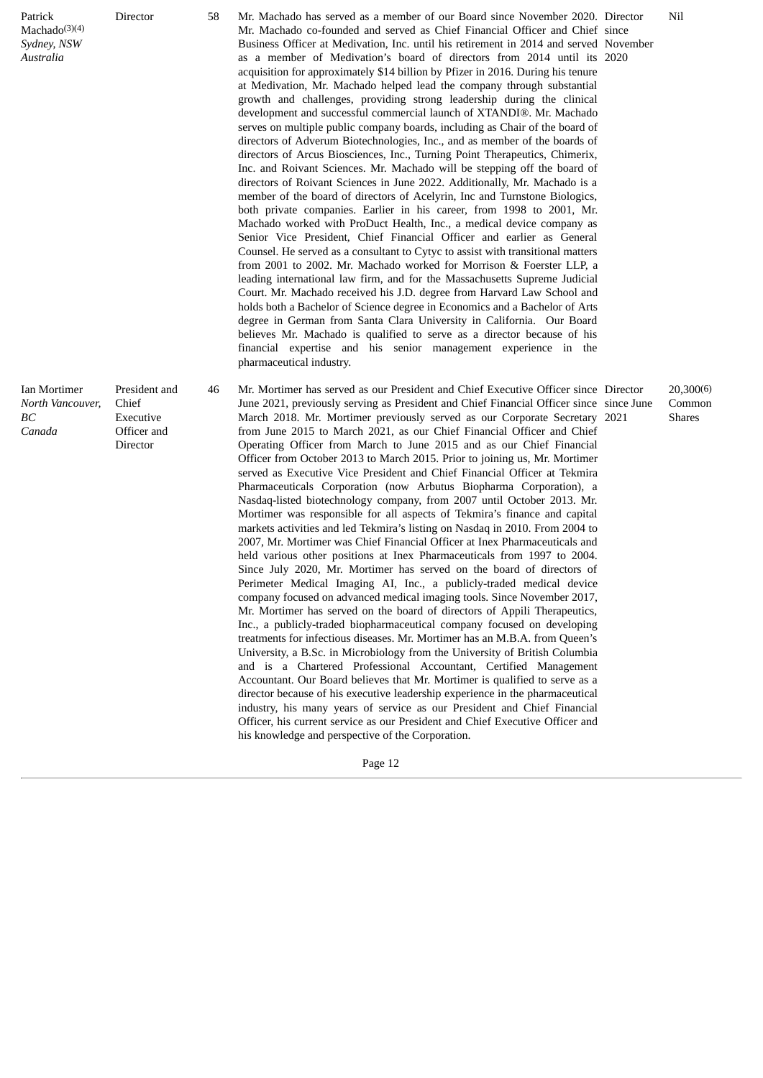| Patrick<br>Machado $(3)(4)$<br>Sydney, NSW<br>Australia | Director                                                       | 58 | Mr. Machado has served as a member of our Board since November 2020. Director<br>Mr. Machado co-founded and served as Chief Financial Officer and Chief since<br>Business Officer at Medivation, Inc. until his retirement in 2014 and served November<br>as a member of Medivation's board of directors from 2014 until its 2020<br>acquisition for approximately \$14 billion by Pfizer in 2016. During his tenure<br>at Medivation, Mr. Machado helped lead the company through substantial<br>growth and challenges, providing strong leadership during the clinical<br>development and successful commercial launch of XTANDI®. Mr. Machado<br>serves on multiple public company boards, including as Chair of the board of<br>directors of Adverum Biotechnologies, Inc., and as member of the boards of<br>directors of Arcus Biosciences, Inc., Turning Point Therapeutics, Chimerix,<br>Inc. and Roivant Sciences. Mr. Machado will be stepping off the board of<br>directors of Roivant Sciences in June 2022. Additionally, Mr. Machado is a<br>member of the board of directors of Acelyrin, Inc and Turnstone Biologics,<br>both private companies. Earlier in his career, from 1998 to 2001, Mr.<br>Machado worked with ProDuct Health, Inc., a medical device company as<br>Senior Vice President, Chief Financial Officer and earlier as General<br>Counsel. He served as a consultant to Cytyc to assist with transitional matters<br>from 2001 to 2002. Mr. Machado worked for Morrison & Foerster LLP, a<br>leading international law firm, and for the Massachusetts Supreme Judicial<br>Court. Mr. Machado received his J.D. degree from Harvard Law School and<br>holds both a Bachelor of Science degree in Economics and a Bachelor of Arts<br>degree in German from Santa Clara University in California. Our Board<br>believes Mr. Machado is qualified to serve as a director because of his<br>financial expertise and his senior management experience in the<br>pharmaceutical industry.                                  | Nil                                  |
|---------------------------------------------------------|----------------------------------------------------------------|----|---------------------------------------------------------------------------------------------------------------------------------------------------------------------------------------------------------------------------------------------------------------------------------------------------------------------------------------------------------------------------------------------------------------------------------------------------------------------------------------------------------------------------------------------------------------------------------------------------------------------------------------------------------------------------------------------------------------------------------------------------------------------------------------------------------------------------------------------------------------------------------------------------------------------------------------------------------------------------------------------------------------------------------------------------------------------------------------------------------------------------------------------------------------------------------------------------------------------------------------------------------------------------------------------------------------------------------------------------------------------------------------------------------------------------------------------------------------------------------------------------------------------------------------------------------------------------------------------------------------------------------------------------------------------------------------------------------------------------------------------------------------------------------------------------------------------------------------------------------------------------------------------------------------------------------------------------------------------------------------------------------------------------------------------------------|--------------------------------------|
| Ian Mortimer<br>North Vancouver,<br>ВC<br>Canada        | President and<br>Chief<br>Executive<br>Officer and<br>Director | 46 | Mr. Mortimer has served as our President and Chief Executive Officer since Director<br>June 2021, previously serving as President and Chief Financial Officer since since June<br>March 2018. Mr. Mortimer previously served as our Corporate Secretary 2021<br>from June 2015 to March 2021, as our Chief Financial Officer and Chief<br>Operating Officer from March to June 2015 and as our Chief Financial<br>Officer from October 2013 to March 2015. Prior to joining us, Mr. Mortimer<br>served as Executive Vice President and Chief Financial Officer at Tekmira<br>Pharmaceuticals Corporation (now Arbutus Biopharma Corporation), a<br>Nasdaq-listed biotechnology company, from 2007 until October 2013. Mr.<br>Mortimer was responsible for all aspects of Tekmira's finance and capital<br>markets activities and led Tekmira's listing on Nasdaq in 2010. From 2004 to<br>2007, Mr. Mortimer was Chief Financial Officer at Inex Pharmaceuticals and<br>held various other positions at Inex Pharmaceuticals from 1997 to 2004.<br>Since July 2020, Mr. Mortimer has served on the board of directors of<br>Perimeter Medical Imaging AI, Inc., a publicly-traded medical device<br>company focused on advanced medical imaging tools. Since November 2017,<br>Mr. Mortimer has served on the board of directors of Appili Therapeutics,<br>Inc., a publicly-traded biopharmaceutical company focused on developing<br>treatments for infectious diseases. Mr. Mortimer has an M.B.A. from Queen's<br>University, a B.Sc. in Microbiology from the University of British Columbia<br>and is a Chartered Professional Accountant, Certified Management<br>Accountant. Our Board believes that Mr. Mortimer is qualified to serve as a<br>director because of his executive leadership experience in the pharmaceutical<br>industry, his many years of service as our President and Chief Financial<br>Officer, his current service as our President and Chief Executive Officer and<br>his knowledge and perspective of the Corporation. | 20,300(6)<br>Common<br><b>Shares</b> |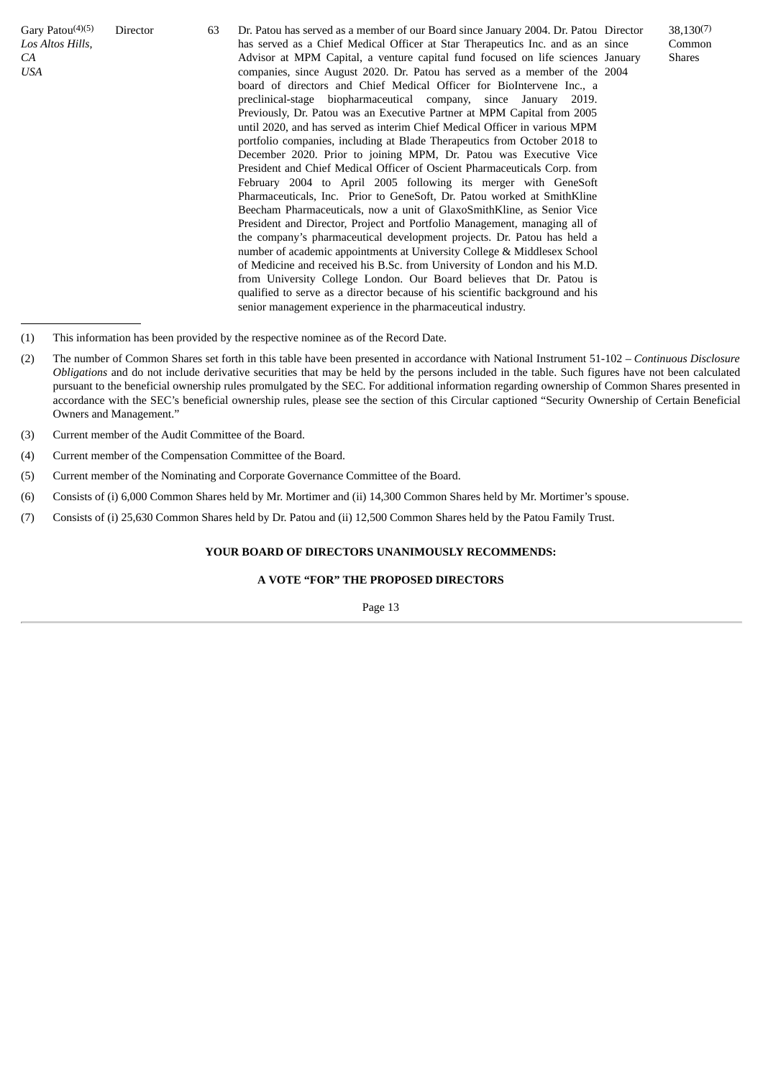Gary Patou<sup>(4)(5)</sup> *Los Altos Hills, CA USA*

Director 63 Dr. Patou has served as a member of our Board since January 2004. Dr. Patou Director has served as a Chief Medical Officer at Star Therapeutics Inc. and as an since Advisor at MPM Capital, a venture capital fund focused on life sciences January companies, since August 2020. Dr. Patou has served as a member of the 2004 board of directors and Chief Medical Officer for BioIntervene Inc., a preclinical-stage biopharmaceutical company, since January 2019. Previously, Dr. Patou was an Executive Partner at MPM Capital from 2005 until 2020, and has served as interim Chief Medical Officer in various MPM portfolio companies, including at Blade Therapeutics from October 2018 to December 2020. Prior to joining MPM, Dr. Patou was Executive Vice President and Chief Medical Officer of Oscient Pharmaceuticals Corp. from February 2004 to April 2005 following its merger with GeneSoft Pharmaceuticals, Inc. Prior to GeneSoft, Dr. Patou worked at SmithKline Beecham Pharmaceuticals, now a unit of GlaxoSmithKline, as Senior Vice President and Director, Project and Portfolio Management, managing all of the company's pharmaceutical development projects. Dr. Patou has held a number of academic appointments at University College & Middlesex School of Medicine and received his B.Sc. from University of London and his M.D. from University College London. Our Board believes that Dr. Patou is qualified to serve as a director because of his scientific background and his senior management experience in the pharmaceutical industry.

- (1) This information has been provided by the respective nominee as of the Record Date.
- (2) The number of Common Shares set forth in this table have been presented in accordance with National Instrument 51-102 *– Continuous Disclosure Obligations* and do not include derivative securities that may be held by the persons included in the table. Such figures have not been calculated pursuant to the beneficial ownership rules promulgated by the SEC. For additional information regarding ownership of Common Shares presented in accordance with the SEC's beneficial ownership rules, please see the section of this Circular captioned "Security Ownership of Certain Beneficial Owners and Management."
- (3) Current member of the Audit Committee of the Board.
- (4) Current member of the Compensation Committee of the Board.
- (5) Current member of the Nominating and Corporate Governance Committee of the Board.
- (6) Consists of (i) 6,000 Common Shares held by Mr. Mortimer and (ii) 14,300 Common Shares held by Mr. Mortimer's spouse.
- (7) Consists of (i) 25,630 Common Shares held by Dr. Patou and (ii) 12,500 Common Shares held by the Patou Family Trust.

# **YOUR BOARD OF DIRECTORS UNANIMOUSLY RECOMMENDS:**

# **A VOTE "FOR" THE PROPOSED DIRECTORS**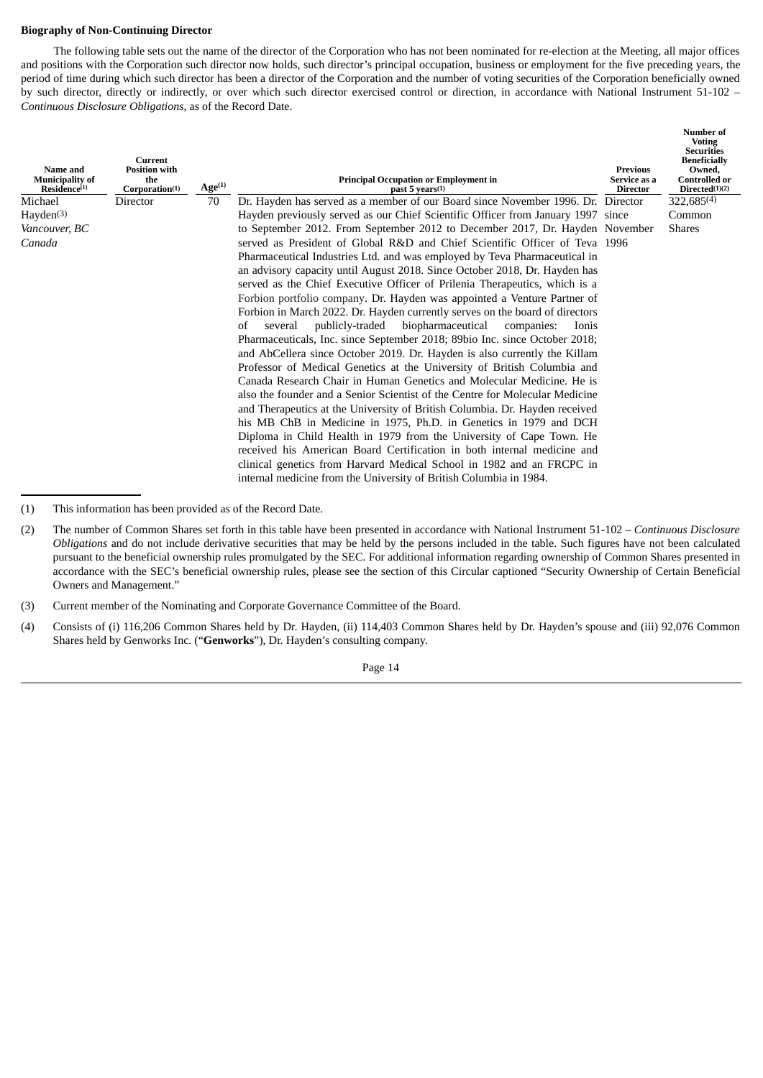# **Biography of Non-Continuing Director**

The following table sets out the name of the director of the Corporation who has not been nominated for re-election at the Meeting, all major offices and positions with the Corporation such director now holds, such director's principal occupation, business or employment for the five preceding years, the period of time during which such director has been a director of the Corporation and the number of voting securities of the Corporation beneficially owned by such director, directly or indirectly, or over which such director exercised control or direction, in accordance with National Instrument 51-102 -*Continuous Disclosure Obligations*, as of the Record Date.

| Name and<br><b>Municipality of</b><br>Residence <sup>(1)</sup> | Current<br><b>Position with</b><br>the<br>Corporation(1) | Age <sup>(1)</sup> | <b>Principal Occupation or Employment in</b><br>past 5 years(1)                                                                                                                                                                                                                                                                                                                                                                                                                                                                                                                                                                                                                                                                                                                                                                                                                                                                                                                                                                                                                                                                                                                                                                                                                                                                                                                                                       | Previous<br>Service as a<br><b>Director</b> | <b>Number of</b><br><b>Voting</b><br><b>Securities</b><br><b>Beneficially</b><br>Owned.<br><b>Controlled or</b><br>Directed(1)(2) |
|----------------------------------------------------------------|----------------------------------------------------------|--------------------|-----------------------------------------------------------------------------------------------------------------------------------------------------------------------------------------------------------------------------------------------------------------------------------------------------------------------------------------------------------------------------------------------------------------------------------------------------------------------------------------------------------------------------------------------------------------------------------------------------------------------------------------------------------------------------------------------------------------------------------------------------------------------------------------------------------------------------------------------------------------------------------------------------------------------------------------------------------------------------------------------------------------------------------------------------------------------------------------------------------------------------------------------------------------------------------------------------------------------------------------------------------------------------------------------------------------------------------------------------------------------------------------------------------------------|---------------------------------------------|-----------------------------------------------------------------------------------------------------------------------------------|
| Michael                                                        | Director                                                 | 70                 | Dr. Hayden has served as a member of our Board since November 1996. Dr. Director                                                                                                                                                                                                                                                                                                                                                                                                                                                                                                                                                                                                                                                                                                                                                                                                                                                                                                                                                                                                                                                                                                                                                                                                                                                                                                                                      |                                             | 322,685(4)                                                                                                                        |
| Hayden <sup>(3)</sup>                                          |                                                          |                    | Hayden previously served as our Chief Scientific Officer from January 1997 since                                                                                                                                                                                                                                                                                                                                                                                                                                                                                                                                                                                                                                                                                                                                                                                                                                                                                                                                                                                                                                                                                                                                                                                                                                                                                                                                      |                                             | Common                                                                                                                            |
| Vancouver, BC                                                  |                                                          |                    | to September 2012. From September 2012 to December 2017, Dr. Hayden November                                                                                                                                                                                                                                                                                                                                                                                                                                                                                                                                                                                                                                                                                                                                                                                                                                                                                                                                                                                                                                                                                                                                                                                                                                                                                                                                          |                                             | <b>Shares</b>                                                                                                                     |
| Canada                                                         |                                                          |                    | served as President of Global R&D and Chief Scientific Officer of Teva 1996<br>Pharmaceutical Industries Ltd. and was employed by Teva Pharmaceutical in<br>an advisory capacity until August 2018. Since October 2018, Dr. Hayden has<br>served as the Chief Executive Officer of Prilenia Therapeutics, which is a<br>Forbion portfolio company. Dr. Hayden was appointed a Venture Partner of<br>Forbion in March 2022. Dr. Hayden currently serves on the board of directors<br>publicly-traded<br>biopharmaceutical<br>several<br>companies:<br>of<br>Ionis<br>Pharmaceuticals, Inc. since September 2018; 89bio Inc. since October 2018;<br>and AbCellera since October 2019. Dr. Hayden is also currently the Killam<br>Professor of Medical Genetics at the University of British Columbia and<br>Canada Research Chair in Human Genetics and Molecular Medicine. He is<br>also the founder and a Senior Scientist of the Centre for Molecular Medicine<br>and Therapeutics at the University of British Columbia. Dr. Hayden received<br>his MB ChB in Medicine in 1975, Ph.D. in Genetics in 1979 and DCH<br>Diploma in Child Health in 1979 from the University of Cape Town. He<br>received his American Board Certification in both internal medicine and<br>clinical genetics from Harvard Medical School in 1982 and an FRCPC in<br>internal medicine from the University of British Columbia in 1984. |                                             |                                                                                                                                   |

<sup>(1)</sup> This information has been provided as of the Record Date.

(4) Consists of (i) 116,206 Common Shares held by Dr. Hayden, (ii) 114,403 Common Shares held by Dr. Hayden's spouse and (iii) 92,076 Common Shares held by Genworks Inc. ("**Genworks**"), Dr. Hayden's consulting company.

<sup>(2)</sup> The number of Common Shares set forth in this table have been presented in accordance with National Instrument 51-102 *– Continuous Disclosure Obligations* and do not include derivative securities that may be held by the persons included in the table. Such figures have not been calculated pursuant to the beneficial ownership rules promulgated by the SEC. For additional information regarding ownership of Common Shares presented in accordance with the SEC's beneficial ownership rules, please see the section of this Circular captioned "Security Ownership of Certain Beneficial Owners and Management."

<sup>(3)</sup> Current member of the Nominating and Corporate Governance Committee of the Board.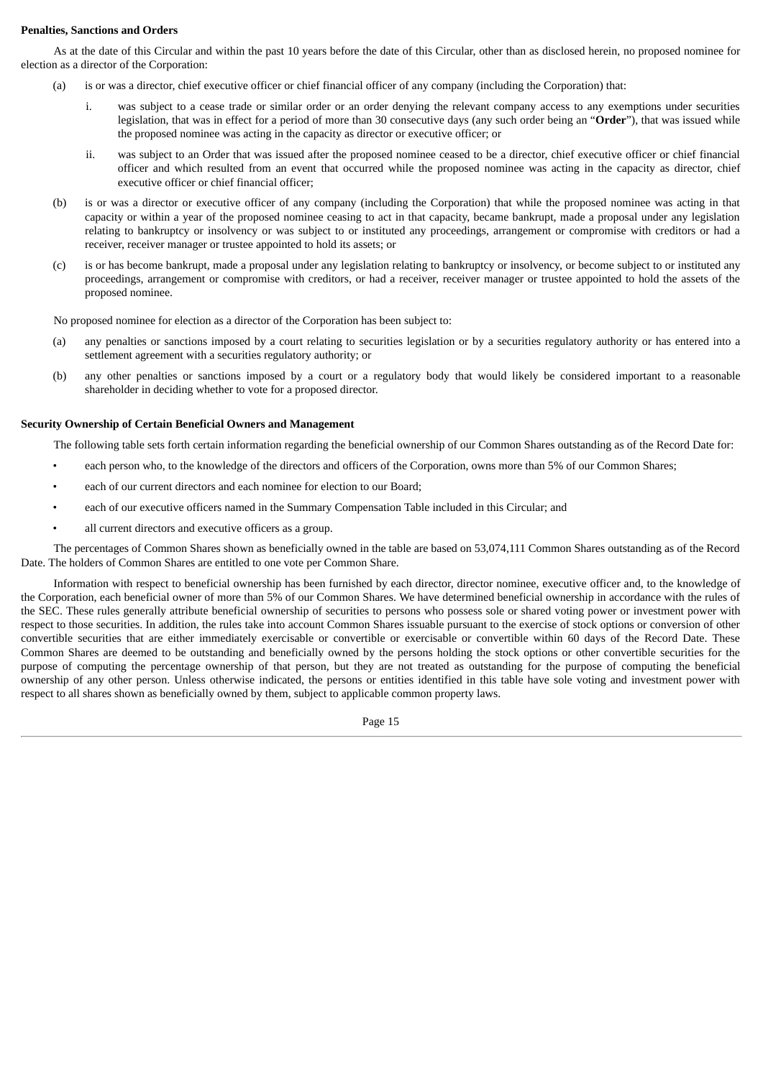# **Penalties, Sanctions and Orders**

As at the date of this Circular and within the past 10 years before the date of this Circular, other than as disclosed herein, no proposed nominee for election as a director of the Corporation:

- (a) is or was a director, chief executive officer or chief financial officer of any company (including the Corporation) that:
	- i. was subject to a cease trade or similar order or an order denying the relevant company access to any exemptions under securities legislation, that was in effect for a period of more than 30 consecutive days (any such order being an "**Order**"), that was issued while the proposed nominee was acting in the capacity as director or executive officer; or
	- ii. was subject to an Order that was issued after the proposed nominee ceased to be a director, chief executive officer or chief financial officer and which resulted from an event that occurred while the proposed nominee was acting in the capacity as director, chief executive officer or chief financial officer;
- (b) is or was a director or executive officer of any company (including the Corporation) that while the proposed nominee was acting in that capacity or within a year of the proposed nominee ceasing to act in that capacity, became bankrupt, made a proposal under any legislation relating to bankruptcy or insolvency or was subject to or instituted any proceedings, arrangement or compromise with creditors or had a receiver, receiver manager or trustee appointed to hold its assets; or
- (c) is or has become bankrupt, made a proposal under any legislation relating to bankruptcy or insolvency, or become subject to or instituted any proceedings, arrangement or compromise with creditors, or had a receiver, receiver manager or trustee appointed to hold the assets of the proposed nominee.

No proposed nominee for election as a director of the Corporation has been subject to:

- (a) any penalties or sanctions imposed by a court relating to securities legislation or by a securities regulatory authority or has entered into a settlement agreement with a securities regulatory authority; or
- (b) any other penalties or sanctions imposed by a court or a regulatory body that would likely be considered important to a reasonable shareholder in deciding whether to vote for a proposed director.

# **Security Ownership of Certain Beneficial Owners and Management**

The following table sets forth certain information regarding the beneficial ownership of our Common Shares outstanding as of the Record Date for:

- each person who, to the knowledge of the directors and officers of the Corporation, owns more than 5% of our Common Shares;
- each of our current directors and each nominee for election to our Board:
- each of our executive officers named in the Summary Compensation Table included in this Circular; and
- all current directors and executive officers as a group.

The percentages of Common Shares shown as beneficially owned in the table are based on 53,074,111 Common Shares outstanding as of the Record Date. The holders of Common Shares are entitled to one vote per Common Share.

Information with respect to beneficial ownership has been furnished by each director, director nominee, executive officer and, to the knowledge of the Corporation, each beneficial owner of more than 5% of our Common Shares. We have determined beneficial ownership in accordance with the rules of the SEC. These rules generally attribute beneficial ownership of securities to persons who possess sole or shared voting power or investment power with respect to those securities. In addition, the rules take into account Common Shares issuable pursuant to the exercise of stock options or conversion of other convertible securities that are either immediately exercisable or convertible or exercisable or convertible within 60 days of the Record Date. These Common Shares are deemed to be outstanding and beneficially owned by the persons holding the stock options or other convertible securities for the purpose of computing the percentage ownership of that person, but they are not treated as outstanding for the purpose of computing the beneficial ownership of any other person. Unless otherwise indicated, the persons or entities identified in this table have sole voting and investment power with respect to all shares shown as beneficially owned by them, subject to applicable common property laws.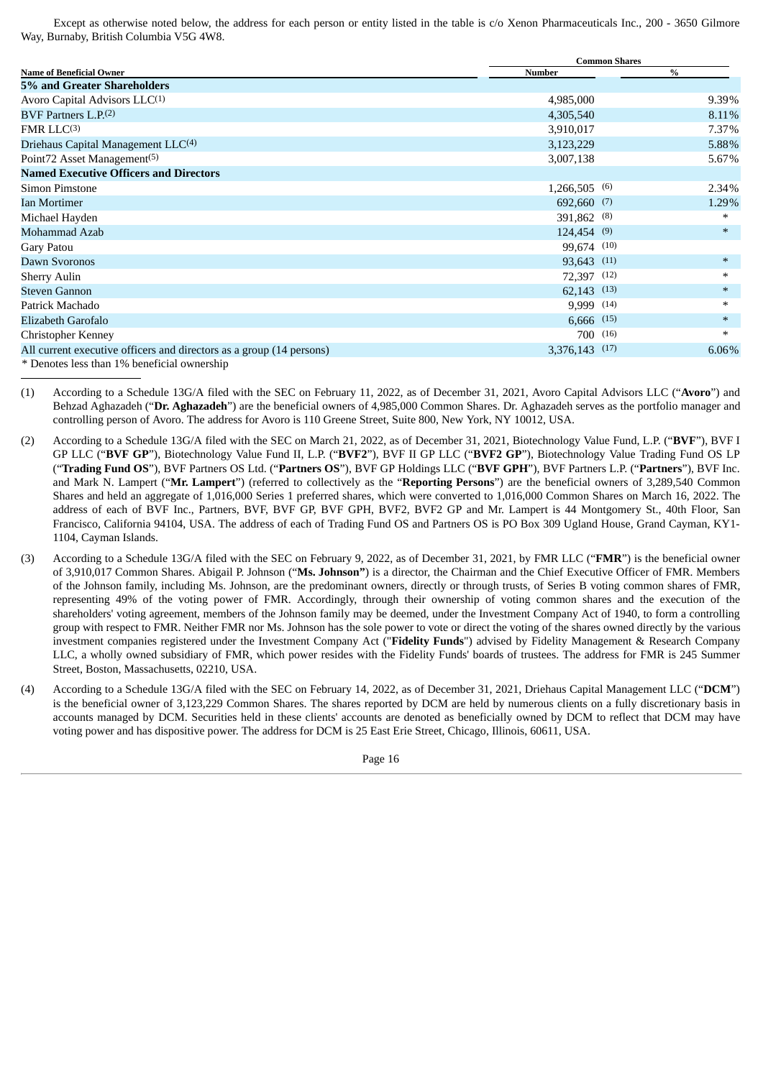Except as otherwise noted below, the address for each person or entity listed in the table is c/o Xenon Pharmaceuticals Inc., 200 - 3650 Gilmore Way, Burnaby, British Columbia V5G 4W8.

|                                                                      | <b>Common Shares</b> |        |  |  |  |
|----------------------------------------------------------------------|----------------------|--------|--|--|--|
| <b>Name of Beneficial Owner</b>                                      | <b>Number</b>        | $\%$   |  |  |  |
| 5% and Greater Shareholders                                          |                      |        |  |  |  |
| Avoro Capital Advisors LLC(1)                                        | 4,985,000            | 9.39%  |  |  |  |
| BVF Partners $L.P.$ <sup>(2)</sup>                                   | 4,305,540            | 8.11%  |  |  |  |
| FMRLLC <sup>(3)</sup>                                                | 3,910,017            | 7.37%  |  |  |  |
| Driehaus Capital Management LLC <sup>(4)</sup>                       | 3,123,229            | 5.88%  |  |  |  |
| Point72 Asset Management <sup>(5)</sup>                              | 3,007,138            | 5.67%  |  |  |  |
| <b>Named Executive Officers and Directors</b>                        |                      |        |  |  |  |
| Simon Pimstone                                                       | $1,266,505$ (6)      | 2.34%  |  |  |  |
| <b>Ian Mortimer</b>                                                  | 692,660 (7)          | 1.29%  |  |  |  |
| Michael Hayden                                                       | 391,862 (8)          | $\ast$ |  |  |  |
| Mohammad Azab                                                        | $124,454$ (9)        | $\ast$ |  |  |  |
| Gary Patou                                                           | 99,674 (10)          |        |  |  |  |
| Dawn Svoronos                                                        | 93,643 (11)          | $\ast$ |  |  |  |
| <b>Sherry Aulin</b>                                                  | 72,397 (12)          | $\ast$ |  |  |  |
| <b>Steven Gannon</b>                                                 | $62,143$ $(13)$      | $\ast$ |  |  |  |
| Patrick Machado                                                      | 9,999 (14)           | $\ast$ |  |  |  |
| Elizabeth Garofalo                                                   | $6,666$ (15)         | $\ast$ |  |  |  |
| <b>Christopher Kenney</b>                                            | $700^{(16)}$         | $\ast$ |  |  |  |
| All current executive officers and directors as a group (14 persons) | 3,376,143 (17)       | 6.06%  |  |  |  |
| $\ast$ Denotes lass than 10/ handfield as manking                    |                      |        |  |  |  |

\* Denotes less than 1% beneficial ownership

(1) According to a Schedule 13G/A filed with the SEC on February 11, 2022, as of December 31, 2021, Avoro Capital Advisors LLC ("**Avoro**") and Behzad Aghazadeh ("**Dr. Aghazadeh**") are the beneficial owners of 4,985,000 Common Shares. Dr. Aghazadeh serves as the portfolio manager and controlling person of Avoro. The address for Avoro is 110 Greene Street, Suite 800, New York, NY 10012, USA.

- (2) According to a Schedule 13G/A filed with the SEC on March 21, 2022, as of December 31, 2021, Biotechnology Value Fund, L.P. ("**BVF**"), BVF I GP LLC ("**BVF GP**"), Biotechnology Value Fund II, L.P. ("**BVF2**"), BVF II GP LLC ("**BVF2 GP**"), Biotechnology Value Trading Fund OS LP ("**Trading Fund OS**"), BVF Partners OS Ltd. ("**Partners OS**"), BVF GP Holdings LLC ("**BVF GPH**"), BVF Partners L.P. ("**Partners**"), BVF Inc. and Mark N. Lampert ("**Mr. Lampert**") (referred to collectively as the "**Reporting Persons**") are the beneficial owners of 3,289,540 Common Shares and held an aggregate of 1,016,000 Series 1 preferred shares, which were converted to 1,016,000 Common Shares on March 16, 2022. The address of each of BVF Inc., Partners, BVF, BVF GP, BVF GPH, BVF2, BVF2 GP and Mr. Lampert is 44 Montgomery St., 40th Floor, San Francisco, California 94104, USA. The address of each of Trading Fund OS and Partners OS is PO Box 309 Ugland House, Grand Cayman, KY1- 1104, Cayman Islands.
- (3) According to a Schedule 13G/A filed with the SEC on February 9, 2022, as of December 31, 2021, by FMR LLC ("**FMR**") is the beneficial owner of 3,910,017 Common Shares. Abigail P. Johnson ("**Ms. Johnson"**) is a director, the Chairman and the Chief Executive Officer of FMR. Members of the Johnson family, including Ms. Johnson, are the predominant owners, directly or through trusts, of Series B voting common shares of FMR, representing 49% of the voting power of FMR. Accordingly, through their ownership of voting common shares and the execution of the shareholders' voting agreement, members of the Johnson family may be deemed, under the Investment Company Act of 1940, to form a controlling group with respect to FMR. Neither FMR nor Ms. Johnson has the sole power to vote or direct the voting of the shares owned directly by the various investment companies registered under the Investment Company Act ("**Fidelity Funds**") advised by Fidelity Management & Research Company LLC, a wholly owned subsidiary of FMR, which power resides with the Fidelity Funds' boards of trustees. The address for FMR is 245 Summer Street, Boston, Massachusetts, 02210, USA.
- (4) According to a Schedule 13G/A filed with the SEC on February 14, 2022, as of December 31, 2021, Driehaus Capital Management LLC ("**DCM**") is the beneficial owner of 3,123,229 Common Shares. The shares reported by DCM are held by numerous clients on a fully discretionary basis in accounts managed by DCM. Securities held in these clients' accounts are denoted as beneficially owned by DCM to reflect that DCM may have voting power and has dispositive power. The address for DCM is 25 East Erie Street, Chicago, Illinois, 60611, USA.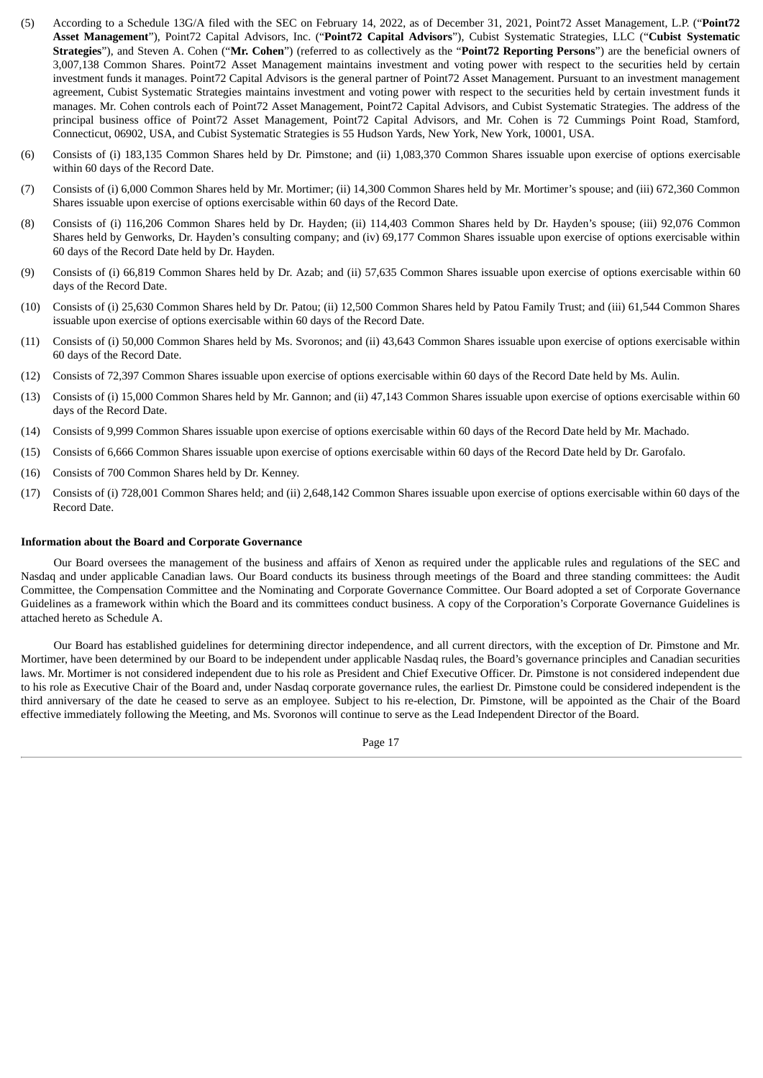- (5) According to a Schedule 13G/A filed with the SEC on February 14, 2022, as of December 31, 2021, Point72 Asset Management, L.P. ("**Point72 Asset Management**"), Point72 Capital Advisors, Inc. ("**Point72 Capital Advisors**"), Cubist Systematic Strategies, LLC ("**Cubist Systematic Strategies**"), and Steven A. Cohen ("**Mr. Cohen**") (referred to as collectively as the "**Point72 Reporting Persons**") are the beneficial owners of 3,007,138 Common Shares. Point72 Asset Management maintains investment and voting power with respect to the securities held by certain investment funds it manages. Point72 Capital Advisors is the general partner of Point72 Asset Management. Pursuant to an investment management agreement, Cubist Systematic Strategies maintains investment and voting power with respect to the securities held by certain investment funds it manages. Mr. Cohen controls each of Point72 Asset Management, Point72 Capital Advisors, and Cubist Systematic Strategies. The address of the principal business office of Point72 Asset Management, Point72 Capital Advisors, and Mr. Cohen is 72 Cummings Point Road, Stamford, Connecticut, 06902, USA, and Cubist Systematic Strategies is 55 Hudson Yards, New York, New York, 10001, USA.
- (6) Consists of (i) 183,135 Common Shares held by Dr. Pimstone; and (ii) 1,083,370 Common Shares issuable upon exercise of options exercisable within 60 days of the Record Date.
- (7) Consists of (i) 6,000 Common Shares held by Mr. Mortimer; (ii) 14,300 Common Shares held by Mr. Mortimer's spouse; and (iii) 672,360 Common Shares issuable upon exercise of options exercisable within 60 days of the Record Date.
- (8) Consists of (i) 116,206 Common Shares held by Dr. Hayden; (ii) 114,403 Common Shares held by Dr. Hayden's spouse; (iii) 92,076 Common Shares held by Genworks, Dr. Hayden's consulting company; and (iv) 69,177 Common Shares issuable upon exercise of options exercisable within 60 days of the Record Date held by Dr. Hayden.
- (9) Consists of (i) 66,819 Common Shares held by Dr. Azab; and (ii) 57,635 Common Shares issuable upon exercise of options exercisable within 60 days of the Record Date.
- (10) Consists of (i) 25,630 Common Shares held by Dr. Patou; (ii) 12,500 Common Shares held by Patou Family Trust; and (iii) 61,544 Common Shares issuable upon exercise of options exercisable within 60 days of the Record Date.
- (11) Consists of (i) 50,000 Common Shares held by Ms. Svoronos; and (ii) 43,643 Common Shares issuable upon exercise of options exercisable within 60 days of the Record Date.
- (12) Consists of 72,397 Common Shares issuable upon exercise of options exercisable within 60 days of the Record Date held by Ms. Aulin.
- (13) Consists of (i) 15,000 Common Shares held by Mr. Gannon; and (ii) 47,143 Common Shares issuable upon exercise of options exercisable within 60 days of the Record Date.
- (14) Consists of 9,999 Common Shares issuable upon exercise of options exercisable within 60 days of the Record Date held by Mr. Machado.
- (15) Consists of 6,666 Common Shares issuable upon exercise of options exercisable within 60 days of the Record Date held by Dr. Garofalo.
- (16) Consists of 700 Common Shares held by Dr. Kenney.
- (17) Consists of (i) 728,001 Common Shares held; and (ii) 2,648,142 Common Shares issuable upon exercise of options exercisable within 60 days of the Record Date.

#### **Information about the Board and Corporate Governance**

Our Board oversees the management of the business and affairs of Xenon as required under the applicable rules and regulations of the SEC and Nasdaq and under applicable Canadian laws. Our Board conducts its business through meetings of the Board and three standing committees: the Audit Committee, the Compensation Committee and the Nominating and Corporate Governance Committee. Our Board adopted a set of Corporate Governance Guidelines as a framework within which the Board and its committees conduct business. A copy of the Corporation's Corporate Governance Guidelines is attached hereto as Schedule A.

Our Board has established guidelines for determining director independence, and all current directors, with the exception of Dr. Pimstone and Mr. Mortimer, have been determined by our Board to be independent under applicable Nasdaq rules, the Board's governance principles and Canadian securities laws. Mr. Mortimer is not considered independent due to his role as President and Chief Executive Officer. Dr. Pimstone is not considered independent due to his role as Executive Chair of the Board and, under Nasdaq corporate governance rules, the earliest Dr. Pimstone could be considered independent is the third anniversary of the date he ceased to serve as an employee. Subject to his re-election, Dr. Pimstone, will be appointed as the Chair of the Board effective immediately following the Meeting, and Ms. Svoronos will continue to serve as the Lead Independent Director of the Board.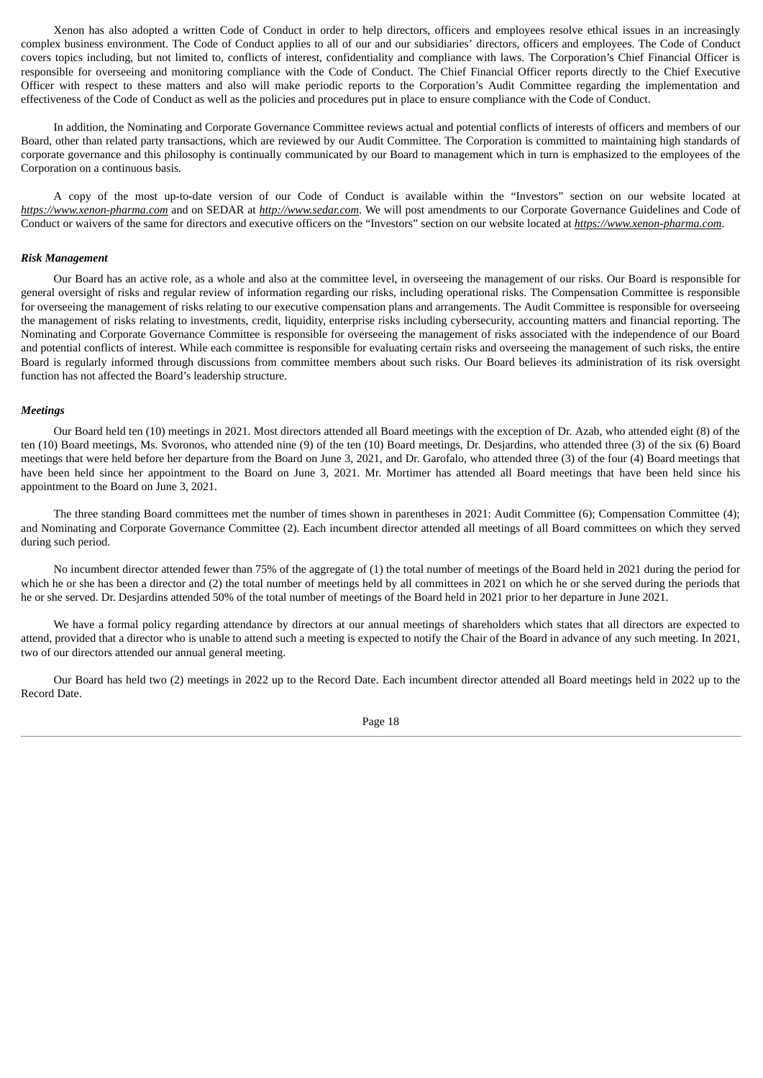Xenon has also adopted a written Code of Conduct in order to help directors, officers and employees resolve ethical issues in an increasingly complex business environment. The Code of Conduct applies to all of our and our subsidiaries' directors, officers and employees. The Code of Conduct covers topics including, but not limited to, conflicts of interest, confidentiality and compliance with laws. The Corporation's Chief Financial Officer is responsible for overseeing and monitoring compliance with the Code of Conduct. The Chief Financial Officer reports directly to the Chief Executive Officer with respect to these matters and also will make periodic reports to the Corporation's Audit Committee regarding the implementation and effectiveness of the Code of Conduct as well as the policies and procedures put in place to ensure compliance with the Code of Conduct.

In addition, the Nominating and Corporate Governance Committee reviews actual and potential conflicts of interests of officers and members of our Board, other than related party transactions, which are reviewed by our Audit Committee. The Corporation is committed to maintaining high standards of corporate governance and this philosophy is continually communicated by our Board to management which in turn is emphasized to the employees of the Corporation on a continuous basis.

A copy of the most up-to-date version of our Code of Conduct is available within the "Investors" section on our website located at *https://www.xenon-pharma.com* and on SEDAR at *http://www.sedar.com*. We will post amendments to our Corporate Governance Guidelines and Code of Conduct or waivers of the same for directors and executive officers on the "Investors" section on our website located at *https://www.xenon-pharma.com*.

# *Risk Management*

Our Board has an active role, as a whole and also at the committee level, in overseeing the management of our risks. Our Board is responsible for general oversight of risks and regular review of information regarding our risks, including operational risks. The Compensation Committee is responsible for overseeing the management of risks relating to our executive compensation plans and arrangements. The Audit Committee is responsible for overseeing the management of risks relating to investments, credit, liquidity, enterprise risks including cybersecurity, accounting matters and financial reporting. The Nominating and Corporate Governance Committee is responsible for overseeing the management of risks associated with the independence of our Board and potential conflicts of interest. While each committee is responsible for evaluating certain risks and overseeing the management of such risks, the entire Board is regularly informed through discussions from committee members about such risks. Our Board believes its administration of its risk oversight function has not affected the Board's leadership structure.

# *Meetings*

Our Board held ten (10) meetings in 2021. Most directors attended all Board meetings with the exception of Dr. Azab, who attended eight (8) of the ten (10) Board meetings, Ms. Svoronos, who attended nine (9) of the ten (10) Board meetings, Dr. Desjardins, who attended three (3) of the six (6) Board meetings that were held before her departure from the Board on June 3, 2021, and Dr. Garofalo, who attended three (3) of the four (4) Board meetings that have been held since her appointment to the Board on June 3, 2021. Mr. Mortimer has attended all Board meetings that have been held since his appointment to the Board on June 3, 2021.

The three standing Board committees met the number of times shown in parentheses in 2021: Audit Committee (6); Compensation Committee (4); and Nominating and Corporate Governance Committee (2). Each incumbent director attended all meetings of all Board committees on which they served during such period.

No incumbent director attended fewer than 75% of the aggregate of (1) the total number of meetings of the Board held in 2021 during the period for which he or she has been a director and (2) the total number of meetings held by all committees in 2021 on which he or she served during the periods that he or she served. Dr. Desjardins attended 50% of the total number of meetings of the Board held in 2021 prior to her departure in June 2021.

We have a formal policy regarding attendance by directors at our annual meetings of shareholders which states that all directors are expected to attend, provided that a director who is unable to attend such a meeting is expected to notify the Chair of the Board in advance of any such meeting. In 2021, two of our directors attended our annual general meeting.

Our Board has held two (2) meetings in 2022 up to the Record Date. Each incumbent director attended all Board meetings held in 2022 up to the Record Date.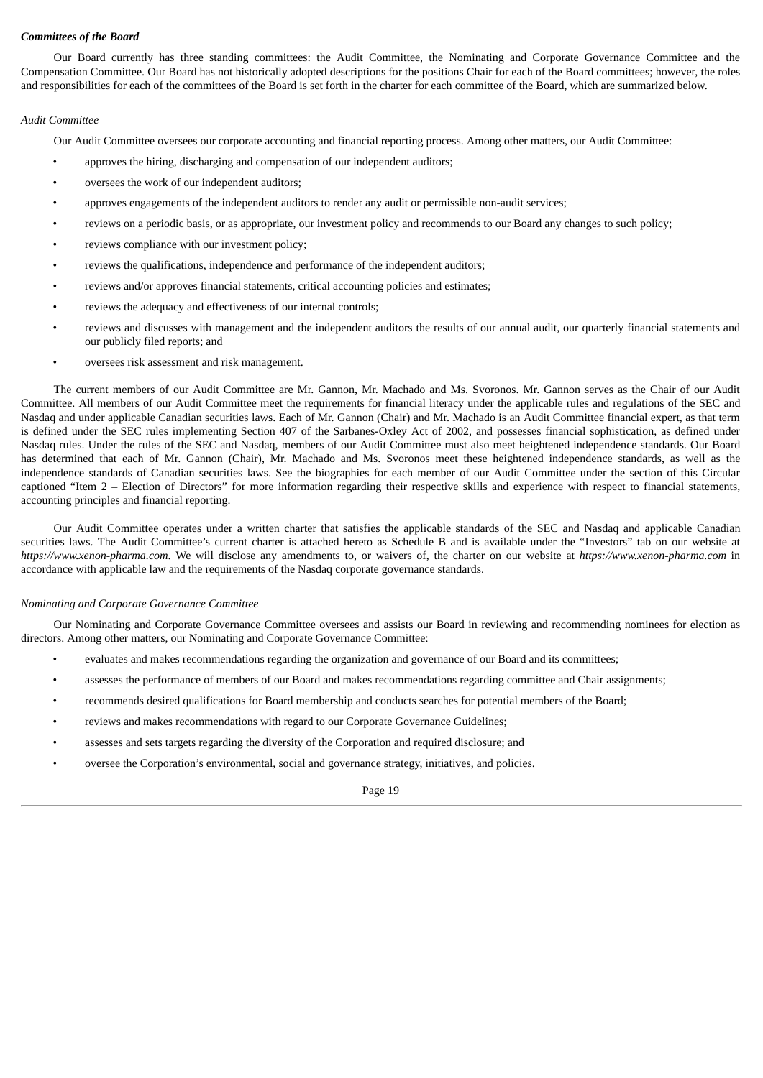# *Committees of the Board*

Our Board currently has three standing committees: the Audit Committee, the Nominating and Corporate Governance Committee and the Compensation Committee. Our Board has not historically adopted descriptions for the positions Chair for each of the Board committees; however, the roles and responsibilities for each of the committees of the Board is set forth in the charter for each committee of the Board, which are summarized below.

# *Audit Committee*

Our Audit Committee oversees our corporate accounting and financial reporting process. Among other matters, our Audit Committee:

- approves the hiring, discharging and compensation of our independent auditors;
- oversees the work of our independent auditors;
- approves engagements of the independent auditors to render any audit or permissible non-audit services;
- reviews on a periodic basis, or as appropriate, our investment policy and recommends to our Board any changes to such policy;
- reviews compliance with our investment policy;
- reviews the qualifications, independence and performance of the independent auditors;
- reviews and/or approves financial statements, critical accounting policies and estimates;
- reviews the adequacy and effectiveness of our internal controls;
- reviews and discusses with management and the independent auditors the results of our annual audit, our quarterly financial statements and our publicly filed reports; and
- oversees risk assessment and risk management.

The current members of our Audit Committee are Mr. Gannon, Mr. Machado and Ms. Svoronos. Mr. Gannon serves as the Chair of our Audit Committee. All members of our Audit Committee meet the requirements for financial literacy under the applicable rules and regulations of the SEC and Nasdaq and under applicable Canadian securities laws. Each of Mr. Gannon (Chair) and Mr. Machado is an Audit Committee financial expert, as that term is defined under the SEC rules implementing Section 407 of the Sarbanes-Oxley Act of 2002, and possesses financial sophistication, as defined under Nasdaq rules. Under the rules of the SEC and Nasdaq, members of our Audit Committee must also meet heightened independence standards. Our Board has determined that each of Mr. Gannon (Chair), Mr. Machado and Ms. Svoronos meet these heightened independence standards, as well as the independence standards of Canadian securities laws. See the biographies for each member of our Audit Committee under the section of this Circular captioned "Item 2 – Election of Directors" for more information regarding their respective skills and experience with respect to financial statements, accounting principles and financial reporting.

Our Audit Committee operates under a written charter that satisfies the applicable standards of the SEC and Nasdaq and applicable Canadian securities laws. The Audit Committee's current charter is attached hereto as Schedule B and is available under the "Investors" tab on our website at *https://www.xenon-pharma.com*. We will disclose any amendments to, or waivers of, the charter on our website at *https://www.xenon-pharma.com* in accordance with applicable law and the requirements of the Nasdaq corporate governance standards.

# *Nominating and Corporate Governance Committee*

Our Nominating and Corporate Governance Committee oversees and assists our Board in reviewing and recommending nominees for election as directors. Among other matters, our Nominating and Corporate Governance Committee:

- evaluates and makes recommendations regarding the organization and governance of our Board and its committees;
- assesses the performance of members of our Board and makes recommendations regarding committee and Chair assignments;
- recommends desired qualifications for Board membership and conducts searches for potential members of the Board;
- reviews and makes recommendations with regard to our Corporate Governance Guidelines;
- assesses and sets targets regarding the diversity of the Corporation and required disclosure; and
- oversee the Corporation's environmental, social and governance strategy, initiatives, and policies.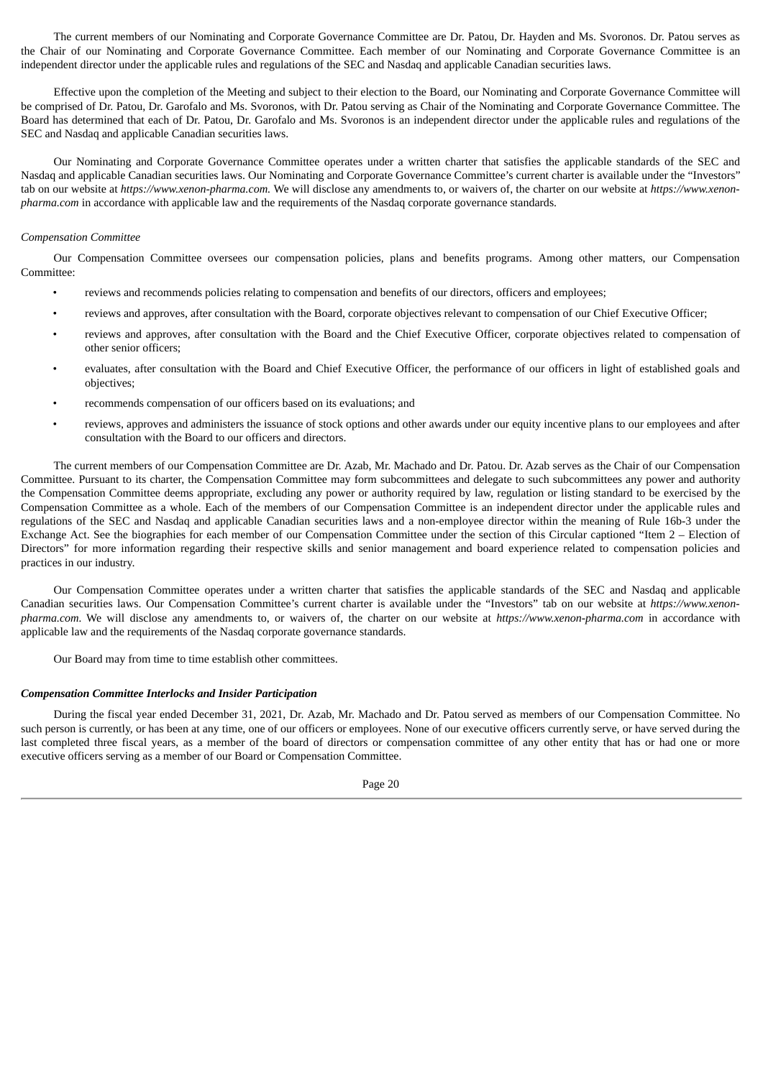The current members of our Nominating and Corporate Governance Committee are Dr. Patou, Dr. Hayden and Ms. Svoronos. Dr. Patou serves as the Chair of our Nominating and Corporate Governance Committee. Each member of our Nominating and Corporate Governance Committee is an independent director under the applicable rules and regulations of the SEC and Nasdaq and applicable Canadian securities laws.

Effective upon the completion of the Meeting and subject to their election to the Board, our Nominating and Corporate Governance Committee will be comprised of Dr. Patou, Dr. Garofalo and Ms. Svoronos, with Dr. Patou serving as Chair of the Nominating and Corporate Governance Committee. The Board has determined that each of Dr. Patou, Dr. Garofalo and Ms. Svoronos is an independent director under the applicable rules and regulations of the SEC and Nasdaq and applicable Canadian securities laws.

Our Nominating and Corporate Governance Committee operates under a written charter that satisfies the applicable standards of the SEC and Nasdaq and applicable Canadian securities laws. Our Nominating and Corporate Governance Committee's current charter is available under the "Investors" tab on our website at *https://www.xenon-pharma.com.* We will disclose any amendments to, or waivers of, the charter on our website at *https://www.xenonpharma.com* in accordance with applicable law and the requirements of the Nasdaq corporate governance standards.

# *Compensation Committee*

Our Compensation Committee oversees our compensation policies, plans and benefits programs. Among other matters, our Compensation Committee:

- reviews and recommends policies relating to compensation and benefits of our directors, officers and employees;
- reviews and approves, after consultation with the Board, corporate objectives relevant to compensation of our Chief Executive Officer;
- reviews and approves, after consultation with the Board and the Chief Executive Officer, corporate objectives related to compensation of other senior officers;
- evaluates, after consultation with the Board and Chief Executive Officer, the performance of our officers in light of established goals and objectives;
- recommends compensation of our officers based on its evaluations; and
- reviews, approves and administers the issuance of stock options and other awards under our equity incentive plans to our employees and after consultation with the Board to our officers and directors.

The current members of our Compensation Committee are Dr. Azab, Mr. Machado and Dr. Patou. Dr. Azab serves as the Chair of our Compensation Committee. Pursuant to its charter, the Compensation Committee may form subcommittees and delegate to such subcommittees any power and authority the Compensation Committee deems appropriate, excluding any power or authority required by law, regulation or listing standard to be exercised by the Compensation Committee as a whole. Each of the members of our Compensation Committee is an independent director under the applicable rules and regulations of the SEC and Nasdaq and applicable Canadian securities laws and a non-employee director within the meaning of Rule 16b-3 under the Exchange Act. See the biographies for each member of our Compensation Committee under the section of this Circular captioned "Item 2 – Election of Directors" for more information regarding their respective skills and senior management and board experience related to compensation policies and practices in our industry.

Our Compensation Committee operates under a written charter that satisfies the applicable standards of the SEC and Nasdaq and applicable Canadian securities laws. Our Compensation Committee's current charter is available under the "Investors" tab on our website at *https://www.xenonpharma.com.* We will disclose any amendments to, or waivers of, the charter on our website at *https://www.xenon-pharma.com* in accordance with applicable law and the requirements of the Nasdaq corporate governance standards.

Our Board may from time to time establish other committees.

# *Compensation Committee Interlocks and Insider Participation*

During the fiscal year ended December 31, 2021, Dr. Azab, Mr. Machado and Dr. Patou served as members of our Compensation Committee. No such person is currently, or has been at any time, one of our officers or employees. None of our executive officers currently serve, or have served during the last completed three fiscal years, as a member of the board of directors or compensation committee of any other entity that has or had one or more executive officers serving as a member of our Board or Compensation Committee.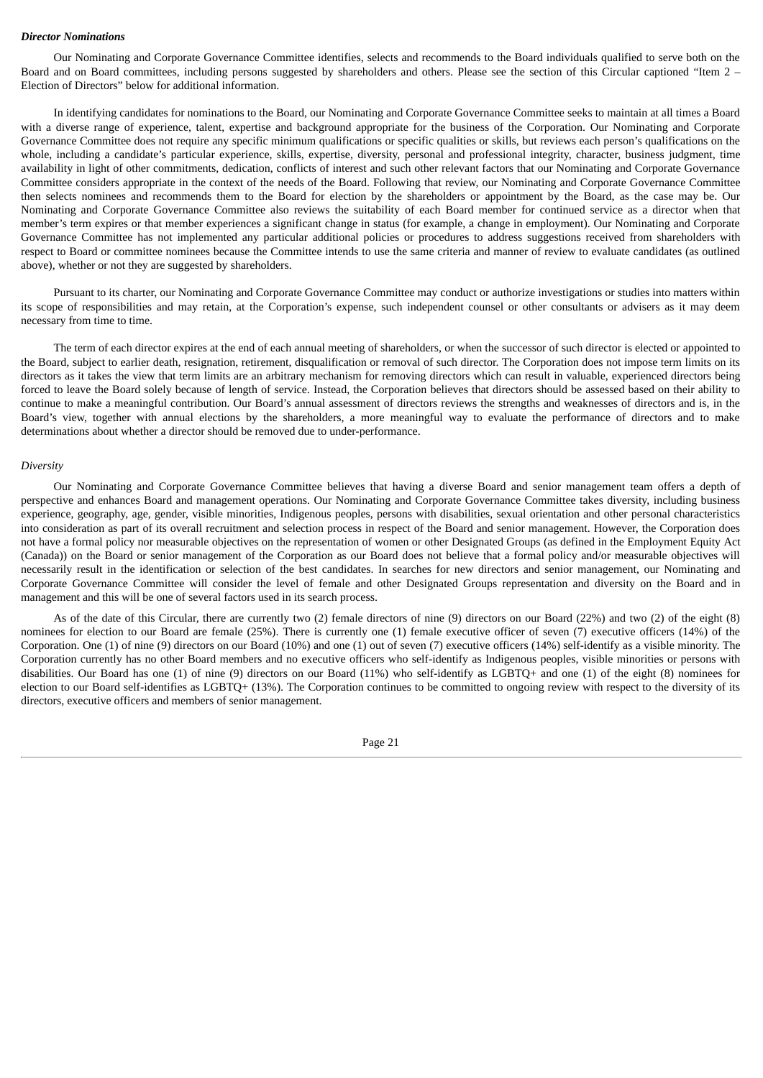#### *Director Nominations*

Our Nominating and Corporate Governance Committee identifies, selects and recommends to the Board individuals qualified to serve both on the Board and on Board committees, including persons suggested by shareholders and others. Please see the section of this Circular captioned "Item 2 – Election of Directors" below for additional information.

In identifying candidates for nominations to the Board, our Nominating and Corporate Governance Committee seeks to maintain at all times a Board with a diverse range of experience, talent, expertise and background appropriate for the business of the Corporation. Our Nominating and Corporate Governance Committee does not require any specific minimum qualifications or specific qualities or skills, but reviews each person's qualifications on the whole, including a candidate's particular experience, skills, expertise, diversity, personal and professional integrity, character, business judgment, time availability in light of other commitments, dedication, conflicts of interest and such other relevant factors that our Nominating and Corporate Governance Committee considers appropriate in the context of the needs of the Board. Following that review, our Nominating and Corporate Governance Committee then selects nominees and recommends them to the Board for election by the shareholders or appointment by the Board, as the case may be. Our Nominating and Corporate Governance Committee also reviews the suitability of each Board member for continued service as a director when that member's term expires or that member experiences a significant change in status (for example, a change in employment). Our Nominating and Corporate Governance Committee has not implemented any particular additional policies or procedures to address suggestions received from shareholders with respect to Board or committee nominees because the Committee intends to use the same criteria and manner of review to evaluate candidates (as outlined above), whether or not they are suggested by shareholders.

Pursuant to its charter, our Nominating and Corporate Governance Committee may conduct or authorize investigations or studies into matters within its scope of responsibilities and may retain, at the Corporation's expense, such independent counsel or other consultants or advisers as it may deem necessary from time to time.

The term of each director expires at the end of each annual meeting of shareholders, or when the successor of such director is elected or appointed to the Board, subject to earlier death, resignation, retirement, disqualification or removal of such director. The Corporation does not impose term limits on its directors as it takes the view that term limits are an arbitrary mechanism for removing directors which can result in valuable, experienced directors being forced to leave the Board solely because of length of service. Instead, the Corporation believes that directors should be assessed based on their ability to continue to make a meaningful contribution. Our Board's annual assessment of directors reviews the strengths and weaknesses of directors and is, in the Board's view, together with annual elections by the shareholders, a more meaningful way to evaluate the performance of directors and to make determinations about whether a director should be removed due to under-performance.

#### *Diversity*

Our Nominating and Corporate Governance Committee believes that having a diverse Board and senior management team offers a depth of perspective and enhances Board and management operations. Our Nominating and Corporate Governance Committee takes diversity, including business experience, geography, age, gender, visible minorities, Indigenous peoples, persons with disabilities, sexual orientation and other personal characteristics into consideration as part of its overall recruitment and selection process in respect of the Board and senior management. However, the Corporation does not have a formal policy nor measurable objectives on the representation of women or other Designated Groups (as defined in the Employment Equity Act (Canada)) on the Board or senior management of the Corporation as our Board does not believe that a formal policy and/or measurable objectives will necessarily result in the identification or selection of the best candidates. In searches for new directors and senior management, our Nominating and Corporate Governance Committee will consider the level of female and other Designated Groups representation and diversity on the Board and in management and this will be one of several factors used in its search process.

As of the date of this Circular, there are currently two (2) female directors of nine (9) directors on our Board (22%) and two (2) of the eight (8) nominees for election to our Board are female (25%). There is currently one (1) female executive officer of seven (7) executive officers (14%) of the Corporation. One (1) of nine (9) directors on our Board (10%) and one (1) out of seven (7) executive officers (14%) self-identify as a visible minority. The Corporation currently has no other Board members and no executive officers who self-identify as Indigenous peoples, visible minorities or persons with disabilities. Our Board has one (1) of nine (9) directors on our Board (11%) who self-identify as LGBTQ+ and one (1) of the eight (8) nominees for election to our Board self-identifies as LGBTQ+ (13%). The Corporation continues to be committed to ongoing review with respect to the diversity of its directors, executive officers and members of senior management.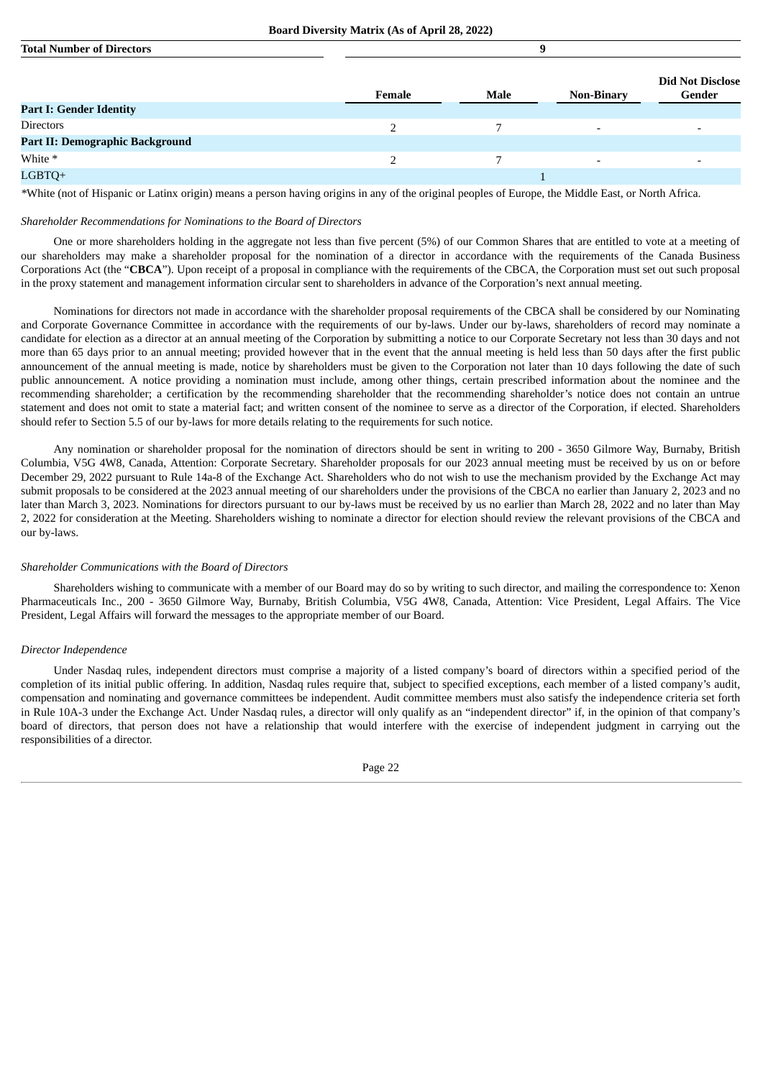| <b>Total Number of Directors</b> |        |      |                   |                                   |
|----------------------------------|--------|------|-------------------|-----------------------------------|
|                                  | Female | Male | <b>Non-Binary</b> | <b>Did Not Disclose</b><br>Gender |
| <b>Part I: Gender Identity</b>   |        |      |                   |                                   |
| <b>Directors</b>                 |        |      |                   |                                   |
| Part II: Demographic Background  |        |      |                   |                                   |
| White *                          |        |      |                   |                                   |
| LGBTQ+                           |        |      |                   |                                   |
|                                  |        |      |                   |                                   |

*\**White (not of Hispanic or Latinx origin) means a person having origins in any of the original peoples of Europe, the Middle East, or North Africa.

#### *Shareholder Recommendations for Nominations to the Board of Directors*

One or more shareholders holding in the aggregate not less than five percent (5%) of our Common Shares that are entitled to vote at a meeting of our shareholders may make a shareholder proposal for the nomination of a director in accordance with the requirements of the Canada Business Corporations Act (the "**CBCA**"). Upon receipt of a proposal in compliance with the requirements of the CBCA, the Corporation must set out such proposal in the proxy statement and management information circular sent to shareholders in advance of the Corporation's next annual meeting.

Nominations for directors not made in accordance with the shareholder proposal requirements of the CBCA shall be considered by our Nominating and Corporate Governance Committee in accordance with the requirements of our by-laws. Under our by-laws, shareholders of record may nominate a candidate for election as a director at an annual meeting of the Corporation by submitting a notice to our Corporate Secretary not less than 30 days and not more than 65 days prior to an annual meeting; provided however that in the event that the annual meeting is held less than 50 days after the first public announcement of the annual meeting is made, notice by shareholders must be given to the Corporation not later than 10 days following the date of such public announcement. A notice providing a nomination must include, among other things, certain prescribed information about the nominee and the recommending shareholder; a certification by the recommending shareholder that the recommending shareholder's notice does not contain an untrue statement and does not omit to state a material fact; and written consent of the nominee to serve as a director of the Corporation, if elected. Shareholders should refer to Section 5.5 of our by-laws for more details relating to the requirements for such notice.

Any nomination or shareholder proposal for the nomination of directors should be sent in writing to 200 - 3650 Gilmore Way, Burnaby, British Columbia, V5G 4W8, Canada, Attention: Corporate Secretary. Shareholder proposals for our 2023 annual meeting must be received by us on or before December 29, 2022 pursuant to Rule 14a-8 of the Exchange Act. Shareholders who do not wish to use the mechanism provided by the Exchange Act may submit proposals to be considered at the 2023 annual meeting of our shareholders under the provisions of the CBCA no earlier than January 2, 2023 and no later than March 3, 2023. Nominations for directors pursuant to our by-laws must be received by us no earlier than March 28, 2022 and no later than May 2, 2022 for consideration at the Meeting. Shareholders wishing to nominate a director for election should review the relevant provisions of the CBCA and our by-laws.

# *Shareholder Communications with the Board of Directors*

Shareholders wishing to communicate with a member of our Board may do so by writing to such director, and mailing the correspondence to: Xenon Pharmaceuticals Inc., 200 - 3650 Gilmore Way, Burnaby, British Columbia, V5G 4W8, Canada, Attention: Vice President, Legal Affairs. The Vice President, Legal Affairs will forward the messages to the appropriate member of our Board.

# *Director Independence*

Under Nasdaq rules, independent directors must comprise a majority of a listed company's board of directors within a specified period of the completion of its initial public offering. In addition, Nasdaq rules require that, subject to specified exceptions, each member of a listed company's audit, compensation and nominating and governance committees be independent. Audit committee members must also satisfy the independence criteria set forth in Rule 10A-3 under the Exchange Act. Under Nasdaq rules, a director will only qualify as an "independent director" if, in the opinion of that company's board of directors, that person does not have a relationship that would interfere with the exercise of independent judgment in carrying out the responsibilities of a director.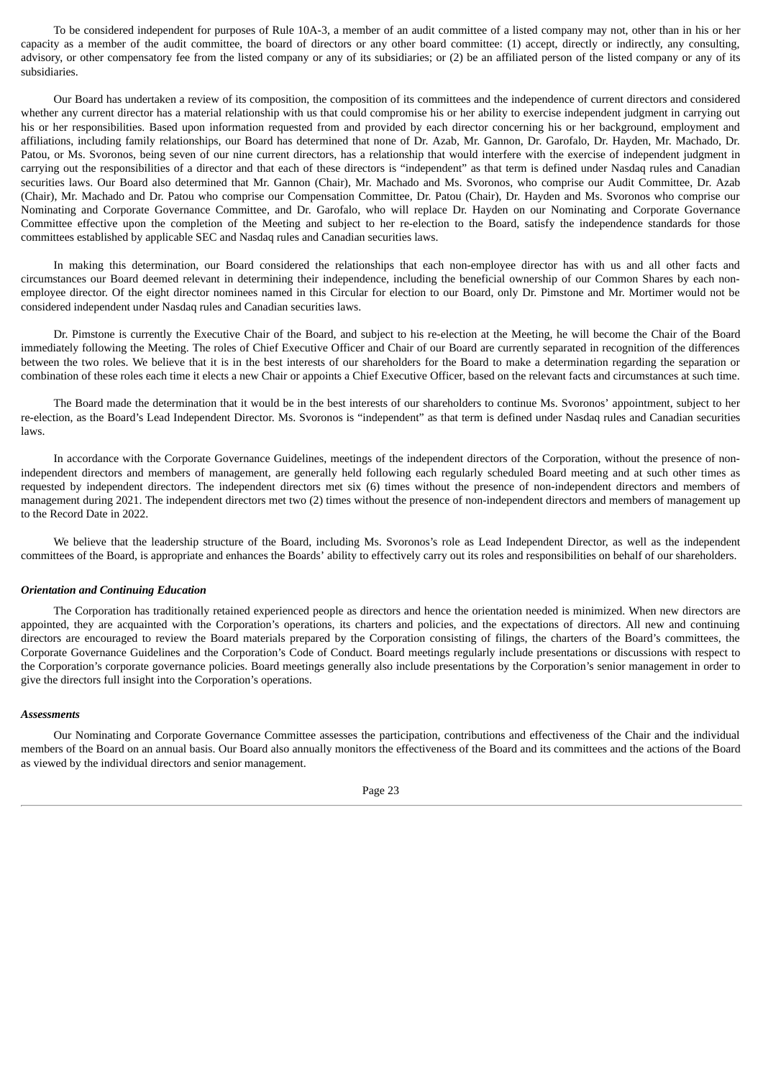To be considered independent for purposes of Rule 10A-3, a member of an audit committee of a listed company may not, other than in his or her capacity as a member of the audit committee, the board of directors or any other board committee: (1) accept, directly or indirectly, any consulting, advisory, or other compensatory fee from the listed company or any of its subsidiaries; or (2) be an affiliated person of the listed company or any of its subsidiaries.

Our Board has undertaken a review of its composition, the composition of its committees and the independence of current directors and considered whether any current director has a material relationship with us that could compromise his or her ability to exercise independent judgment in carrying out his or her responsibilities. Based upon information requested from and provided by each director concerning his or her background, employment and affiliations, including family relationships, our Board has determined that none of Dr. Azab, Mr. Gannon, Dr. Garofalo, Dr. Hayden, Mr. Machado, Dr. Patou, or Ms. Svoronos, being seven of our nine current directors, has a relationship that would interfere with the exercise of independent judgment in carrying out the responsibilities of a director and that each of these directors is "independent" as that term is defined under Nasdaq rules and Canadian securities laws. Our Board also determined that Mr. Gannon (Chair), Mr. Machado and Ms. Svoronos, who comprise our Audit Committee, Dr. Azab (Chair), Mr. Machado and Dr. Patou who comprise our Compensation Committee, Dr. Patou (Chair), Dr. Hayden and Ms. Svoronos who comprise our Nominating and Corporate Governance Committee, and Dr. Garofalo, who will replace Dr. Hayden on our Nominating and Corporate Governance Committee effective upon the completion of the Meeting and subject to her re-election to the Board, satisfy the independence standards for those committees established by applicable SEC and Nasdaq rules and Canadian securities laws.

In making this determination, our Board considered the relationships that each non-employee director has with us and all other facts and circumstances our Board deemed relevant in determining their independence, including the beneficial ownership of our Common Shares by each nonemployee director. Of the eight director nominees named in this Circular for election to our Board, only Dr. Pimstone and Mr. Mortimer would not be considered independent under Nasdaq rules and Canadian securities laws.

Dr. Pimstone is currently the Executive Chair of the Board, and subject to his re-election at the Meeting, he will become the Chair of the Board immediately following the Meeting. The roles of Chief Executive Officer and Chair of our Board are currently separated in recognition of the differences between the two roles. We believe that it is in the best interests of our shareholders for the Board to make a determination regarding the separation or combination of these roles each time it elects a new Chair or appoints a Chief Executive Officer, based on the relevant facts and circumstances at such time.

The Board made the determination that it would be in the best interests of our shareholders to continue Ms. Svoronos' appointment, subject to her re-election, as the Board's Lead Independent Director. Ms. Svoronos is "independent" as that term is defined under Nasdaq rules and Canadian securities laws.

In accordance with the Corporate Governance Guidelines, meetings of the independent directors of the Corporation, without the presence of nonindependent directors and members of management, are generally held following each regularly scheduled Board meeting and at such other times as requested by independent directors. The independent directors met six (6) times without the presence of non-independent directors and members of management during 2021. The independent directors met two (2) times without the presence of non-independent directors and members of management up to the Record Date in 2022.

We believe that the leadership structure of the Board, including Ms. Svoronos's role as Lead Independent Director, as well as the independent committees of the Board, is appropriate and enhances the Boards' ability to effectively carry out its roles and responsibilities on behalf of our shareholders.

# *Orientation and Continuing Education*

The Corporation has traditionally retained experienced people as directors and hence the orientation needed is minimized. When new directors are appointed, they are acquainted with the Corporation's operations, its charters and policies, and the expectations of directors. All new and continuing directors are encouraged to review the Board materials prepared by the Corporation consisting of filings, the charters of the Board's committees, the Corporate Governance Guidelines and the Corporation's Code of Conduct. Board meetings regularly include presentations or discussions with respect to the Corporation's corporate governance policies. Board meetings generally also include presentations by the Corporation's senior management in order to give the directors full insight into the Corporation's operations.

# *Assessments*

Our Nominating and Corporate Governance Committee assesses the participation, contributions and effectiveness of the Chair and the individual members of the Board on an annual basis. Our Board also annually monitors the effectiveness of the Board and its committees and the actions of the Board as viewed by the individual directors and senior management.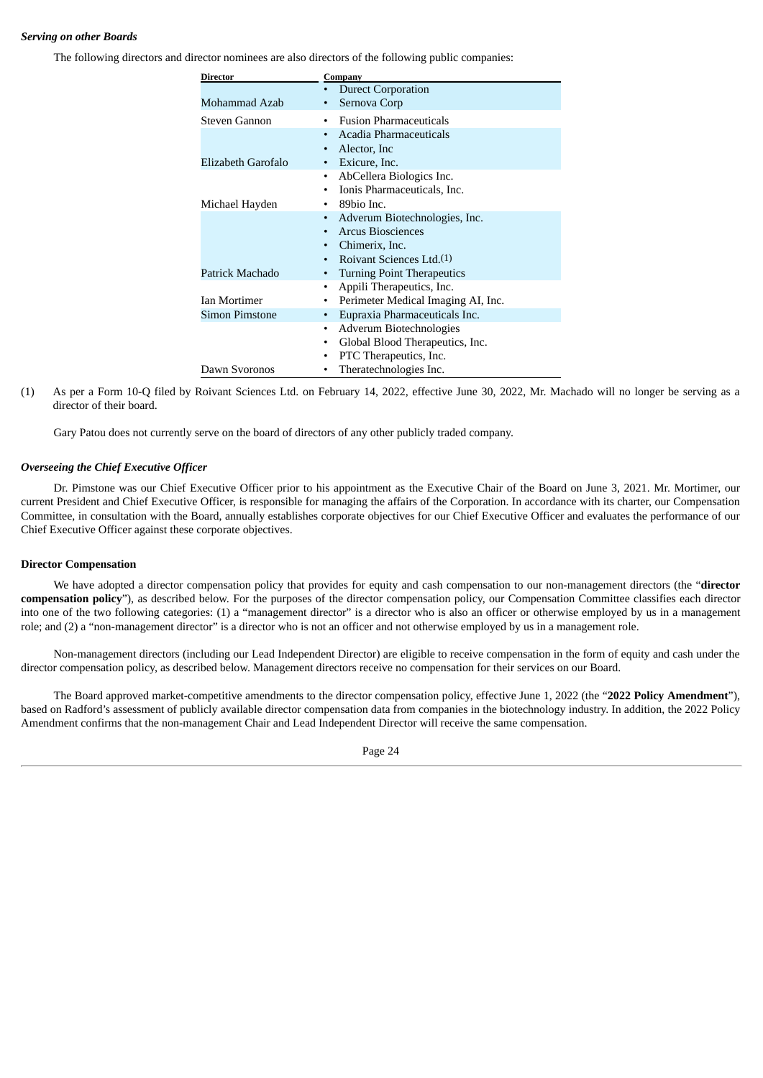# *Serving on other Boards*

The following directors and director nominees are also directors of the following public companies:

| Director            | Company                                |
|---------------------|----------------------------------------|
|                     | <b>Durect Corporation</b>              |
| Mohammad Azab       | Sernova Corp                           |
| Steven Gannon       | <b>Fusion Pharmaceuticals</b><br>٠     |
|                     | Acadia Pharmaceuticals<br>٠            |
|                     | Alector, Inc.                          |
| Elizabeth Garofalo  | Exicure, Inc.<br>٠                     |
|                     | AbCellera Biologics Inc.<br>٠          |
|                     | Ionis Pharmaceuticals, Inc.            |
| Michael Hayden      | 89bio Inc.                             |
|                     | Adverum Biotechnologies, Inc.<br>٠     |
|                     | <b>Arcus Biosciences</b>               |
|                     | Chimerix, Inc.                         |
|                     | Roivant Sciences Ltd.(1)               |
| Patrick Machado     | <b>Turning Point Therapeutics</b><br>٠ |
|                     | Appili Therapeutics, Inc.<br>٠         |
| <b>Ian Mortimer</b> | Perimeter Medical Imaging AI, Inc.     |
| Simon Pimstone      | Eupraxia Pharmaceuticals Inc.<br>٠     |
|                     | Adverum Biotechnologies<br>$\bullet$   |
|                     | Global Blood Therapeutics, Inc.<br>٠   |
|                     | PTC Therapeutics, Inc.                 |
| Dawn Svoronos       | Theratechnologies Inc.                 |

(1) As per a Form 10-Q filed by Roivant Sciences Ltd. on February 14, 2022, effective June 30, 2022, Mr. Machado will no longer be serving as a director of their board.

Gary Patou does not currently serve on the board of directors of any other publicly traded company.

# *Overseeing the Chief Executive Officer*

Dr. Pimstone was our Chief Executive Officer prior to his appointment as the Executive Chair of the Board on June 3, 2021. Mr. Mortimer, our current President and Chief Executive Officer, is responsible for managing the affairs of the Corporation. In accordance with its charter, our Compensation Committee, in consultation with the Board, annually establishes corporate objectives for our Chief Executive Officer and evaluates the performance of our Chief Executive Officer against these corporate objectives.

# **Director Compensation**

We have adopted a director compensation policy that provides for equity and cash compensation to our non-management directors (the "**director compensation policy**"), as described below. For the purposes of the director compensation policy, our Compensation Committee classifies each director into one of the two following categories: (1) a "management director" is a director who is also an officer or otherwise employed by us in a management role; and (2) a "non-management director" is a director who is not an officer and not otherwise employed by us in a management role.

Non-management directors (including our Lead Independent Director) are eligible to receive compensation in the form of equity and cash under the director compensation policy, as described below. Management directors receive no compensation for their services on our Board.

The Board approved market-competitive amendments to the director compensation policy, effective June 1, 2022 (the "**2022 Policy Amendment**"), based on Radford's assessment of publicly available director compensation data from companies in the biotechnology industry. In addition, the 2022 Policy Amendment confirms that the non-management Chair and Lead Independent Director will receive the same compensation.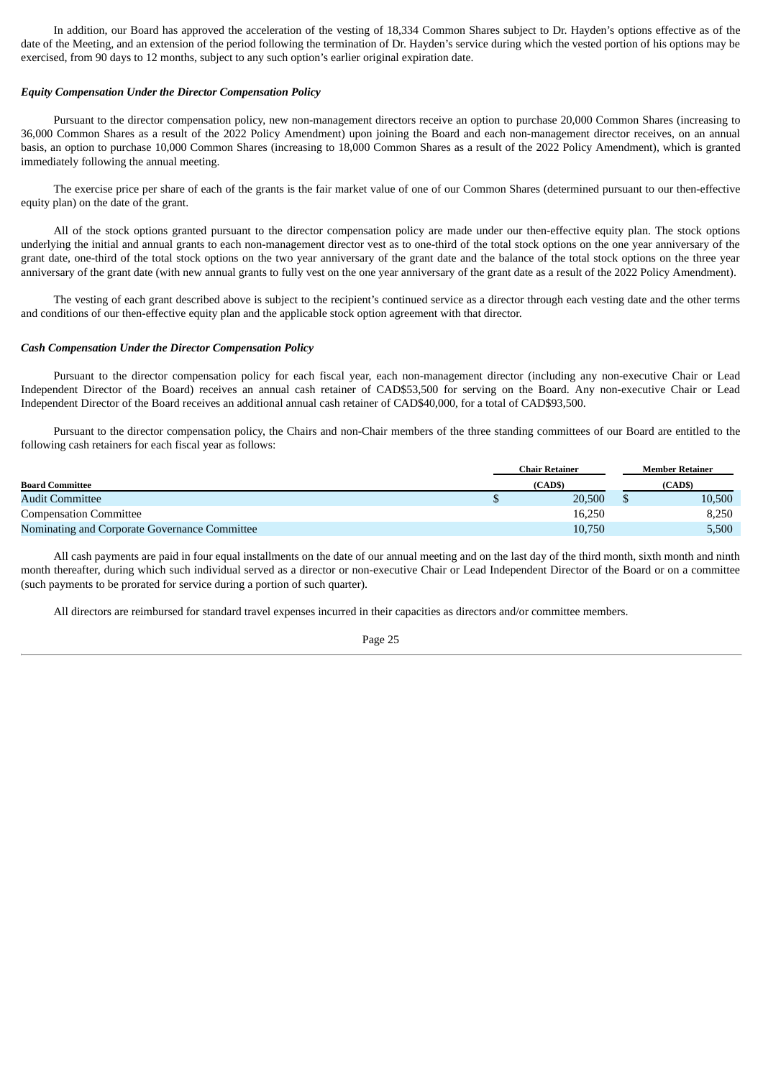In addition, our Board has approved the acceleration of the vesting of 18,334 Common Shares subject to Dr. Hayden's options effective as of the date of the Meeting, and an extension of the period following the termination of Dr. Hayden's service during which the vested portion of his options may be exercised, from 90 days to 12 months, subject to any such option's earlier original expiration date.

#### *Equity Compensation Under the Director Compensation Policy*

Pursuant to the director compensation policy, new non-management directors receive an option to purchase 20,000 Common Shares (increasing to 36,000 Common Shares as a result of the 2022 Policy Amendment) upon joining the Board and each non-management director receives, on an annual basis, an option to purchase 10,000 Common Shares (increasing to 18,000 Common Shares as a result of the 2022 Policy Amendment), which is granted immediately following the annual meeting.

The exercise price per share of each of the grants is the fair market value of one of our Common Shares (determined pursuant to our then-effective equity plan) on the date of the grant.

All of the stock options granted pursuant to the director compensation policy are made under our then-effective equity plan. The stock options underlying the initial and annual grants to each non-management director vest as to one-third of the total stock options on the one year anniversary of the grant date, one-third of the total stock options on the two year anniversary of the grant date and the balance of the total stock options on the three year anniversary of the grant date (with new annual grants to fully vest on the one year anniversary of the grant date as a result of the 2022 Policy Amendment).

The vesting of each grant described above is subject to the recipient's continued service as a director through each vesting date and the other terms and conditions of our then-effective equity plan and the applicable stock option agreement with that director.

# *Cash Compensation Under the Director Compensation Policy*

Pursuant to the director compensation policy for each fiscal year, each non-management director (including any non-executive Chair or Lead Independent Director of the Board) receives an annual cash retainer of CAD\$53,500 for serving on the Board. Any non-executive Chair or Lead Independent Director of the Board receives an additional annual cash retainer of CAD\$40,000, for a total of CAD\$93,500.

Pursuant to the director compensation policy, the Chairs and non-Chair members of the three standing committees of our Board are entitled to the following cash retainers for each fiscal year as follows:

|                                               | Chair Retainer |         |  | Member Retainer |  |  |
|-----------------------------------------------|----------------|---------|--|-----------------|--|--|
| <b>Board Committee</b>                        |                | (CAD\$) |  | (CAD\$)         |  |  |
| <b>Audit Committee</b>                        |                | 20,500  |  | 10,500          |  |  |
| <b>Compensation Committee</b>                 |                | 16,250  |  | 8,250           |  |  |
| Nominating and Corporate Governance Committee |                | 10,750  |  | 5,500           |  |  |

All cash payments are paid in four equal installments on the date of our annual meeting and on the last day of the third month, sixth month and ninth month thereafter, during which such individual served as a director or non-executive Chair or Lead Independent Director of the Board or on a committee (such payments to be prorated for service during a portion of such quarter).

All directors are reimbursed for standard travel expenses incurred in their capacities as directors and/or committee members.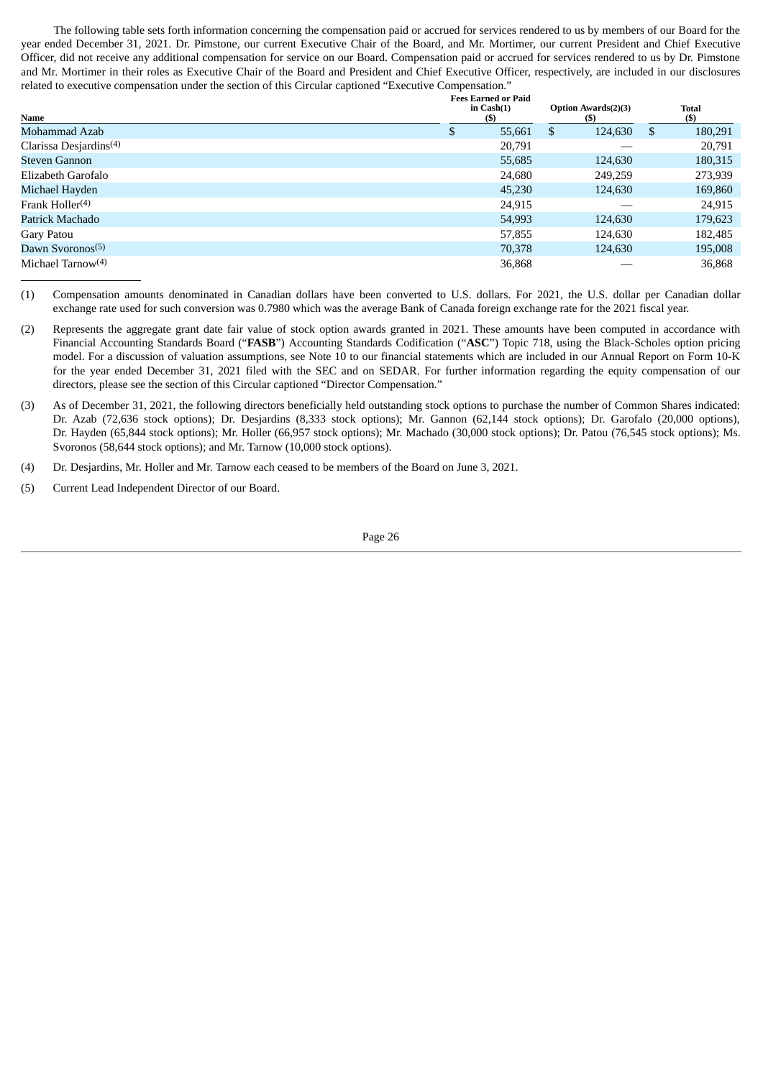The following table sets forth information concerning the compensation paid or accrued for services rendered to us by members of our Board for the year ended December 31, 2021. Dr. Pimstone, our current Executive Chair of the Board, and Mr. Mortimer, our current President and Chief Executive Officer, did not receive any additional compensation for service on our Board. Compensation paid or accrued for services rendered to us by Dr. Pimstone and Mr. Mortimer in their roles as Executive Chair of the Board and President and Chief Executive Officer, respectively, are included in our disclosures related to executive compensation under the section of this Circular captioned "Executive Compensation."

|                                    | <b>Fees Earned or Paid</b> |                                   |                        |  |
|------------------------------------|----------------------------|-----------------------------------|------------------------|--|
| Name                               | in $Cash(1)$<br>(S)        | <b>Option Awards(2)(3)</b><br>(5) | <b>Total</b><br>$($ \$ |  |
| Mohammad Azab                      | 55,661<br>D                | 124,630<br>S.                     | 180,291<br>\$.         |  |
| Clarissa Desjardins <sup>(4)</sup> | 20,791                     |                                   | 20,791                 |  |
| Steven Gannon                      | 55,685                     | 124,630                           | 180,315                |  |
| Elizabeth Garofalo                 | 24,680                     | 249,259                           | 273,939                |  |
| Michael Hayden                     | 45,230                     | 124,630                           | 169,860                |  |
| Frank Holler $(4)$                 | 24.915                     |                                   | 24.915                 |  |
| Patrick Machado                    | 54,993                     | 124,630                           | 179,623                |  |
| Gary Patou                         | 57,855                     | 124,630                           | 182,485                |  |
| Dawn Syoronos <sup>(5)</sup>       | 70,378                     | 124,630                           | 195,008                |  |
| Michael Tarnow $(4)$               | 36,868                     |                                   | 36,868                 |  |

(1) Compensation amounts denominated in Canadian dollars have been converted to U.S. dollars. For 2021, the U.S. dollar per Canadian dollar exchange rate used for such conversion was 0.7980 which was the average Bank of Canada foreign exchange rate for the 2021 fiscal year.

- (2) Represents the aggregate grant date fair value of stock option awards granted in 2021. These amounts have been computed in accordance with Financial Accounting Standards Board ("**FASB**") Accounting Standards Codification ("**ASC**") Topic 718, using the Black-Scholes option pricing model. For a discussion of valuation assumptions, see Note 10 to our financial statements which are included in our Annual Report on Form 10-K for the year ended December 31, 2021 filed with the SEC and on SEDAR. For further information regarding the equity compensation of our directors, please see the section of this Circular captioned "Director Compensation."
- (3) As of December 31, 2021, the following directors beneficially held outstanding stock options to purchase the number of Common Shares indicated: Dr. Azab (72,636 stock options); Dr. Desjardins (8,333 stock options); Mr. Gannon (62,144 stock options); Dr. Garofalo (20,000 options), Dr. Hayden (65,844 stock options); Mr. Holler (66,957 stock options); Mr. Machado (30,000 stock options); Dr. Patou (76,545 stock options); Ms. Svoronos (58,644 stock options); and Mr. Tarnow (10,000 stock options).
- (4) Dr. Desjardins, Mr. Holler and Mr. Tarnow each ceased to be members of the Board on June 3, 2021.
- (5) Current Lead Independent Director of our Board.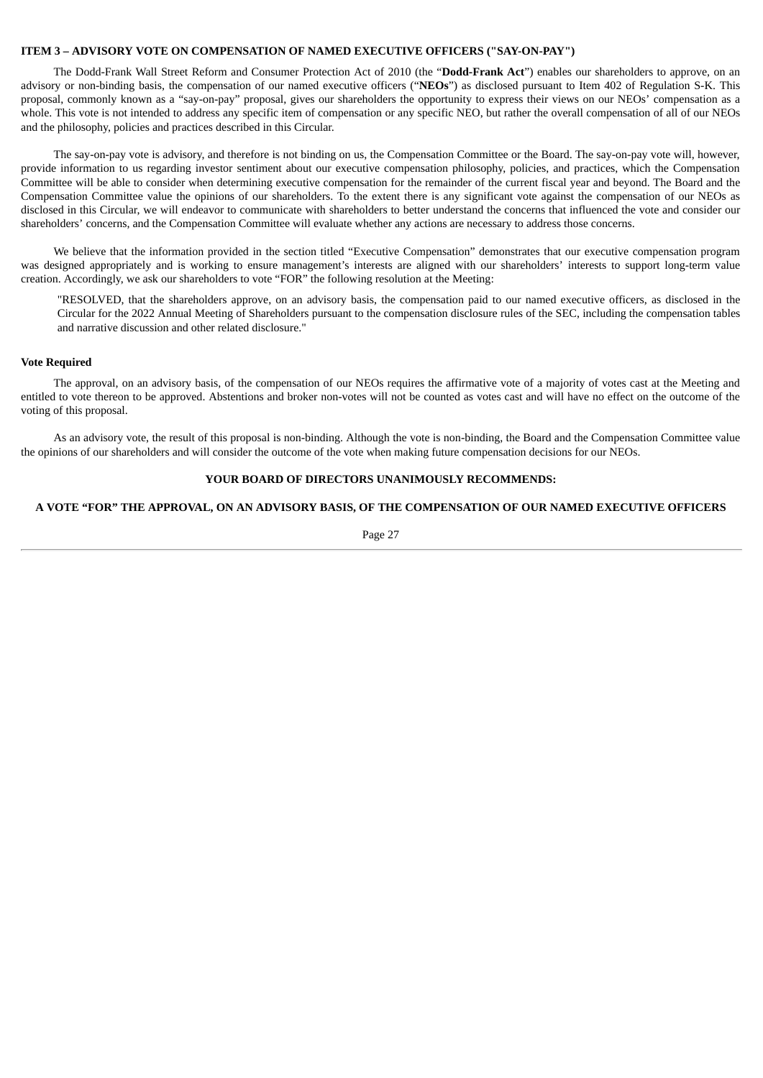# <span id="page-30-0"></span>**ITEM 3 – ADVISORY VOTE ON COMPENSATION OF NAMED EXECUTIVE OFFICERS ("SAY-ON-PAY")**

The Dodd-Frank Wall Street Reform and Consumer Protection Act of 2010 (the "**Dodd-Frank Act**") enables our shareholders to approve, on an advisory or non-binding basis, the compensation of our named executive officers ("**NEOs**") as disclosed pursuant to Item 402 of Regulation S-K. This proposal, commonly known as a "say-on-pay" proposal, gives our shareholders the opportunity to express their views on our NEOs' compensation as a whole. This vote is not intended to address any specific item of compensation or any specific NEO, but rather the overall compensation of all of our NEOs and the philosophy, policies and practices described in this Circular.

The say-on-pay vote is advisory, and therefore is not binding on us, the Compensation Committee or the Board. The say-on-pay vote will, however, provide information to us regarding investor sentiment about our executive compensation philosophy, policies, and practices, which the Compensation Committee will be able to consider when determining executive compensation for the remainder of the current fiscal year and beyond. The Board and the Compensation Committee value the opinions of our shareholders. To the extent there is any significant vote against the compensation of our NEOs as disclosed in this Circular, we will endeavor to communicate with shareholders to better understand the concerns that influenced the vote and consider our shareholders' concerns, and the Compensation Committee will evaluate whether any actions are necessary to address those concerns.

We believe that the information provided in the section titled "Executive Compensation" demonstrates that our executive compensation program was designed appropriately and is working to ensure management's interests are aligned with our shareholders' interests to support long-term value creation. Accordingly, we ask our shareholders to vote "FOR" the following resolution at the Meeting:

"RESOLVED, that the shareholders approve, on an advisory basis, the compensation paid to our named executive officers, as disclosed in the Circular for the 2022 Annual Meeting of Shareholders pursuant to the compensation disclosure rules of the SEC, including the compensation tables and narrative discussion and other related disclosure."

# **Vote Required**

The approval, on an advisory basis, of the compensation of our NEOs requires the affirmative vote of a majority of votes cast at the Meeting and entitled to vote thereon to be approved. Abstentions and broker non-votes will not be counted as votes cast and will have no effect on the outcome of the voting of this proposal.

As an advisory vote, the result of this proposal is non-binding. Although the vote is non-binding, the Board and the Compensation Committee value the opinions of our shareholders and will consider the outcome of the vote when making future compensation decisions for our NEOs.

# **YOUR BOARD OF DIRECTORS UNANIMOUSLY RECOMMENDS:**

# **A VOTE "FOR" THE APPROVAL, ON AN ADVISORY BASIS, OF THE COMPENSATION OF OUR NAMED EXECUTIVE OFFICERS**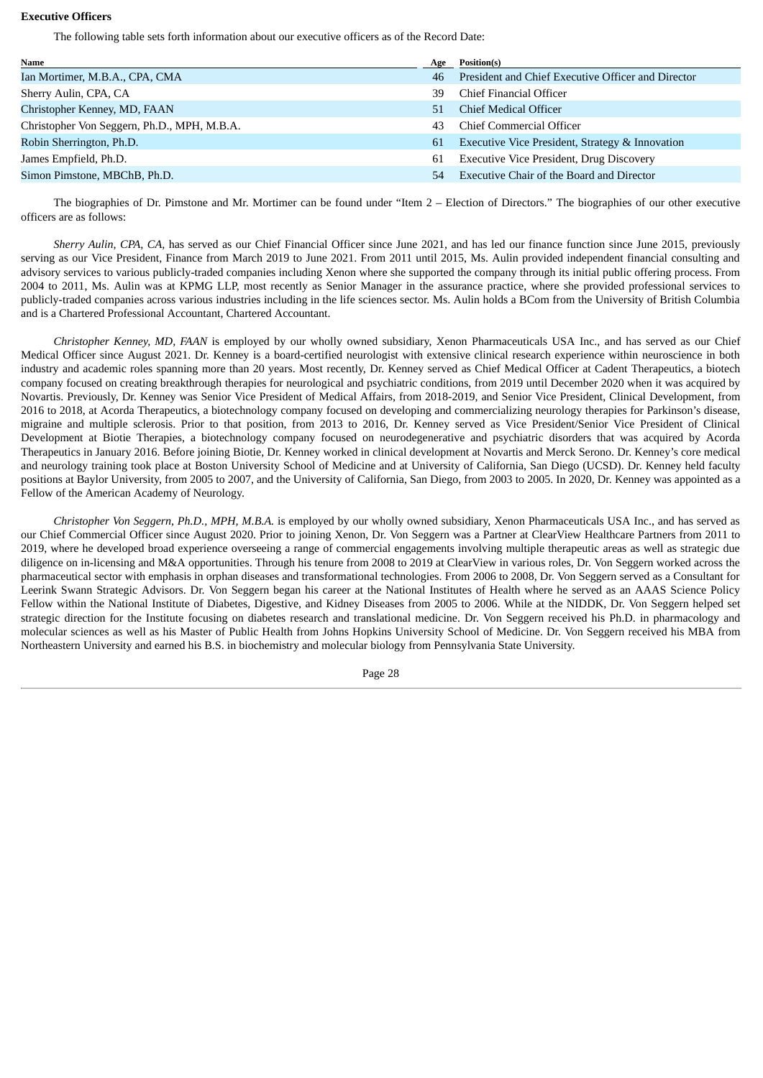# **Executive Officers**

The following table sets forth information about our executive officers as of the Record Date:

| Name                                        | Age | Position(s)                                        |
|---------------------------------------------|-----|----------------------------------------------------|
| Ian Mortimer, M.B.A., CPA, CMA              | 46  | President and Chief Executive Officer and Director |
| Sherry Aulin, CPA, CA                       | 39  | Chief Financial Officer                            |
| Christopher Kenney, MD, FAAN                | 51  | Chief Medical Officer                              |
| Christopher Von Seggern, Ph.D., MPH, M.B.A. | 43  | Chief Commercial Officer                           |
| Robin Sherrington, Ph.D.                    | 61  | Executive Vice President, Strategy & Innovation    |
| James Empfield, Ph.D.                       | 61  | <b>Executive Vice President, Drug Discovery</b>    |
| Simon Pimstone, MBChB, Ph.D.                | 54  | <b>Executive Chair of the Board and Director</b>   |

The biographies of Dr. Pimstone and Mr. Mortimer can be found under "Item 2 – Election of Directors." The biographies of our other executive officers are as follows:

*Sherry Aulin, CPA, CA,* has served as our Chief Financial Officer since June 2021, and has led our finance function since June 2015, previously serving as our Vice President, Finance from March 2019 to June 2021. From 2011 until 2015, Ms. Aulin provided independent financial consulting and advisory services to various publicly-traded companies including Xenon where she supported the company through its initial public offering process. From 2004 to 2011, Ms. Aulin was at KPMG LLP, most recently as Senior Manager in the assurance practice, where she provided professional services to publicly-traded companies across various industries including in the life sciences sector. Ms. Aulin holds a BCom from the University of British Columbia and is a Chartered Professional Accountant, Chartered Accountant.

*Christopher Kenney, MD, FAAN* is employed by our wholly owned subsidiary, Xenon Pharmaceuticals USA Inc., and has served as our Chief Medical Officer since August 2021. Dr. Kenney is a board-certified neurologist with extensive clinical research experience within neuroscience in both industry and academic roles spanning more than 20 years. Most recently, Dr. Kenney served as Chief Medical Officer at Cadent Therapeutics, a biotech company focused on creating breakthrough therapies for neurological and psychiatric conditions, from 2019 until December 2020 when it was acquired by Novartis. Previously, Dr. Kenney was Senior Vice President of Medical Affairs, from 2018-2019, and Senior Vice President, Clinical Development, from 2016 to 2018, at Acorda Therapeutics, a biotechnology company focused on developing and commercializing neurology therapies for Parkinson's disease, migraine and multiple sclerosis. Prior to that position, from 2013 to 2016, Dr. Kenney served as Vice President/Senior Vice President of Clinical Development at Biotie Therapies, a biotechnology company focused on neurodegenerative and psychiatric disorders that was acquired by Acorda Therapeutics in January 2016. Before joining Biotie, Dr. Kenney worked in clinical development at Novartis and Merck Serono. Dr. Kenney's core medical and neurology training took place at Boston University School of Medicine and at University of California, San Diego (UCSD). Dr. Kenney held faculty positions at Baylor University, from 2005 to 2007, and the University of California, San Diego, from 2003 to 2005. In 2020, Dr. Kenney was appointed as a Fellow of the American Academy of Neurology.

*Christopher Von Seggern, Ph.D., MPH, M.B.A.* is employed by our wholly owned subsidiary, Xenon Pharmaceuticals USA Inc., and has served as our Chief Commercial Officer since August 2020. Prior to joining Xenon, Dr. Von Seggern was a Partner at ClearView Healthcare Partners from 2011 to 2019, where he developed broad experience overseeing a range of commercial engagements involving multiple therapeutic areas as well as strategic due diligence on in-licensing and M&A opportunities. Through his tenure from 2008 to 2019 at ClearView in various roles, Dr. Von Seggern worked across the pharmaceutical sector with emphasis in orphan diseases and transformational technologies. From 2006 to 2008, Dr. Von Seggern served as a Consultant for Leerink Swann Strategic Advisors. Dr. Von Seggern began his career at the National Institutes of Health where he served as an AAAS Science Policy Fellow within the National Institute of Diabetes, Digestive, and Kidney Diseases from 2005 to 2006. While at the NIDDK, Dr. Von Seggern helped set strategic direction for the Institute focusing on diabetes research and translational medicine. Dr. Von Seggern received his Ph.D. in pharmacology and molecular sciences as well as his Master of Public Health from Johns Hopkins University School of Medicine. Dr. Von Seggern received his MBA from Northeastern University and earned his B.S. in biochemistry and molecular biology from Pennsylvania State University.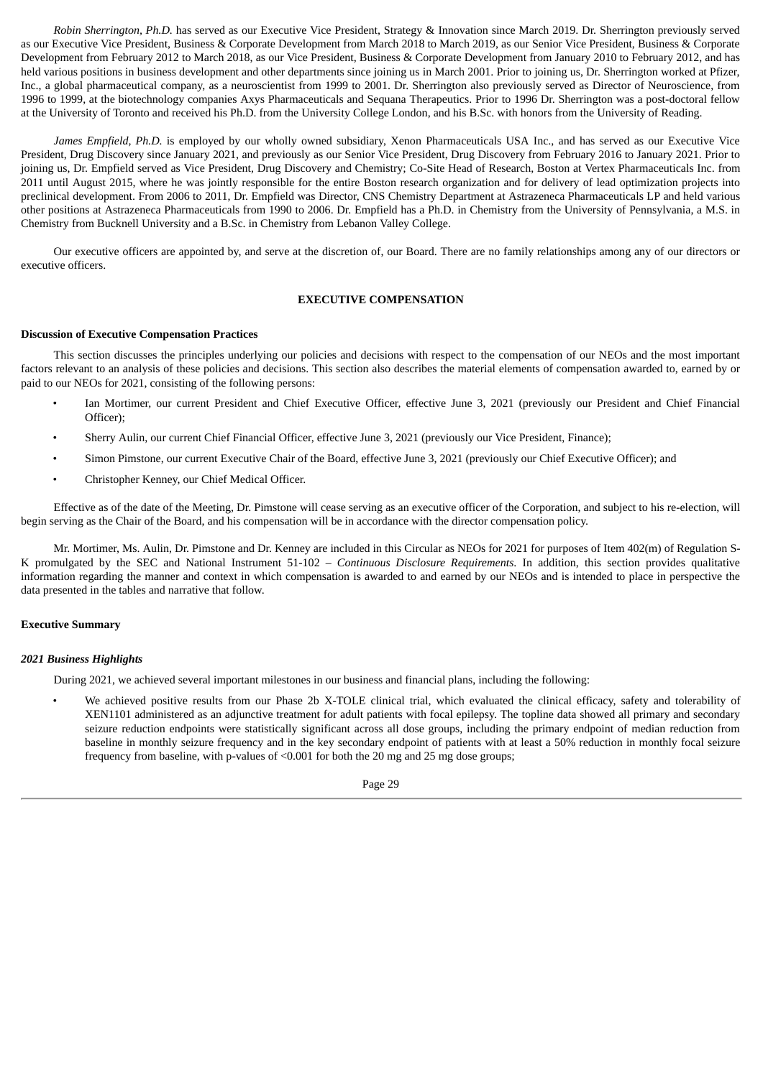*Robin Sherrington, Ph.D.* has served as our Executive Vice President, Strategy & Innovation since March 2019. Dr. Sherrington previously served as our Executive Vice President, Business & Corporate Development from March 2018 to March 2019, as our Senior Vice President, Business & Corporate Development from February 2012 to March 2018, as our Vice President, Business & Corporate Development from January 2010 to February 2012, and has held various positions in business development and other departments since joining us in March 2001. Prior to joining us, Dr. Sherrington worked at Pfizer, Inc., a global pharmaceutical company, as a neuroscientist from 1999 to 2001. Dr. Sherrington also previously served as Director of Neuroscience, from 1996 to 1999, at the biotechnology companies Axys Pharmaceuticals and Sequana Therapeutics. Prior to 1996 Dr. Sherrington was a post-doctoral fellow at the University of Toronto and received his Ph.D. from the University College London, and his B.Sc. with honors from the University of Reading.

*James Empfield, Ph.D.* is employed by our wholly owned subsidiary, Xenon Pharmaceuticals USA Inc., and has served as our Executive Vice President, Drug Discovery since January 2021, and previously as our Senior Vice President, Drug Discovery from February 2016 to January 2021. Prior to joining us, Dr. Empfield served as Vice President, Drug Discovery and Chemistry; Co-Site Head of Research, Boston at Vertex Pharmaceuticals Inc. from 2011 until August 2015, where he was jointly responsible for the entire Boston research organization and for delivery of lead optimization projects into preclinical development. From 2006 to 2011, Dr. Empfield was Director, CNS Chemistry Department at Astrazeneca Pharmaceuticals LP and held various other positions at Astrazeneca Pharmaceuticals from 1990 to 2006. Dr. Empfield has a Ph.D. in Chemistry from the University of Pennsylvania, a M.S. in Chemistry from Bucknell University and a B.Sc. in Chemistry from Lebanon Valley College.

Our executive officers are appointed by, and serve at the discretion of, our Board. There are no family relationships among any of our directors or executive officers.

# **EXECUTIVE COMPENSATION**

# <span id="page-32-0"></span>**Discussion of Executive Compensation Practices**

This section discusses the principles underlying our policies and decisions with respect to the compensation of our NEOs and the most important factors relevant to an analysis of these policies and decisions. This section also describes the material elements of compensation awarded to, earned by or paid to our NEOs for 2021, consisting of the following persons:

- Ian Mortimer, our current President and Chief Executive Officer, effective June 3, 2021 (previously our President and Chief Financial Officer);
- Sherry Aulin, our current Chief Financial Officer, effective June 3, 2021 (previously our Vice President, Finance);
- Simon Pimstone, our current Executive Chair of the Board, effective June 3, 2021 (previously our Chief Executive Officer); and
- Christopher Kenney, our Chief Medical Officer.

Effective as of the date of the Meeting, Dr. Pimstone will cease serving as an executive officer of the Corporation, and subject to his re-election, will begin serving as the Chair of the Board, and his compensation will be in accordance with the director compensation policy.

Mr. Mortimer, Ms. Aulin, Dr. Pimstone and Dr. Kenney are included in this Circular as NEOs for 2021 for purposes of Item 402(m) of Regulation S-K promulgated by the SEC and National Instrument 51-102 – *Continuous Disclosure Requirements*. In addition, this section provides qualitative information regarding the manner and context in which compensation is awarded to and earned by our NEOs and is intended to place in perspective the data presented in the tables and narrative that follow.

# **Executive Summary**

# *2021 Business Highlights*

During 2021, we achieved several important milestones in our business and financial plans, including the following:

We achieved positive results from our Phase 2b X-TOLE clinical trial, which evaluated the clinical efficacy, safety and tolerability of XEN1101 administered as an adjunctive treatment for adult patients with focal epilepsy. The topline data showed all primary and secondary seizure reduction endpoints were statistically significant across all dose groups, including the primary endpoint of median reduction from baseline in monthly seizure frequency and in the key secondary endpoint of patients with at least a 50% reduction in monthly focal seizure frequency from baseline, with p-values of <0.001 for both the 20 mg and 25 mg dose groups;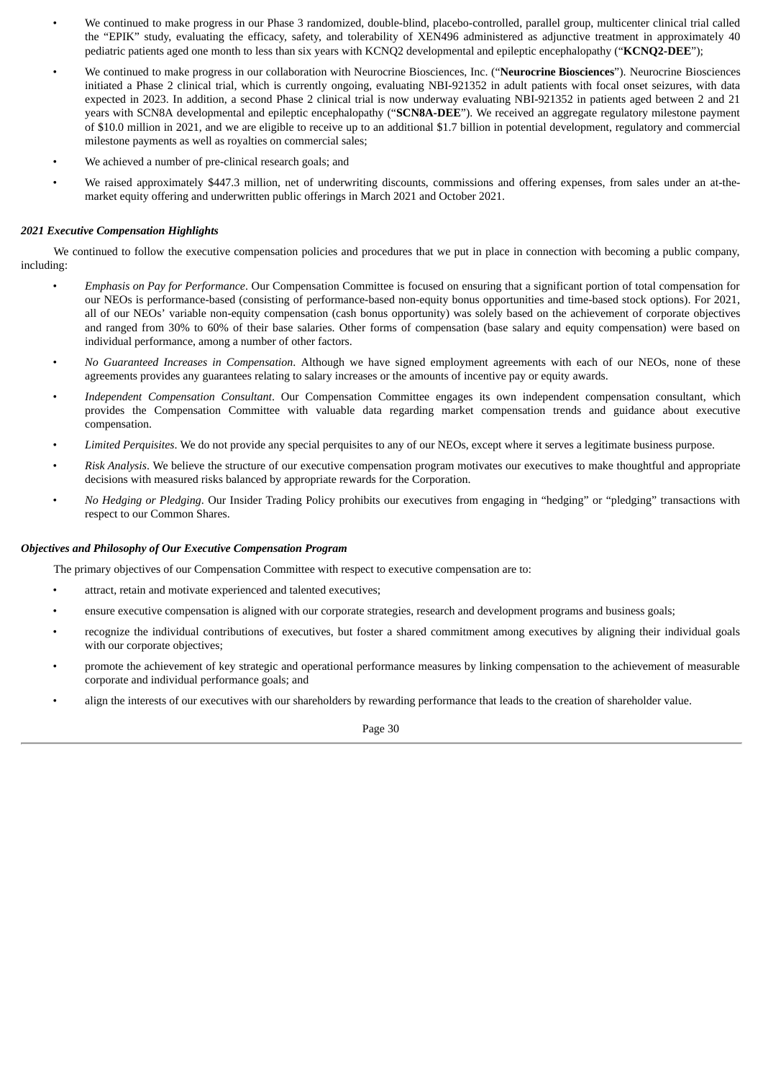- We continued to make progress in our Phase 3 randomized, double-blind, placebo-controlled, parallel group, multicenter clinical trial called the "EPIK" study, evaluating the efficacy, safety, and tolerability of XEN496 administered as adjunctive treatment in approximately 40 pediatric patients aged one month to less than six years with KCNQ2 developmental and epileptic encephalopathy ("**KCNQ2-DEE**");
- We continued to make progress in our collaboration with Neurocrine Biosciences, Inc. ("**Neurocrine Biosciences**"). Neurocrine Biosciences initiated a Phase 2 clinical trial, which is currently ongoing, evaluating NBI-921352 in adult patients with focal onset seizures, with data expected in 2023. In addition, a second Phase 2 clinical trial is now underway evaluating NBI-921352 in patients aged between 2 and 21 years with SCN8A developmental and epileptic encephalopathy ("**SCN8A-DEE**"). We received an aggregate regulatory milestone payment of \$10.0 million in 2021, and we are eligible to receive up to an additional \$1.7 billion in potential development, regulatory and commercial milestone payments as well as royalties on commercial sales;
- We achieved a number of pre-clinical research goals; and
- We raised approximately \$447.3 million, net of underwriting discounts, commissions and offering expenses, from sales under an at-themarket equity offering and underwritten public offerings in March 2021 and October 2021.

# *2021 Executive Compensation Highlights*

We continued to follow the executive compensation policies and procedures that we put in place in connection with becoming a public company, including:

- *Emphasis on Pay for Performance*. Our Compensation Committee is focused on ensuring that a significant portion of total compensation for our NEOs is performance-based (consisting of performance-based non-equity bonus opportunities and time-based stock options). For 2021, all of our NEOs' variable non-equity compensation (cash bonus opportunity) was solely based on the achievement of corporate objectives and ranged from 30% to 60% of their base salaries. Other forms of compensation (base salary and equity compensation) were based on individual performance, among a number of other factors.
- *No Guaranteed Increases in Compensation*. Although we have signed employment agreements with each of our NEOs, none of these agreements provides any guarantees relating to salary increases or the amounts of incentive pay or equity awards.
- *Independent Compensation Consultant*. Our Compensation Committee engages its own independent compensation consultant, which provides the Compensation Committee with valuable data regarding market compensation trends and guidance about executive compensation.
- *Limited Perquisites*. We do not provide any special perquisites to any of our NEOs, except where it serves a legitimate business purpose.
- *Risk Analysis*. We believe the structure of our executive compensation program motivates our executives to make thoughtful and appropriate decisions with measured risks balanced by appropriate rewards for the Corporation.
- *No Hedging or Pledging*. Our Insider Trading Policy prohibits our executives from engaging in "hedging" or "pledging" transactions with respect to our Common Shares.

# *Objectives and Philosophy of Our Executive Compensation Program*

The primary objectives of our Compensation Committee with respect to executive compensation are to:

- attract, retain and motivate experienced and talented executives;
- ensure executive compensation is aligned with our corporate strategies, research and development programs and business goals;
- recognize the individual contributions of executives, but foster a shared commitment among executives by aligning their individual goals with our corporate objectives;
- promote the achievement of key strategic and operational performance measures by linking compensation to the achievement of measurable corporate and individual performance goals; and
- align the interests of our executives with our shareholders by rewarding performance that leads to the creation of shareholder value.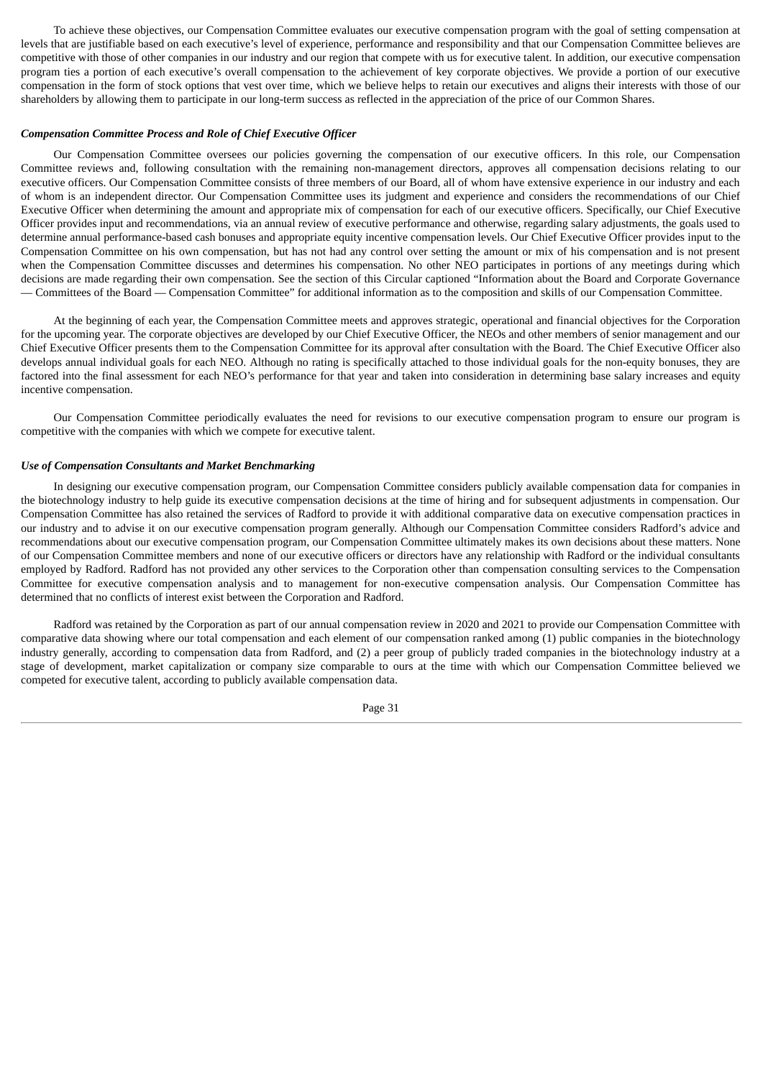To achieve these objectives, our Compensation Committee evaluates our executive compensation program with the goal of setting compensation at levels that are justifiable based on each executive's level of experience, performance and responsibility and that our Compensation Committee believes are competitive with those of other companies in our industry and our region that compete with us for executive talent. In addition, our executive compensation program ties a portion of each executive's overall compensation to the achievement of key corporate objectives. We provide a portion of our executive compensation in the form of stock options that vest over time, which we believe helps to retain our executives and aligns their interests with those of our shareholders by allowing them to participate in our long-term success as reflected in the appreciation of the price of our Common Shares.

# *Compensation Committee Process and Role of Chief Executive Officer*

Our Compensation Committee oversees our policies governing the compensation of our executive officers. In this role, our Compensation Committee reviews and, following consultation with the remaining non-management directors, approves all compensation decisions relating to our executive officers. Our Compensation Committee consists of three members of our Board, all of whom have extensive experience in our industry and each of whom is an independent director. Our Compensation Committee uses its judgment and experience and considers the recommendations of our Chief Executive Officer when determining the amount and appropriate mix of compensation for each of our executive officers. Specifically, our Chief Executive Officer provides input and recommendations, via an annual review of executive performance and otherwise, regarding salary adjustments, the goals used to determine annual performance-based cash bonuses and appropriate equity incentive compensation levels. Our Chief Executive Officer provides input to the Compensation Committee on his own compensation, but has not had any control over setting the amount or mix of his compensation and is not present when the Compensation Committee discusses and determines his compensation. No other NEO participates in portions of any meetings during which decisions are made regarding their own compensation. See the section of this Circular captioned "Information about the Board and Corporate Governance — Committees of the Board — Compensation Committee" for additional information as to the composition and skills of our Compensation Committee.

At the beginning of each year, the Compensation Committee meets and approves strategic, operational and financial objectives for the Corporation for the upcoming year. The corporate objectives are developed by our Chief Executive Officer, the NEOs and other members of senior management and our Chief Executive Officer presents them to the Compensation Committee for its approval after consultation with the Board. The Chief Executive Officer also develops annual individual goals for each NEO. Although no rating is specifically attached to those individual goals for the non-equity bonuses, they are factored into the final assessment for each NEO's performance for that year and taken into consideration in determining base salary increases and equity incentive compensation.

Our Compensation Committee periodically evaluates the need for revisions to our executive compensation program to ensure our program is competitive with the companies with which we compete for executive talent.

# *Use of Compensation Consultants and Market Benchmarking*

In designing our executive compensation program, our Compensation Committee considers publicly available compensation data for companies in the biotechnology industry to help guide its executive compensation decisions at the time of hiring and for subsequent adjustments in compensation. Our Compensation Committee has also retained the services of Radford to provide it with additional comparative data on executive compensation practices in our industry and to advise it on our executive compensation program generally. Although our Compensation Committee considers Radford's advice and recommendations about our executive compensation program, our Compensation Committee ultimately makes its own decisions about these matters. None of our Compensation Committee members and none of our executive officers or directors have any relationship with Radford or the individual consultants employed by Radford. Radford has not provided any other services to the Corporation other than compensation consulting services to the Compensation Committee for executive compensation analysis and to management for non-executive compensation analysis. Our Compensation Committee has determined that no conflicts of interest exist between the Corporation and Radford.

Radford was retained by the Corporation as part of our annual compensation review in 2020 and 2021 to provide our Compensation Committee with comparative data showing where our total compensation and each element of our compensation ranked among (1) public companies in the biotechnology industry generally, according to compensation data from Radford, and (2) a peer group of publicly traded companies in the biotechnology industry at a stage of development, market capitalization or company size comparable to ours at the time with which our Compensation Committee believed we competed for executive talent, according to publicly available compensation data.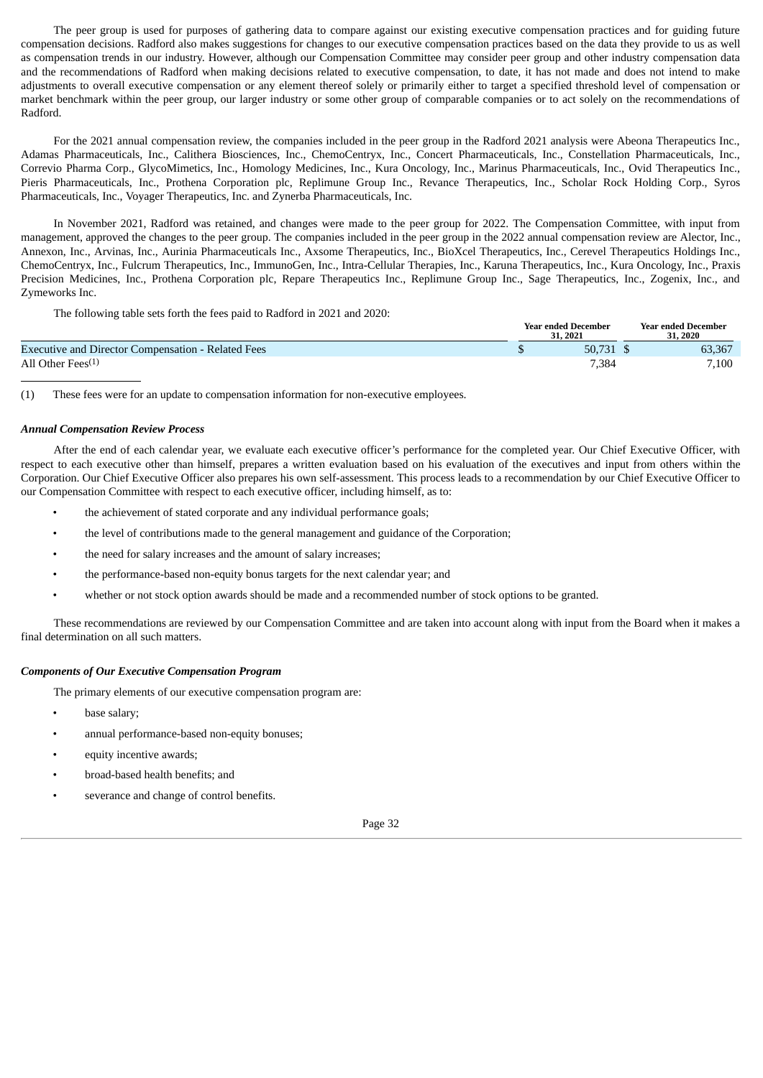The peer group is used for purposes of gathering data to compare against our existing executive compensation practices and for guiding future compensation decisions. Radford also makes suggestions for changes to our executive compensation practices based on the data they provide to us as well as compensation trends in our industry. However, although our Compensation Committee may consider peer group and other industry compensation data and the recommendations of Radford when making decisions related to executive compensation, to date, it has not made and does not intend to make adjustments to overall executive compensation or any element thereof solely or primarily either to target a specified threshold level of compensation or market benchmark within the peer group, our larger industry or some other group of comparable companies or to act solely on the recommendations of Radford.

For the 2021 annual compensation review, the companies included in the peer group in the Radford 2021 analysis were Abeona Therapeutics Inc., Adamas Pharmaceuticals, Inc., Calithera Biosciences, Inc., ChemoCentryx, Inc., Concert Pharmaceuticals, Inc., Constellation Pharmaceuticals, Inc., Correvio Pharma Corp., GlycoMimetics, Inc., Homology Medicines, Inc., Kura Oncology, Inc., Marinus Pharmaceuticals, Inc., Ovid Therapeutics Inc., Pieris Pharmaceuticals, Inc., Prothena Corporation plc, Replimune Group Inc., Revance Therapeutics, Inc., Scholar Rock Holding Corp., Syros Pharmaceuticals, Inc., Voyager Therapeutics, Inc. and Zynerba Pharmaceuticals, Inc.

In November 2021, Radford was retained, and changes were made to the peer group for 2022. The Compensation Committee, with input from management, approved the changes to the peer group. The companies included in the peer group in the 2022 annual compensation review are Alector, Inc., Annexon, Inc., Arvinas, Inc., Aurinia Pharmaceuticals Inc., Axsome Therapeutics, Inc., BioXcel Therapeutics, Inc., Cerevel Therapeutics Holdings Inc., ChemoCentryx, Inc., Fulcrum Therapeutics, Inc., ImmunoGen, Inc., Intra-Cellular Therapies, Inc., Karuna Therapeutics, Inc., Kura Oncology, Inc., Praxis Precision Medicines, Inc., Prothena Corporation plc, Repare Therapeutics Inc., Replimune Group Inc., Sage Therapeutics, Inc., Zogenix, Inc., and Zymeworks Inc.

The following table sets forth the fees paid to Radford in 2021 and 2020:

|                                                           | <b>Year ended December</b><br>31, 2021 |        |  | <b>Year ended December</b><br>.2020 |  |
|-----------------------------------------------------------|----------------------------------------|--------|--|-------------------------------------|--|
| <b>Executive and Director Compensation - Related Fees</b> |                                        | 50.731 |  | 63,367                              |  |
| All Other Fees <sup>(1)</sup>                             |                                        | 7,384  |  | 7,100                               |  |

(1) These fees were for an update to compensation information for non-executive employees.

# *Annual Compensation Review Process*

After the end of each calendar year, we evaluate each executive officer's performance for the completed year. Our Chief Executive Officer, with respect to each executive other than himself, prepares a written evaluation based on his evaluation of the executives and input from others within the Corporation. Our Chief Executive Officer also prepares his own self-assessment. This process leads to a recommendation by our Chief Executive Officer to our Compensation Committee with respect to each executive officer, including himself, as to:

- the achievement of stated corporate and any individual performance goals;
- the level of contributions made to the general management and guidance of the Corporation;
- the need for salary increases and the amount of salary increases;
- the performance-based non-equity bonus targets for the next calendar year; and
- whether or not stock option awards should be made and a recommended number of stock options to be granted.

These recommendations are reviewed by our Compensation Committee and are taken into account along with input from the Board when it makes a final determination on all such matters.

# *Components of Our Executive Compensation Program*

The primary elements of our executive compensation program are:

- base salary;
- annual performance-based non-equity bonuses;
- equity incentive awards;
- broad-based health benefits; and
- severance and change of control benefits.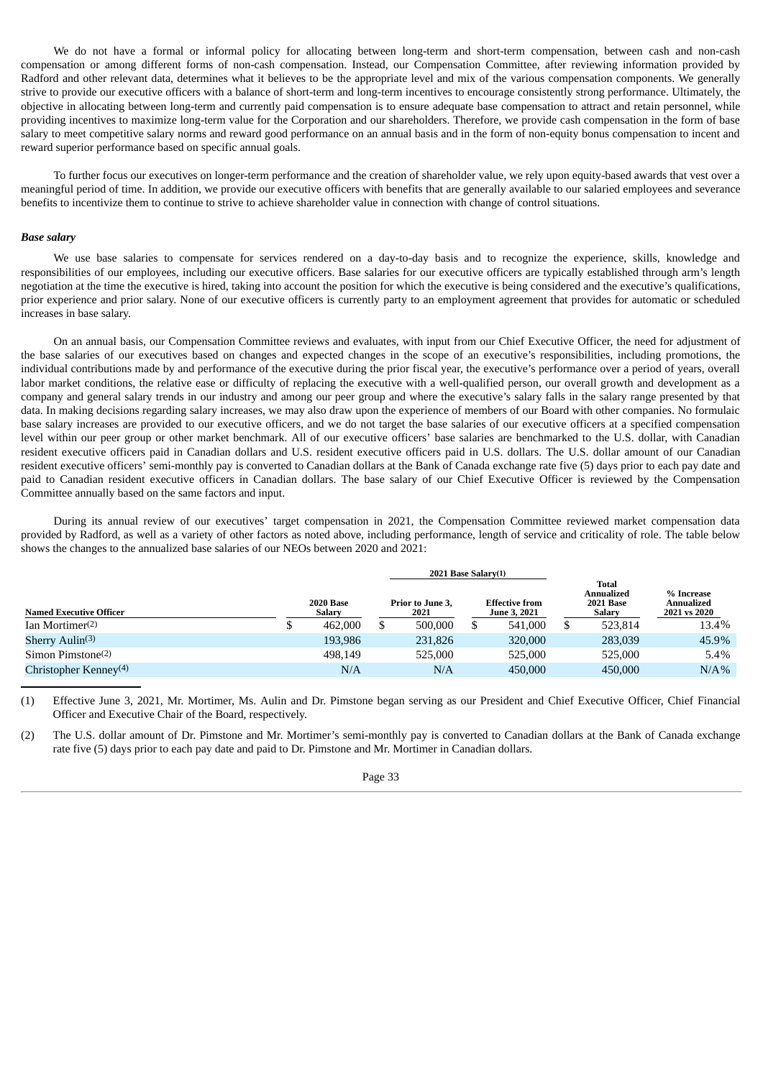We do not have a formal or informal policy for allocating between long-term and short-term compensation, between cash and non-cash compensation or among different forms of non-cash compensation. Instead, our Compensation Committee, after reviewing information provided by Radford and other relevant data, determines what it believes to be the appropriate level and mix of the various compensation components. We generally strive to provide our executive officers with a balance of short-term and long-term incentives to encourage consistently strong performance. Ultimately, the objective in allocating between long-term and currently paid compensation is to ensure adequate base compensation to attract and retain personnel, while providing incentives to maximize long-term value for the Corporation and our shareholders. Therefore, we provide cash compensation in the form of base salary to meet competitive salary norms and reward good performance on an annual basis and in the form of non-equity bonus compensation to incent and reward superior performance based on specific annual goals.

To further focus our executives on longer-term performance and the creation of shareholder value, we rely upon equity-based awards that vest over a meaningful period of time. In addition, we provide our executive officers with benefits that are generally available to our salaried employees and severance benefits to incentivize them to continue to strive to achieve shareholder value in connection with change of control situations.

#### *Base salary*

We use base salaries to compensate for services rendered on a day-to-day basis and to recognize the experience, skills, knowledge and responsibilities of our employees, including our executive officers. Base salaries for our executive officers are typically established through arm's length negotiation at the time the executive is hired, taking into account the position for which the executive is being considered and the executive's qualifications, prior experience and prior salary. None of our executive officers is currently party to an employment agreement that provides for automatic or scheduled increases in base salary.

On an annual basis, our Compensation Committee reviews and evaluates, with input from our Chief Executive Officer, the need for adjustment of the base salaries of our executives based on changes and expected changes in the scope of an executive's responsibilities, including promotions, the individual contributions made by and performance of the executive during the prior fiscal year, the executive's performance over a period of years, overall labor market conditions, the relative ease or difficulty of replacing the executive with a well-qualified person, our overall growth and development as a company and general salary trends in our industry and among our peer group and where the executive's salary falls in the salary range presented by that data. In making decisions regarding salary increases, we may also draw upon the experience of members of our Board with other companies. No formulaic base salary increases are provided to our executive officers, and we do not target the base salaries of our executive officers at a specified compensation level within our peer group or other market benchmark. All of our executive officers' base salaries are benchmarked to the U.S. dollar, with Canadian resident executive officers paid in Canadian dollars and U.S. resident executive officers paid in U.S. dollars. The U.S. dollar amount of our Canadian resident executive officers' semi-monthly pay is converted to Canadian dollars at the Bank of Canada exchange rate five (5) days prior to each pay date and paid to Canadian resident executive officers in Canadian dollars. The base salary of our Chief Executive Officer is reviewed by the Compensation Committee annually based on the same factors and input.

During its annual review of our executives' target compensation in 2021, the Compensation Committee reviewed market compensation data provided by Radford, as well as a variety of other factors as noted above, including performance, length of service and criticality of role. The table below shows the changes to the annualized base salaries of our NEOs between 2020 and 2021:

|                                   | $2021$ Base Salary $(1)$ |                            |  |                          |  |                                              |                                                   |                                                 |
|-----------------------------------|--------------------------|----------------------------|--|--------------------------|--|----------------------------------------------|---------------------------------------------------|-------------------------------------------------|
| <b>Named Executive Officer</b>    |                          | <b>2020 Base</b><br>Salary |  | Prior to June 3,<br>2021 |  | <b>Effective from</b><br><b>June 3, 2021</b> | Total<br>Annualized<br><b>2021 Base</b><br>Salary | % Increase<br><b>Annualized</b><br>2021 vs 2020 |
| Ian Mortimer $(2)$                |                          | 462,000                    |  | 500,000                  |  | 541,000                                      | 523.814                                           | 13.4%                                           |
| Sherry $\text{Aulin}^{(3)}$       |                          | 193.986                    |  | 231,826                  |  | 320,000                                      | 283,039                                           | 45.9%                                           |
| Simon Pimstone $(2)$              |                          | 498.149                    |  | 525,000                  |  | 525,000                                      | 525,000                                           | 5.4%                                            |
| Christopher Kenney <sup>(4)</sup> |                          | N/A                        |  | N/A                      |  | 450,000                                      | 450,000                                           | $N/A\%$                                         |

(1) Effective June 3, 2021, Mr. Mortimer, Ms. Aulin and Dr. Pimstone began serving as our President and Chief Executive Officer, Chief Financial Officer and Executive Chair of the Board, respectively.

(2) The U.S. dollar amount of Dr. Pimstone and Mr. Mortimer's semi-monthly pay is converted to Canadian dollars at the Bank of Canada exchange rate five (5) days prior to each pay date and paid to Dr. Pimstone and Mr. Mortimer in Canadian dollars.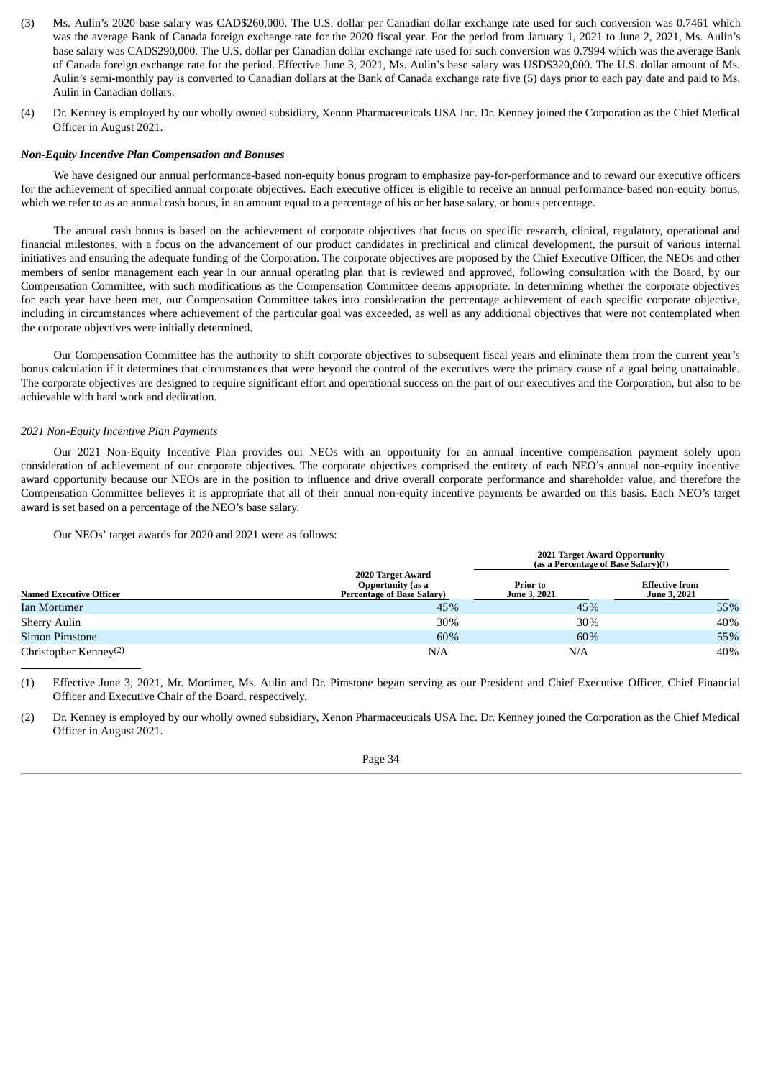- (3) Ms. Aulin's 2020 base salary was CAD\$260,000. The U.S. dollar per Canadian dollar exchange rate used for such conversion was 0.7461 which was the average Bank of Canada foreign exchange rate for the 2020 fiscal year. For the period from January 1, 2021 to June 2, 2021, Ms. Aulin's base salary was CAD\$290,000. The U.S. dollar per Canadian dollar exchange rate used for such conversion was 0.7994 which was the average Bank of Canada foreign exchange rate for the period. Effective June 3, 2021, Ms. Aulin's base salary was USD\$320,000. The U.S. dollar amount of Ms. Aulin's semi-monthly pay is converted to Canadian dollars at the Bank of Canada exchange rate five (5) days prior to each pay date and paid to Ms. Aulin in Canadian dollars.
- (4) Dr. Kenney is employed by our wholly owned subsidiary, Xenon Pharmaceuticals USA Inc. Dr. Kenney joined the Corporation as the Chief Medical Officer in August 2021.

## *Non-Equity Incentive Plan Compensation and Bonuses*

We have designed our annual performance-based non-equity bonus program to emphasize pay-for-performance and to reward our executive officers for the achievement of specified annual corporate objectives. Each executive officer is eligible to receive an annual performance-based non-equity bonus, which we refer to as an annual cash bonus, in an amount equal to a percentage of his or her base salary, or bonus percentage.

The annual cash bonus is based on the achievement of corporate objectives that focus on specific research, clinical, regulatory, operational and financial milestones, with a focus on the advancement of our product candidates in preclinical and clinical development, the pursuit of various internal initiatives and ensuring the adequate funding of the Corporation. The corporate objectives are proposed by the Chief Executive Officer, the NEOs and other members of senior management each year in our annual operating plan that is reviewed and approved, following consultation with the Board, by our Compensation Committee, with such modifications as the Compensation Committee deems appropriate. In determining whether the corporate objectives for each year have been met, our Compensation Committee takes into consideration the percentage achievement of each specific corporate objective, including in circumstances where achievement of the particular goal was exceeded, as well as any additional objectives that were not contemplated when the corporate objectives were initially determined.

Our Compensation Committee has the authority to shift corporate objectives to subsequent fiscal years and eliminate them from the current year's bonus calculation if it determines that circumstances that were beyond the control of the executives were the primary cause of a goal being unattainable. The corporate objectives are designed to require significant effort and operational success on the part of our executives and the Corporation, but also to be achievable with hard work and dedication.

### *2021 Non-Equity Incentive Plan Payments*

Our 2021 Non-Equity Incentive Plan provides our NEOs with an opportunity for an annual incentive compensation payment solely upon consideration of achievement of our corporate objectives. The corporate objectives comprised the entirety of each NEO's annual non-equity incentive award opportunity because our NEOs are in the position to influence and drive overall corporate performance and shareholder value, and therefore the Compensation Committee believes it is appropriate that all of their annual non-equity incentive payments be awarded on this basis. Each NEO's target award is set based on a percentage of the NEO's base salary.

Our NEOs' target awards for 2020 and 2021 were as follows:

| <b>Named Executive Officer</b>    |                                                                             | <b>2021 Target Award Opportunity</b><br>(as a Percentage of Base Salary)(1) |                                              |  |  |  |  |  |
|-----------------------------------|-----------------------------------------------------------------------------|-----------------------------------------------------------------------------|----------------------------------------------|--|--|--|--|--|
|                                   | 2020 Target Award<br>Opportunity (as a<br><b>Percentage of Base Salary)</b> | Prior to<br><b>June 3, 2021</b>                                             | <b>Effective from</b><br><b>June 3, 2021</b> |  |  |  |  |  |
| <b>Ian Mortimer</b>               | 45%                                                                         | 45%                                                                         | 55%                                          |  |  |  |  |  |
| Sherry Aulin                      | 30%                                                                         | 30%                                                                         | 40%                                          |  |  |  |  |  |
| Simon Pimstone                    | 60%                                                                         | 60%                                                                         | 55%                                          |  |  |  |  |  |
| Christopher Kenney <sup>(2)</sup> | N/A                                                                         | N/A                                                                         | 40%                                          |  |  |  |  |  |

(1) Effective June 3, 2021, Mr. Mortimer, Ms. Aulin and Dr. Pimstone began serving as our President and Chief Executive Officer, Chief Financial Officer and Executive Chair of the Board, respectively.

(2) Dr. Kenney is employed by our wholly owned subsidiary, Xenon Pharmaceuticals USA Inc. Dr. Kenney joined the Corporation as the Chief Medical Officer in August 2021.

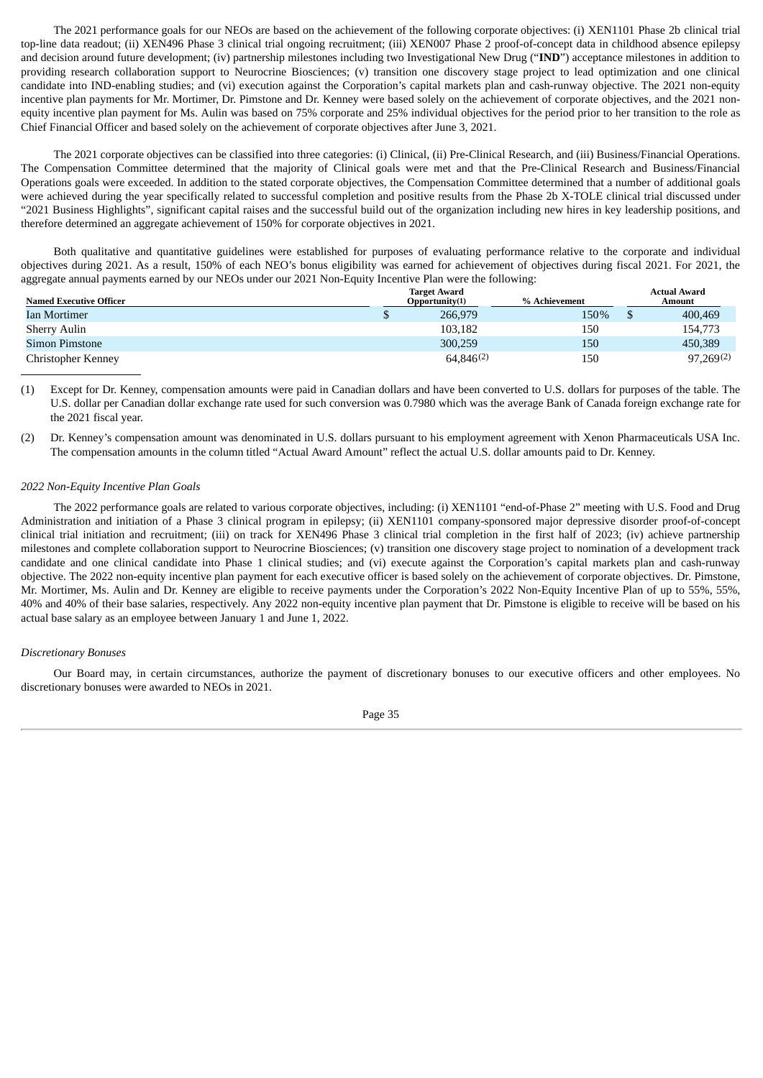The 2021 performance goals for our NEOs are based on the achievement of the following corporate objectives: (i) XEN1101 Phase 2b clinical trial top-line data readout; (ii) XEN496 Phase 3 clinical trial ongoing recruitment; (iii) XEN007 Phase 2 proof-of-concept data in childhood absence epilepsy and decision around future development; (iv) partnership milestones including two Investigational New Drug ("**IND**") acceptance milestones in addition to providing research collaboration support to Neurocrine Biosciences; (v) transition one discovery stage project to lead optimization and one clinical candidate into IND-enabling studies; and (vi) execution against the Corporation's capital markets plan and cash-runway objective. The 2021 non-equity incentive plan payments for Mr. Mortimer, Dr. Pimstone and Dr. Kenney were based solely on the achievement of corporate objectives, and the 2021 nonequity incentive plan payment for Ms. Aulin was based on 75% corporate and 25% individual objectives for the period prior to her transition to the role as Chief Financial Officer and based solely on the achievement of corporate objectives after June 3, 2021.

The 2021 corporate objectives can be classified into three categories: (i) Clinical, (ii) Pre-Clinical Research, and (iii) Business/Financial Operations. The Compensation Committee determined that the majority of Clinical goals were met and that the Pre-Clinical Research and Business/Financial Operations goals were exceeded. In addition to the stated corporate objectives, the Compensation Committee determined that a number of additional goals were achieved during the year specifically related to successful completion and positive results from the Phase 2b X-TOLE clinical trial discussed under "2021 Business Highlights", significant capital raises and the successful build out of the organization including new hires in key leadership positions, and therefore determined an aggregate achievement of 150% for corporate objectives in 2021.

Both qualitative and quantitative guidelines were established for purposes of evaluating performance relative to the corporate and individual objectives during 2021. As a result, 150% of each NEO's bonus eligibility was earned for achievement of objectives during fiscal 2021. For 2021, the aggregate annual payments earned by our NEOs under our 2021 Non-Equity Incentive Plan were the following:

|                                | <b>Target Award</b> |               | <b>Actual Award</b> |
|--------------------------------|---------------------|---------------|---------------------|
| <b>Named Executive Officer</b> | Opportunity(1)      | % Achievement | Amount              |
| Ian Mortimer                   | 266,979             | 150%          | 400,469             |
| <b>Sherry Aulin</b>            | 103,182             | 150           | 154,773             |
| <b>Simon Pimstone</b>          | 300,259             | 150           | 450,389             |
| Christopher Kenney             | 64.846(2)           | 150           | 97,269(2)           |

(1) Except for Dr. Kenney, compensation amounts were paid in Canadian dollars and have been converted to U.S. dollars for purposes of the table. The U.S. dollar per Canadian dollar exchange rate used for such conversion was 0.7980 which was the average Bank of Canada foreign exchange rate for the 2021 fiscal year.

(2) Dr. Kenney's compensation amount was denominated in U.S. dollars pursuant to his employment agreement with Xenon Pharmaceuticals USA Inc. The compensation amounts in the column titled "Actual Award Amount" reflect the actual U.S. dollar amounts paid to Dr. Kenney.

#### *2022 Non-Equity Incentive Plan Goals*

The 2022 performance goals are related to various corporate objectives, including: (i) XEN1101 "end-of-Phase 2" meeting with U.S. Food and Drug Administration and initiation of a Phase 3 clinical program in epilepsy; (ii) XEN1101 company-sponsored major depressive disorder proof-of-concept clinical trial initiation and recruitment; (iii) on track for XEN496 Phase 3 clinical trial completion in the first half of 2023; (iv) achieve partnership milestones and complete collaboration support to Neurocrine Biosciences; (v) transition one discovery stage project to nomination of a development track candidate and one clinical candidate into Phase 1 clinical studies; and (vi) execute against the Corporation's capital markets plan and cash-runway objective. The 2022 non-equity incentive plan payment for each executive officer is based solely on the achievement of corporate objectives. Dr. Pimstone, Mr. Mortimer, Ms. Aulin and Dr. Kenney are eligible to receive payments under the Corporation's 2022 Non-Equity Incentive Plan of up to 55%, 55%, 40% and 40% of their base salaries, respectively. Any 2022 non-equity incentive plan payment that Dr. Pimstone is eligible to receive will be based on his actual base salary as an employee between January 1 and June 1, 2022.

#### *Discretionary Bonuses*

Our Board may, in certain circumstances, authorize the payment of discretionary bonuses to our executive officers and other employees. No discretionary bonuses were awarded to NEOs in 2021.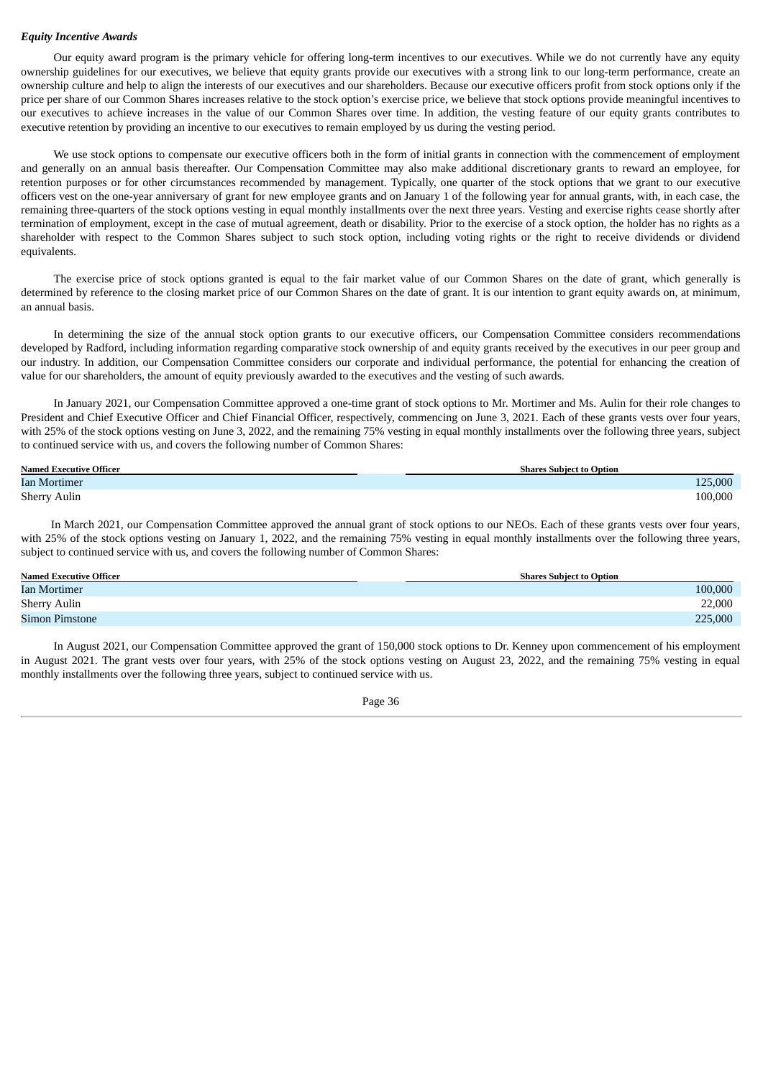#### *Equity Incentive Awards*

Our equity award program is the primary vehicle for offering long-term incentives to our executives. While we do not currently have any equity ownership guidelines for our executives, we believe that equity grants provide our executives with a strong link to our long-term performance, create an ownership culture and help to align the interests of our executives and our shareholders. Because our executive officers profit from stock options only if the price per share of our Common Shares increases relative to the stock option's exercise price, we believe that stock options provide meaningful incentives to our executives to achieve increases in the value of our Common Shares over time. In addition, the vesting feature of our equity grants contributes to executive retention by providing an incentive to our executives to remain employed by us during the vesting period.

We use stock options to compensate our executive officers both in the form of initial grants in connection with the commencement of employment and generally on an annual basis thereafter. Our Compensation Committee may also make additional discretionary grants to reward an employee, for retention purposes or for other circumstances recommended by management. Typically, one quarter of the stock options that we grant to our executive officers vest on the one-year anniversary of grant for new employee grants and on January 1 of the following year for annual grants, with, in each case, the remaining three-quarters of the stock options vesting in equal monthly installments over the next three years. Vesting and exercise rights cease shortly after termination of employment, except in the case of mutual agreement, death or disability. Prior to the exercise of a stock option, the holder has no rights as a shareholder with respect to the Common Shares subject to such stock option, including voting rights or the right to receive dividends or dividend equivalents.

The exercise price of stock options granted is equal to the fair market value of our Common Shares on the date of grant, which generally is determined by reference to the closing market price of our Common Shares on the date of grant. It is our intention to grant equity awards on, at minimum, an annual basis.

In determining the size of the annual stock option grants to our executive officers, our Compensation Committee considers recommendations developed by Radford, including information regarding comparative stock ownership of and equity grants received by the executives in our peer group and our industry. In addition, our Compensation Committee considers our corporate and individual performance, the potential for enhancing the creation of value for our shareholders, the amount of equity previously awarded to the executives and the vesting of such awards.

In January 2021, our Compensation Committee approved a one-time grant of stock options to Mr. Mortimer and Ms. Aulin for their role changes to President and Chief Executive Officer and Chief Financial Officer, respectively, commencing on June 3, 2021. Each of these grants vests over four years, with 25% of the stock options vesting on June 3, 2022, and the remaining 75% vesting in equal monthly installments over the following three years, subject to continued service with us, and covers the following number of Common Shares:

| <b>Named Executive Officer</b> | es Subiect to Option .<br>Shart |
|--------------------------------|---------------------------------|
| Ian Mortimer                   | .000                            |
| <b>Sherry Aulin</b>            | 0.000<br>Ωſ                     |

In March 2021, our Compensation Committee approved the annual grant of stock options to our NEOs. Each of these grants vests over four years, with 25% of the stock options vesting on January 1, 2022, and the remaining 75% vesting in equal monthly installments over the following three years, subject to continued service with us, and covers the following number of Common Shares:

| <b>Named Executive Officer</b> | <b>Shares Subiect to Option</b> |
|--------------------------------|---------------------------------|
| Ian Mortimer                   | 100,000                         |
| <b>Sherry Aulin</b>            | 22,000                          |
| <b>Simon Pimstone</b>          | 225,000                         |
|                                |                                 |

In August 2021, our Compensation Committee approved the grant of 150,000 stock options to Dr. Kenney upon commencement of his employment in August 2021. The grant vests over four years, with 25% of the stock options vesting on August 23, 2022, and the remaining 75% vesting in equal monthly installments over the following three years, subject to continued service with us.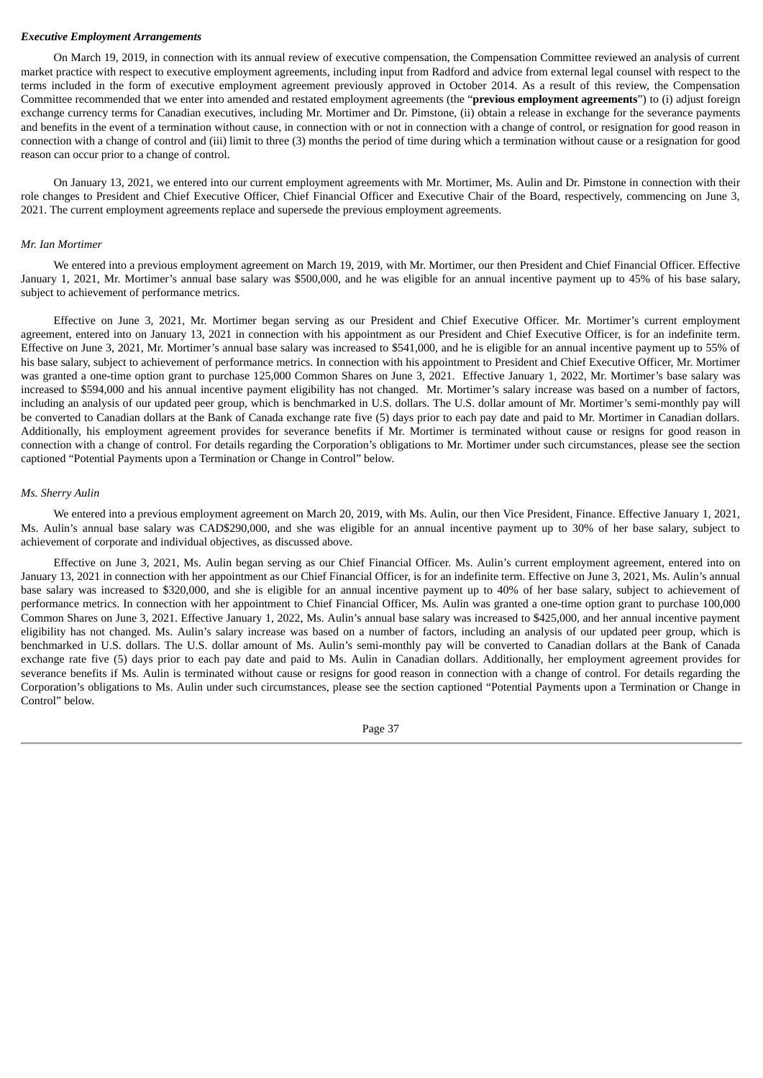#### *Executive Employment Arrangements*

On March 19, 2019, in connection with its annual review of executive compensation, the Compensation Committee reviewed an analysis of current market practice with respect to executive employment agreements, including input from Radford and advice from external legal counsel with respect to the terms included in the form of executive employment agreement previously approved in October 2014. As a result of this review, the Compensation Committee recommended that we enter into amended and restated employment agreements (the "**previous employment agreements**") to (i) adjust foreign exchange currency terms for Canadian executives, including Mr. Mortimer and Dr. Pimstone, (ii) obtain a release in exchange for the severance payments and benefits in the event of a termination without cause, in connection with or not in connection with a change of control, or resignation for good reason in connection with a change of control and (iii) limit to three (3) months the period of time during which a termination without cause or a resignation for good reason can occur prior to a change of control.

On January 13, 2021, we entered into our current employment agreements with Mr. Mortimer, Ms. Aulin and Dr. Pimstone in connection with their role changes to President and Chief Executive Officer, Chief Financial Officer and Executive Chair of the Board, respectively, commencing on June 3, 2021. The current employment agreements replace and supersede the previous employment agreements.

### *Mr. Ian Mortimer*

We entered into a previous employment agreement on March 19, 2019, with Mr. Mortimer, our then President and Chief Financial Officer. Effective January 1, 2021, Mr. Mortimer's annual base salary was \$500,000, and he was eligible for an annual incentive payment up to 45% of his base salary, subject to achievement of performance metrics.

Effective on June 3, 2021, Mr. Mortimer began serving as our President and Chief Executive Officer. Mr. Mortimer's current employment agreement, entered into on January 13, 2021 in connection with his appointment as our President and Chief Executive Officer, is for an indefinite term. Effective on June 3, 2021, Mr. Mortimer's annual base salary was increased to \$541,000, and he is eligible for an annual incentive payment up to 55% of his base salary, subject to achievement of performance metrics. In connection with his appointment to President and Chief Executive Officer, Mr. Mortimer was granted a one-time option grant to purchase 125,000 Common Shares on June 3, 2021. Effective January 1, 2022, Mr. Mortimer's base salary was increased to \$594,000 and his annual incentive payment eligibility has not changed. Mr. Mortimer's salary increase was based on a number of factors, including an analysis of our updated peer group, which is benchmarked in U.S. dollars. The U.S. dollar amount of Mr. Mortimer's semi-monthly pay will be converted to Canadian dollars at the Bank of Canada exchange rate five (5) days prior to each pay date and paid to Mr. Mortimer in Canadian dollars. Additionally, his employment agreement provides for severance benefits if Mr. Mortimer is terminated without cause or resigns for good reason in connection with a change of control. For details regarding the Corporation's obligations to Mr. Mortimer under such circumstances, please see the section captioned "Potential Payments upon a Termination or Change in Control" below.

#### *Ms. Sherry Aulin*

We entered into a previous employment agreement on March 20, 2019, with Ms. Aulin, our then Vice President, Finance. Effective January 1, 2021, Ms. Aulin's annual base salary was CAD\$290,000, and she was eligible for an annual incentive payment up to 30% of her base salary, subject to achievement of corporate and individual objectives, as discussed above.

Effective on June 3, 2021, Ms. Aulin began serving as our Chief Financial Officer. Ms. Aulin's current employment agreement, entered into on January 13, 2021 in connection with her appointment as our Chief Financial Officer, is for an indefinite term. Effective on June 3, 2021, Ms. Aulin's annual base salary was increased to \$320,000, and she is eligible for an annual incentive payment up to 40% of her base salary, subject to achievement of performance metrics. In connection with her appointment to Chief Financial Officer, Ms. Aulin was granted a one-time option grant to purchase 100,000 Common Shares on June 3, 2021. Effective January 1, 2022, Ms. Aulin's annual base salary was increased to \$425,000, and her annual incentive payment eligibility has not changed. Ms. Aulin's salary increase was based on a number of factors, including an analysis of our updated peer group, which is benchmarked in U.S. dollars. The U.S. dollar amount of Ms. Aulin's semi-monthly pay will be converted to Canadian dollars at the Bank of Canada exchange rate five (5) days prior to each pay date and paid to Ms. Aulin in Canadian dollars. Additionally, her employment agreement provides for severance benefits if Ms. Aulin is terminated without cause or resigns for good reason in connection with a change of control. For details regarding the Corporation's obligations to Ms. Aulin under such circumstances, please see the section captioned "Potential Payments upon a Termination or Change in Control" below.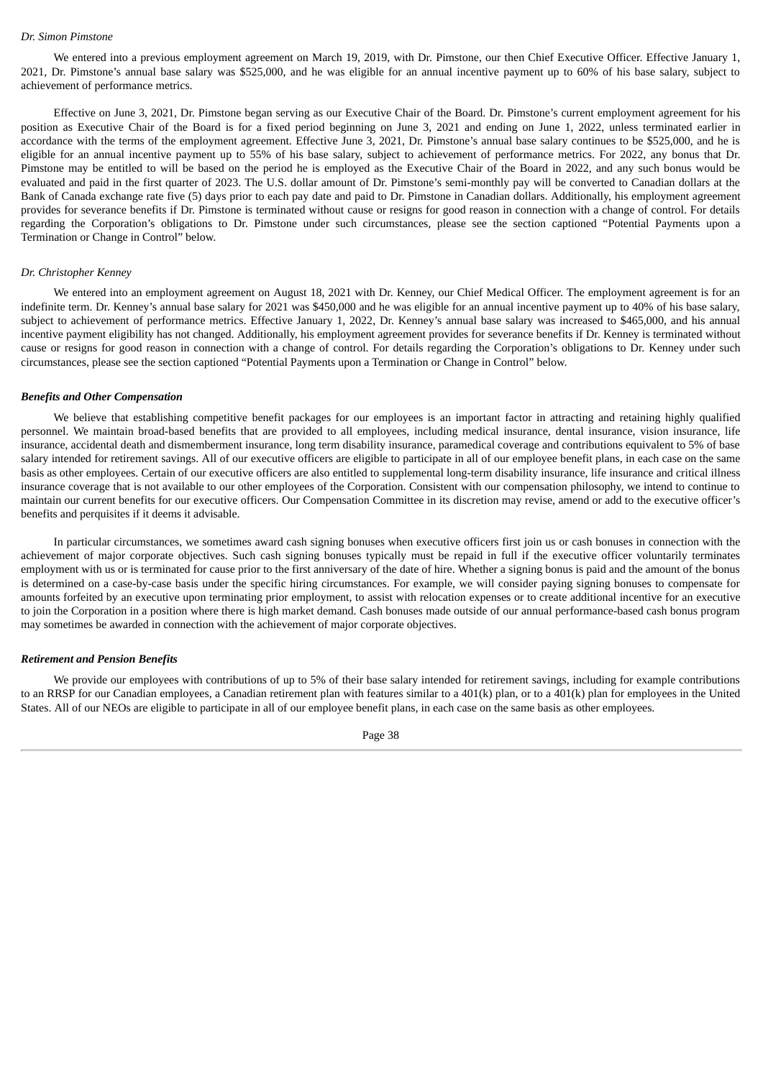## *Dr. Simon Pimstone*

We entered into a previous employment agreement on March 19, 2019, with Dr. Pimstone, our then Chief Executive Officer. Effective January 1, 2021, Dr. Pimstone's annual base salary was \$525,000, and he was eligible for an annual incentive payment up to 60% of his base salary, subject to achievement of performance metrics.

Effective on June 3, 2021, Dr. Pimstone began serving as our Executive Chair of the Board. Dr. Pimstone's current employment agreement for his position as Executive Chair of the Board is for a fixed period beginning on June 3, 2021 and ending on June 1, 2022, unless terminated earlier in accordance with the terms of the employment agreement. Effective June 3, 2021, Dr. Pimstone's annual base salary continues to be \$525,000, and he is eligible for an annual incentive payment up to 55% of his base salary, subject to achievement of performance metrics. For 2022, any bonus that Dr. Pimstone may be entitled to will be based on the period he is employed as the Executive Chair of the Board in 2022, and any such bonus would be evaluated and paid in the first quarter of 2023. The U.S. dollar amount of Dr. Pimstone's semi-monthly pay will be converted to Canadian dollars at the Bank of Canada exchange rate five (5) days prior to each pay date and paid to Dr. Pimstone in Canadian dollars. Additionally, his employment agreement provides for severance benefits if Dr. Pimstone is terminated without cause or resigns for good reason in connection with a change of control. For details regarding the Corporation's obligations to Dr. Pimstone under such circumstances, please see the section captioned "Potential Payments upon a Termination or Change in Control" below.

### *Dr. Christopher Kenney*

We entered into an employment agreement on August 18, 2021 with Dr. Kenney, our Chief Medical Officer. The employment agreement is for an indefinite term. Dr. Kenney's annual base salary for 2021 was \$450,000 and he was eligible for an annual incentive payment up to 40% of his base salary, subject to achievement of performance metrics. Effective January 1, 2022, Dr. Kenney's annual base salary was increased to \$465,000, and his annual incentive payment eligibility has not changed. Additionally, his employment agreement provides for severance benefits if Dr. Kenney is terminated without cause or resigns for good reason in connection with a change of control. For details regarding the Corporation's obligations to Dr. Kenney under such circumstances, please see the section captioned "Potential Payments upon a Termination or Change in Control" below.

#### *Benefits and Other Compensation*

We believe that establishing competitive benefit packages for our employees is an important factor in attracting and retaining highly qualified personnel. We maintain broad-based benefits that are provided to all employees, including medical insurance, dental insurance, vision insurance, life insurance, accidental death and dismemberment insurance, long term disability insurance, paramedical coverage and contributions equivalent to 5% of base salary intended for retirement savings. All of our executive officers are eligible to participate in all of our employee benefit plans, in each case on the same basis as other employees. Certain of our executive officers are also entitled to supplemental long-term disability insurance, life insurance and critical illness insurance coverage that is not available to our other employees of the Corporation. Consistent with our compensation philosophy, we intend to continue to maintain our current benefits for our executive officers. Our Compensation Committee in its discretion may revise, amend or add to the executive officer's benefits and perquisites if it deems it advisable.

In particular circumstances, we sometimes award cash signing bonuses when executive officers first join us or cash bonuses in connection with the achievement of major corporate objectives. Such cash signing bonuses typically must be repaid in full if the executive officer voluntarily terminates employment with us or is terminated for cause prior to the first anniversary of the date of hire. Whether a signing bonus is paid and the amount of the bonus is determined on a case-by-case basis under the specific hiring circumstances. For example, we will consider paying signing bonuses to compensate for amounts forfeited by an executive upon terminating prior employment, to assist with relocation expenses or to create additional incentive for an executive to join the Corporation in a position where there is high market demand. Cash bonuses made outside of our annual performance-based cash bonus program may sometimes be awarded in connection with the achievement of major corporate objectives.

#### *Retirement and Pension Benefits*

We provide our employees with contributions of up to 5% of their base salary intended for retirement savings, including for example contributions to an RRSP for our Canadian employees, a Canadian retirement plan with features similar to a 401(k) plan, or to a 401(k) plan for employees in the United States. All of our NEOs are eligible to participate in all of our employee benefit plans, in each case on the same basis as other employees.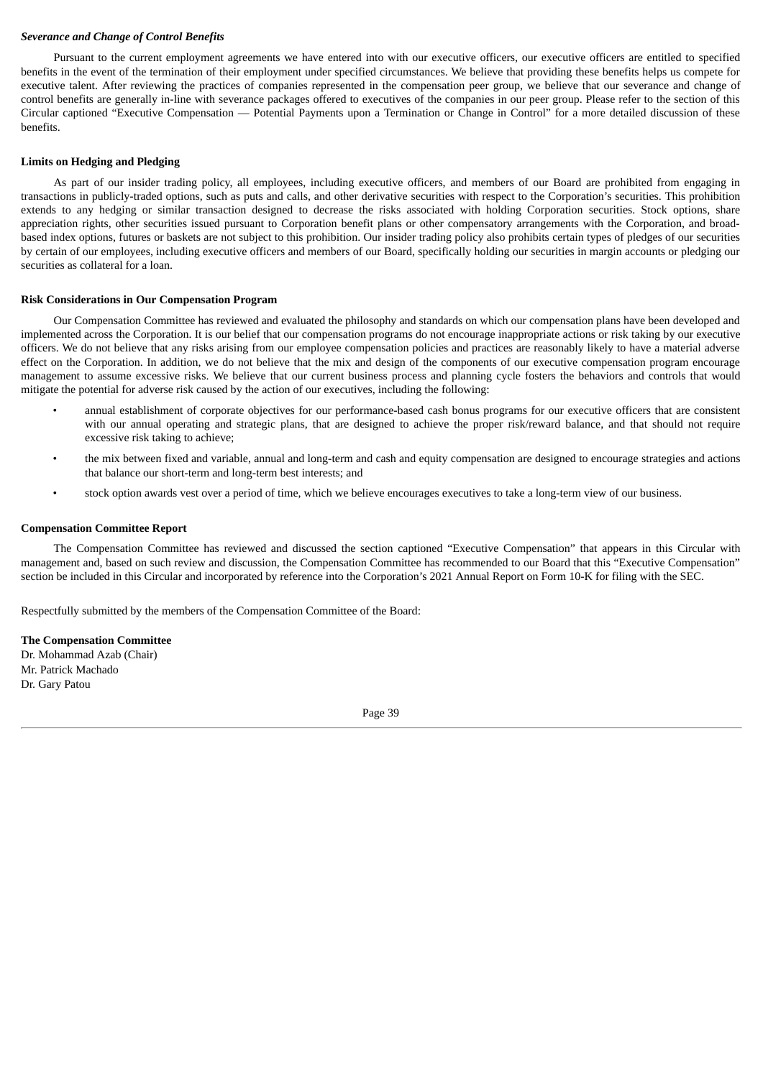# *Severance and Change of Control Benefits*

Pursuant to the current employment agreements we have entered into with our executive officers, our executive officers are entitled to specified benefits in the event of the termination of their employment under specified circumstances. We believe that providing these benefits helps us compete for executive talent. After reviewing the practices of companies represented in the compensation peer group, we believe that our severance and change of control benefits are generally in-line with severance packages offered to executives of the companies in our peer group. Please refer to the section of this Circular captioned "Executive Compensation — Potential Payments upon a Termination or Change in Control" for a more detailed discussion of these benefits.

## **Limits on Hedging and Pledging**

As part of our insider trading policy, all employees, including executive officers, and members of our Board are prohibited from engaging in transactions in publicly-traded options, such as puts and calls, and other derivative securities with respect to the Corporation's securities. This prohibition extends to any hedging or similar transaction designed to decrease the risks associated with holding Corporation securities. Stock options, share appreciation rights, other securities issued pursuant to Corporation benefit plans or other compensatory arrangements with the Corporation, and broadbased index options, futures or baskets are not subject to this prohibition. Our insider trading policy also prohibits certain types of pledges of our securities by certain of our employees, including executive officers and members of our Board, specifically holding our securities in margin accounts or pledging our securities as collateral for a loan.

### **Risk Considerations in Our Compensation Program**

Our Compensation Committee has reviewed and evaluated the philosophy and standards on which our compensation plans have been developed and implemented across the Corporation. It is our belief that our compensation programs do not encourage inappropriate actions or risk taking by our executive officers. We do not believe that any risks arising from our employee compensation policies and practices are reasonably likely to have a material adverse effect on the Corporation. In addition, we do not believe that the mix and design of the components of our executive compensation program encourage management to assume excessive risks. We believe that our current business process and planning cycle fosters the behaviors and controls that would mitigate the potential for adverse risk caused by the action of our executives, including the following:

- annual establishment of corporate objectives for our performance-based cash bonus programs for our executive officers that are consistent with our annual operating and strategic plans, that are designed to achieve the proper risk/reward balance, and that should not require excessive risk taking to achieve;
- the mix between fixed and variable, annual and long-term and cash and equity compensation are designed to encourage strategies and actions that balance our short-term and long-term best interests; and
- stock option awards vest over a period of time, which we believe encourages executives to take a long-term view of our business.

### **Compensation Committee Report**

The Compensation Committee has reviewed and discussed the section captioned "Executive Compensation" that appears in this Circular with management and, based on such review and discussion, the Compensation Committee has recommended to our Board that this "Executive Compensation" section be included in this Circular and incorporated by reference into the Corporation's 2021 Annual Report on Form 10-K for filing with the SEC.

Respectfully submitted by the members of the Compensation Committee of the Board:

# **The Compensation Committee**

Dr. Mohammad Azab (Chair) Mr. Patrick Machado Dr. Gary Patou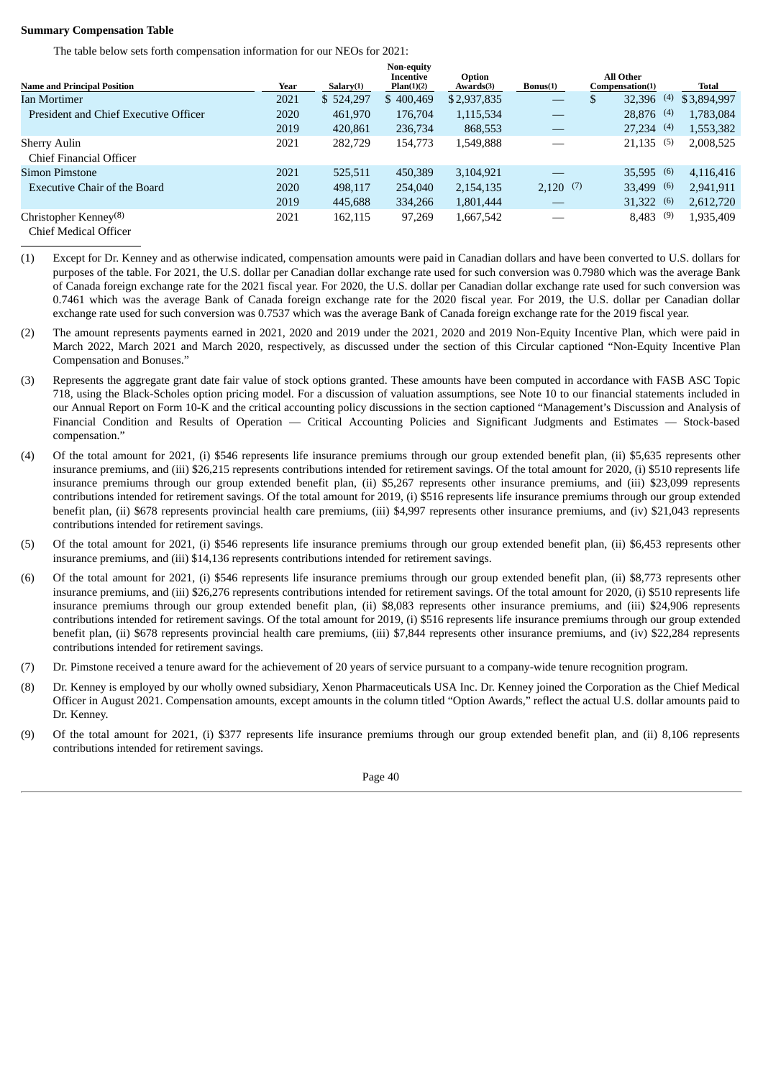## **Summary Compensation Table**

The table below sets forth compensation information for our NEOs for 2021:

|                                                                                                |      |           | Non-equity<br>Incentive | Option      |                               | All Other          |             |
|------------------------------------------------------------------------------------------------|------|-----------|-------------------------|-------------|-------------------------------|--------------------|-------------|
| <b>Name and Principal Position</b>                                                             | Year | Salarv(1) | Plan(1)(2)              | Awards(3)   | Bonus(1)                      | Compensation(1)    | Total       |
| Ian Mortimer                                                                                   | 2021 | \$524,297 | \$400,469               | \$2,937,835 | $\overbrace{\phantom{12332}}$ | 32,396<br>(4)<br>D | \$3,894,997 |
| President and Chief Executive Officer                                                          | 2020 | 461.970   | 176,704                 | 1,115,534   |                               | $28,876$ (4)       | 1,783,084   |
|                                                                                                | 2019 | 420,861   | 236,734                 | 868,553     |                               | 27.234(4)          | 1,553,382   |
| <b>Sherry Aulin</b><br>Chief Financial Officer                                                 | 2021 | 282,729   | 154,773                 | 1,549,888   |                               | $21,135$ (5)       | 2,008,525   |
| Simon Pimstone                                                                                 | 2021 | 525,511   | 450,389                 | 3,104,921   |                               | $35,595$ (6)       | 4,116,416   |
| Executive Chair of the Board                                                                   | 2020 | 498,117   | 254,040                 | 2,154,135   | $2,120$ (7)                   | (6)<br>33,499      | 2,941,911   |
|                                                                                                | 2019 | 445,688   | 334,266                 | 1,801,444   |                               | 31,322<br>(6)      | 2,612,720   |
| Christopher Kenney <sup>(8)</sup><br>$C_{\text{high}}$ Madical $\bigcap_{\alpha\in\mathbb{N}}$ | 2021 | 162,115   | 97,269                  | 1,667,542   |                               | (9)<br>8,483       | 1,935,409   |

Chief Medical Officer

- (1) Except for Dr. Kenney and as otherwise indicated, compensation amounts were paid in Canadian dollars and have been converted to U.S. dollars for purposes of the table. For 2021, the U.S. dollar per Canadian dollar exchange rate used for such conversion was 0.7980 which was the average Bank of Canada foreign exchange rate for the 2021 fiscal year. For 2020, the U.S. dollar per Canadian dollar exchange rate used for such conversion was 0.7461 which was the average Bank of Canada foreign exchange rate for the 2020 fiscal year. For 2019, the U.S. dollar per Canadian dollar exchange rate used for such conversion was 0.7537 which was the average Bank of Canada foreign exchange rate for the 2019 fiscal year.
- (2) The amount represents payments earned in 2021, 2020 and 2019 under the 2021, 2020 and 2019 Non-Equity Incentive Plan, which were paid in March 2022, March 2021 and March 2020, respectively, as discussed under the section of this Circular captioned "Non-Equity Incentive Plan Compensation and Bonuses."
- (3) Represents the aggregate grant date fair value of stock options granted. These amounts have been computed in accordance with FASB ASC Topic 718, using the Black-Scholes option pricing model. For a discussion of valuation assumptions, see Note 10 to our financial statements included in our Annual Report on Form 10-K and the critical accounting policy discussions in the section captioned "Management's Discussion and Analysis of Financial Condition and Results of Operation — Critical Accounting Policies and Significant Judgments and Estimates — Stock-based compensation."
- (4) Of the total amount for 2021, (i) \$546 represents life insurance premiums through our group extended benefit plan, (ii) \$5,635 represents other insurance premiums, and (iii) \$26,215 represents contributions intended for retirement savings. Of the total amount for 2020, (i) \$510 represents life insurance premiums through our group extended benefit plan, (ii) \$5,267 represents other insurance premiums, and (iii) \$23,099 represents contributions intended for retirement savings. Of the total amount for 2019, (i) \$516 represents life insurance premiums through our group extended benefit plan, (ii) \$678 represents provincial health care premiums, (iii) \$4,997 represents other insurance premiums, and (iv) \$21,043 represents contributions intended for retirement savings.
- (5) Of the total amount for 2021, (i) \$546 represents life insurance premiums through our group extended benefit plan, (ii) \$6,453 represents other insurance premiums, and (iii) \$14,136 represents contributions intended for retirement savings.
- (6) Of the total amount for 2021, (i) \$546 represents life insurance premiums through our group extended benefit plan, (ii) \$8,773 represents other insurance premiums, and (iii) \$26,276 represents contributions intended for retirement savings. Of the total amount for 2020, (i) \$510 represents life insurance premiums through our group extended benefit plan, (ii) \$8,083 represents other insurance premiums, and (iii) \$24,906 represents contributions intended for retirement savings. Of the total amount for 2019, (i) \$516 represents life insurance premiums through our group extended benefit plan, (ii) \$678 represents provincial health care premiums, (iii) \$7,844 represents other insurance premiums, and (iv) \$22,284 represents contributions intended for retirement savings.
- (7) Dr. Pimstone received a tenure award for the achievement of 20 years of service pursuant to a company-wide tenure recognition program.
- (8) Dr. Kenney is employed by our wholly owned subsidiary, Xenon Pharmaceuticals USA Inc. Dr. Kenney joined the Corporation as the Chief Medical Officer in August 2021. Compensation amounts, except amounts in the column titled "Option Awards," reflect the actual U.S. dollar amounts paid to Dr. Kenney.
- (9) Of the total amount for 2021, (i) \$377 represents life insurance premiums through our group extended benefit plan, and (ii) 8,106 represents contributions intended for retirement savings.

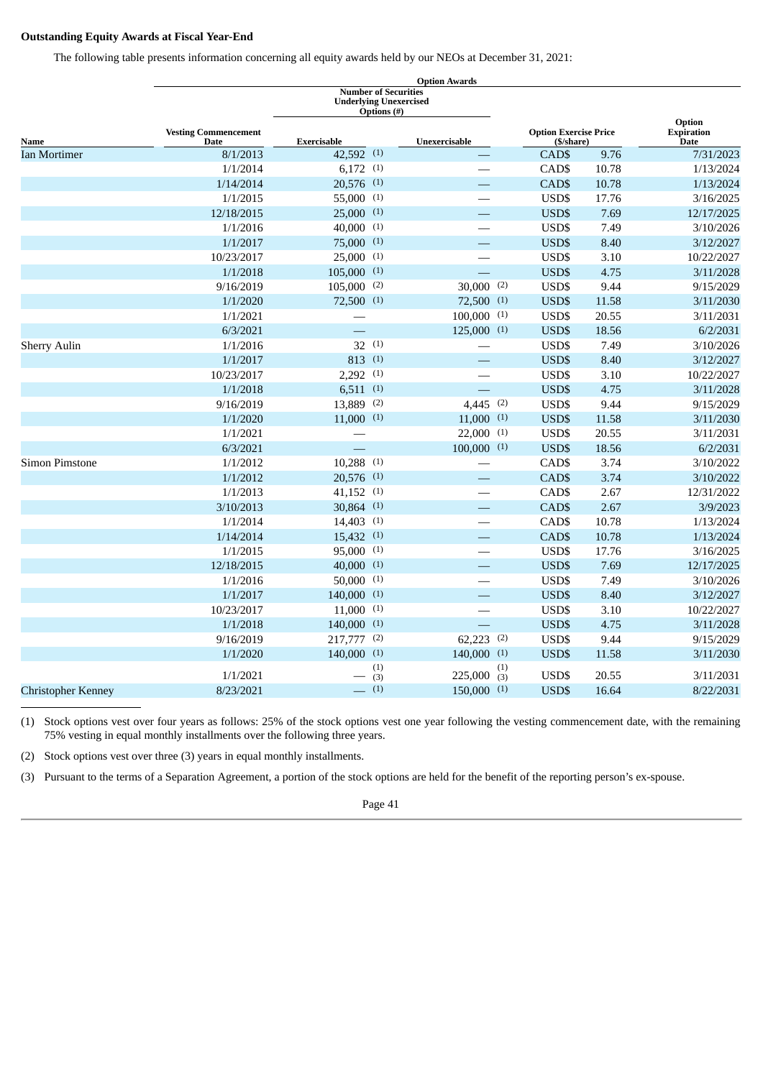# **Outstanding Equity Awards at Fiscal Year-End**

The following table presents information concerning all equity awards held by our NEOs at December 31, 2021:

|                       |                                            |                                        | <b>Number of Securities</b><br><b>Underlying Unexercised</b><br><b>Options</b> (#) |                                            |       |                                            |
|-----------------------|--------------------------------------------|----------------------------------------|------------------------------------------------------------------------------------|--------------------------------------------|-------|--------------------------------------------|
| Name                  | <b>Vesting Commencement</b><br><b>Date</b> | Exercisable                            | Unexercisable                                                                      | <b>Option Exercise Price</b><br>(\$/share) |       | Option<br><b>Expiration</b><br><b>Date</b> |
| <b>Ian Mortimer</b>   | 8/1/2013                                   | 42,592 (1)                             |                                                                                    | CAD\$                                      | 9.76  | 7/31/2023                                  |
|                       | 1/1/2014                                   | $6,172$ (1)                            |                                                                                    | CAD\$                                      | 10.78 | 1/13/2024                                  |
|                       | 1/14/2014                                  | $20,576$ (1)                           |                                                                                    | CAD\$                                      | 10.78 | 1/13/2024                                  |
|                       | 1/1/2015                                   | $55,000$ (1)                           |                                                                                    | USD\$                                      | 17.76 | 3/16/2025                                  |
|                       | 12/18/2015                                 | $25,000$ (1)                           |                                                                                    | USD\$                                      | 7.69  | 12/17/2025                                 |
|                       | 1/1/2016                                   | $40,000$ (1)                           |                                                                                    | USD\$                                      | 7.49  | 3/10/2026                                  |
|                       | 1/1/2017                                   | $75,000$ (1)                           |                                                                                    | USD\$                                      | 8.40  | 3/12/2027                                  |
|                       | 10/23/2017                                 | $25,000$ (1)                           |                                                                                    | USD\$                                      | 3.10  | 10/22/2027                                 |
|                       | 1/1/2018                                   | $105,000$ (1)                          | $\equiv$                                                                           | USD\$                                      | 4.75  | 3/11/2028                                  |
|                       | 9/16/2019                                  | $105,000$ (2)                          | $30,000$ (2)                                                                       | USD\$                                      | 9.44  | 9/15/2029                                  |
|                       | 1/1/2020                                   | $72,500$ (1)                           | $72,500$ (1)                                                                       | USD\$                                      | 11.58 | 3/11/2030                                  |
|                       | 1/1/2021                                   |                                        | $100,000$ (1)                                                                      | USD\$                                      | 20.55 | 3/11/2031                                  |
|                       | 6/3/2021                                   |                                        | $125,000$ (1)                                                                      | USD\$                                      | 18.56 | 6/2/2031                                   |
| <b>Sherry Aulin</b>   | 1/1/2016                                   | 32(1)                                  |                                                                                    | USD\$                                      | 7.49  | 3/10/2026                                  |
|                       | 1/1/2017                                   | 813 (1)                                |                                                                                    | USD\$                                      | 8.40  | 3/12/2027                                  |
|                       | 10/23/2017                                 | $2,292$ (1)                            | $\overline{\phantom{0}}$                                                           | USD\$                                      | 3.10  | 10/22/2027                                 |
|                       | 1/1/2018                                   | 6,511(1)                               |                                                                                    | USD\$                                      | 4.75  | 3/11/2028                                  |
|                       | 9/16/2019                                  | (2)<br>13,889                          | 4,445 (2)                                                                          | USD\$                                      | 9.44  | 9/15/2029                                  |
|                       | 1/1/2020                                   | $11,000$ (1)                           | $11,000$ (1)                                                                       | USD\$                                      | 11.58 | 3/11/2030                                  |
|                       | 1/1/2021                                   |                                        | $22,000$ (1)                                                                       | USD\$                                      | 20.55 | 3/11/2031                                  |
|                       | 6/3/2021                                   |                                        | $100,000$ (1)                                                                      | USD\$                                      | 18.56 | 6/2/2031                                   |
| <b>Simon Pimstone</b> | 1/1/2012                                   | $10,288$ (1)                           |                                                                                    | CAD\$                                      | 3.74  | 3/10/2022                                  |
|                       | 1/1/2012                                   | $20,576$ (1)                           |                                                                                    | CAD\$                                      | 3.74  | 3/10/2022                                  |
|                       | 1/1/2013                                   | $41,152$ (1)                           |                                                                                    | CAD\$                                      | 2.67  | 12/31/2022                                 |
|                       | 3/10/2013                                  | $30,864$ (1)                           |                                                                                    | CAD\$                                      | 2.67  | 3/9/2023                                   |
|                       | 1/1/2014                                   | $14,403$ (1)                           |                                                                                    | CAD\$                                      | 10.78 | 1/13/2024                                  |
|                       | 1/14/2014                                  | $15,432$ (1)                           |                                                                                    | CAD\$                                      | 10.78 | 1/13/2024                                  |
|                       | 1/1/2015                                   | $95,000$ (1)                           |                                                                                    | USD\$                                      | 17.76 | 3/16/2025                                  |
|                       | 12/18/2015                                 | $40,000$ (1)                           |                                                                                    | USD\$                                      | 7.69  | 12/17/2025                                 |
|                       | 1/1/2016                                   | $50,000$ (1)                           |                                                                                    | USD\$                                      | 7.49  | 3/10/2026                                  |
|                       | 1/1/2017                                   | $140,000$ (1)                          |                                                                                    | USD\$                                      | 8.40  | 3/12/2027                                  |
|                       | 10/23/2017                                 | $11,000$ (1)                           |                                                                                    | USD\$                                      | 3.10  | 10/22/2027                                 |
|                       | 1/1/2018                                   | $140,000$ <sup>(1)</sup>               | $\equiv$                                                                           | USD\$                                      | 4.75  | 3/11/2028                                  |
|                       | 9/16/2019                                  | 217,777 (2)                            | $62,223$ (2)                                                                       | USD\$                                      | 9.44  | 9/15/2029                                  |
|                       | 1/1/2020                                   | $140,000$ (1)                          | $140,000$ (1)                                                                      | USD\$                                      | 11.58 | 3/11/2030                                  |
|                       |                                            | (1)                                    |                                                                                    | (1)                                        |       |                                            |
|                       | 1/1/2021                                   | (3)<br>(1)<br>$\overline{\phantom{0}}$ | 225,000<br>$150,000$ (1)                                                           | USD\$<br>(3)                               | 20.55 | 3/11/2031                                  |
| Christopher Kenney    | 8/23/2021                                  |                                        |                                                                                    | USD\$                                      | 16.64 | 8/22/2031                                  |

(1) Stock options vest over four years as follows: 25% of the stock options vest one year following the vesting commencement date, with the remaining 75% vesting in equal monthly installments over the following three years.

(2) Stock options vest over three (3) years in equal monthly installments.

(3) Pursuant to the terms of a Separation Agreement, a portion of the stock options are held for the benefit of the reporting person's ex-spouse.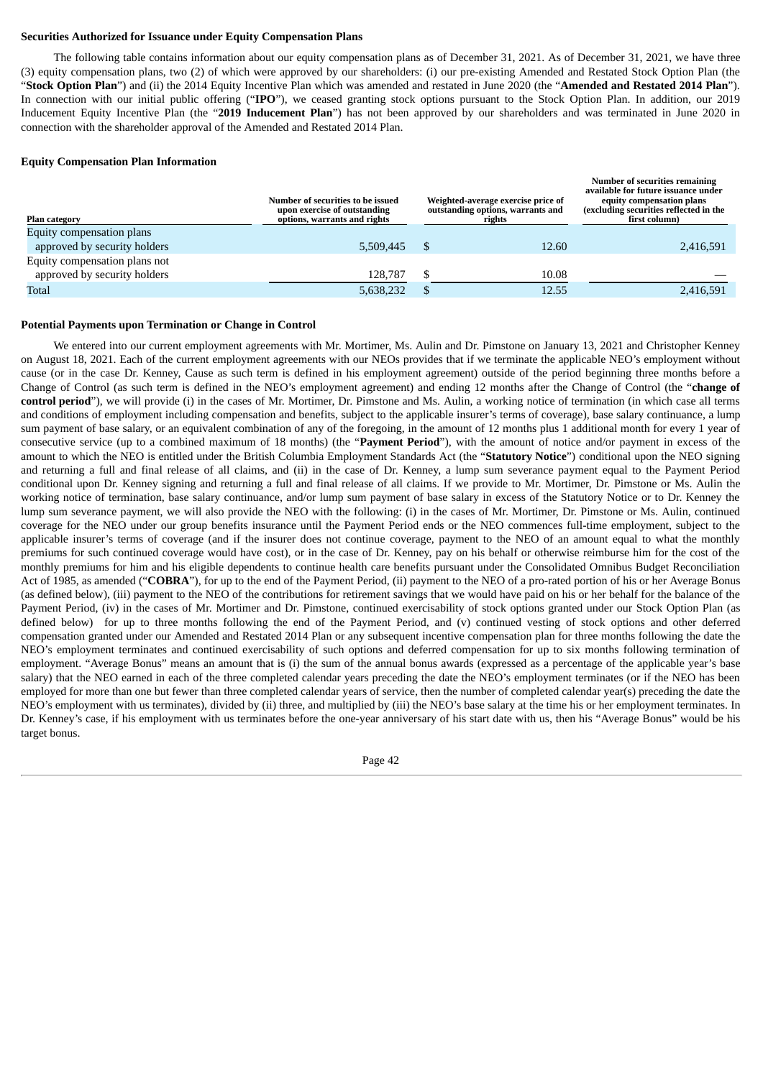## **Securities Authorized for Issuance under Equity Compensation Plans**

The following table contains information about our equity compensation plans as of December 31, 2021. As of December 31, 2021, we have three (3) equity compensation plans, two (2) of which were approved by our shareholders: (i) our pre-existing Amended and Restated Stock Option Plan (the "**Stock Option Plan**") and (ii) the 2014 Equity Incentive Plan which was amended and restated in June 2020 (the "**Amended and Restated 2014 Plan**"). In connection with our initial public offering ("**IPO**"), we ceased granting stock options pursuant to the Stock Option Plan. In addition, our 2019 Inducement Equity Incentive Plan (the "**2019 Inducement Plan**") has not been approved by our shareholders and was terminated in June 2020 in connection with the shareholder approval of the Amended and Restated 2014 Plan.

# **Equity Compensation Plan Information**

| <b>Plan category</b>          | Number of securities to be issued<br>upon exercise of outstanding<br>options, warrants and rights | Weighted-average exercise price of<br>outstanding options, warrants and<br>rights | <b>Number of securities remaining</b><br>available for future issuance under<br>equity compensation plans<br>(excluding securities reflected in the<br>first column) |
|-------------------------------|---------------------------------------------------------------------------------------------------|-----------------------------------------------------------------------------------|----------------------------------------------------------------------------------------------------------------------------------------------------------------------|
| Equity compensation plans     |                                                                                                   |                                                                                   |                                                                                                                                                                      |
| approved by security holders  | 5.509.445                                                                                         | 12.60                                                                             | 2,416,591                                                                                                                                                            |
| Equity compensation plans not |                                                                                                   |                                                                                   |                                                                                                                                                                      |
| approved by security holders  | 128.787                                                                                           | 10.08                                                                             |                                                                                                                                                                      |
| Total                         | 5,638,232                                                                                         | 12.55                                                                             | 2,416,591                                                                                                                                                            |

#### **Potential Payments upon Termination or Change in Control**

We entered into our current employment agreements with Mr. Mortimer, Ms. Aulin and Dr. Pimstone on January 13, 2021 and Christopher Kenney on August 18, 2021. Each of the current employment agreements with our NEOs provides that if we terminate the applicable NEO's employment without cause (or in the case Dr. Kenney, Cause as such term is defined in his employment agreement) outside of the period beginning three months before a Change of Control (as such term is defined in the NEO's employment agreement) and ending 12 months after the Change of Control (the "**change of control period**"), we will provide (i) in the cases of Mr. Mortimer, Dr. Pimstone and Ms. Aulin, a working notice of termination (in which case all terms and conditions of employment including compensation and benefits, subject to the applicable insurer's terms of coverage), base salary continuance, a lump sum payment of base salary, or an equivalent combination of any of the foregoing, in the amount of 12 months plus 1 additional month for every 1 year of consecutive service (up to a combined maximum of 18 months) (the "**Payment Period**"), with the amount of notice and/or payment in excess of the amount to which the NEO is entitled under the British Columbia Employment Standards Act (the "**Statutory Notice**") conditional upon the NEO signing and returning a full and final release of all claims, and (ii) in the case of Dr. Kenney, a lump sum severance payment equal to the Payment Period conditional upon Dr. Kenney signing and returning a full and final release of all claims. If we provide to Mr. Mortimer, Dr. Pimstone or Ms. Aulin the working notice of termination, base salary continuance, and/or lump sum payment of base salary in excess of the Statutory Notice or to Dr. Kenney the lump sum severance payment, we will also provide the NEO with the following: (i) in the cases of Mr. Mortimer, Dr. Pimstone or Ms. Aulin, continued coverage for the NEO under our group benefits insurance until the Payment Period ends or the NEO commences full-time employment, subject to the applicable insurer's terms of coverage (and if the insurer does not continue coverage, payment to the NEO of an amount equal to what the monthly premiums for such continued coverage would have cost), or in the case of Dr. Kenney, pay on his behalf or otherwise reimburse him for the cost of the monthly premiums for him and his eligible dependents to continue health care benefits pursuant under the Consolidated Omnibus Budget Reconciliation Act of 1985, as amended ("**COBRA**"), for up to the end of the Payment Period, (ii) payment to the NEO of a pro-rated portion of his or her Average Bonus (as defined below), (iii) payment to the NEO of the contributions for retirement savings that we would have paid on his or her behalf for the balance of the Payment Period, (iv) in the cases of Mr. Mortimer and Dr. Pimstone, continued exercisability of stock options granted under our Stock Option Plan (as defined below) for up to three months following the end of the Payment Period, and (v) continued vesting of stock options and other deferred compensation granted under our Amended and Restated 2014 Plan or any subsequent incentive compensation plan for three months following the date the NEO's employment terminates and continued exercisability of such options and deferred compensation for up to six months following termination of employment. "Average Bonus" means an amount that is (i) the sum of the annual bonus awards (expressed as a percentage of the applicable year's base salary) that the NEO earned in each of the three completed calendar years preceding the date the NEO's employment terminates (or if the NEO has been employed for more than one but fewer than three completed calendar years of service, then the number of completed calendar year(s) preceding the date the NEO's employment with us terminates), divided by (ii) three, and multiplied by (iii) the NEO's base salary at the time his or her employment terminates. In Dr. Kenney's case, if his employment with us terminates before the one-year anniversary of his start date with us, then his "Average Bonus" would be his target bonus.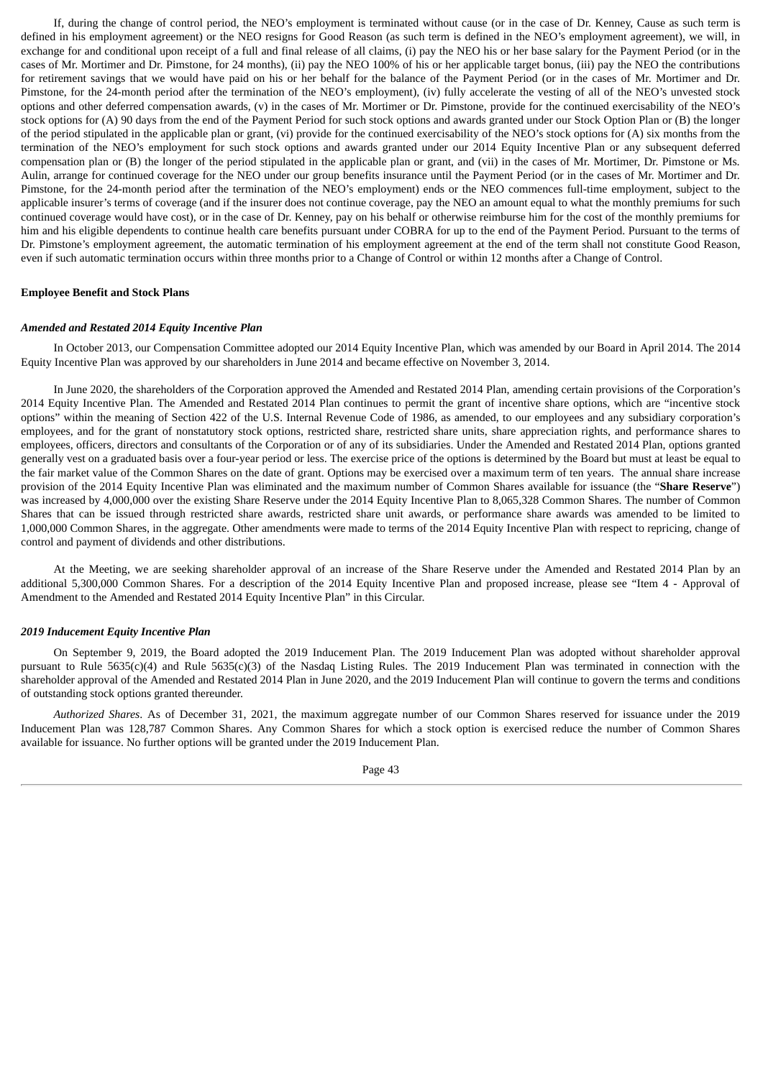If, during the change of control period, the NEO's employment is terminated without cause (or in the case of Dr. Kenney, Cause as such term is defined in his employment agreement) or the NEO resigns for Good Reason (as such term is defined in the NEO's employment agreement), we will, in exchange for and conditional upon receipt of a full and final release of all claims, (i) pay the NEO his or her base salary for the Payment Period (or in the cases of Mr. Mortimer and Dr. Pimstone, for 24 months), (ii) pay the NEO 100% of his or her applicable target bonus, (iii) pay the NEO the contributions for retirement savings that we would have paid on his or her behalf for the balance of the Payment Period (or in the cases of Mr. Mortimer and Dr. Pimstone, for the 24-month period after the termination of the NEO's employment), (iv) fully accelerate the vesting of all of the NEO's unvested stock options and other deferred compensation awards, (v) in the cases of Mr. Mortimer or Dr. Pimstone, provide for the continued exercisability of the NEO's stock options for (A) 90 days from the end of the Payment Period for such stock options and awards granted under our Stock Option Plan or (B) the longer of the period stipulated in the applicable plan or grant, (vi) provide for the continued exercisability of the NEO's stock options for (A) six months from the termination of the NEO's employment for such stock options and awards granted under our 2014 Equity Incentive Plan or any subsequent deferred compensation plan or (B) the longer of the period stipulated in the applicable plan or grant, and (vii) in the cases of Mr. Mortimer, Dr. Pimstone or Ms. Aulin, arrange for continued coverage for the NEO under our group benefits insurance until the Payment Period (or in the cases of Mr. Mortimer and Dr. Pimstone, for the 24-month period after the termination of the NEO's employment) ends or the NEO commences full-time employment, subject to the applicable insurer's terms of coverage (and if the insurer does not continue coverage, pay the NEO an amount equal to what the monthly premiums for such continued coverage would have cost), or in the case of Dr. Kenney, pay on his behalf or otherwise reimburse him for the cost of the monthly premiums for him and his eligible dependents to continue health care benefits pursuant under COBRA for up to the end of the Payment Period. Pursuant to the terms of Dr. Pimstone's employment agreement, the automatic termination of his employment agreement at the end of the term shall not constitute Good Reason, even if such automatic termination occurs within three months prior to a Change of Control or within 12 months after a Change of Control.

#### **Employee Benefit and Stock Plans**

## *Amended and Restated 2014 Equity Incentive Plan*

In October 2013, our Compensation Committee adopted our 2014 Equity Incentive Plan, which was amended by our Board in April 2014. The 2014 Equity Incentive Plan was approved by our shareholders in June 2014 and became effective on November 3, 2014.

In June 2020, the shareholders of the Corporation approved the Amended and Restated 2014 Plan, amending certain provisions of the Corporation's 2014 Equity Incentive Plan. The Amended and Restated 2014 Plan continues to permit the grant of incentive share options, which are "incentive stock options" within the meaning of Section 422 of the U.S. Internal Revenue Code of 1986, as amended, to our employees and any subsidiary corporation's employees, and for the grant of nonstatutory stock options, restricted share, restricted share units, share appreciation rights, and performance shares to employees, officers, directors and consultants of the Corporation or of any of its subsidiaries. Under the Amended and Restated 2014 Plan, options granted generally vest on a graduated basis over a four-year period or less. The exercise price of the options is determined by the Board but must at least be equal to the fair market value of the Common Shares on the date of grant. Options may be exercised over a maximum term of ten years. The annual share increase provision of the 2014 Equity Incentive Plan was eliminated and the maximum number of Common Shares available for issuance (the "**Share Reserve**") was increased by 4,000,000 over the existing Share Reserve under the 2014 Equity Incentive Plan to 8,065,328 Common Shares. The number of Common Shares that can be issued through restricted share awards, restricted share unit awards, or performance share awards was amended to be limited to 1,000,000 Common Shares, in the aggregate. Other amendments were made to terms of the 2014 Equity Incentive Plan with respect to repricing, change of control and payment of dividends and other distributions.

At the Meeting, we are seeking shareholder approval of an increase of the Share Reserve under the Amended and Restated 2014 Plan by an additional 5,300,000 Common Shares. For a description of the 2014 Equity Incentive Plan and proposed increase, please see "Item 4 - Approval of Amendment to the Amended and Restated 2014 Equity Incentive Plan" in this Circular.

#### *2019 Inducement Equity Incentive Plan*

On September 9, 2019, the Board adopted the 2019 Inducement Plan. The 2019 Inducement Plan was adopted without shareholder approval pursuant to Rule 5635(c)(4) and Rule 5635(c)(3) of the Nasdaq Listing Rules. The 2019 Inducement Plan was terminated in connection with the shareholder approval of the Amended and Restated 2014 Plan in June 2020, and the 2019 Inducement Plan will continue to govern the terms and conditions of outstanding stock options granted thereunder.

*Authorized Shares*. As of December 31, 2021, the maximum aggregate number of our Common Shares reserved for issuance under the 2019 Inducement Plan was 128,787 Common Shares. Any Common Shares for which a stock option is exercised reduce the number of Common Shares available for issuance. No further options will be granted under the 2019 Inducement Plan.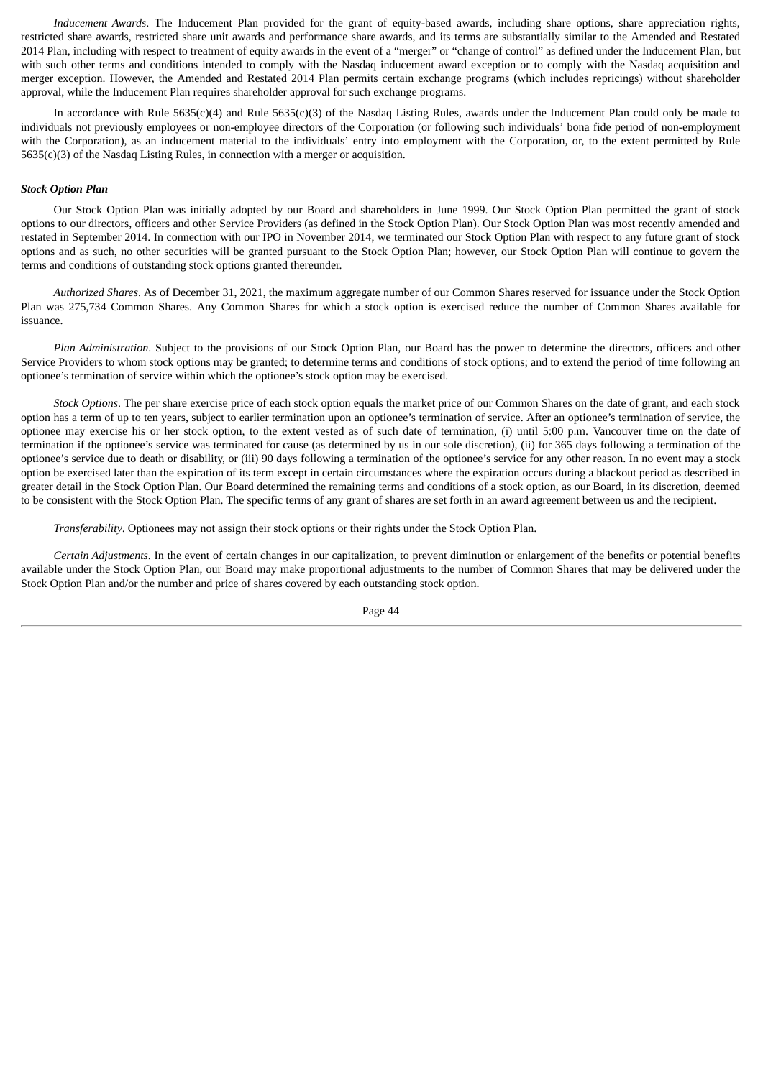*Inducement Awards*. The Inducement Plan provided for the grant of equity-based awards, including share options, share appreciation rights, restricted share awards, restricted share unit awards and performance share awards, and its terms are substantially similar to the Amended and Restated 2014 Plan, including with respect to treatment of equity awards in the event of a "merger" or "change of control" as defined under the Inducement Plan, but with such other terms and conditions intended to comply with the Nasdaq inducement award exception or to comply with the Nasdaq acquisition and merger exception. However, the Amended and Restated 2014 Plan permits certain exchange programs (which includes repricings) without shareholder approval, while the Inducement Plan requires shareholder approval for such exchange programs.

In accordance with Rule 5635(c)(4) and Rule 5635(c)(3) of the Nasdaq Listing Rules, awards under the Inducement Plan could only be made to individuals not previously employees or non-employee directors of the Corporation (or following such individuals' bona fide period of non-employment with the Corporation), as an inducement material to the individuals' entry into employment with the Corporation, or, to the extent permitted by Rule 5635(c)(3) of the Nasdaq Listing Rules, in connection with a merger or acquisition.

### *Stock Option Plan*

Our Stock Option Plan was initially adopted by our Board and shareholders in June 1999. Our Stock Option Plan permitted the grant of stock options to our directors, officers and other Service Providers (as defined in the Stock Option Plan). Our Stock Option Plan was most recently amended and restated in September 2014. In connection with our IPO in November 2014, we terminated our Stock Option Plan with respect to any future grant of stock options and as such, no other securities will be granted pursuant to the Stock Option Plan; however, our Stock Option Plan will continue to govern the terms and conditions of outstanding stock options granted thereunder.

*Authorized Shares*. As of December 31, 2021, the maximum aggregate number of our Common Shares reserved for issuance under the Stock Option Plan was 275,734 Common Shares. Any Common Shares for which a stock option is exercised reduce the number of Common Shares available for issuance.

*Plan Administration*. Subject to the provisions of our Stock Option Plan, our Board has the power to determine the directors, officers and other Service Providers to whom stock options may be granted; to determine terms and conditions of stock options; and to extend the period of time following an optionee's termination of service within which the optionee's stock option may be exercised.

*Stock Options*. The per share exercise price of each stock option equals the market price of our Common Shares on the date of grant, and each stock option has a term of up to ten years, subject to earlier termination upon an optionee's termination of service. After an optionee's termination of service, the optionee may exercise his or her stock option, to the extent vested as of such date of termination, (i) until 5:00 p.m. Vancouver time on the date of termination if the optionee's service was terminated for cause (as determined by us in our sole discretion), (ii) for 365 days following a termination of the optionee's service due to death or disability, or (iii) 90 days following a termination of the optionee's service for any other reason. In no event may a stock option be exercised later than the expiration of its term except in certain circumstances where the expiration occurs during a blackout period as described in greater detail in the Stock Option Plan. Our Board determined the remaining terms and conditions of a stock option, as our Board, in its discretion, deemed to be consistent with the Stock Option Plan. The specific terms of any grant of shares are set forth in an award agreement between us and the recipient.

*Transferability*. Optionees may not assign their stock options or their rights under the Stock Option Plan.

*Certain Adjustments*. In the event of certain changes in our capitalization, to prevent diminution or enlargement of the benefits or potential benefits available under the Stock Option Plan, our Board may make proportional adjustments to the number of Common Shares that may be delivered under the Stock Option Plan and/or the number and price of shares covered by each outstanding stock option.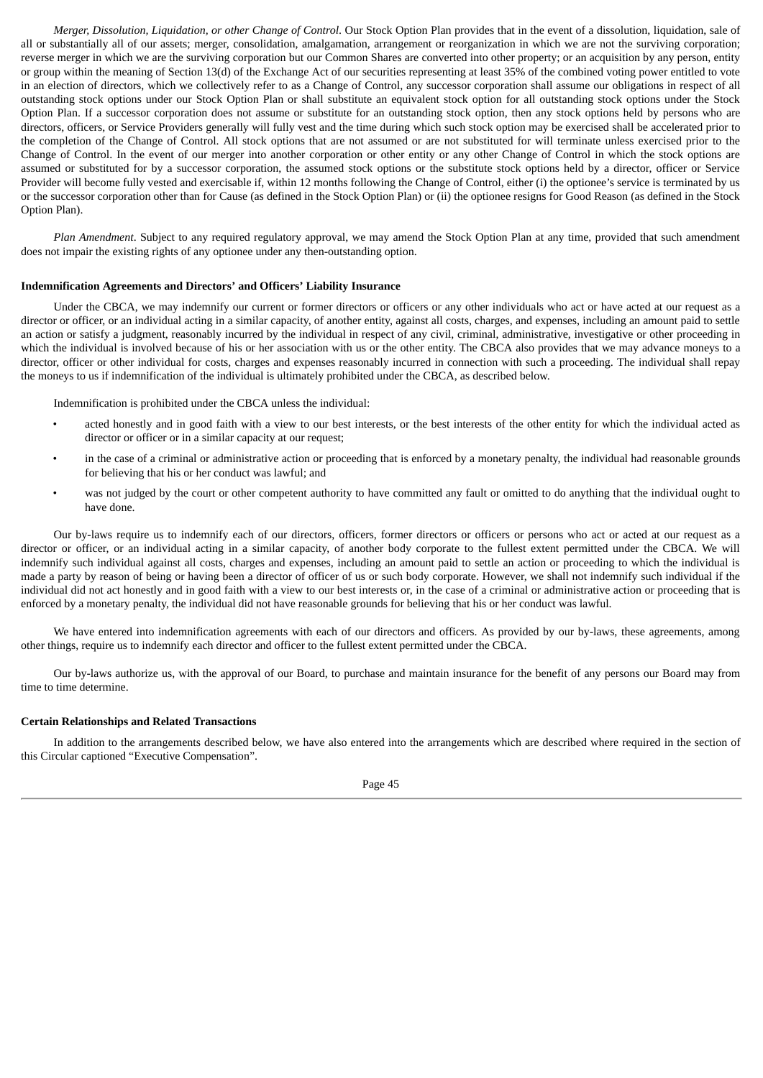*Merger, Dissolution, Liquidation, or other Change of Control*. Our Stock Option Plan provides that in the event of a dissolution, liquidation, sale of all or substantially all of our assets; merger, consolidation, amalgamation, arrangement or reorganization in which we are not the surviving corporation; reverse merger in which we are the surviving corporation but our Common Shares are converted into other property; or an acquisition by any person, entity or group within the meaning of Section 13(d) of the Exchange Act of our securities representing at least 35% of the combined voting power entitled to vote in an election of directors, which we collectively refer to as a Change of Control, any successor corporation shall assume our obligations in respect of all outstanding stock options under our Stock Option Plan or shall substitute an equivalent stock option for all outstanding stock options under the Stock Option Plan. If a successor corporation does not assume or substitute for an outstanding stock option, then any stock options held by persons who are directors, officers, or Service Providers generally will fully vest and the time during which such stock option may be exercised shall be accelerated prior to the completion of the Change of Control. All stock options that are not assumed or are not substituted for will terminate unless exercised prior to the Change of Control. In the event of our merger into another corporation or other entity or any other Change of Control in which the stock options are assumed or substituted for by a successor corporation, the assumed stock options or the substitute stock options held by a director, officer or Service Provider will become fully vested and exercisable if, within 12 months following the Change of Control, either (i) the optionee's service is terminated by us or the successor corporation other than for Cause (as defined in the Stock Option Plan) or (ii) the optionee resigns for Good Reason (as defined in the Stock Option Plan).

*Plan Amendment*. Subject to any required regulatory approval, we may amend the Stock Option Plan at any time, provided that such amendment does not impair the existing rights of any optionee under any then-outstanding option.

### **Indemnification Agreements and Directors' and Officers' Liability Insurance**

Under the CBCA, we may indemnify our current or former directors or officers or any other individuals who act or have acted at our request as a director or officer, or an individual acting in a similar capacity, of another entity, against all costs, charges, and expenses, including an amount paid to settle an action or satisfy a judgment, reasonably incurred by the individual in respect of any civil, criminal, administrative, investigative or other proceeding in which the individual is involved because of his or her association with us or the other entity. The CBCA also provides that we may advance moneys to a director, officer or other individual for costs, charges and expenses reasonably incurred in connection with such a proceeding. The individual shall repay the moneys to us if indemnification of the individual is ultimately prohibited under the CBCA, as described below.

Indemnification is prohibited under the CBCA unless the individual:

- acted honestly and in good faith with a view to our best interests, or the best interests of the other entity for which the individual acted as director or officer or in a similar capacity at our request;
- in the case of a criminal or administrative action or proceeding that is enforced by a monetary penalty, the individual had reasonable grounds for believing that his or her conduct was lawful; and
- was not judged by the court or other competent authority to have committed any fault or omitted to do anything that the individual ought to have done.

Our by-laws require us to indemnify each of our directors, officers, former directors or officers or persons who act or acted at our request as a director or officer, or an individual acting in a similar capacity, of another body corporate to the fullest extent permitted under the CBCA. We will indemnify such individual against all costs, charges and expenses, including an amount paid to settle an action or proceeding to which the individual is made a party by reason of being or having been a director of officer of us or such body corporate. However, we shall not indemnify such individual if the individual did not act honestly and in good faith with a view to our best interests or, in the case of a criminal or administrative action or proceeding that is enforced by a monetary penalty, the individual did not have reasonable grounds for believing that his or her conduct was lawful.

We have entered into indemnification agreements with each of our directors and officers. As provided by our by-laws, these agreements, among other things, require us to indemnify each director and officer to the fullest extent permitted under the CBCA.

Our by-laws authorize us, with the approval of our Board, to purchase and maintain insurance for the benefit of any persons our Board may from time to time determine.

## **Certain Relationships and Related Transactions**

In addition to the arrangements described below, we have also entered into the arrangements which are described where required in the section of this Circular captioned "Executive Compensation".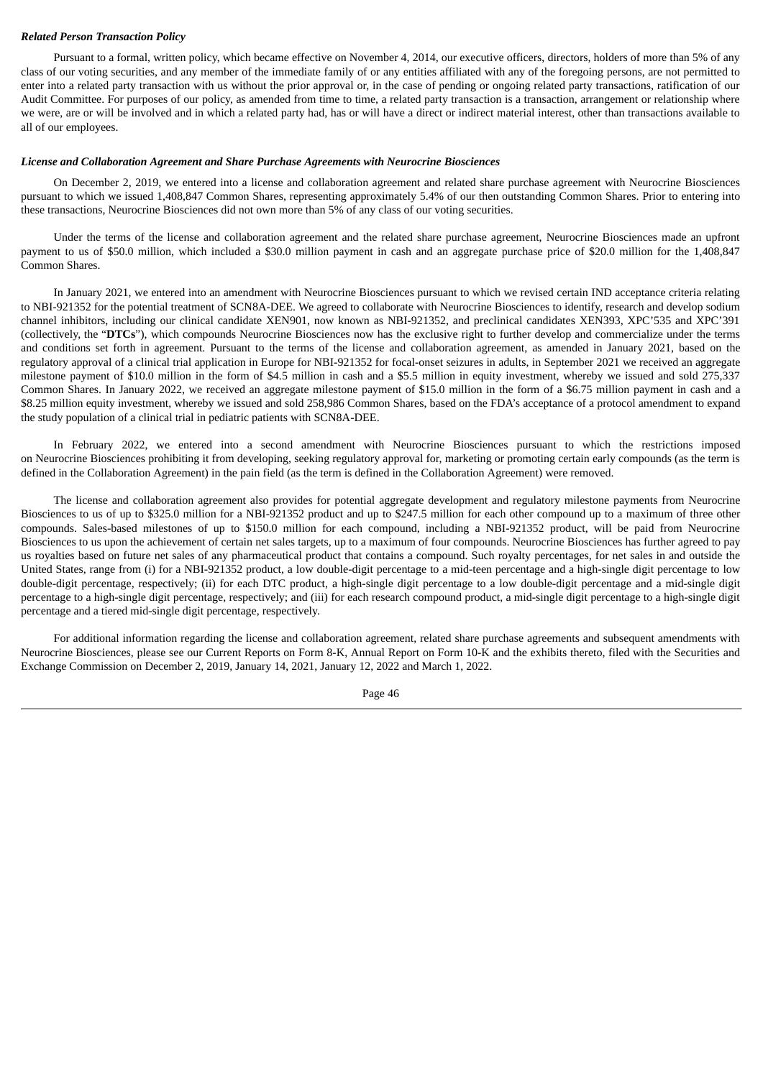### *Related Person Transaction Policy*

Pursuant to a formal, written policy, which became effective on November 4, 2014, our executive officers, directors, holders of more than 5% of any class of our voting securities, and any member of the immediate family of or any entities affiliated with any of the foregoing persons, are not permitted to enter into a related party transaction with us without the prior approval or, in the case of pending or ongoing related party transactions, ratification of our Audit Committee. For purposes of our policy, as amended from time to time, a related party transaction is a transaction, arrangement or relationship where we were, are or will be involved and in which a related party had, has or will have a direct or indirect material interest, other than transactions available to all of our employees.

### *License and Collaboration Agreement and Share Purchase Agreements with Neurocrine Biosciences*

On December 2, 2019, we entered into a license and collaboration agreement and related share purchase agreement with Neurocrine Biosciences pursuant to which we issued 1,408,847 Common Shares, representing approximately 5.4% of our then outstanding Common Shares. Prior to entering into these transactions, Neurocrine Biosciences did not own more than 5% of any class of our voting securities.

Under the terms of the license and collaboration agreement and the related share purchase agreement, Neurocrine Biosciences made an upfront payment to us of \$50.0 million, which included a \$30.0 million payment in cash and an aggregate purchase price of \$20.0 million for the 1,408,847 Common Shares.

In January 2021, we entered into an amendment with Neurocrine Biosciences pursuant to which we revised certain IND acceptance criteria relating to NBI-921352 for the potential treatment of SCN8A-DEE. We agreed to collaborate with Neurocrine Biosciences to identify, research and develop sodium channel inhibitors, including our clinical candidate XEN901, now known as NBI-921352, and preclinical candidates XEN393, XPC'535 and XPC'391 (collectively, the "**DTCs**"), which compounds Neurocrine Biosciences now has the exclusive right to further develop and commercialize under the terms and conditions set forth in agreement. Pursuant to the terms of the license and collaboration agreement, as amended in January 2021, based on the regulatory approval of a clinical trial application in Europe for NBI-921352 for focal-onset seizures in adults, in September 2021 we received an aggregate milestone payment of \$10.0 million in the form of \$4.5 million in cash and a \$5.5 million in equity investment, whereby we issued and sold 275,337 Common Shares. In January 2022, we received an aggregate milestone payment of \$15.0 million in the form of a \$6.75 million payment in cash and a \$8.25 million equity investment, whereby we issued and sold 258,986 Common Shares, based on the FDA's acceptance of a protocol amendment to expand the study population of a clinical trial in pediatric patients with SCN8A-DEE.

In February 2022, we entered into a second amendment with Neurocrine Biosciences pursuant to which the restrictions imposed on Neurocrine Biosciences prohibiting it from developing, seeking regulatory approval for, marketing or promoting certain early compounds (as the term is defined in the Collaboration Agreement) in the pain field (as the term is defined in the Collaboration Agreement) were removed.

The license and collaboration agreement also provides for potential aggregate development and regulatory milestone payments from Neurocrine Biosciences to us of up to \$325.0 million for a NBI-921352 product and up to \$247.5 million for each other compound up to a maximum of three other compounds. Sales-based milestones of up to \$150.0 million for each compound, including a NBI-921352 product, will be paid from Neurocrine Biosciences to us upon the achievement of certain net sales targets, up to a maximum of four compounds. Neurocrine Biosciences has further agreed to pay us royalties based on future net sales of any pharmaceutical product that contains a compound. Such royalty percentages, for net sales in and outside the United States, range from (i) for a NBI-921352 product, a low double-digit percentage to a mid-teen percentage and a high-single digit percentage to low double-digit percentage, respectively; (ii) for each DTC product, a high-single digit percentage to a low double-digit percentage and a mid-single digit percentage to a high-single digit percentage, respectively; and (iii) for each research compound product, a mid-single digit percentage to a high-single digit percentage and a tiered mid-single digit percentage, respectively.

For additional information regarding the license and collaboration agreement, related share purchase agreements and subsequent amendments with Neurocrine Biosciences, please see our Current Reports on Form 8-K, Annual Report on Form 10-K and the exhibits thereto, filed with the Securities and Exchange Commission on December 2, 2019, January 14, 2021, January 12, 2022 and March 1, 2022.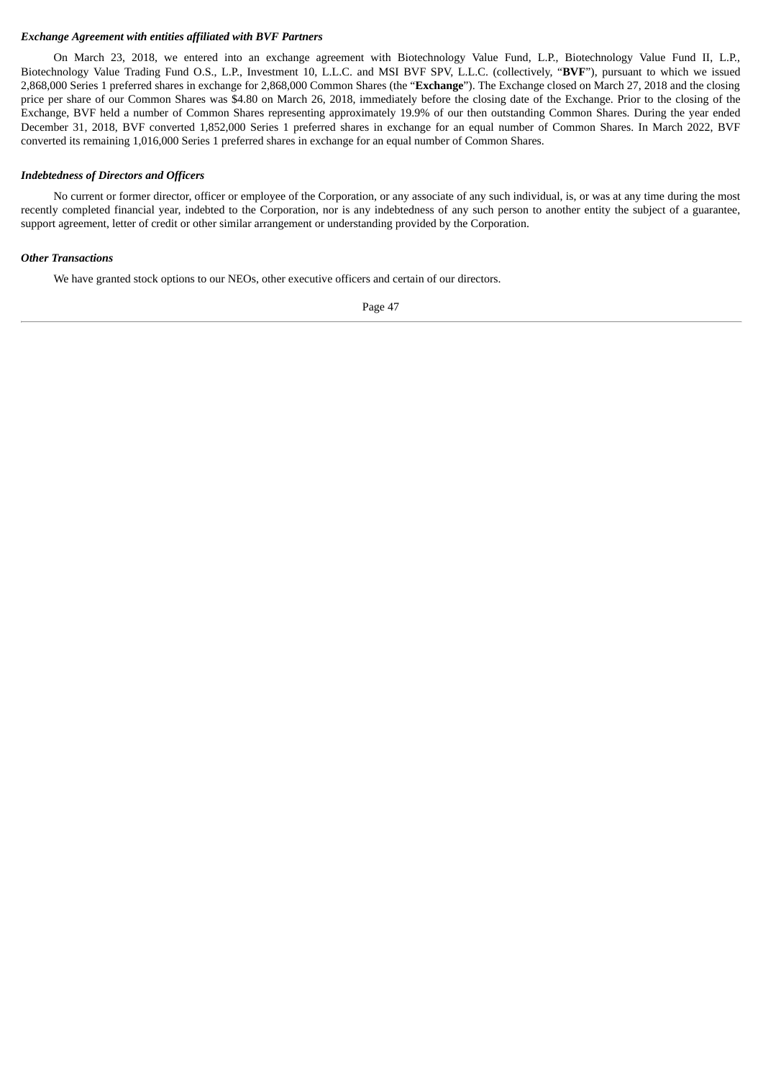## *Exchange Agreement with entities affiliated with BVF Partners*

On March 23, 2018, we entered into an exchange agreement with Biotechnology Value Fund, L.P., Biotechnology Value Fund II, L.P., Biotechnology Value Trading Fund O.S., L.P., Investment 10, L.L.C. and MSI BVF SPV, L.L.C. (collectively, "**BVF**"), pursuant to which we issued 2,868,000 Series 1 preferred shares in exchange for 2,868,000 Common Shares (the "**Exchange**"). The Exchange closed on March 27, 2018 and the closing price per share of our Common Shares was \$4.80 on March 26, 2018, immediately before the closing date of the Exchange. Prior to the closing of the Exchange, BVF held a number of Common Shares representing approximately 19.9% of our then outstanding Common Shares. During the year ended December 31, 2018, BVF converted 1,852,000 Series 1 preferred shares in exchange for an equal number of Common Shares. In March 2022, BVF converted its remaining 1,016,000 Series 1 preferred shares in exchange for an equal number of Common Shares.

### *Indebtedness of Directors and Officers*

No current or former director, officer or employee of the Corporation, or any associate of any such individual, is, or was at any time during the most recently completed financial year, indebted to the Corporation, nor is any indebtedness of any such person to another entity the subject of a guarantee, support agreement, letter of credit or other similar arrangement or understanding provided by the Corporation.

### *Other Transactions*

We have granted stock options to our NEOs, other executive officers and certain of our directors.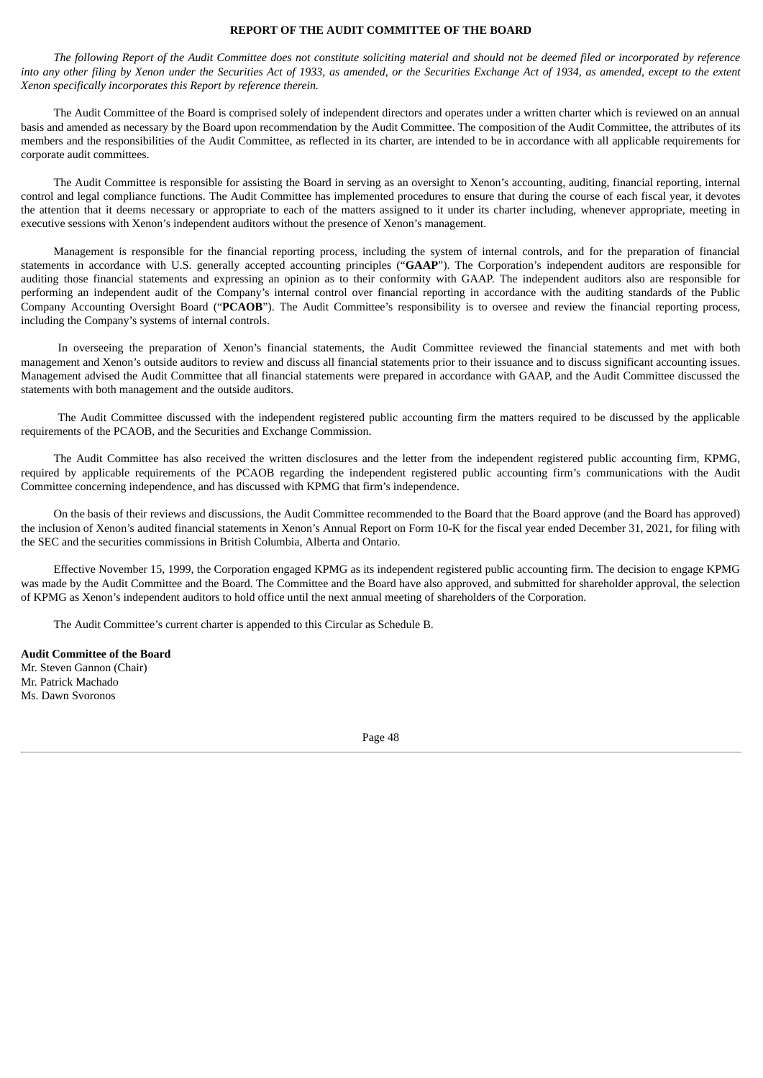#### **REPORT OF THE AUDIT COMMITTEE OF THE BOARD**

The following Report of the Audit Committee does not constitute soliciting material and should not be deemed filed or incorporated by reference into any other filing by Xenon under the Securities Act of 1933, as amended, or the Securities Exchange Act of 1934, as amended, except to the extent *Xenon specifically incorporates this Report by reference therein.*

The Audit Committee of the Board is comprised solely of independent directors and operates under a written charter which is reviewed on an annual basis and amended as necessary by the Board upon recommendation by the Audit Committee. The composition of the Audit Committee, the attributes of its members and the responsibilities of the Audit Committee, as reflected in its charter, are intended to be in accordance with all applicable requirements for corporate audit committees.

The Audit Committee is responsible for assisting the Board in serving as an oversight to Xenon's accounting, auditing, financial reporting, internal control and legal compliance functions. The Audit Committee has implemented procedures to ensure that during the course of each fiscal year, it devotes the attention that it deems necessary or appropriate to each of the matters assigned to it under its charter including, whenever appropriate, meeting in executive sessions with Xenon's independent auditors without the presence of Xenon's management.

Management is responsible for the financial reporting process, including the system of internal controls, and for the preparation of financial statements in accordance with U.S. generally accepted accounting principles ("**GAAP**"). The Corporation's independent auditors are responsible for auditing those financial statements and expressing an opinion as to their conformity with GAAP. The independent auditors also are responsible for performing an independent audit of the Company's internal control over financial reporting in accordance with the auditing standards of the Public Company Accounting Oversight Board ("**PCAOB**"). The Audit Committee's responsibility is to oversee and review the financial reporting process, including the Company's systems of internal controls.

In overseeing the preparation of Xenon's financial statements, the Audit Committee reviewed the financial statements and met with both management and Xenon's outside auditors to review and discuss all financial statements prior to their issuance and to discuss significant accounting issues. Management advised the Audit Committee that all financial statements were prepared in accordance with GAAP, and the Audit Committee discussed the statements with both management and the outside auditors.

The Audit Committee discussed with the independent registered public accounting firm the matters required to be discussed by the applicable requirements of the PCAOB, and the Securities and Exchange Commission.

The Audit Committee has also received the written disclosures and the letter from the independent registered public accounting firm, KPMG, required by applicable requirements of the PCAOB regarding the independent registered public accounting firm's communications with the Audit Committee concerning independence, and has discussed with KPMG that firm's independence.

On the basis of their reviews and discussions, the Audit Committee recommended to the Board that the Board approve (and the Board has approved) the inclusion of Xenon's audited financial statements in Xenon's Annual Report on Form 10-K for the fiscal year ended December 31, 2021, for filing with the SEC and the securities commissions in British Columbia, Alberta and Ontario.

Effective November 15, 1999, the Corporation engaged KPMG as its independent registered public accounting firm. The decision to engage KPMG was made by the Audit Committee and the Board. The Committee and the Board have also approved, and submitted for shareholder approval, the selection of KPMG as Xenon's independent auditors to hold office until the next annual meeting of shareholders of the Corporation.

The Audit Committee's current charter is appended to this Circular as Schedule B.

**Audit Committee of the Board** Mr. Steven Gannon (Chair) Mr. Patrick Machado Ms. Dawn Svoronos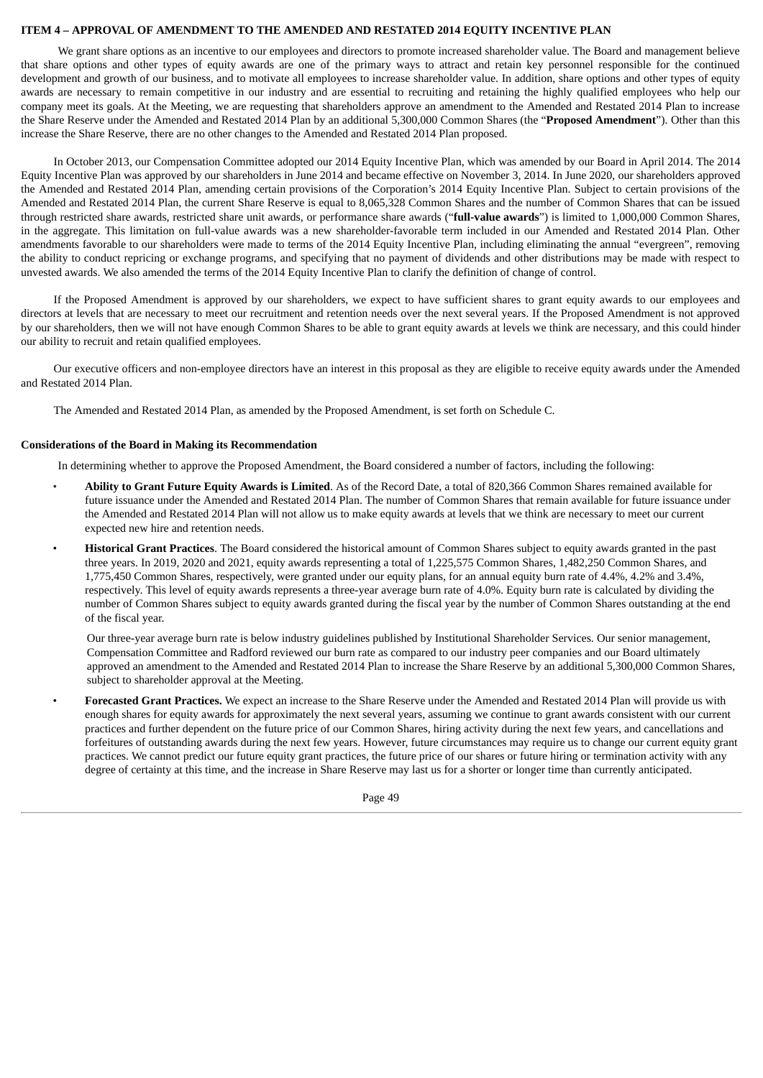#### **ITEM 4 – APPROVAL OF AMENDMENT TO THE AMENDED AND RESTATED 2014 EQUITY INCENTIVE PLAN**

We grant share options as an incentive to our employees and directors to promote increased shareholder value. The Board and management believe that share options and other types of equity awards are one of the primary ways to attract and retain key personnel responsible for the continued development and growth of our business, and to motivate all employees to increase shareholder value. In addition, share options and other types of equity awards are necessary to remain competitive in our industry and are essential to recruiting and retaining the highly qualified employees who help our company meet its goals. At the Meeting, we are requesting that shareholders approve an amendment to the Amended and Restated 2014 Plan to increase the Share Reserve under the Amended and Restated 2014 Plan by an additional 5,300,000 Common Shares (the "**Proposed Amendment**"). Other than this increase the Share Reserve, there are no other changes to the Amended and Restated 2014 Plan proposed.

In October 2013, our Compensation Committee adopted our 2014 Equity Incentive Plan, which was amended by our Board in April 2014. The 2014 Equity Incentive Plan was approved by our shareholders in June 2014 and became effective on November 3, 2014. In June 2020, our shareholders approved the Amended and Restated 2014 Plan, amending certain provisions of the Corporation's 2014 Equity Incentive Plan. Subject to certain provisions of the Amended and Restated 2014 Plan, the current Share Reserve is equal to 8,065,328 Common Shares and the number of Common Shares that can be issued through restricted share awards, restricted share unit awards, or performance share awards ("**full-value awards**") is limited to 1,000,000 Common Shares, in the aggregate. This limitation on full-value awards was a new shareholder-favorable term included in our Amended and Restated 2014 Plan. Other amendments favorable to our shareholders were made to terms of the 2014 Equity Incentive Plan, including eliminating the annual "evergreen", removing the ability to conduct repricing or exchange programs, and specifying that no payment of dividends and other distributions may be made with respect to unvested awards. We also amended the terms of the 2014 Equity Incentive Plan to clarify the definition of change of control.

If the Proposed Amendment is approved by our shareholders, we expect to have sufficient shares to grant equity awards to our employees and directors at levels that are necessary to meet our recruitment and retention needs over the next several years. If the Proposed Amendment is not approved by our shareholders, then we will not have enough Common Shares to be able to grant equity awards at levels we think are necessary, and this could hinder our ability to recruit and retain qualified employees.

Our executive officers and non-employee directors have an interest in this proposal as they are eligible to receive equity awards under the Amended and Restated 2014 Plan.

The Amended and Restated 2014 Plan, as amended by the Proposed Amendment, is set forth on Schedule C.

### **Considerations of the Board in Making its Recommendation**

In determining whether to approve the Proposed Amendment, the Board considered a number of factors, including the following:

- **Ability to Grant Future Equity Awards is Limited**. As of the Record Date, a total of 820,366 Common Shares remained available for future issuance under the Amended and Restated 2014 Plan. The number of Common Shares that remain available for future issuance under the Amended and Restated 2014 Plan will not allow us to make equity awards at levels that we think are necessary to meet our current expected new hire and retention needs.
- **Historical Grant Practices**. The Board considered the historical amount of Common Shares subject to equity awards granted in the past three years. In 2019, 2020 and 2021, equity awards representing a total of 1,225,575 Common Shares, 1,482,250 Common Shares, and 1,775,450 Common Shares, respectively, were granted under our equity plans, for an annual equity burn rate of 4.4%, 4.2% and 3.4%, respectively. This level of equity awards represents a three-year average burn rate of 4.0%. Equity burn rate is calculated by dividing the number of Common Shares subject to equity awards granted during the fiscal year by the number of Common Shares outstanding at the end of the fiscal year.

Our three-year average burn rate is below industry guidelines published by Institutional Shareholder Services. Our senior management, Compensation Committee and Radford reviewed our burn rate as compared to our industry peer companies and our Board ultimately approved an amendment to the Amended and Restated 2014 Plan to increase the Share Reserve by an additional 5,300,000 Common Shares, subject to shareholder approval at the Meeting.

• **Forecasted Grant Practices.** We expect an increase to the Share Reserve under the Amended and Restated 2014 Plan will provide us with enough shares for equity awards for approximately the next several years, assuming we continue to grant awards consistent with our current practices and further dependent on the future price of our Common Shares, hiring activity during the next few years, and cancellations and forfeitures of outstanding awards during the next few years. However, future circumstances may require us to change our current equity grant practices. We cannot predict our future equity grant practices, the future price of our shares or future hiring or termination activity with any degree of certainty at this time, and the increase in Share Reserve may last us for a shorter or longer time than currently anticipated.

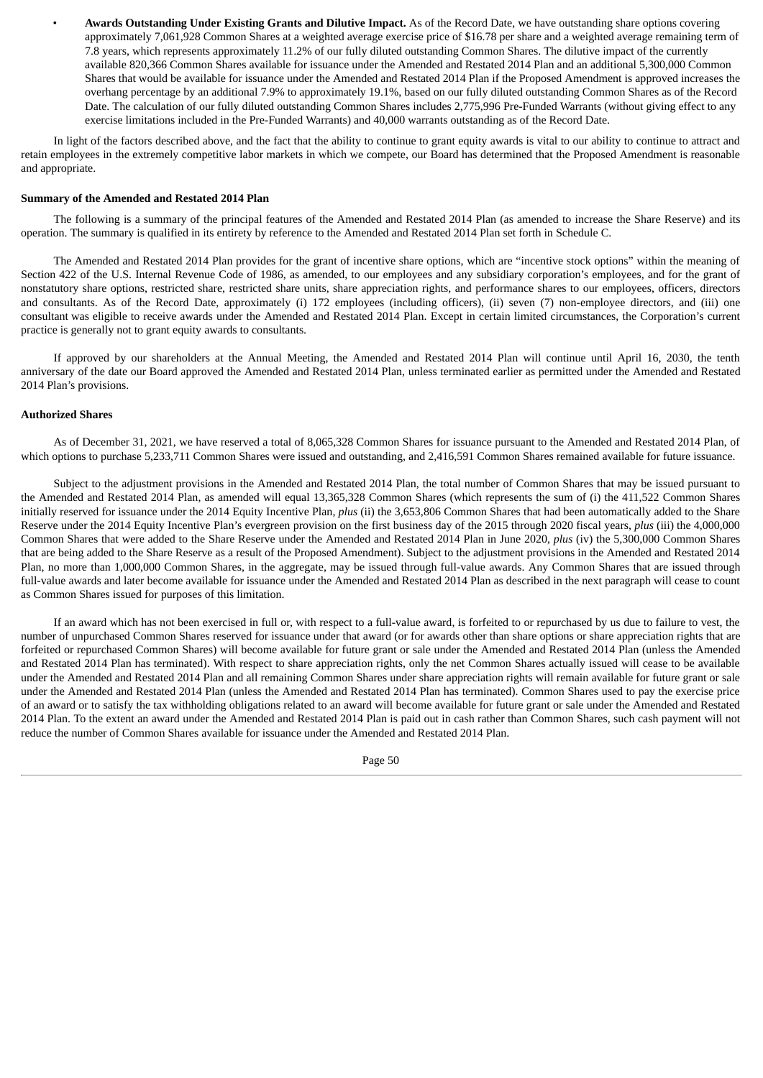• **Awards Outstanding Under Existing Grants and Dilutive Impact.** As of the Record Date, we have outstanding share options covering approximately 7,061,928 Common Shares at a weighted average exercise price of \$16.78 per share and a weighted average remaining term of 7.8 years, which represents approximately 11.2% of our fully diluted outstanding Common Shares. The dilutive impact of the currently available 820,366 Common Shares available for issuance under the Amended and Restated 2014 Plan and an additional 5,300,000 Common Shares that would be available for issuance under the Amended and Restated 2014 Plan if the Proposed Amendment is approved increases the overhang percentage by an additional 7.9% to approximately 19.1%, based on our fully diluted outstanding Common Shares as of the Record Date. The calculation of our fully diluted outstanding Common Shares includes 2,775,996 Pre-Funded Warrants (without giving effect to any exercise limitations included in the Pre-Funded Warrants) and 40,000 warrants outstanding as of the Record Date.

In light of the factors described above, and the fact that the ability to continue to grant equity awards is vital to our ability to continue to attract and retain employees in the extremely competitive labor markets in which we compete, our Board has determined that the Proposed Amendment is reasonable and appropriate.

#### **Summary of the Amended and Restated 2014 Plan**

The following is a summary of the principal features of the Amended and Restated 2014 Plan (as amended to increase the Share Reserve) and its operation. The summary is qualified in its entirety by reference to the Amended and Restated 2014 Plan set forth in Schedule C.

The Amended and Restated 2014 Plan provides for the grant of incentive share options, which are "incentive stock options" within the meaning of Section 422 of the U.S. Internal Revenue Code of 1986, as amended, to our employees and any subsidiary corporation's employees, and for the grant of nonstatutory share options, restricted share, restricted share units, share appreciation rights, and performance shares to our employees, officers, directors and consultants. As of the Record Date, approximately (i) 172 employees (including officers), (ii) seven (7) non-employee directors, and (iii) one consultant was eligible to receive awards under the Amended and Restated 2014 Plan. Except in certain limited circumstances, the Corporation's current practice is generally not to grant equity awards to consultants.

If approved by our shareholders at the Annual Meeting, the Amended and Restated 2014 Plan will continue until April 16, 2030, the tenth anniversary of the date our Board approved the Amended and Restated 2014 Plan, unless terminated earlier as permitted under the Amended and Restated 2014 Plan's provisions.

#### **Authorized Shares**

As of December 31, 2021, we have reserved a total of 8,065,328 Common Shares for issuance pursuant to the Amended and Restated 2014 Plan, of which options to purchase 5,233,711 Common Shares were issued and outstanding, and 2,416,591 Common Shares remained available for future issuance.

Subject to the adjustment provisions in the Amended and Restated 2014 Plan, the total number of Common Shares that may be issued pursuant to the Amended and Restated 2014 Plan, as amended will equal 13,365,328 Common Shares (which represents the sum of (i) the 411,522 Common Shares initially reserved for issuance under the 2014 Equity Incentive Plan, *plus* (ii) the 3,653,806 Common Shares that had been automatically added to the Share Reserve under the 2014 Equity Incentive Plan's evergreen provision on the first business day of the 2015 through 2020 fiscal years, *plus* (iii) the 4,000,000 Common Shares that were added to the Share Reserve under the Amended and Restated 2014 Plan in June 2020, *plus* (iv) the 5,300,000 Common Shares that are being added to the Share Reserve as a result of the Proposed Amendment). Subject to the adjustment provisions in the Amended and Restated 2014 Plan, no more than 1,000,000 Common Shares, in the aggregate, may be issued through full-value awards. Any Common Shares that are issued through full-value awards and later become available for issuance under the Amended and Restated 2014 Plan as described in the next paragraph will cease to count as Common Shares issued for purposes of this limitation.

If an award which has not been exercised in full or, with respect to a full-value award, is forfeited to or repurchased by us due to failure to vest, the number of unpurchased Common Shares reserved for issuance under that award (or for awards other than share options or share appreciation rights that are forfeited or repurchased Common Shares) will become available for future grant or sale under the Amended and Restated 2014 Plan (unless the Amended and Restated 2014 Plan has terminated). With respect to share appreciation rights, only the net Common Shares actually issued will cease to be available under the Amended and Restated 2014 Plan and all remaining Common Shares under share appreciation rights will remain available for future grant or sale under the Amended and Restated 2014 Plan (unless the Amended and Restated 2014 Plan has terminated). Common Shares used to pay the exercise price of an award or to satisfy the tax withholding obligations related to an award will become available for future grant or sale under the Amended and Restated 2014 Plan. To the extent an award under the Amended and Restated 2014 Plan is paid out in cash rather than Common Shares, such cash payment will not reduce the number of Common Shares available for issuance under the Amended and Restated 2014 Plan.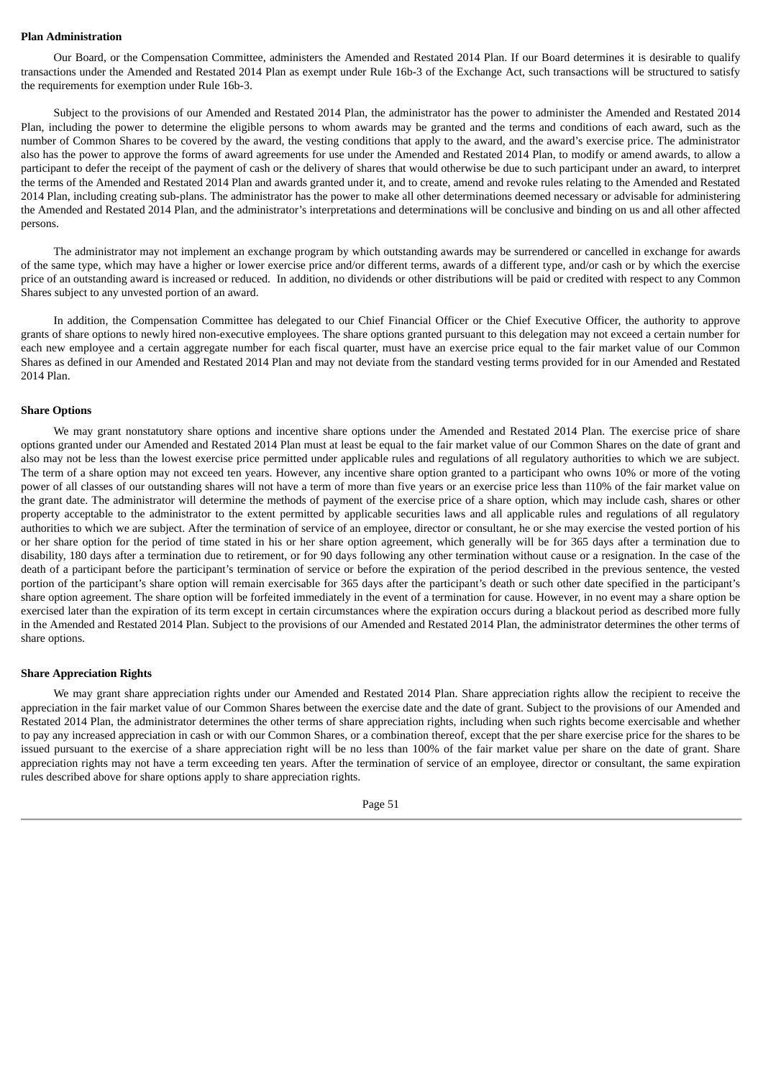#### **Plan Administration**

Our Board, or the Compensation Committee, administers the Amended and Restated 2014 Plan. If our Board determines it is desirable to qualify transactions under the Amended and Restated 2014 Plan as exempt under Rule 16b-3 of the Exchange Act, such transactions will be structured to satisfy the requirements for exemption under Rule 16b-3.

Subject to the provisions of our Amended and Restated 2014 Plan, the administrator has the power to administer the Amended and Restated 2014 Plan, including the power to determine the eligible persons to whom awards may be granted and the terms and conditions of each award, such as the number of Common Shares to be covered by the award, the vesting conditions that apply to the award, and the award's exercise price. The administrator also has the power to approve the forms of award agreements for use under the Amended and Restated 2014 Plan, to modify or amend awards, to allow a participant to defer the receipt of the payment of cash or the delivery of shares that would otherwise be due to such participant under an award, to interpret the terms of the Amended and Restated 2014 Plan and awards granted under it, and to create, amend and revoke rules relating to the Amended and Restated 2014 Plan, including creating sub-plans. The administrator has the power to make all other determinations deemed necessary or advisable for administering the Amended and Restated 2014 Plan, and the administrator's interpretations and determinations will be conclusive and binding on us and all other affected persons.

The administrator may not implement an exchange program by which outstanding awards may be surrendered or cancelled in exchange for awards of the same type, which may have a higher or lower exercise price and/or different terms, awards of a different type, and/or cash or by which the exercise price of an outstanding award is increased or reduced. In addition, no dividends or other distributions will be paid or credited with respect to any Common Shares subject to any unvested portion of an award.

In addition, the Compensation Committee has delegated to our Chief Financial Officer or the Chief Executive Officer, the authority to approve grants of share options to newly hired non-executive employees. The share options granted pursuant to this delegation may not exceed a certain number for each new employee and a certain aggregate number for each fiscal quarter, must have an exercise price equal to the fair market value of our Common Shares as defined in our Amended and Restated 2014 Plan and may not deviate from the standard vesting terms provided for in our Amended and Restated 2014 Plan.

#### **Share Options**

We may grant nonstatutory share options and incentive share options under the Amended and Restated 2014 Plan. The exercise price of share options granted under our Amended and Restated 2014 Plan must at least be equal to the fair market value of our Common Shares on the date of grant and also may not be less than the lowest exercise price permitted under applicable rules and regulations of all regulatory authorities to which we are subject. The term of a share option may not exceed ten years. However, any incentive share option granted to a participant who owns 10% or more of the voting power of all classes of our outstanding shares will not have a term of more than five years or an exercise price less than 110% of the fair market value on the grant date. The administrator will determine the methods of payment of the exercise price of a share option, which may include cash, shares or other property acceptable to the administrator to the extent permitted by applicable securities laws and all applicable rules and regulations of all regulatory authorities to which we are subject. After the termination of service of an employee, director or consultant, he or she may exercise the vested portion of his or her share option for the period of time stated in his or her share option agreement, which generally will be for 365 days after a termination due to disability, 180 days after a termination due to retirement, or for 90 days following any other termination without cause or a resignation. In the case of the death of a participant before the participant's termination of service or before the expiration of the period described in the previous sentence, the vested portion of the participant's share option will remain exercisable for 365 days after the participant's death or such other date specified in the participant's share option agreement. The share option will be forfeited immediately in the event of a termination for cause. However, in no event may a share option be exercised later than the expiration of its term except in certain circumstances where the expiration occurs during a blackout period as described more fully in the Amended and Restated 2014 Plan. Subject to the provisions of our Amended and Restated 2014 Plan, the administrator determines the other terms of share options.

#### **Share Appreciation Rights**

We may grant share appreciation rights under our Amended and Restated 2014 Plan. Share appreciation rights allow the recipient to receive the appreciation in the fair market value of our Common Shares between the exercise date and the date of grant. Subject to the provisions of our Amended and Restated 2014 Plan, the administrator determines the other terms of share appreciation rights, including when such rights become exercisable and whether to pay any increased appreciation in cash or with our Common Shares, or a combination thereof, except that the per share exercise price for the shares to be issued pursuant to the exercise of a share appreciation right will be no less than 100% of the fair market value per share on the date of grant. Share appreciation rights may not have a term exceeding ten years. After the termination of service of an employee, director or consultant, the same expiration rules described above for share options apply to share appreciation rights.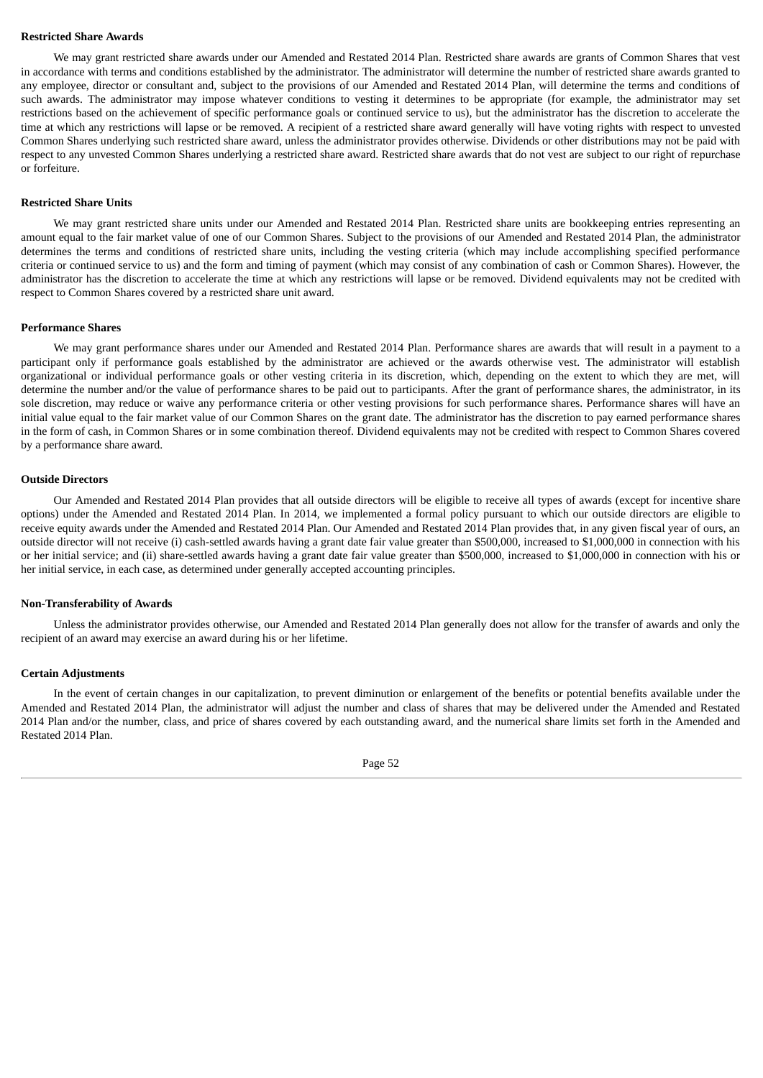#### **Restricted Share Awards**

We may grant restricted share awards under our Amended and Restated 2014 Plan. Restricted share awards are grants of Common Shares that vest in accordance with terms and conditions established by the administrator. The administrator will determine the number of restricted share awards granted to any employee, director or consultant and, subject to the provisions of our Amended and Restated 2014 Plan, will determine the terms and conditions of such awards. The administrator may impose whatever conditions to vesting it determines to be appropriate (for example, the administrator may set restrictions based on the achievement of specific performance goals or continued service to us), but the administrator has the discretion to accelerate the time at which any restrictions will lapse or be removed. A recipient of a restricted share award generally will have voting rights with respect to unvested Common Shares underlying such restricted share award, unless the administrator provides otherwise. Dividends or other distributions may not be paid with respect to any unvested Common Shares underlying a restricted share award. Restricted share awards that do not vest are subject to our right of repurchase or forfeiture.

#### **Restricted Share Units**

We may grant restricted share units under our Amended and Restated 2014 Plan. Restricted share units are bookkeeping entries representing an amount equal to the fair market value of one of our Common Shares. Subject to the provisions of our Amended and Restated 2014 Plan, the administrator determines the terms and conditions of restricted share units, including the vesting criteria (which may include accomplishing specified performance criteria or continued service to us) and the form and timing of payment (which may consist of any combination of cash or Common Shares). However, the administrator has the discretion to accelerate the time at which any restrictions will lapse or be removed. Dividend equivalents may not be credited with respect to Common Shares covered by a restricted share unit award.

#### **Performance Shares**

We may grant performance shares under our Amended and Restated 2014 Plan. Performance shares are awards that will result in a payment to a participant only if performance goals established by the administrator are achieved or the awards otherwise vest. The administrator will establish organizational or individual performance goals or other vesting criteria in its discretion, which, depending on the extent to which they are met, will determine the number and/or the value of performance shares to be paid out to participants. After the grant of performance shares, the administrator, in its sole discretion, may reduce or waive any performance criteria or other vesting provisions for such performance shares. Performance shares will have an initial value equal to the fair market value of our Common Shares on the grant date. The administrator has the discretion to pay earned performance shares in the form of cash, in Common Shares or in some combination thereof. Dividend equivalents may not be credited with respect to Common Shares covered by a performance share award.

#### **Outside Directors**

Our Amended and Restated 2014 Plan provides that all outside directors will be eligible to receive all types of awards (except for incentive share options) under the Amended and Restated 2014 Plan. In 2014, we implemented a formal policy pursuant to which our outside directors are eligible to receive equity awards under the Amended and Restated 2014 Plan. Our Amended and Restated 2014 Plan provides that, in any given fiscal year of ours, an outside director will not receive (i) cash-settled awards having a grant date fair value greater than \$500,000, increased to \$1,000,000 in connection with his or her initial service; and (ii) share-settled awards having a grant date fair value greater than \$500,000, increased to \$1,000,000 in connection with his or her initial service, in each case, as determined under generally accepted accounting principles.

### **Non-Transferability of Awards**

Unless the administrator provides otherwise, our Amended and Restated 2014 Plan generally does not allow for the transfer of awards and only the recipient of an award may exercise an award during his or her lifetime.

#### **Certain Adjustments**

In the event of certain changes in our capitalization, to prevent diminution or enlargement of the benefits or potential benefits available under the Amended and Restated 2014 Plan, the administrator will adjust the number and class of shares that may be delivered under the Amended and Restated 2014 Plan and/or the number, class, and price of shares covered by each outstanding award, and the numerical share limits set forth in the Amended and Restated 2014 Plan.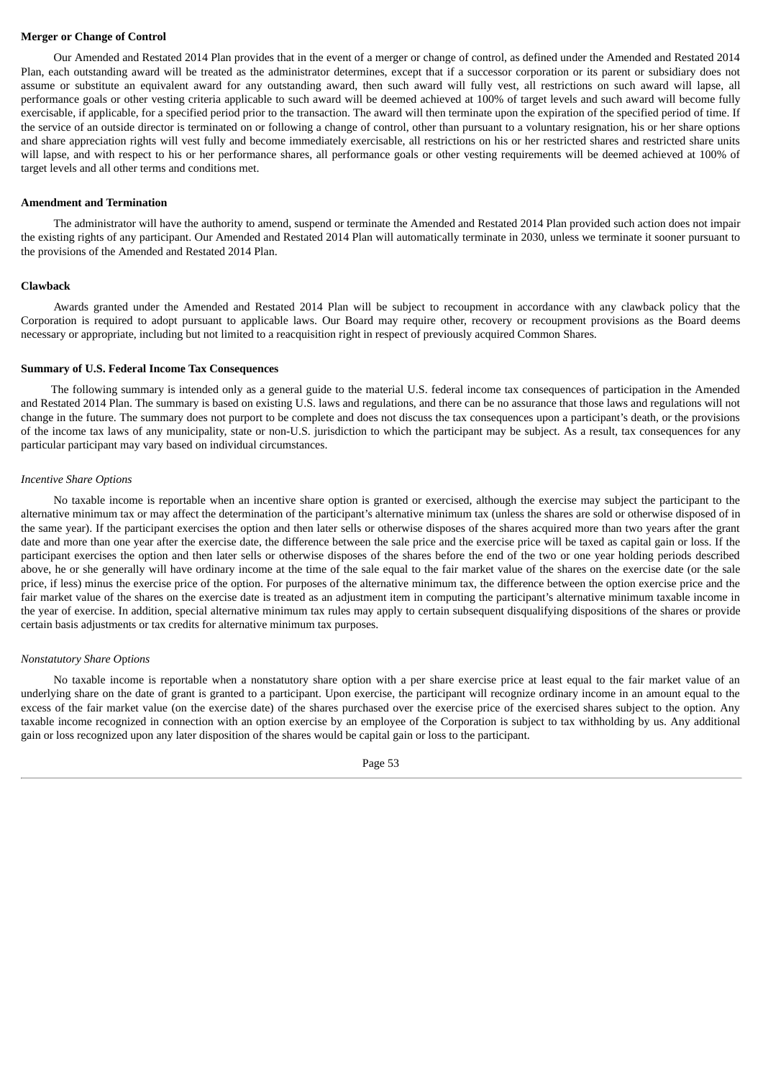### **Merger or Change of Control**

Our Amended and Restated 2014 Plan provides that in the event of a merger or change of control, as defined under the Amended and Restated 2014 Plan, each outstanding award will be treated as the administrator determines, except that if a successor corporation or its parent or subsidiary does not assume or substitute an equivalent award for any outstanding award, then such award will fully vest, all restrictions on such award will lapse, all performance goals or other vesting criteria applicable to such award will be deemed achieved at 100% of target levels and such award will become fully exercisable, if applicable, for a specified period prior to the transaction. The award will then terminate upon the expiration of the specified period of time. If the service of an outside director is terminated on or following a change of control, other than pursuant to a voluntary resignation, his or her share options and share appreciation rights will vest fully and become immediately exercisable, all restrictions on his or her restricted shares and restricted share units will lapse, and with respect to his or her performance shares, all performance goals or other vesting requirements will be deemed achieved at 100% of target levels and all other terms and conditions met.

#### **Amendment and Termination**

The administrator will have the authority to amend, suspend or terminate the Amended and Restated 2014 Plan provided such action does not impair the existing rights of any participant. Our Amended and Restated 2014 Plan will automatically terminate in 2030, unless we terminate it sooner pursuant to the provisions of the Amended and Restated 2014 Plan.

#### **Clawback**

Awards granted under the Amended and Restated 2014 Plan will be subject to recoupment in accordance with any clawback policy that the Corporation is required to adopt pursuant to applicable laws. Our Board may require other, recovery or recoupment provisions as the Board deems necessary or appropriate, including but not limited to a reacquisition right in respect of previously acquired Common Shares.

#### **Summary of U.S. Federal Income Tax Consequences**

The following summary is intended only as a general guide to the material U.S. federal income tax consequences of participation in the Amended and Restated 2014 Plan. The summary is based on existing U.S. laws and regulations, and there can be no assurance that those laws and regulations will not change in the future. The summary does not purport to be complete and does not discuss the tax consequences upon a participant's death, or the provisions of the income tax laws of any municipality, state or non-U.S. jurisdiction to which the participant may be subject. As a result, tax consequences for any particular participant may vary based on individual circumstances.

#### *Incentive Share Options*

No taxable income is reportable when an incentive share option is granted or exercised, although the exercise may subject the participant to the alternative minimum tax or may affect the determination of the participant's alternative minimum tax (unless the shares are sold or otherwise disposed of in the same year). If the participant exercises the option and then later sells or otherwise disposes of the shares acquired more than two years after the grant date and more than one year after the exercise date, the difference between the sale price and the exercise price will be taxed as capital gain or loss. If the participant exercises the option and then later sells or otherwise disposes of the shares before the end of the two or one year holding periods described above, he or she generally will have ordinary income at the time of the sale equal to the fair market value of the shares on the exercise date (or the sale price, if less) minus the exercise price of the option. For purposes of the alternative minimum tax, the difference between the option exercise price and the fair market value of the shares on the exercise date is treated as an adjustment item in computing the participant's alternative minimum taxable income in the year of exercise. In addition, special alternative minimum tax rules may apply to certain subsequent disqualifying dispositions of the shares or provide certain basis adjustments or tax credits for alternative minimum tax purposes.

#### *Nonstatutory Share O*p*tions*

No taxable income is reportable when a nonstatutory share option with a per share exercise price at least equal to the fair market value of an underlying share on the date of grant is granted to a participant. Upon exercise, the participant will recognize ordinary income in an amount equal to the excess of the fair market value (on the exercise date) of the shares purchased over the exercise price of the exercised shares subject to the option. Any taxable income recognized in connection with an option exercise by an employee of the Corporation is subject to tax withholding by us. Any additional gain or loss recognized upon any later disposition of the shares would be capital gain or loss to the participant.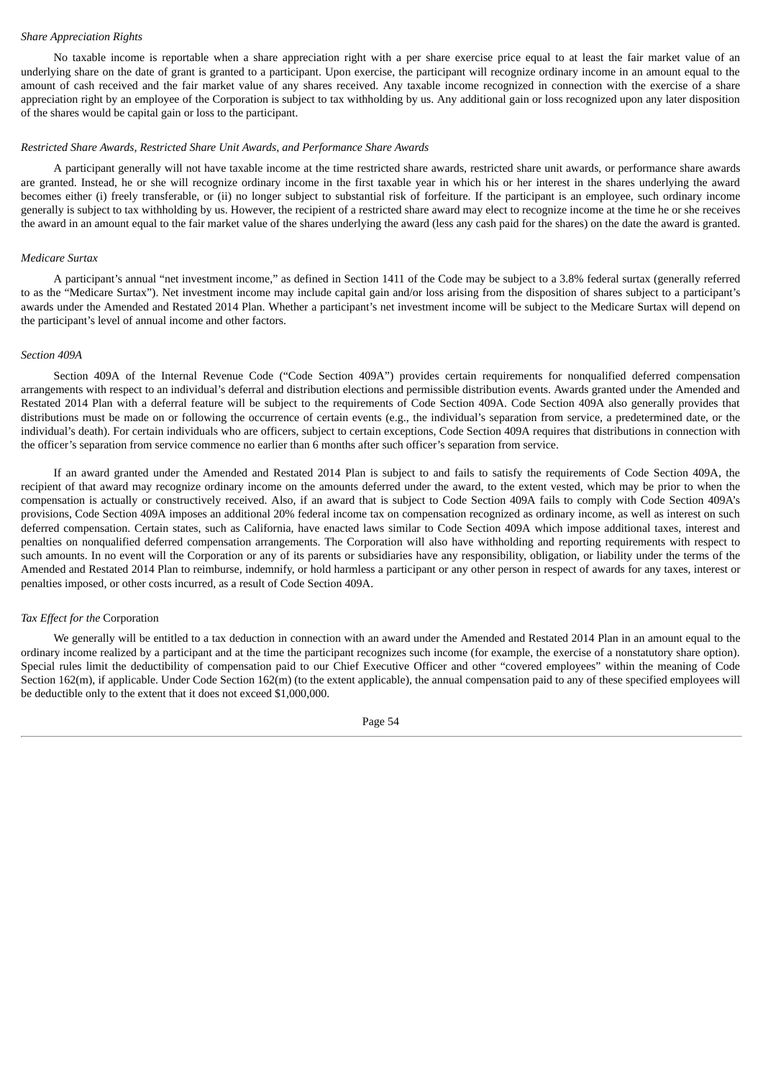#### *Share Appreciation Rights*

No taxable income is reportable when a share appreciation right with a per share exercise price equal to at least the fair market value of an underlying share on the date of grant is granted to a participant. Upon exercise, the participant will recognize ordinary income in an amount equal to the amount of cash received and the fair market value of any shares received. Any taxable income recognized in connection with the exercise of a share appreciation right by an employee of the Corporation is subject to tax withholding by us. Any additional gain or loss recognized upon any later disposition of the shares would be capital gain or loss to the participant.

#### *Restricted Share Awards, Restricted Share Unit Awards, and Performance Share Awards*

A participant generally will not have taxable income at the time restricted share awards, restricted share unit awards, or performance share awards are granted. Instead, he or she will recognize ordinary income in the first taxable year in which his or her interest in the shares underlying the award becomes either (i) freely transferable, or (ii) no longer subject to substantial risk of forfeiture. If the participant is an employee, such ordinary income generally is subject to tax withholding by us. However, the recipient of a restricted share award may elect to recognize income at the time he or she receives the award in an amount equal to the fair market value of the shares underlying the award (less any cash paid for the shares) on the date the award is granted.

#### *Medicare Surtax*

A participant's annual "net investment income," as defined in Section 1411 of the Code may be subject to a 3.8% federal surtax (generally referred to as the "Medicare Surtax"). Net investment income may include capital gain and/or loss arising from the disposition of shares subject to a participant's awards under the Amended and Restated 2014 Plan. Whether a participant's net investment income will be subject to the Medicare Surtax will depend on the participant's level of annual income and other factors.

## *Section 409A*

Section 409A of the Internal Revenue Code ("Code Section 409A") provides certain requirements for nonqualified deferred compensation arrangements with respect to an individual's deferral and distribution elections and permissible distribution events. Awards granted under the Amended and Restated 2014 Plan with a deferral feature will be subject to the requirements of Code Section 409A. Code Section 409A also generally provides that distributions must be made on or following the occurrence of certain events (e.g., the individual's separation from service, a predetermined date, or the individual's death). For certain individuals who are officers, subject to certain exceptions, Code Section 409A requires that distributions in connection with the officer's separation from service commence no earlier than 6 months after such officer's separation from service.

If an award granted under the Amended and Restated 2014 Plan is subject to and fails to satisfy the requirements of Code Section 409A, the recipient of that award may recognize ordinary income on the amounts deferred under the award, to the extent vested, which may be prior to when the compensation is actually or constructively received. Also, if an award that is subject to Code Section 409A fails to comply with Code Section 409A's provisions, Code Section 409A imposes an additional 20% federal income tax on compensation recognized as ordinary income, as well as interest on such deferred compensation. Certain states, such as California, have enacted laws similar to Code Section 409A which impose additional taxes, interest and penalties on nonqualified deferred compensation arrangements. The Corporation will also have withholding and reporting requirements with respect to such amounts. In no event will the Corporation or any of its parents or subsidiaries have any responsibility, obligation, or liability under the terms of the Amended and Restated 2014 Plan to reimburse, indemnify, or hold harmless a participant or any other person in respect of awards for any taxes, interest or penalties imposed, or other costs incurred, as a result of Code Section 409A.

#### *Tax Effect for the* Corporation

We generally will be entitled to a tax deduction in connection with an award under the Amended and Restated 2014 Plan in an amount equal to the ordinary income realized by a participant and at the time the participant recognizes such income (for example, the exercise of a nonstatutory share option). Special rules limit the deductibility of compensation paid to our Chief Executive Officer and other "covered employees" within the meaning of Code Section 162(m), if applicable. Under Code Section 162(m) (to the extent applicable), the annual compensation paid to any of these specified employees will be deductible only to the extent that it does not exceed \$1,000,000.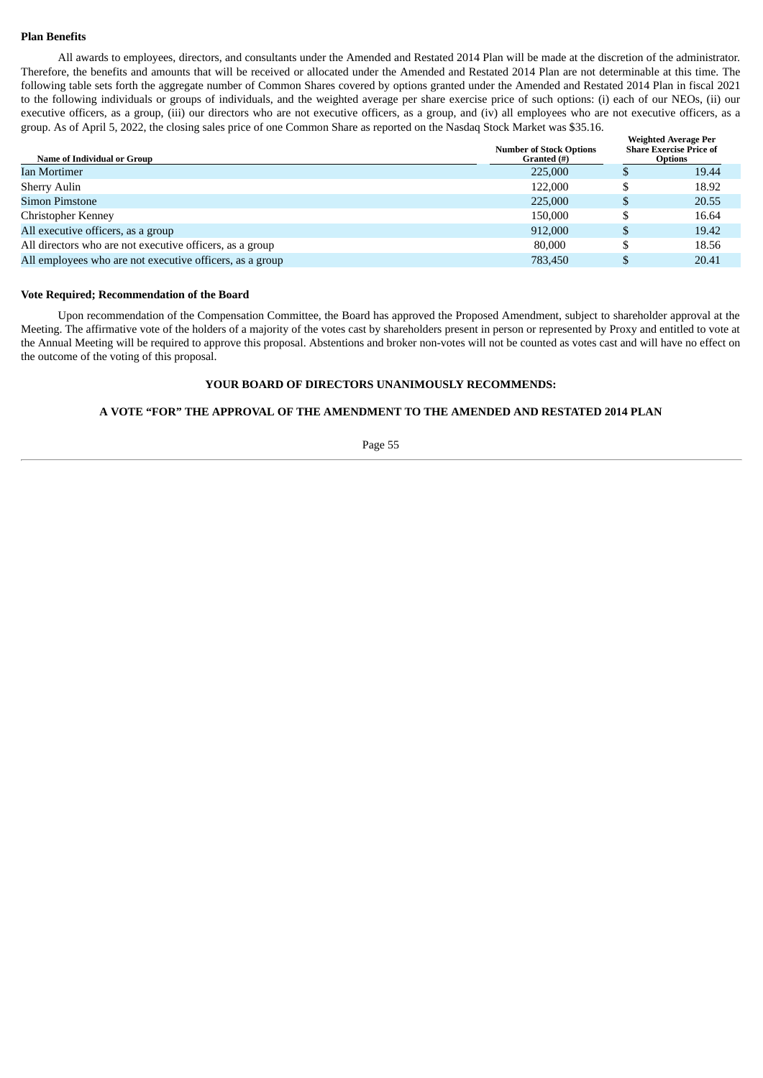## **Plan Benefits**

All awards to employees, directors, and consultants under the Amended and Restated 2014 Plan will be made at the discretion of the administrator. Therefore, the benefits and amounts that will be received or allocated under the Amended and Restated 2014 Plan are not determinable at this time. The following table sets forth the aggregate number of Common Shares covered by options granted under the Amended and Restated 2014 Plan in fiscal 2021 to the following individuals or groups of individuals, and the weighted average per share exercise price of such options: (i) each of our NEOs, (ii) our executive officers, as a group, (iii) our directors who are not executive officers, as a group, and (iv) all employees who are not executive officers, as a group. As of April 5, 2022, the closing sales price of one Common Share as reported on the Nasdaq Stock Market was \$35.16.

| Name of Individual or Group                              | <b>Number of Stock Options</b><br>Granted (#) | <b>Weighted Average Per</b><br><b>Share Exercise Price of</b><br><b>Options</b> |       |  |
|----------------------------------------------------------|-----------------------------------------------|---------------------------------------------------------------------------------|-------|--|
| Ian Mortimer                                             | 225,000                                       |                                                                                 | 19.44 |  |
| <b>Sherry Aulin</b>                                      | 122,000                                       |                                                                                 | 18.92 |  |
| Simon Pimstone                                           | 225,000                                       |                                                                                 | 20.55 |  |
| Christopher Kenney                                       | 150,000                                       |                                                                                 | 16.64 |  |
| All executive officers, as a group                       | 912,000                                       |                                                                                 | 19.42 |  |
| All directors who are not executive officers, as a group | 80,000                                        |                                                                                 | 18.56 |  |
| All employees who are not executive officers, as a group | 783,450                                       |                                                                                 | 20.41 |  |

### **Vote Required; Recommendation of the Board**

Upon recommendation of the Compensation Committee, the Board has approved the Proposed Amendment, subject to shareholder approval at the Meeting. The affirmative vote of the holders of a majority of the votes cast by shareholders present in person or represented by Proxy and entitled to vote at the Annual Meeting will be required to approve this proposal. Abstentions and broker non-votes will not be counted as votes cast and will have no effect on the outcome of the voting of this proposal.

## **YOUR BOARD OF DIRECTORS UNANIMOUSLY RECOMMENDS:**

## **A VOTE "FOR" THE APPROVAL OF THE AMENDMENT TO THE AMENDED AND RESTATED 2014 PLAN**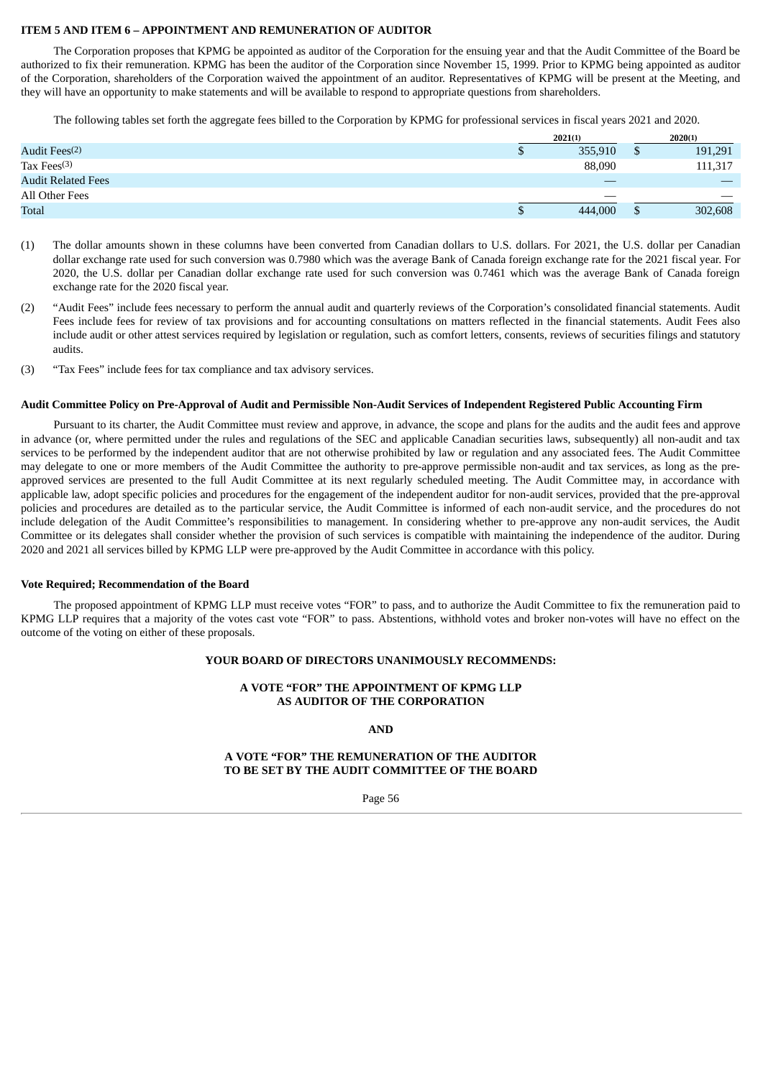## **ITEM 5 AND ITEM 6 – APPOINTMENT AND REMUNERATION OF AUDITOR**

The Corporation proposes that KPMG be appointed as auditor of the Corporation for the ensuing year and that the Audit Committee of the Board be authorized to fix their remuneration. KPMG has been the auditor of the Corporation since November 15, 1999. Prior to KPMG being appointed as auditor of the Corporation, shareholders of the Corporation waived the appointment of an auditor. Representatives of KPMG will be present at the Meeting, and they will have an opportunity to make statements and will be available to respond to appropriate questions from shareholders.

The following tables set forth the aggregate fees billed to the Corporation by KPMG for professional services in fiscal years 2021 and 2020.

|                           |   | 2021(1) | 2020(1) |         |
|---------------------------|---|---------|---------|---------|
| Audit Fees <sup>(2)</sup> | ч | 355,910 | ۵D      | 191,291 |
| Tax Fees $(3)$            |   | 88,090  |         | 111,317 |
| <b>Audit Related Fees</b> |   |         |         |         |
| All Other Fees            |   |         |         |         |
| <b>Total</b>              |   | 444,000 |         | 302,608 |

- (1) The dollar amounts shown in these columns have been converted from Canadian dollars to U.S. dollars. For 2021, the U.S. dollar per Canadian dollar exchange rate used for such conversion was 0.7980 which was the average Bank of Canada foreign exchange rate for the 2021 fiscal year. For 2020, the U.S. dollar per Canadian dollar exchange rate used for such conversion was 0.7461 which was the average Bank of Canada foreign exchange rate for the 2020 fiscal year.
- (2) "Audit Fees" include fees necessary to perform the annual audit and quarterly reviews of the Corporation's consolidated financial statements. Audit Fees include fees for review of tax provisions and for accounting consultations on matters reflected in the financial statements. Audit Fees also include audit or other attest services required by legislation or regulation, such as comfort letters, consents, reviews of securities filings and statutory audits.
- (3) "Tax Fees" include fees for tax compliance and tax advisory services.

#### Audit Committee Policy on Pre-Approval of Audit and Permissible Non-Audit Services of Independent Registered Public Accounting Firm

Pursuant to its charter, the Audit Committee must review and approve, in advance, the scope and plans for the audits and the audit fees and approve in advance (or, where permitted under the rules and regulations of the SEC and applicable Canadian securities laws, subsequently) all non-audit and tax services to be performed by the independent auditor that are not otherwise prohibited by law or regulation and any associated fees. The Audit Committee may delegate to one or more members of the Audit Committee the authority to pre-approve permissible non-audit and tax services, as long as the preapproved services are presented to the full Audit Committee at its next regularly scheduled meeting. The Audit Committee may, in accordance with applicable law, adopt specific policies and procedures for the engagement of the independent auditor for non-audit services, provided that the pre-approval policies and procedures are detailed as to the particular service, the Audit Committee is informed of each non-audit service, and the procedures do not include delegation of the Audit Committee's responsibilities to management. In considering whether to pre-approve any non-audit services, the Audit Committee or its delegates shall consider whether the provision of such services is compatible with maintaining the independence of the auditor. During 2020 and 2021 all services billed by KPMG LLP were pre-approved by the Audit Committee in accordance with this policy.

#### **Vote Required; Recommendation of the Board**

The proposed appointment of KPMG LLP must receive votes "FOR" to pass, and to authorize the Audit Committee to fix the remuneration paid to KPMG LLP requires that a majority of the votes cast vote "FOR" to pass. Abstentions, withhold votes and broker non-votes will have no effect on the outcome of the voting on either of these proposals.

#### **YOUR BOARD OF DIRECTORS UNANIMOUSLY RECOMMENDS:**

## **A VOTE "FOR" THE APPOINTMENT OF KPMG LLP AS AUDITOR OF THE CORPORATION**

**AND**

## **A VOTE "FOR" THE REMUNERATION OF THE AUDITOR TO BE SET BY THE AUDIT COMMITTEE OF THE BOARD**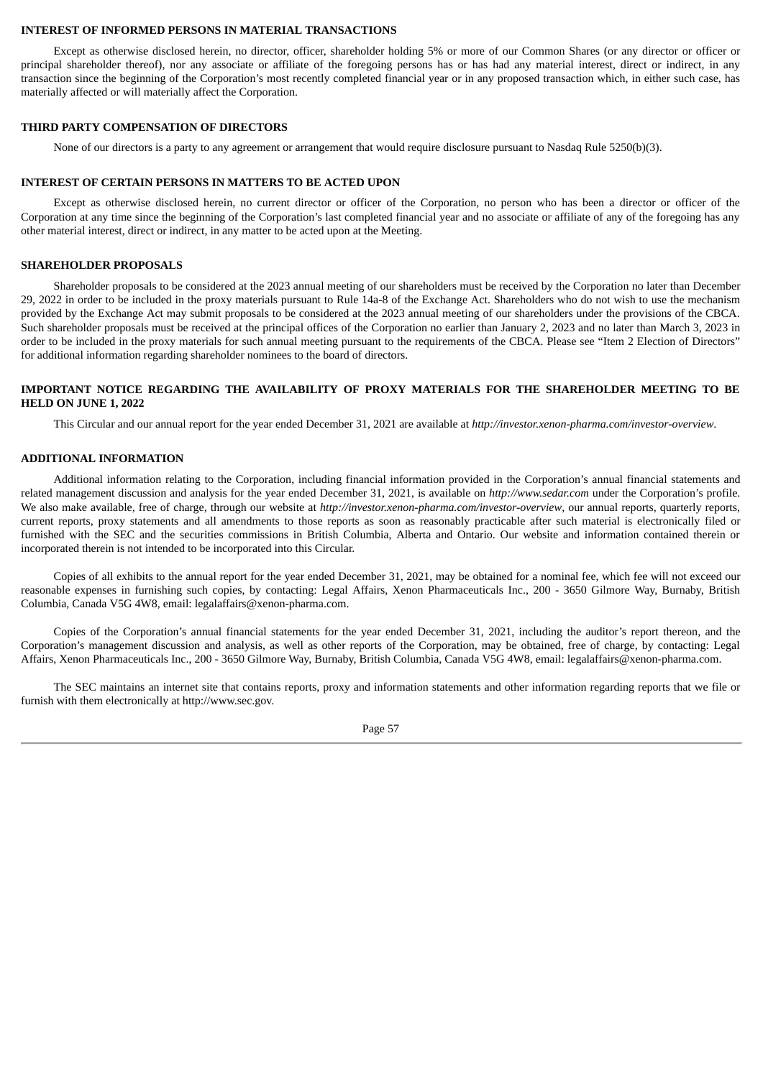#### **INTEREST OF INFORMED PERSONS IN MATERIAL TRANSACTIONS**

Except as otherwise disclosed herein, no director, officer, shareholder holding 5% or more of our Common Shares (or any director or officer or principal shareholder thereof), nor any associate or affiliate of the foregoing persons has or has had any material interest, direct or indirect, in any transaction since the beginning of the Corporation's most recently completed financial year or in any proposed transaction which, in either such case, has materially affected or will materially affect the Corporation.

#### **THIRD PARTY COMPENSATION OF DIRECTORS**

None of our directors is a party to any agreement or arrangement that would require disclosure pursuant to Nasdaq Rule 5250(b)(3).

### **INTEREST OF CERTAIN PERSONS IN MATTERS TO BE ACTED UPON**

Except as otherwise disclosed herein, no current director or officer of the Corporation, no person who has been a director or officer of the Corporation at any time since the beginning of the Corporation's last completed financial year and no associate or affiliate of any of the foregoing has any other material interest, direct or indirect, in any matter to be acted upon at the Meeting.

### **SHAREHOLDER PROPOSALS**

Shareholder proposals to be considered at the 2023 annual meeting of our shareholders must be received by the Corporation no later than December 29, 2022 in order to be included in the proxy materials pursuant to Rule 14a-8 of the Exchange Act. Shareholders who do not wish to use the mechanism provided by the Exchange Act may submit proposals to be considered at the 2023 annual meeting of our shareholders under the provisions of the CBCA. Such shareholder proposals must be received at the principal offices of the Corporation no earlier than January 2, 2023 and no later than March 3, 2023 in order to be included in the proxy materials for such annual meeting pursuant to the requirements of the CBCA. Please see "Item 2 Election of Directors" for additional information regarding shareholder nominees to the board of directors.

## **IMPORTANT NOTICE REGARDING THE AVAILABILITY OF PROXY MATERIALS FOR THE SHAREHOLDER MEETING TO BE HELD ON JUNE 1, 2022**

This Circular and our annual report for the year ended December 31, 2021 are available at *http://investor.xenon-pharma.com/investor-overview*.

## **ADDITIONAL INFORMATION**

Additional information relating to the Corporation, including financial information provided in the Corporation's annual financial statements and related management discussion and analysis for the year ended December 31, 2021, is available on *http://www.sedar.com* under the Corporation's profile. We also make available, free of charge, through our website at *http://investor.xenon-pharma.com/investor-overview*, our annual reports, quarterly reports, current reports, proxy statements and all amendments to those reports as soon as reasonably practicable after such material is electronically filed or furnished with the SEC and the securities commissions in British Columbia, Alberta and Ontario. Our website and information contained therein or incorporated therein is not intended to be incorporated into this Circular.

Copies of all exhibits to the annual report for the year ended December 31, 2021, may be obtained for a nominal fee, which fee will not exceed our reasonable expenses in furnishing such copies, by contacting: Legal Affairs, Xenon Pharmaceuticals Inc., 200 - 3650 Gilmore Way, Burnaby, British Columbia, Canada V5G 4W8, email: legalaffairs@xenon-pharma.com.

Copies of the Corporation's annual financial statements for the year ended December 31, 2021, including the auditor's report thereon, and the Corporation's management discussion and analysis, as well as other reports of the Corporation, may be obtained, free of charge, by contacting: Legal Affairs, Xenon Pharmaceuticals Inc., 200 - 3650 Gilmore Way, Burnaby, British Columbia, Canada V5G 4W8, email: legalaffairs@xenon-pharma.com.

The SEC maintains an internet site that contains reports, proxy and information statements and other information regarding reports that we file or furnish with them electronically at http://www.sec.gov.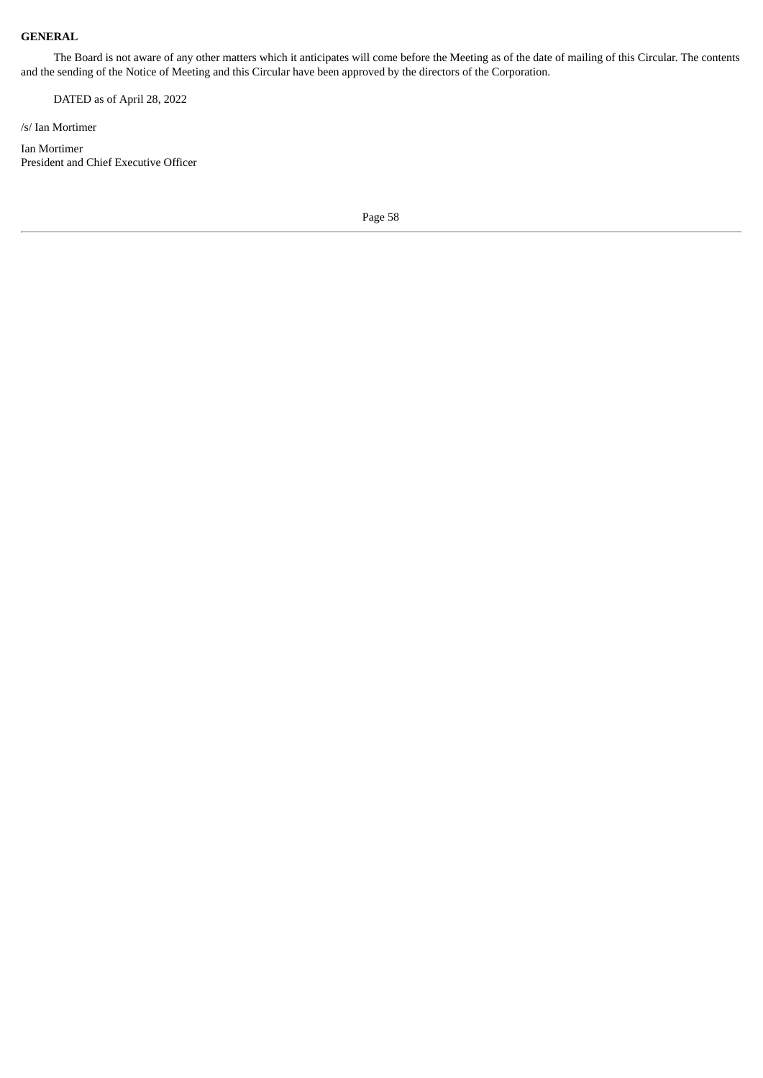# **GENERAL**

The Board is not aware of any other matters which it anticipates will come before the Meeting as of the date of mailing of this Circular. The contents and the sending of the Notice of Meeting and this Circular have been approved by the directors of the Corporation.

DATED as of April 28, 2022

/s/ Ian Mortimer

Ian Mortimer President and Chief Executive Officer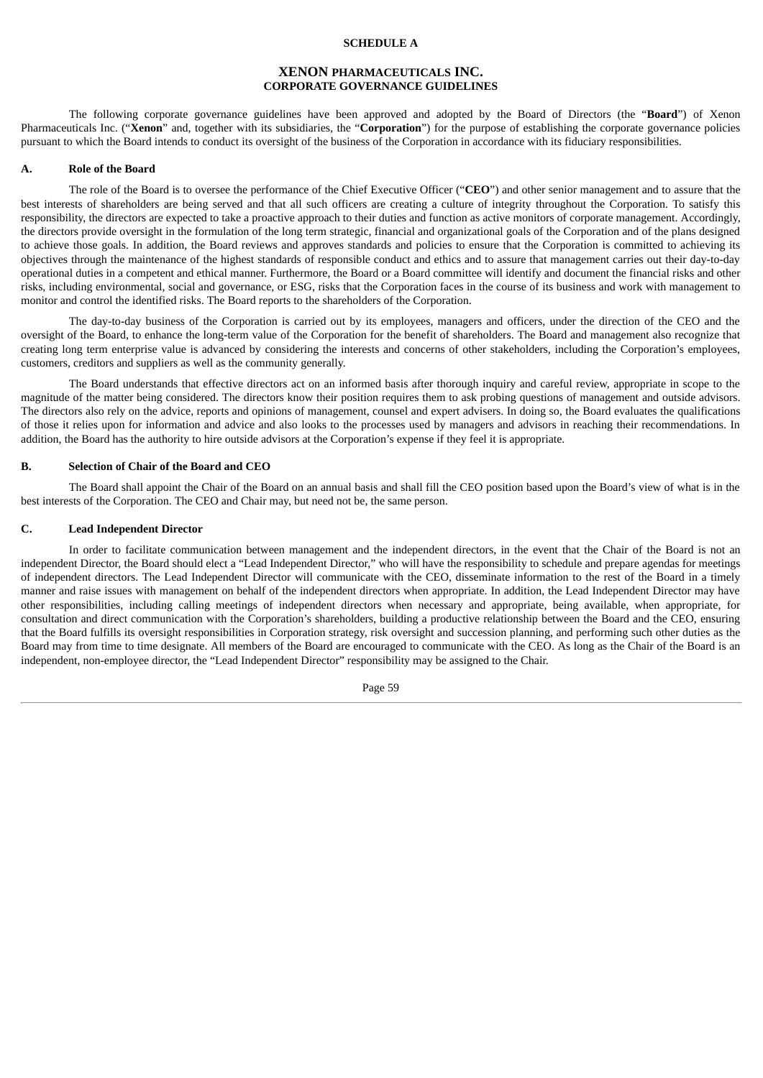# **SCHEDULE A**

# **XENON PHARMACEUTICALS INC. CORPORATE GOVERNANCE GUIDELINES**

The following corporate governance guidelines have been approved and adopted by the Board of Directors (the "**Board**") of Xenon Pharmaceuticals Inc. ("**Xenon**" and, together with its subsidiaries, the "**Corporation**") for the purpose of establishing the corporate governance policies pursuant to which the Board intends to conduct its oversight of the business of the Corporation in accordance with its fiduciary responsibilities.

#### **A. Role of the Board**

The role of the Board is to oversee the performance of the Chief Executive Officer ("**CEO**") and other senior management and to assure that the best interests of shareholders are being served and that all such officers are creating a culture of integrity throughout the Corporation. To satisfy this responsibility, the directors are expected to take a proactive approach to their duties and function as active monitors of corporate management. Accordingly, the directors provide oversight in the formulation of the long term strategic, financial and organizational goals of the Corporation and of the plans designed to achieve those goals. In addition, the Board reviews and approves standards and policies to ensure that the Corporation is committed to achieving its objectives through the maintenance of the highest standards of responsible conduct and ethics and to assure that management carries out their day-to-day operational duties in a competent and ethical manner. Furthermore, the Board or a Board committee will identify and document the financial risks and other risks, including environmental, social and governance, or ESG, risks that the Corporation faces in the course of its business and work with management to monitor and control the identified risks. The Board reports to the shareholders of the Corporation.

The day-to-day business of the Corporation is carried out by its employees, managers and officers, under the direction of the CEO and the oversight of the Board, to enhance the long-term value of the Corporation for the benefit of shareholders. The Board and management also recognize that creating long term enterprise value is advanced by considering the interests and concerns of other stakeholders, including the Corporation's employees, customers, creditors and suppliers as well as the community generally.

The Board understands that effective directors act on an informed basis after thorough inquiry and careful review, appropriate in scope to the magnitude of the matter being considered. The directors know their position requires them to ask probing questions of management and outside advisors. The directors also rely on the advice, reports and opinions of management, counsel and expert advisers. In doing so, the Board evaluates the qualifications of those it relies upon for information and advice and also looks to the processes used by managers and advisors in reaching their recommendations. In addition, the Board has the authority to hire outside advisors at the Corporation's expense if they feel it is appropriate.

#### **B. Selection of Chair of the Board and CEO**

The Board shall appoint the Chair of the Board on an annual basis and shall fill the CEO position based upon the Board's view of what is in the best interests of the Corporation. The CEO and Chair may, but need not be, the same person.

# **C. Lead Independent Director**

In order to facilitate communication between management and the independent directors, in the event that the Chair of the Board is not an independent Director, the Board should elect a "Lead Independent Director," who will have the responsibility to schedule and prepare agendas for meetings of independent directors. The Lead Independent Director will communicate with the CEO, disseminate information to the rest of the Board in a timely manner and raise issues with management on behalf of the independent directors when appropriate. In addition, the Lead Independent Director may have other responsibilities, including calling meetings of independent directors when necessary and appropriate, being available, when appropriate, for consultation and direct communication with the Corporation's shareholders, building a productive relationship between the Board and the CEO, ensuring that the Board fulfills its oversight responsibilities in Corporation strategy, risk oversight and succession planning, and performing such other duties as the Board may from time to time designate. All members of the Board are encouraged to communicate with the CEO. As long as the Chair of the Board is an independent, non-employee director, the "Lead Independent Director" responsibility may be assigned to the Chair.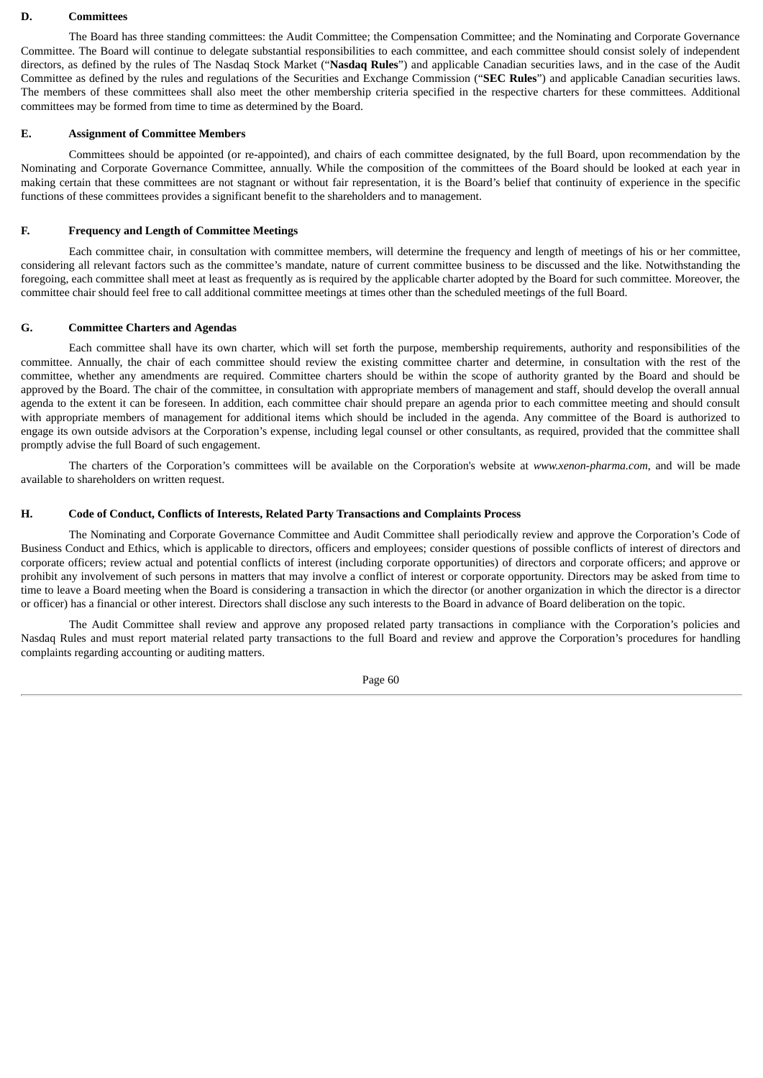#### **D. Committees**

The Board has three standing committees: the Audit Committee; the Compensation Committee; and the Nominating and Corporate Governance Committee. The Board will continue to delegate substantial responsibilities to each committee, and each committee should consist solely of independent directors, as defined by the rules of The Nasdaq Stock Market ("**Nasdaq Rules**") and applicable Canadian securities laws, and in the case of the Audit Committee as defined by the rules and regulations of the Securities and Exchange Commission ("**SEC Rules**") and applicable Canadian securities laws. The members of these committees shall also meet the other membership criteria specified in the respective charters for these committees. Additional committees may be formed from time to time as determined by the Board.

## **E. Assignment of Committee Members**

Committees should be appointed (or re-appointed), and chairs of each committee designated, by the full Board, upon recommendation by the Nominating and Corporate Governance Committee, annually. While the composition of the committees of the Board should be looked at each year in making certain that these committees are not stagnant or without fair representation, it is the Board's belief that continuity of experience in the specific functions of these committees provides a significant benefit to the shareholders and to management.

# **F. Frequency and Length of Committee Meetings**

Each committee chair, in consultation with committee members, will determine the frequency and length of meetings of his or her committee, considering all relevant factors such as the committee's mandate, nature of current committee business to be discussed and the like. Notwithstanding the foregoing, each committee shall meet at least as frequently as is required by the applicable charter adopted by the Board for such committee. Moreover, the committee chair should feel free to call additional committee meetings at times other than the scheduled meetings of the full Board.

### **G. Committee Charters and Agendas**

Each committee shall have its own charter, which will set forth the purpose, membership requirements, authority and responsibilities of the committee. Annually, the chair of each committee should review the existing committee charter and determine, in consultation with the rest of the committee, whether any amendments are required. Committee charters should be within the scope of authority granted by the Board and should be approved by the Board. The chair of the committee, in consultation with appropriate members of management and staff, should develop the overall annual agenda to the extent it can be foreseen. In addition, each committee chair should prepare an agenda prior to each committee meeting and should consult with appropriate members of management for additional items which should be included in the agenda. Any committee of the Board is authorized to engage its own outside advisors at the Corporation's expense, including legal counsel or other consultants, as required, provided that the committee shall promptly advise the full Board of such engagement.

The charters of the Corporation's committees will be available on the Corporation's website at *www.xenon-pharma.com*, and will be made available to shareholders on written request.

## **H. Code of Conduct, Conflicts of Interests, Related Party Transactions and Complaints Process**

The Nominating and Corporate Governance Committee and Audit Committee shall periodically review and approve the Corporation's Code of Business Conduct and Ethics, which is applicable to directors, officers and employees; consider questions of possible conflicts of interest of directors and corporate officers; review actual and potential conflicts of interest (including corporate opportunities) of directors and corporate officers; and approve or prohibit any involvement of such persons in matters that may involve a conflict of interest or corporate opportunity. Directors may be asked from time to time to leave a Board meeting when the Board is considering a transaction in which the director (or another organization in which the director is a director or officer) has a financial or other interest. Directors shall disclose any such interests to the Board in advance of Board deliberation on the topic.

The Audit Committee shall review and approve any proposed related party transactions in compliance with the Corporation's policies and Nasdaq Rules and must report material related party transactions to the full Board and review and approve the Corporation's procedures for handling complaints regarding accounting or auditing matters.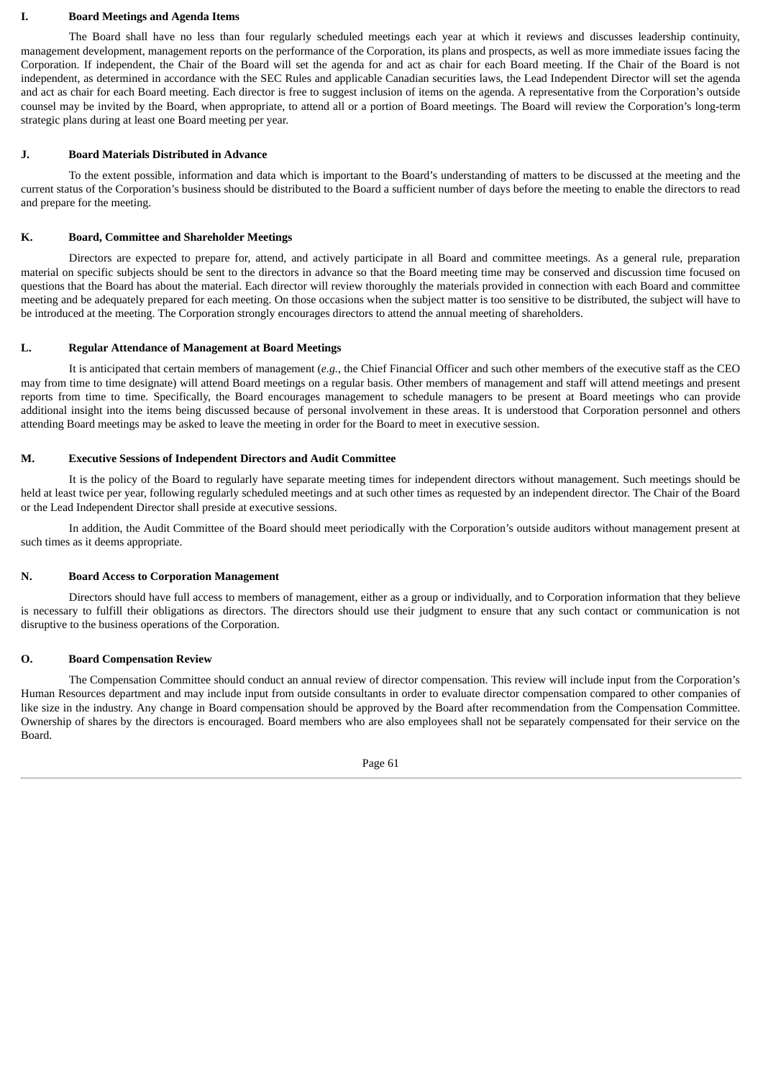#### **I. Board Meetings and Agenda Items**

The Board shall have no less than four regularly scheduled meetings each year at which it reviews and discusses leadership continuity, management development, management reports on the performance of the Corporation, its plans and prospects, as well as more immediate issues facing the Corporation. If independent, the Chair of the Board will set the agenda for and act as chair for each Board meeting. If the Chair of the Board is not independent, as determined in accordance with the SEC Rules and applicable Canadian securities laws, the Lead Independent Director will set the agenda and act as chair for each Board meeting. Each director is free to suggest inclusion of items on the agenda. A representative from the Corporation's outside counsel may be invited by the Board, when appropriate, to attend all or a portion of Board meetings. The Board will review the Corporation's long-term strategic plans during at least one Board meeting per year.

### **J. Board Materials Distributed in Advance**

To the extent possible, information and data which is important to the Board's understanding of matters to be discussed at the meeting and the current status of the Corporation's business should be distributed to the Board a sufficient number of days before the meeting to enable the directors to read and prepare for the meeting.

### **K. Board, Committee and Shareholder Meetings**

Directors are expected to prepare for, attend, and actively participate in all Board and committee meetings. As a general rule, preparation material on specific subjects should be sent to the directors in advance so that the Board meeting time may be conserved and discussion time focused on questions that the Board has about the material. Each director will review thoroughly the materials provided in connection with each Board and committee meeting and be adequately prepared for each meeting. On those occasions when the subject matter is too sensitive to be distributed, the subject will have to be introduced at the meeting. The Corporation strongly encourages directors to attend the annual meeting of shareholders.

### **L. Regular Attendance of Management at Board Meetings**

It is anticipated that certain members of management (*e.g.*, the Chief Financial Officer and such other members of the executive staff as the CEO may from time to time designate) will attend Board meetings on a regular basis. Other members of management and staff will attend meetings and present reports from time to time. Specifically, the Board encourages management to schedule managers to be present at Board meetings who can provide additional insight into the items being discussed because of personal involvement in these areas. It is understood that Corporation personnel and others attending Board meetings may be asked to leave the meeting in order for the Board to meet in executive session.

### **M. Executive Sessions of Independent Directors and Audit Committee**

It is the policy of the Board to regularly have separate meeting times for independent directors without management. Such meetings should be held at least twice per year, following regularly scheduled meetings and at such other times as requested by an independent director. The Chair of the Board or the Lead Independent Director shall preside at executive sessions.

In addition, the Audit Committee of the Board should meet periodically with the Corporation's outside auditors without management present at such times as it deems appropriate.

#### **N. Board Access to Corporation Management**

Directors should have full access to members of management, either as a group or individually, and to Corporation information that they believe is necessary to fulfill their obligations as directors. The directors should use their judgment to ensure that any such contact or communication is not disruptive to the business operations of the Corporation.

### **O. Board Compensation Review**

The Compensation Committee should conduct an annual review of director compensation. This review will include input from the Corporation's Human Resources department and may include input from outside consultants in order to evaluate director compensation compared to other companies of like size in the industry. Any change in Board compensation should be approved by the Board after recommendation from the Compensation Committee. Ownership of shares by the directors is encouraged. Board members who are also employees shall not be separately compensated for their service on the Board.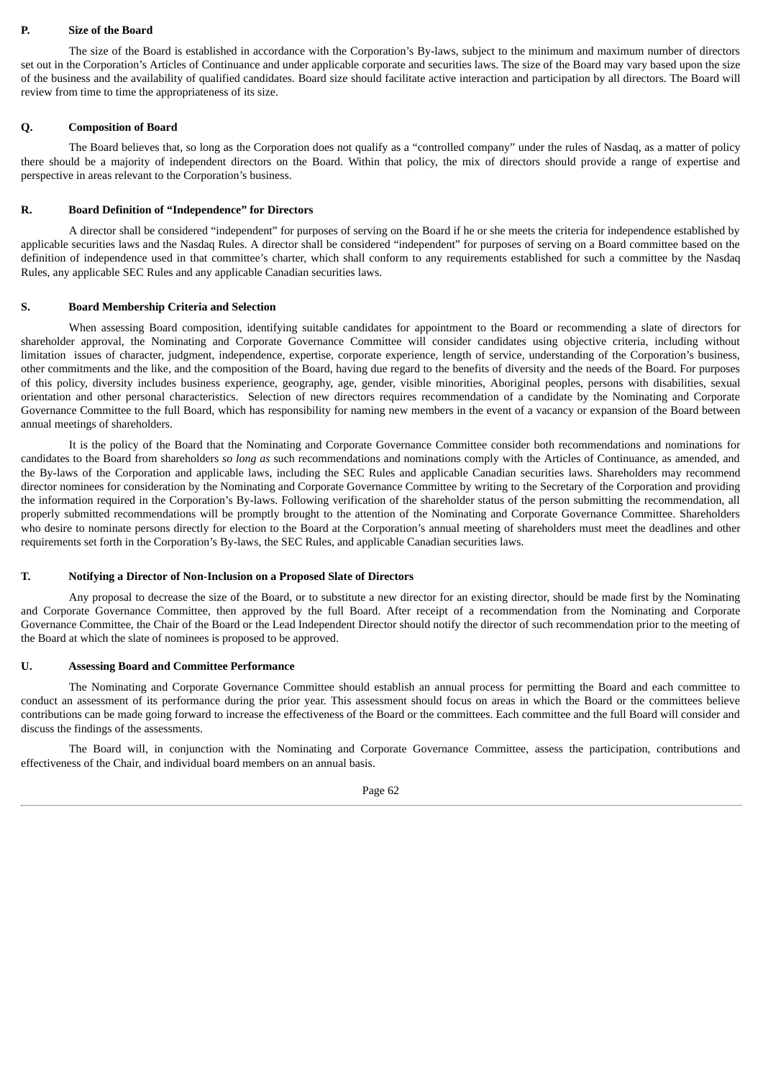## **P. Size of the Board**

The size of the Board is established in accordance with the Corporation's By-laws, subject to the minimum and maximum number of directors set out in the Corporation's Articles of Continuance and under applicable corporate and securities laws. The size of the Board may vary based upon the size of the business and the availability of qualified candidates. Board size should facilitate active interaction and participation by all directors. The Board will review from time to time the appropriateness of its size.

### **Q. Composition of Board**

The Board believes that, so long as the Corporation does not qualify as a "controlled company" under the rules of Nasdaq, as a matter of policy there should be a majority of independent directors on the Board. Within that policy, the mix of directors should provide a range of expertise and perspective in areas relevant to the Corporation's business.

# **R. Board Definition of "Independence" for Directors**

A director shall be considered "independent" for purposes of serving on the Board if he or she meets the criteria for independence established by applicable securities laws and the Nasdaq Rules. A director shall be considered "independent" for purposes of serving on a Board committee based on the definition of independence used in that committee's charter, which shall conform to any requirements established for such a committee by the Nasdaq Rules, any applicable SEC Rules and any applicable Canadian securities laws.

### **S. Board Membership Criteria and Selection**

When assessing Board composition, identifying suitable candidates for appointment to the Board or recommending a slate of directors for shareholder approval, the Nominating and Corporate Governance Committee will consider candidates using objective criteria, including without limitation issues of character, judgment, independence, expertise, corporate experience, length of service, understanding of the Corporation's business, other commitments and the like, and the composition of the Board, having due regard to the benefits of diversity and the needs of the Board. For purposes of this policy, diversity includes business experience, geography, age, gender, visible minorities, Aboriginal peoples, persons with disabilities, sexual orientation and other personal characteristics. Selection of new directors requires recommendation of a candidate by the Nominating and Corporate Governance Committee to the full Board, which has responsibility for naming new members in the event of a vacancy or expansion of the Board between annual meetings of shareholders.

It is the policy of the Board that the Nominating and Corporate Governance Committee consider both recommendations and nominations for candidates to the Board from shareholders *so long as* such recommendations and nominations comply with the Articles of Continuance, as amended, and the By-laws of the Corporation and applicable laws, including the SEC Rules and applicable Canadian securities laws. Shareholders may recommend director nominees for consideration by the Nominating and Corporate Governance Committee by writing to the Secretary of the Corporation and providing the information required in the Corporation's By-laws. Following verification of the shareholder status of the person submitting the recommendation, all properly submitted recommendations will be promptly brought to the attention of the Nominating and Corporate Governance Committee. Shareholders who desire to nominate persons directly for election to the Board at the Corporation's annual meeting of shareholders must meet the deadlines and other requirements set forth in the Corporation's By-laws, the SEC Rules, and applicable Canadian securities laws.

# **T. Notifying a Director of Non-Inclusion on a Proposed Slate of Directors**

Any proposal to decrease the size of the Board, or to substitute a new director for an existing director, should be made first by the Nominating and Corporate Governance Committee, then approved by the full Board. After receipt of a recommendation from the Nominating and Corporate Governance Committee, the Chair of the Board or the Lead Independent Director should notify the director of such recommendation prior to the meeting of the Board at which the slate of nominees is proposed to be approved.

# **U. Assessing Board and Committee Performance**

The Nominating and Corporate Governance Committee should establish an annual process for permitting the Board and each committee to conduct an assessment of its performance during the prior year. This assessment should focus on areas in which the Board or the committees believe contributions can be made going forward to increase the effectiveness of the Board or the committees. Each committee and the full Board will consider and discuss the findings of the assessments.

The Board will, in conjunction with the Nominating and Corporate Governance Committee, assess the participation, contributions and effectiveness of the Chair, and individual board members on an annual basis.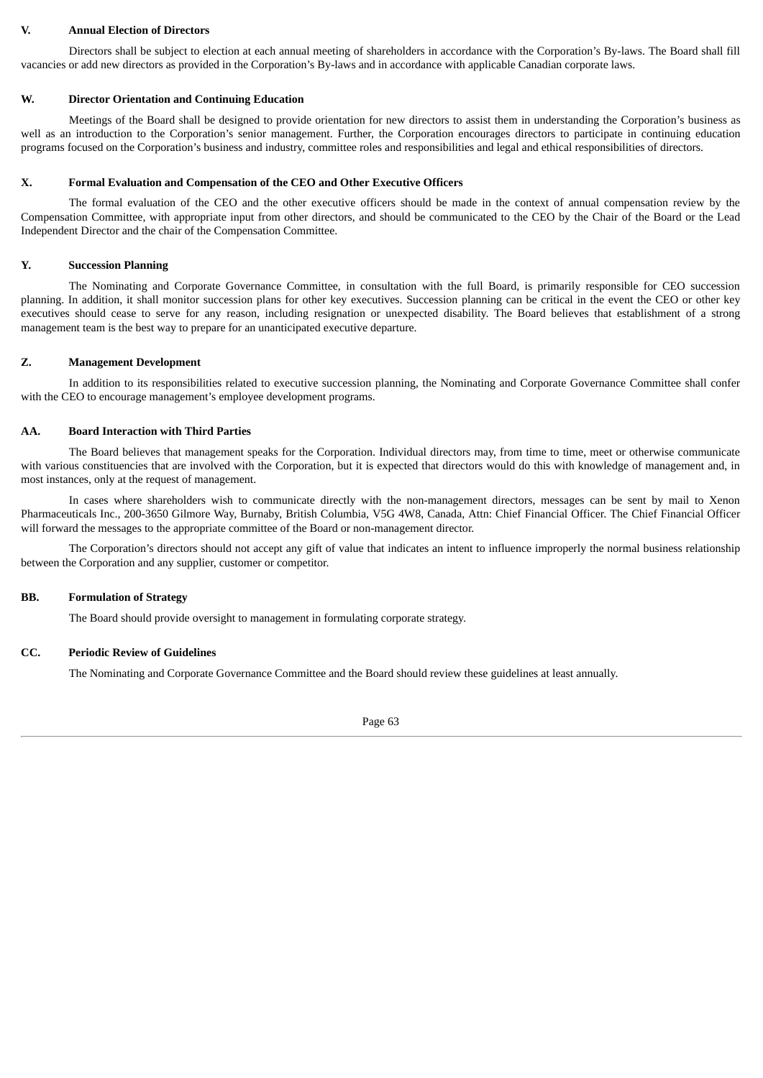## **V. Annual Election of Directors**

Directors shall be subject to election at each annual meeting of shareholders in accordance with the Corporation's By-laws. The Board shall fill vacancies or add new directors as provided in the Corporation's By-laws and in accordance with applicable Canadian corporate laws.

## **W. Director Orientation and Continuing Education**

Meetings of the Board shall be designed to provide orientation for new directors to assist them in understanding the Corporation's business as well as an introduction to the Corporation's senior management. Further, the Corporation encourages directors to participate in continuing education programs focused on the Corporation's business and industry, committee roles and responsibilities and legal and ethical responsibilities of directors.

### **X. Formal Evaluation and Compensation of the CEO and Other Executive Officers**

The formal evaluation of the CEO and the other executive officers should be made in the context of annual compensation review by the Compensation Committee, with appropriate input from other directors, and should be communicated to the CEO by the Chair of the Board or the Lead Independent Director and the chair of the Compensation Committee.

# **Y. Succession Planning**

The Nominating and Corporate Governance Committee, in consultation with the full Board, is primarily responsible for CEO succession planning. In addition, it shall monitor succession plans for other key executives. Succession planning can be critical in the event the CEO or other key executives should cease to serve for any reason, including resignation or unexpected disability. The Board believes that establishment of a strong management team is the best way to prepare for an unanticipated executive departure.

# **Z. Management Development**

In addition to its responsibilities related to executive succession planning, the Nominating and Corporate Governance Committee shall confer with the CEO to encourage management's employee development programs.

## **AA. Board Interaction with Third Parties**

The Board believes that management speaks for the Corporation. Individual directors may, from time to time, meet or otherwise communicate with various constituencies that are involved with the Corporation, but it is expected that directors would do this with knowledge of management and, in most instances, only at the request of management.

In cases where shareholders wish to communicate directly with the non-management directors, messages can be sent by mail to Xenon Pharmaceuticals Inc., 200-3650 Gilmore Way, Burnaby, British Columbia, V5G 4W8, Canada, Attn: Chief Financial Officer. The Chief Financial Officer will forward the messages to the appropriate committee of the Board or non-management director.

The Corporation's directors should not accept any gift of value that indicates an intent to influence improperly the normal business relationship between the Corporation and any supplier, customer or competitor.

# **BB. Formulation of Strategy**

The Board should provide oversight to management in formulating corporate strategy.

## **CC. Periodic Review of Guidelines**

The Nominating and Corporate Governance Committee and the Board should review these guidelines at least annually.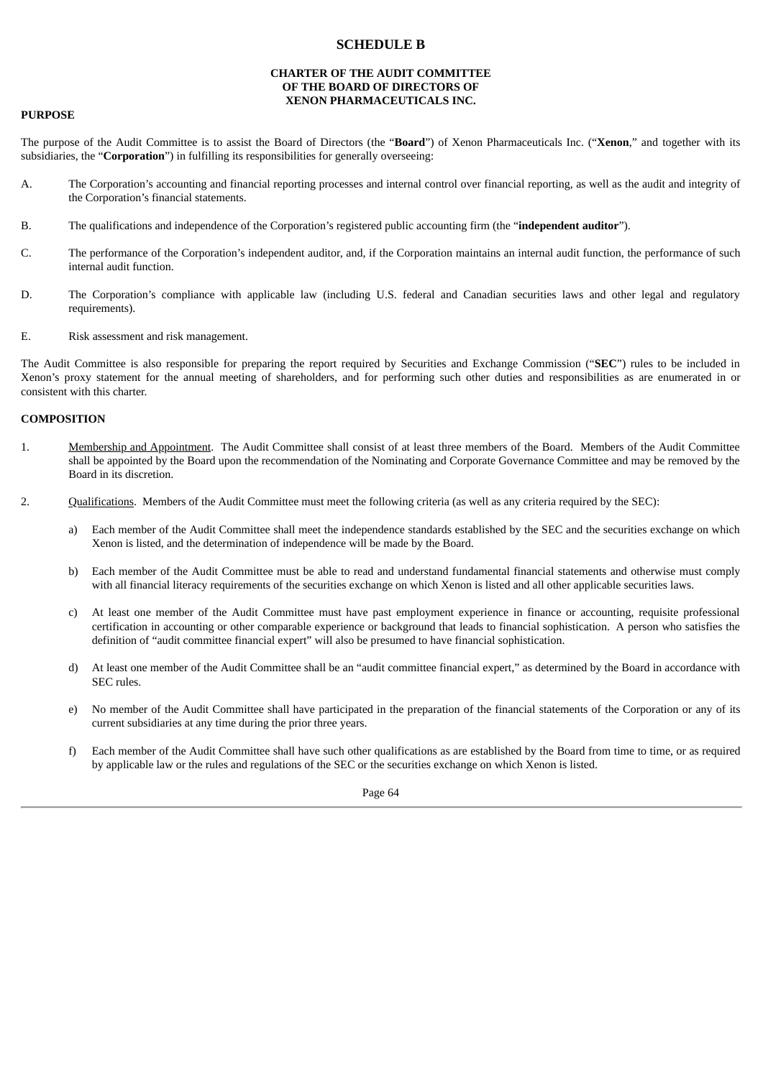# **SCHEDULE B**

# **CHARTER OF THE AUDIT COMMITTEE OF THE BOARD OF DIRECTORS OF XENON PHARMACEUTICALS INC.**

### **PURPOSE**

The purpose of the Audit Committee is to assist the Board of Directors (the "**Board**") of Xenon Pharmaceuticals Inc. ("**Xenon**," and together with its subsidiaries, the "**Corporation**") in fulfilling its responsibilities for generally overseeing:

- A. The Corporation's accounting and financial reporting processes and internal control over financial reporting, as well as the audit and integrity of the Corporation's financial statements.
- B. The qualifications and independence of the Corporation's registered public accounting firm (the "**independent auditor**").
- C. The performance of the Corporation's independent auditor, and, if the Corporation maintains an internal audit function, the performance of such internal audit function.
- D. The Corporation's compliance with applicable law (including U.S. federal and Canadian securities laws and other legal and regulatory requirements).
- E. Risk assessment and risk management.

The Audit Committee is also responsible for preparing the report required by Securities and Exchange Commission ("**SEC**") rules to be included in Xenon's proxy statement for the annual meeting of shareholders, and for performing such other duties and responsibilities as are enumerated in or consistent with this charter.

### **COMPOSITION**

- 1. Membership and Appointment. The Audit Committee shall consist of at least three members of the Board. Members of the Audit Committee shall be appointed by the Board upon the recommendation of the Nominating and Corporate Governance Committee and may be removed by the Board in its discretion.
- 2. Qualifications. Members of the Audit Committee must meet the following criteria (as well as any criteria required by the SEC):
	- a) Each member of the Audit Committee shall meet the independence standards established by the SEC and the securities exchange on which Xenon is listed, and the determination of independence will be made by the Board.
	- b) Each member of the Audit Committee must be able to read and understand fundamental financial statements and otherwise must comply with all financial literacy requirements of the securities exchange on which Xenon is listed and all other applicable securities laws.
	- c) At least one member of the Audit Committee must have past employment experience in finance or accounting, requisite professional certification in accounting or other comparable experience or background that leads to financial sophistication. A person who satisfies the definition of "audit committee financial expert" will also be presumed to have financial sophistication.
	- d) At least one member of the Audit Committee shall be an "audit committee financial expert," as determined by the Board in accordance with SEC rules.
	- e) No member of the Audit Committee shall have participated in the preparation of the financial statements of the Corporation or any of its current subsidiaries at any time during the prior three years.
	- f) Each member of the Audit Committee shall have such other qualifications as are established by the Board from time to time, or as required by applicable law or the rules and regulations of the SEC or the securities exchange on which Xenon is listed.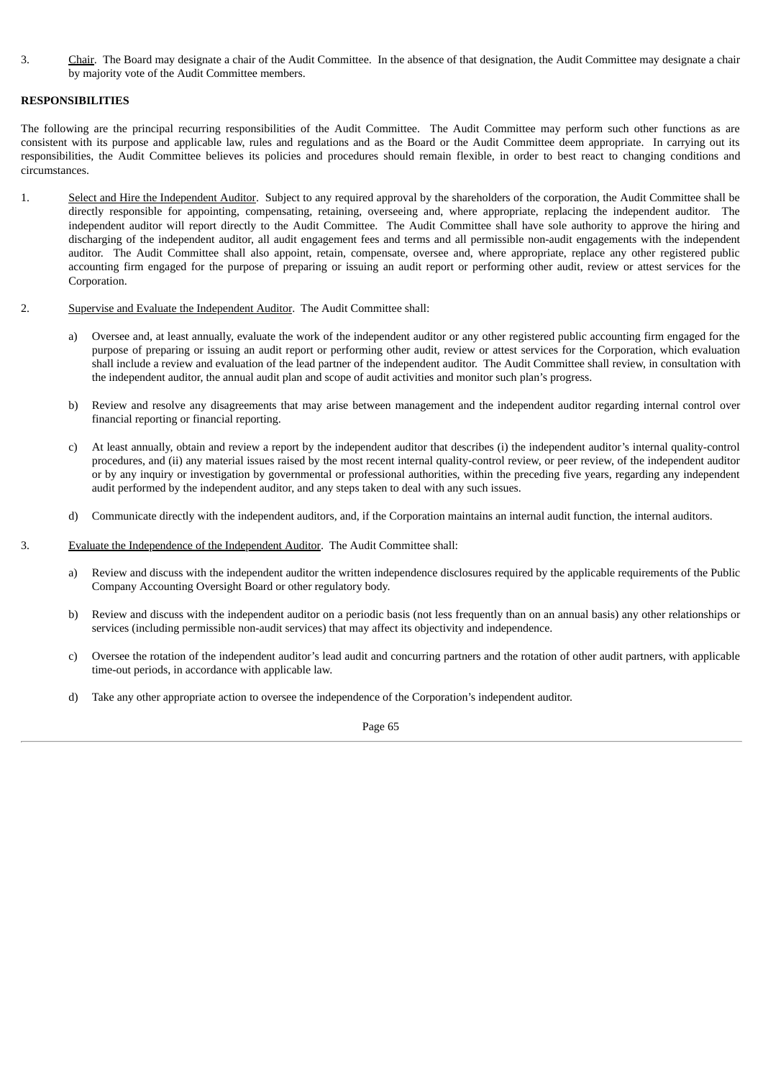3. Chair. The Board may designate a chair of the Audit Committee. In the absence of that designation, the Audit Committee may designate a chair by majority vote of the Audit Committee members.

# **RESPONSIBILITIES**

The following are the principal recurring responsibilities of the Audit Committee. The Audit Committee may perform such other functions as are consistent with its purpose and applicable law, rules and regulations and as the Board or the Audit Committee deem appropriate. In carrying out its responsibilities, the Audit Committee believes its policies and procedures should remain flexible, in order to best react to changing conditions and circumstances.

- 1. Select and Hire the Independent Auditor. Subject to any required approval by the shareholders of the corporation, the Audit Committee shall be directly responsible for appointing, compensating, retaining, overseeing and, where appropriate, replacing the independent auditor. The independent auditor will report directly to the Audit Committee. The Audit Committee shall have sole authority to approve the hiring and discharging of the independent auditor, all audit engagement fees and terms and all permissible non-audit engagements with the independent auditor. The Audit Committee shall also appoint, retain, compensate, oversee and, where appropriate, replace any other registered public accounting firm engaged for the purpose of preparing or issuing an audit report or performing other audit, review or attest services for the Corporation.
- 2. Supervise and Evaluate the Independent Auditor. The Audit Committee shall:
	- a) Oversee and, at least annually, evaluate the work of the independent auditor or any other registered public accounting firm engaged for the purpose of preparing or issuing an audit report or performing other audit, review or attest services for the Corporation, which evaluation shall include a review and evaluation of the lead partner of the independent auditor. The Audit Committee shall review, in consultation with the independent auditor, the annual audit plan and scope of audit activities and monitor such plan's progress.
	- b) Review and resolve any disagreements that may arise between management and the independent auditor regarding internal control over financial reporting or financial reporting.
	- c) At least annually, obtain and review a report by the independent auditor that describes (i) the independent auditor's internal quality-control procedures, and (ii) any material issues raised by the most recent internal quality-control review, or peer review, of the independent auditor or by any inquiry or investigation by governmental or professional authorities, within the preceding five years, regarding any independent audit performed by the independent auditor, and any steps taken to deal with any such issues.
	- d) Communicate directly with the independent auditors, and, if the Corporation maintains an internal audit function, the internal auditors.
- 3. Evaluate the Independence of the Independent Auditor. The Audit Committee shall:
	- a) Review and discuss with the independent auditor the written independence disclosures required by the applicable requirements of the Public Company Accounting Oversight Board or other regulatory body.
	- b) Review and discuss with the independent auditor on a periodic basis (not less frequently than on an annual basis) any other relationships or services (including permissible non-audit services) that may affect its objectivity and independence.
	- c) Oversee the rotation of the independent auditor's lead audit and concurring partners and the rotation of other audit partners, with applicable time-out periods, in accordance with applicable law.
	- d) Take any other appropriate action to oversee the independence of the Corporation's independent auditor.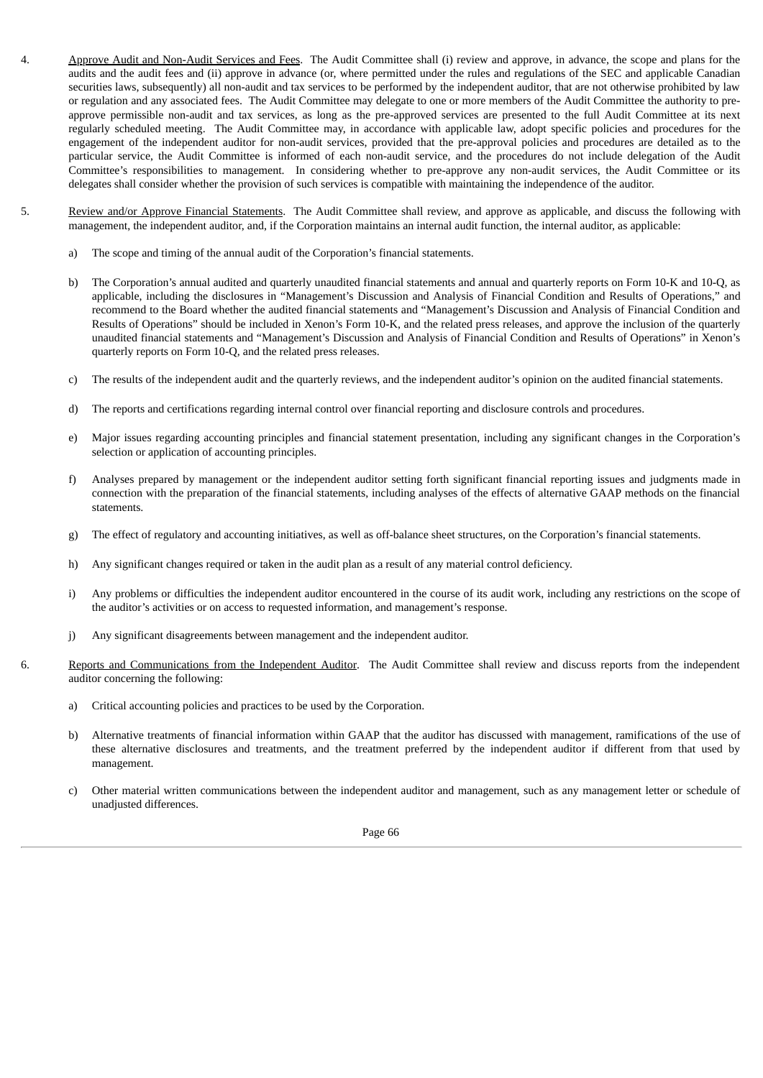- 4. Approve Audit and Non-Audit Services and Fees. The Audit Committee shall (i) review and approve, in advance, the scope and plans for the audits and the audit fees and (ii) approve in advance (or, where permitted under the rules and regulations of the SEC and applicable Canadian securities laws, subsequently) all non-audit and tax services to be performed by the independent auditor, that are not otherwise prohibited by law or regulation and any associated fees. The Audit Committee may delegate to one or more members of the Audit Committee the authority to preapprove permissible non-audit and tax services, as long as the pre-approved services are presented to the full Audit Committee at its next regularly scheduled meeting. The Audit Committee may, in accordance with applicable law, adopt specific policies and procedures for the engagement of the independent auditor for non-audit services, provided that the pre-approval policies and procedures are detailed as to the particular service, the Audit Committee is informed of each non-audit service, and the procedures do not include delegation of the Audit Committee's responsibilities to management. In considering whether to pre-approve any non-audit services, the Audit Committee or its delegates shall consider whether the provision of such services is compatible with maintaining the independence of the auditor.
- 5. Review and/or Approve Financial Statements. The Audit Committee shall review, and approve as applicable, and discuss the following with management, the independent auditor, and, if the Corporation maintains an internal audit function, the internal auditor, as applicable:
	- a) The scope and timing of the annual audit of the Corporation's financial statements.
	- b) The Corporation's annual audited and quarterly unaudited financial statements and annual and quarterly reports on Form 10-K and 10-Q, as applicable, including the disclosures in "Management's Discussion and Analysis of Financial Condition and Results of Operations," and recommend to the Board whether the audited financial statements and "Management's Discussion and Analysis of Financial Condition and Results of Operations" should be included in Xenon's Form 10-K, and the related press releases, and approve the inclusion of the quarterly unaudited financial statements and "Management's Discussion and Analysis of Financial Condition and Results of Operations" in Xenon's quarterly reports on Form 10-Q, and the related press releases.
	- c) The results of the independent audit and the quarterly reviews, and the independent auditor's opinion on the audited financial statements.
	- d) The reports and certifications regarding internal control over financial reporting and disclosure controls and procedures.
	- e) Major issues regarding accounting principles and financial statement presentation, including any significant changes in the Corporation's selection or application of accounting principles.
	- f) Analyses prepared by management or the independent auditor setting forth significant financial reporting issues and judgments made in connection with the preparation of the financial statements, including analyses of the effects of alternative GAAP methods on the financial statements.
	- g) The effect of regulatory and accounting initiatives, as well as off-balance sheet structures, on the Corporation's financial statements.
	- h) Any significant changes required or taken in the audit plan as a result of any material control deficiency.
	- i) Any problems or difficulties the independent auditor encountered in the course of its audit work, including any restrictions on the scope of the auditor's activities or on access to requested information, and management's response.
	- j) Any significant disagreements between management and the independent auditor.
- 6. Reports and Communications from the Independent Auditor. The Audit Committee shall review and discuss reports from the independent auditor concerning the following:
	- a) Critical accounting policies and practices to be used by the Corporation.
	- b) Alternative treatments of financial information within GAAP that the auditor has discussed with management, ramifications of the use of these alternative disclosures and treatments, and the treatment preferred by the independent auditor if different from that used by management.
	- c) Other material written communications between the independent auditor and management, such as any management letter or schedule of unadjusted differences.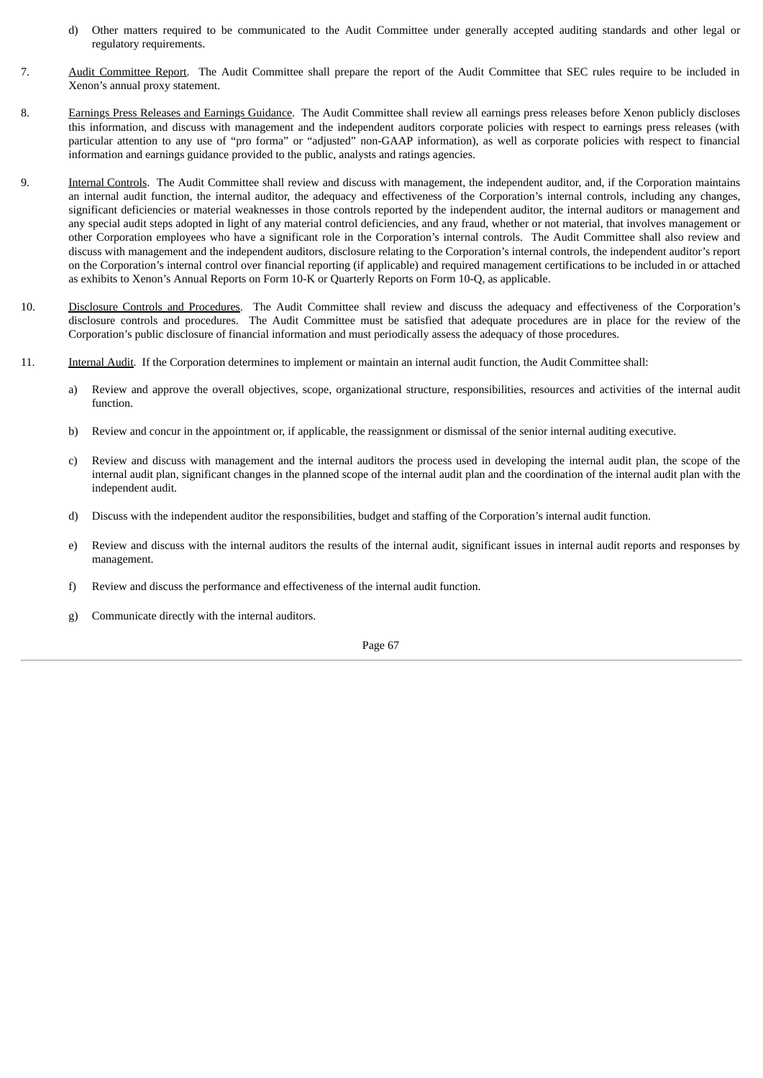- d) Other matters required to be communicated to the Audit Committee under generally accepted auditing standards and other legal or regulatory requirements.
- 7. Audit Committee Report. The Audit Committee shall prepare the report of the Audit Committee that SEC rules require to be included in Xenon's annual proxy statement.
- 8. Earnings Press Releases and Earnings Guidance. The Audit Committee shall review all earnings press releases before Xenon publicly discloses this information, and discuss with management and the independent auditors corporate policies with respect to earnings press releases (with particular attention to any use of "pro forma" or "adjusted" non-GAAP information), as well as corporate policies with respect to financial information and earnings guidance provided to the public, analysts and ratings agencies.
- 9. **Internal Controls**. The Audit Committee shall review and discuss with management, the independent auditor, and, if the Corporation maintains an internal audit function, the internal auditor, the adequacy and effectiveness of the Corporation's internal controls, including any changes, significant deficiencies or material weaknesses in those controls reported by the independent auditor, the internal auditors or management and any special audit steps adopted in light of any material control deficiencies, and any fraud, whether or not material, that involves management or other Corporation employees who have a significant role in the Corporation's internal controls. The Audit Committee shall also review and discuss with management and the independent auditors, disclosure relating to the Corporation's internal controls, the independent auditor's report on the Corporation's internal control over financial reporting (if applicable) and required management certifications to be included in or attached as exhibits to Xenon's Annual Reports on Form 10-K or Quarterly Reports on Form 10-Q, as applicable.
- 10. Disclosure Controls and Procedures. The Audit Committee shall review and discuss the adequacy and effectiveness of the Corporation's disclosure controls and procedures. The Audit Committee must be satisfied that adequate procedures are in place for the review of the Corporation's public disclosure of financial information and must periodically assess the adequacy of those procedures.
- 11. Internal Audit. If the Corporation determines to implement or maintain an internal audit function, the Audit Committee shall:
	- a) Review and approve the overall objectives, scope, organizational structure, responsibilities, resources and activities of the internal audit function.
	- b) Review and concur in the appointment or, if applicable, the reassignment or dismissal of the senior internal auditing executive.
	- c) Review and discuss with management and the internal auditors the process used in developing the internal audit plan, the scope of the internal audit plan, significant changes in the planned scope of the internal audit plan and the coordination of the internal audit plan with the independent audit.
	- d) Discuss with the independent auditor the responsibilities, budget and staffing of the Corporation's internal audit function.
	- e) Review and discuss with the internal auditors the results of the internal audit, significant issues in internal audit reports and responses by management.
	- f) Review and discuss the performance and effectiveness of the internal audit function.
	- g) Communicate directly with the internal auditors.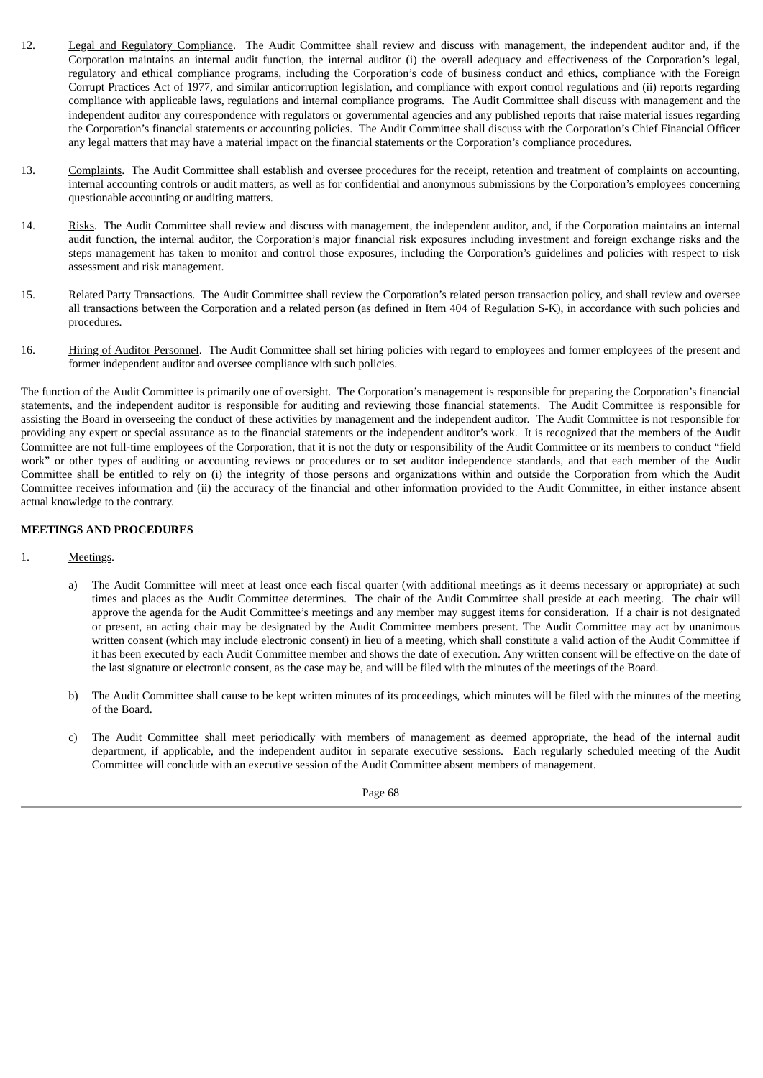- 12. Legal and Regulatory Compliance. The Audit Committee shall review and discuss with management, the independent auditor and, if the Corporation maintains an internal audit function, the internal auditor (i) the overall adequacy and effectiveness of the Corporation's legal, regulatory and ethical compliance programs, including the Corporation's code of business conduct and ethics, compliance with the Foreign Corrupt Practices Act of 1977, and similar anticorruption legislation, and compliance with export control regulations and (ii) reports regarding compliance with applicable laws, regulations and internal compliance programs. The Audit Committee shall discuss with management and the independent auditor any correspondence with regulators or governmental agencies and any published reports that raise material issues regarding the Corporation's financial statements or accounting policies. The Audit Committee shall discuss with the Corporation's Chief Financial Officer any legal matters that may have a material impact on the financial statements or the Corporation's compliance procedures.
- 13. Complaints. The Audit Committee shall establish and oversee procedures for the receipt, retention and treatment of complaints on accounting, internal accounting controls or audit matters, as well as for confidential and anonymous submissions by the Corporation's employees concerning questionable accounting or auditing matters.
- 14. Risks. The Audit Committee shall review and discuss with management, the independent auditor, and, if the Corporation maintains an internal audit function, the internal auditor, the Corporation's major financial risk exposures including investment and foreign exchange risks and the steps management has taken to monitor and control those exposures, including the Corporation's guidelines and policies with respect to risk assessment and risk management.
- 15. Related Party Transactions. The Audit Committee shall review the Corporation's related person transaction policy, and shall review and oversee all transactions between the Corporation and a related person (as defined in Item 404 of Regulation S-K), in accordance with such policies and procedures.
- 16. **Hiring of Auditor Personnel**. The Audit Committee shall set hiring policies with regard to employees and former employees of the present and former independent auditor and oversee compliance with such policies.

The function of the Audit Committee is primarily one of oversight. The Corporation's management is responsible for preparing the Corporation's financial statements, and the independent auditor is responsible for auditing and reviewing those financial statements. The Audit Committee is responsible for assisting the Board in overseeing the conduct of these activities by management and the independent auditor. The Audit Committee is not responsible for providing any expert or special assurance as to the financial statements or the independent auditor's work. It is recognized that the members of the Audit Committee are not full-time employees of the Corporation, that it is not the duty or responsibility of the Audit Committee or its members to conduct "field work" or other types of auditing or accounting reviews or procedures or to set auditor independence standards, and that each member of the Audit Committee shall be entitled to rely on (i) the integrity of those persons and organizations within and outside the Corporation from which the Audit Committee receives information and (ii) the accuracy of the financial and other information provided to the Audit Committee, in either instance absent actual knowledge to the contrary.

# **MEETINGS AND PROCEDURES**

- 1. Meetings.
	- a) The Audit Committee will meet at least once each fiscal quarter (with additional meetings as it deems necessary or appropriate) at such times and places as the Audit Committee determines. The chair of the Audit Committee shall preside at each meeting. The chair will approve the agenda for the Audit Committee's meetings and any member may suggest items for consideration. If a chair is not designated or present, an acting chair may be designated by the Audit Committee members present. The Audit Committee may act by unanimous written consent (which may include electronic consent) in lieu of a meeting, which shall constitute a valid action of the Audit Committee if it has been executed by each Audit Committee member and shows the date of execution. Any written consent will be effective on the date of the last signature or electronic consent, as the case may be, and will be filed with the minutes of the meetings of the Board.
	- b) The Audit Committee shall cause to be kept written minutes of its proceedings, which minutes will be filed with the minutes of the meeting of the Board.
	- c) The Audit Committee shall meet periodically with members of management as deemed appropriate, the head of the internal audit department, if applicable, and the independent auditor in separate executive sessions. Each regularly scheduled meeting of the Audit Committee will conclude with an executive session of the Audit Committee absent members of management.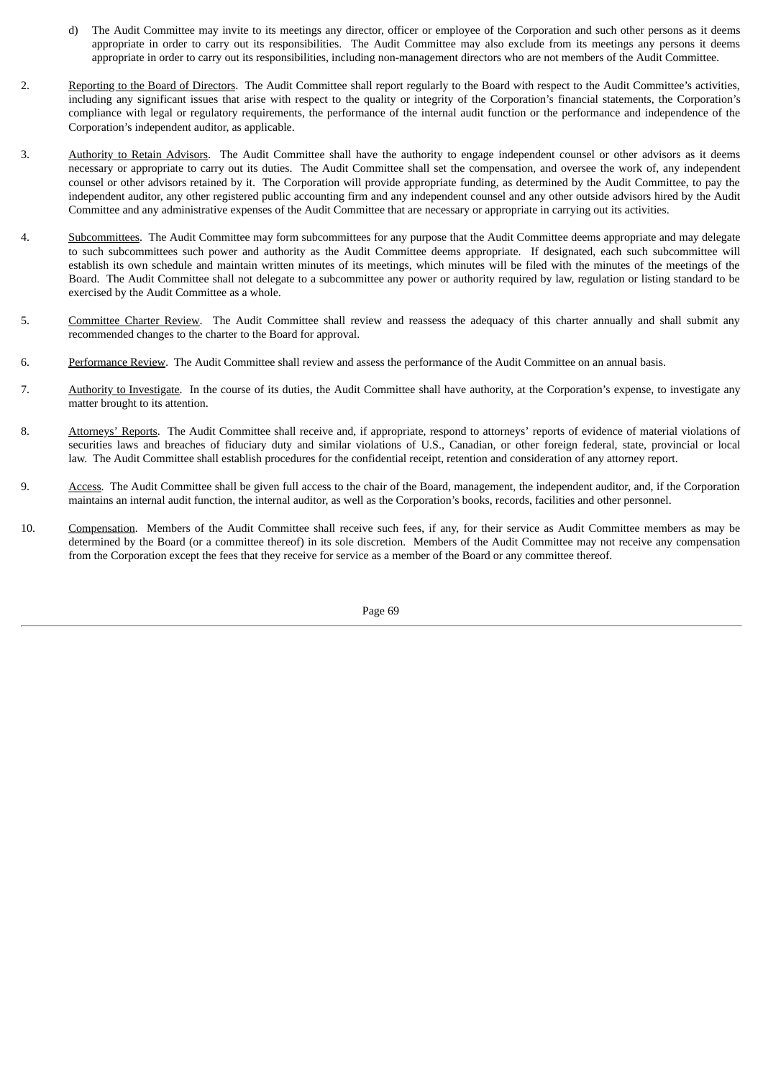- d) The Audit Committee may invite to its meetings any director, officer or employee of the Corporation and such other persons as it deems appropriate in order to carry out its responsibilities. The Audit Committee may also exclude from its meetings any persons it deems appropriate in order to carry out its responsibilities, including non-management directors who are not members of the Audit Committee.
- 2. Reporting to the Board of Directors. The Audit Committee shall report regularly to the Board with respect to the Audit Committee's activities, including any significant issues that arise with respect to the quality or integrity of the Corporation's financial statements, the Corporation's compliance with legal or regulatory requirements, the performance of the internal audit function or the performance and independence of the Corporation's independent auditor, as applicable.
- 3. Authority to Retain Advisors. The Audit Committee shall have the authority to engage independent counsel or other advisors as it deems necessary or appropriate to carry out its duties. The Audit Committee shall set the compensation, and oversee the work of, any independent counsel or other advisors retained by it. The Corporation will provide appropriate funding, as determined by the Audit Committee, to pay the independent auditor, any other registered public accounting firm and any independent counsel and any other outside advisors hired by the Audit Committee and any administrative expenses of the Audit Committee that are necessary or appropriate in carrying out its activities.
- 4. Subcommittees. The Audit Committee may form subcommittees for any purpose that the Audit Committee deems appropriate and may delegate to such subcommittees such power and authority as the Audit Committee deems appropriate. If designated, each such subcommittee will establish its own schedule and maintain written minutes of its meetings, which minutes will be filed with the minutes of the meetings of the Board. The Audit Committee shall not delegate to a subcommittee any power or authority required by law, regulation or listing standard to be exercised by the Audit Committee as a whole.
- 5. Committee Charter Review. The Audit Committee shall review and reassess the adequacy of this charter annually and shall submit any recommended changes to the charter to the Board for approval.
- 6. Performance Review. The Audit Committee shall review and assess the performance of the Audit Committee on an annual basis.
- 7. Authority to Investigate. In the course of its duties, the Audit Committee shall have authority, at the Corporation's expense, to investigate any matter brought to its attention.
- 8. Attorneys' Reports. The Audit Committee shall receive and, if appropriate, respond to attorneys' reports of evidence of material violations of securities laws and breaches of fiduciary duty and similar violations of U.S., Canadian, or other foreign federal, state, provincial or local law. The Audit Committee shall establish procedures for the confidential receipt, retention and consideration of any attorney report.
- 9. Access. The Audit Committee shall be given full access to the chair of the Board, management, the independent auditor, and, if the Corporation maintains an internal audit function, the internal auditor, as well as the Corporation's books, records, facilities and other personnel.
- 10. Compensation. Members of the Audit Committee shall receive such fees, if any, for their service as Audit Committee members as may be determined by the Board (or a committee thereof) in its sole discretion. Members of the Audit Committee may not receive any compensation from the Corporation except the fees that they receive for service as a member of the Board or any committee thereof.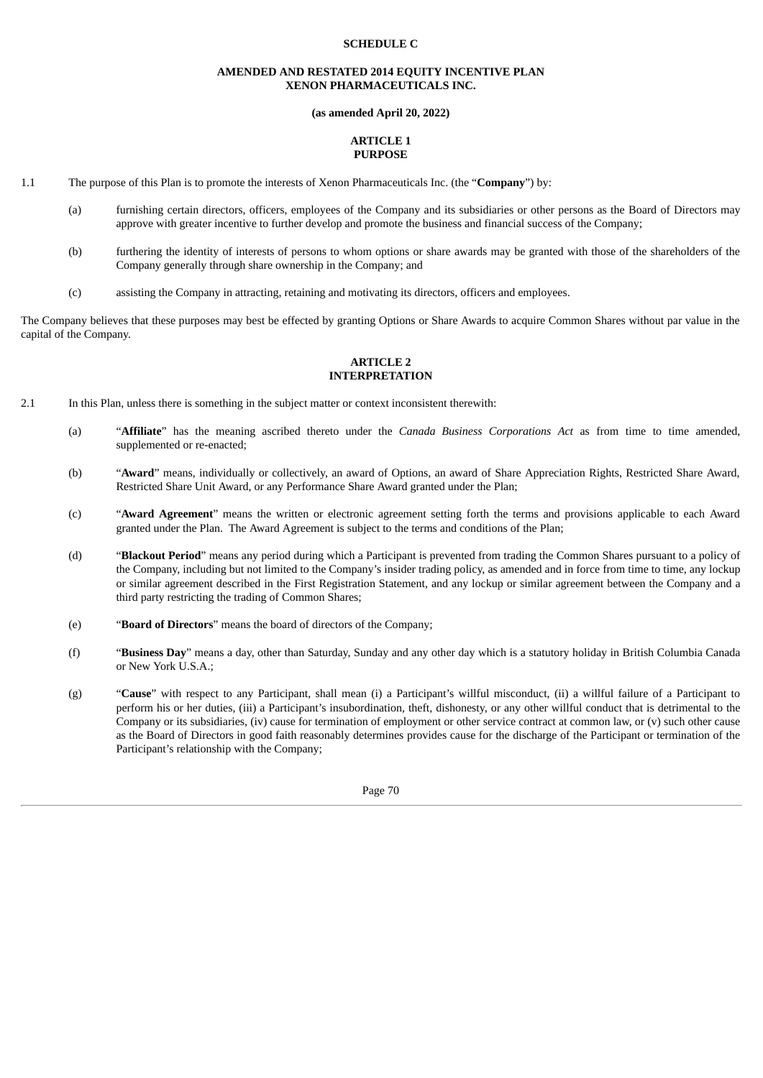#### **SCHEDULE C**

#### **AMENDED AND RESTATED 2014 EQUITY INCENTIVE PLAN XENON PHARMACEUTICALS INC.**

#### **(as amended April 20, 2022)**

#### **ARTICLE 1 PURPOSE**

- 1.1 The purpose of this Plan is to promote the interests of Xenon Pharmaceuticals Inc. (the "**Company**") by:
	- (a) furnishing certain directors, officers, employees of the Company and its subsidiaries or other persons as the Board of Directors may approve with greater incentive to further develop and promote the business and financial success of the Company;
	- (b) furthering the identity of interests of persons to whom options or share awards may be granted with those of the shareholders of the Company generally through share ownership in the Company; and
	- (c) assisting the Company in attracting, retaining and motivating its directors, officers and employees.

The Company believes that these purposes may best be effected by granting Options or Share Awards to acquire Common Shares without par value in the capital of the Company.

#### **ARTICLE 2 INTERPRETATION**

- 2.1 In this Plan, unless there is something in the subject matter or context inconsistent therewith:
	- (a) "**Affiliate**" has the meaning ascribed thereto under the *Canada Business Corporations Act* as from time to time amended, supplemented or re-enacted;
	- (b) "**Award**" means, individually or collectively, an award of Options, an award of Share Appreciation Rights, Restricted Share Award, Restricted Share Unit Award, or any Performance Share Award granted under the Plan;
	- (c) "**Award Agreement**" means the written or electronic agreement setting forth the terms and provisions applicable to each Award granted under the Plan. The Award Agreement is subject to the terms and conditions of the Plan;
	- (d) "**Blackout Period**" means any period during which a Participant is prevented from trading the Common Shares pursuant to a policy of the Company, including but not limited to the Company's insider trading policy, as amended and in force from time to time, any lockup or similar agreement described in the First Registration Statement, and any lockup or similar agreement between the Company and a third party restricting the trading of Common Shares;
	- (e) "**Board of Directors**" means the board of directors of the Company;
	- (f) "**Business Day**" means a day, other than Saturday, Sunday and any other day which is a statutory holiday in British Columbia Canada or New York U.S.A.;
	- (g) "**Cause**" with respect to any Participant, shall mean (i) a Participant's willful misconduct, (ii) a willful failure of a Participant to perform his or her duties, (iii) a Participant's insubordination, theft, dishonesty, or any other willful conduct that is detrimental to the Company or its subsidiaries, (iv) cause for termination of employment or other service contract at common law, or (v) such other cause as the Board of Directors in good faith reasonably determines provides cause for the discharge of the Participant or termination of the Participant's relationship with the Company;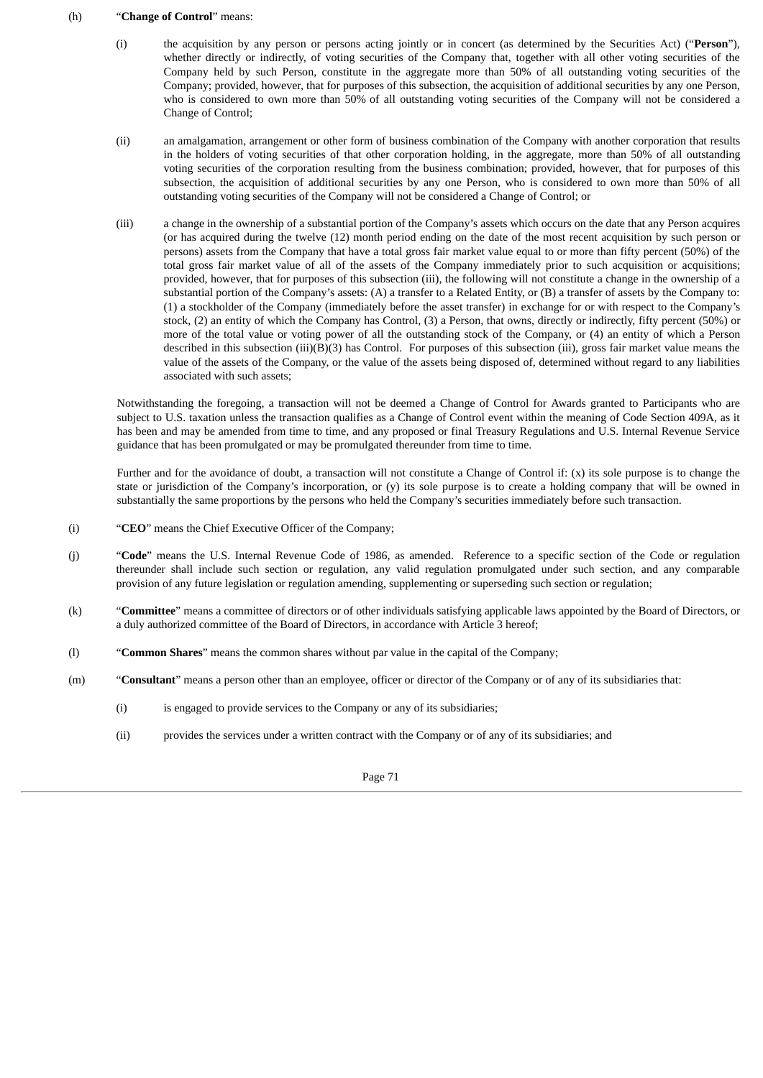#### (h) "**Change of Control**" means:

- (i) the acquisition by any person or persons acting jointly or in concert (as determined by the Securities Act) ("**Person**"), whether directly or indirectly, of voting securities of the Company that, together with all other voting securities of the Company held by such Person, constitute in the aggregate more than 50% of all outstanding voting securities of the Company; provided, however, that for purposes of this subsection, the acquisition of additional securities by any one Person, who is considered to own more than 50% of all outstanding voting securities of the Company will not be considered a Change of Control;
- (ii) an amalgamation, arrangement or other form of business combination of the Company with another corporation that results in the holders of voting securities of that other corporation holding, in the aggregate, more than 50% of all outstanding voting securities of the corporation resulting from the business combination; provided, however, that for purposes of this subsection, the acquisition of additional securities by any one Person, who is considered to own more than 50% of all outstanding voting securities of the Company will not be considered a Change of Control; or
- (iii) a change in the ownership of a substantial portion of the Company's assets which occurs on the date that any Person acquires (or has acquired during the twelve (12) month period ending on the date of the most recent acquisition by such person or persons) assets from the Company that have a total gross fair market value equal to or more than fifty percent (50%) of the total gross fair market value of all of the assets of the Company immediately prior to such acquisition or acquisitions; provided, however, that for purposes of this subsection (iii), the following will not constitute a change in the ownership of a substantial portion of the Company's assets: (A) a transfer to a Related Entity, or (B) a transfer of assets by the Company to: (1) a stockholder of the Company (immediately before the asset transfer) in exchange for or with respect to the Company's stock, (2) an entity of which the Company has Control, (3) a Person, that owns, directly or indirectly, fifty percent (50%) or more of the total value or voting power of all the outstanding stock of the Company, or (4) an entity of which a Person described in this subsection (iii)(B)(3) has Control. For purposes of this subsection (iii), gross fair market value means the value of the assets of the Company, or the value of the assets being disposed of, determined without regard to any liabilities associated with such assets;

Notwithstanding the foregoing, a transaction will not be deemed a Change of Control for Awards granted to Participants who are subject to U.S. taxation unless the transaction qualifies as a Change of Control event within the meaning of Code Section 409A, as it has been and may be amended from time to time, and any proposed or final Treasury Regulations and U.S. Internal Revenue Service guidance that has been promulgated or may be promulgated thereunder from time to time.

Further and for the avoidance of doubt, a transaction will not constitute a Change of Control if: (x) its sole purpose is to change the state or jurisdiction of the Company's incorporation, or (y) its sole purpose is to create a holding company that will be owned in substantially the same proportions by the persons who held the Company's securities immediately before such transaction.

- (i) "**CEO**" means the Chief Executive Officer of the Company;
- (j) "**Code**" means the U.S. Internal Revenue Code of 1986, as amended. Reference to a specific section of the Code or regulation thereunder shall include such section or regulation, any valid regulation promulgated under such section, and any comparable provision of any future legislation or regulation amending, supplementing or superseding such section or regulation;
- (k) "**Committee**" means a committee of directors or of other individuals satisfying applicable laws appointed by the Board of Directors, or a duly authorized committee of the Board of Directors, in accordance with Article 3 hereof;
- (l) "**Common Shares**" means the common shares without par value in the capital of the Company;
- (m) "**Consultant**" means a person other than an employee, officer or director of the Company or of any of its subsidiaries that:
	- (i) is engaged to provide services to the Company or any of its subsidiaries;
	- (ii) provides the services under a written contract with the Company or of any of its subsidiaries; and

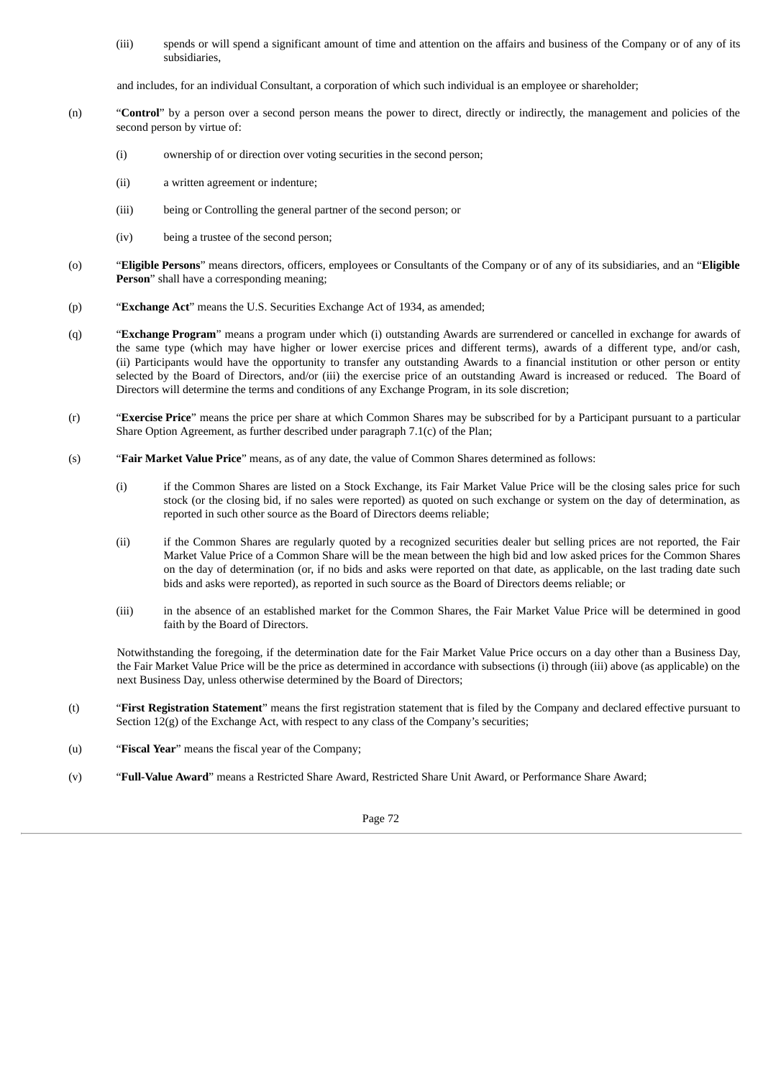(iii) spends or will spend a significant amount of time and attention on the affairs and business of the Company or of any of its subsidiaries,

and includes, for an individual Consultant, a corporation of which such individual is an employee or shareholder;

- (n) "**Control**" by a person over a second person means the power to direct, directly or indirectly, the management and policies of the second person by virtue of:
	- (i) ownership of or direction over voting securities in the second person;
	- (ii) a written agreement or indenture;
	- (iii) being or Controlling the general partner of the second person; or
	- (iv) being a trustee of the second person;
- (o) "**Eligible Persons**" means directors, officers, employees or Consultants of the Company or of any of its subsidiaries, and an "**Eligible Person**" shall have a corresponding meaning;
- (p) "**Exchange Act**" means the U.S. Securities Exchange Act of 1934, as amended;
- (q) "**Exchange Program**" means a program under which (i) outstanding Awards are surrendered or cancelled in exchange for awards of the same type (which may have higher or lower exercise prices and different terms), awards of a different type, and/or cash, (ii) Participants would have the opportunity to transfer any outstanding Awards to a financial institution or other person or entity selected by the Board of Directors, and/or (iii) the exercise price of an outstanding Award is increased or reduced. The Board of Directors will determine the terms and conditions of any Exchange Program, in its sole discretion;
- (r) "**Exercise Price**" means the price per share at which Common Shares may be subscribed for by a Participant pursuant to a particular Share Option Agreement, as further described under paragraph 7.1(c) of the Plan;
- (s) "**Fair Market Value Price**" means, as of any date, the value of Common Shares determined as follows:
	- (i) if the Common Shares are listed on a Stock Exchange, its Fair Market Value Price will be the closing sales price for such stock (or the closing bid, if no sales were reported) as quoted on such exchange or system on the day of determination, as reported in such other source as the Board of Directors deems reliable;
	- (ii) if the Common Shares are regularly quoted by a recognized securities dealer but selling prices are not reported, the Fair Market Value Price of a Common Share will be the mean between the high bid and low asked prices for the Common Shares on the day of determination (or, if no bids and asks were reported on that date, as applicable, on the last trading date such bids and asks were reported), as reported in such source as the Board of Directors deems reliable; or
	- (iii) in the absence of an established market for the Common Shares, the Fair Market Value Price will be determined in good faith by the Board of Directors.

Notwithstanding the foregoing, if the determination date for the Fair Market Value Price occurs on a day other than a Business Day, the Fair Market Value Price will be the price as determined in accordance with subsections (i) through (iii) above (as applicable) on the next Business Day, unless otherwise determined by the Board of Directors;

- (t) "**First Registration Statement**" means the first registration statement that is filed by the Company and declared effective pursuant to Section 12(g) of the Exchange Act, with respect to any class of the Company's securities;
- (u) "**Fiscal Year**" means the fiscal year of the Company;
- (v) "**Full-Value Award**" means a Restricted Share Award, Restricted Share Unit Award, or Performance Share Award;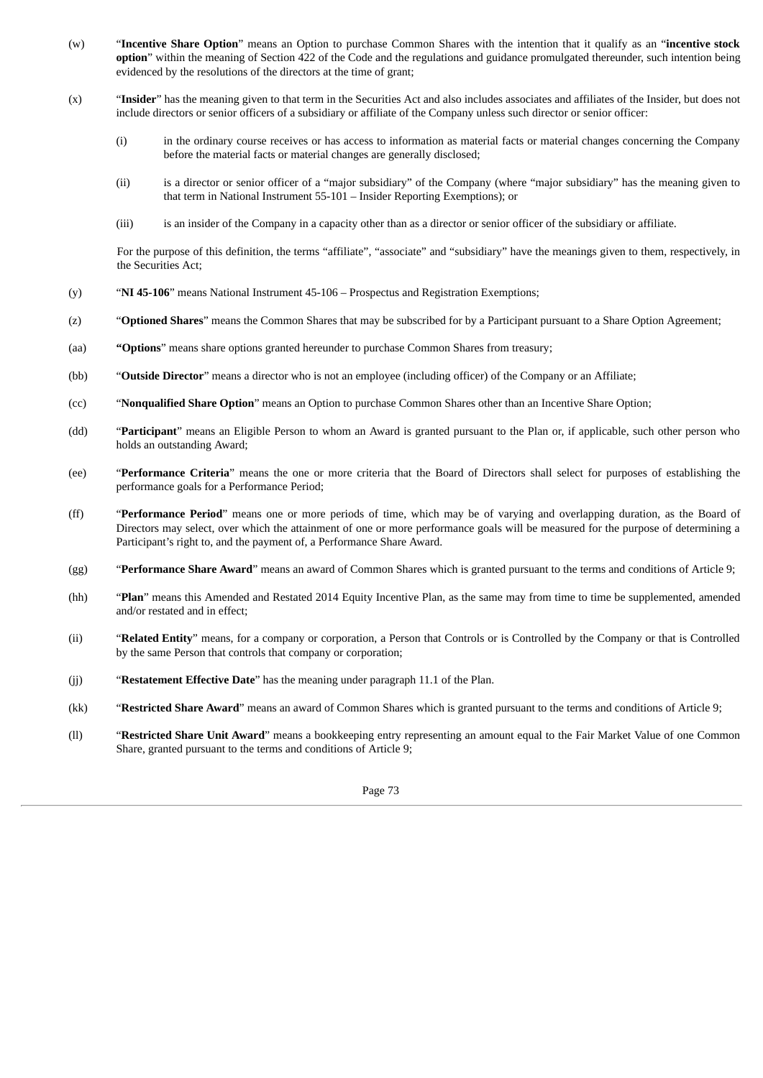- (w) "**Incentive Share Option**" means an Option to purchase Common Shares with the intention that it qualify as an "**incentive stock option**" within the meaning of Section 422 of the Code and the regulations and guidance promulgated thereunder, such intention being evidenced by the resolutions of the directors at the time of grant;
- (x) "**Insider**" has the meaning given to that term in the Securities Act and also includes associates and affiliates of the Insider, but does not include directors or senior officers of a subsidiary or affiliate of the Company unless such director or senior officer:
	- (i) in the ordinary course receives or has access to information as material facts or material changes concerning the Company before the material facts or material changes are generally disclosed;
	- (ii) is a director or senior officer of a "major subsidiary" of the Company (where "major subsidiary" has the meaning given to that term in National Instrument 55‑101 – Insider Reporting Exemptions); or
	- (iii) is an insider of the Company in a capacity other than as a director or senior officer of the subsidiary or affiliate.

For the purpose of this definition, the terms "affiliate", "associate" and "subsidiary" have the meanings given to them, respectively, in the Securities Act;

- (y) "**NI 45‑106**" means National Instrument 45‑106 Prospectus and Registration Exemptions;
- (z) "**Optioned Shares**" means the Common Shares that may be subscribed for by a Participant pursuant to a Share Option Agreement;
- (aa) **"Options**" means share options granted hereunder to purchase Common Shares from treasury;
- (bb) "**Outside Director**" means a director who is not an employee (including officer) of the Company or an Affiliate;
- (cc) "**Nonqualified Share Option**" means an Option to purchase Common Shares other than an Incentive Share Option;
- (dd) "**Participant**" means an Eligible Person to whom an Award is granted pursuant to the Plan or, if applicable, such other person who holds an outstanding Award;
- (ee) "**Performance Criteria**" means the one or more criteria that the Board of Directors shall select for purposes of establishing the performance goals for a Performance Period;
- (ff) "**Performance Period**" means one or more periods of time, which may be of varying and overlapping duration, as the Board of Directors may select, over which the attainment of one or more performance goals will be measured for the purpose of determining a Participant's right to, and the payment of, a Performance Share Award.
- (gg) "**Performance Share Award**" means an award of Common Shares which is granted pursuant to the terms and conditions of Article 9;
- (hh) "**Plan**" means this Amended and Restated 2014 Equity Incentive Plan, as the same may from time to time be supplemented, amended and/or restated and in effect;
- (ii) "**Related Entity**" means, for a company or corporation, a Person that Controls or is Controlled by the Company or that is Controlled by the same Person that controls that company or corporation;
- (jj) "**Restatement Effective Date**" has the meaning under paragraph 11.1 of the Plan.
- (kk) "**Restricted Share Award**" means an award of Common Shares which is granted pursuant to the terms and conditions of Article 9;
- (ll) "**Restricted Share Unit Award**" means a bookkeeping entry representing an amount equal to the Fair Market Value of one Common Share, granted pursuant to the terms and conditions of Article 9;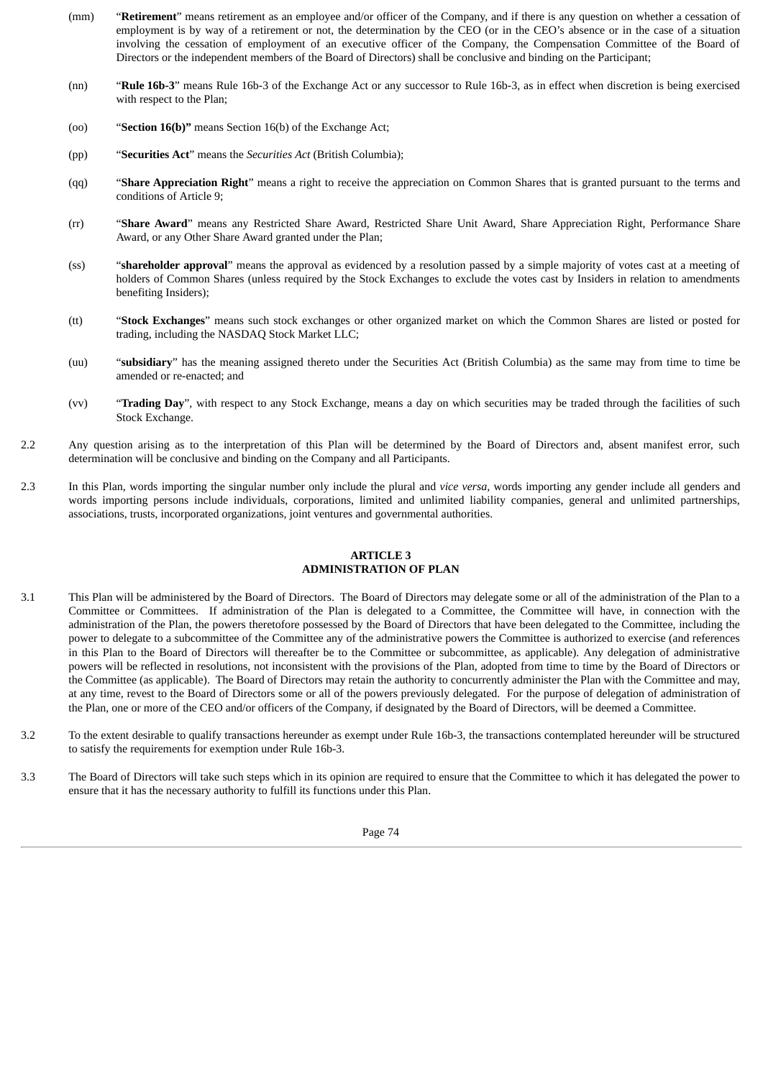- (mm) "**Retirement**" means retirement as an employee and/or officer of the Company, and if there is any question on whether a cessation of employment is by way of a retirement or not, the determination by the CEO (or in the CEO's absence or in the case of a situation involving the cessation of employment of an executive officer of the Company, the Compensation Committee of the Board of Directors or the independent members of the Board of Directors) shall be conclusive and binding on the Participant;
- (nn) "**Rule 16b-3**" means Rule 16b-3 of the Exchange Act or any successor to Rule 16b-3, as in effect when discretion is being exercised with respect to the Plan;
- (oo) "**Section 16(b)"** means Section 16(b) of the Exchange Act;
- (pp) "**Securities Act**" means the *Securities Act* (British Columbia);
- (qq) "**Share Appreciation Right**" means a right to receive the appreciation on Common Shares that is granted pursuant to the terms and conditions of Article 9;
- (rr) "**Share Award**" means any Restricted Share Award, Restricted Share Unit Award, Share Appreciation Right, Performance Share Award, or any Other Share Award granted under the Plan;
- (ss) "**shareholder approval**" means the approval as evidenced by a resolution passed by a simple majority of votes cast at a meeting of holders of Common Shares (unless required by the Stock Exchanges to exclude the votes cast by Insiders in relation to amendments benefiting Insiders);
- (tt) "**Stock Exchanges**" means such stock exchanges or other organized market on which the Common Shares are listed or posted for trading, including the NASDAQ Stock Market LLC;
- (uu) "**subsidiary**" has the meaning assigned thereto under the Securities Act (British Columbia) as the same may from time to time be amended or re-enacted; and
- (vv) "**Trading Day**", with respect to any Stock Exchange, means a day on which securities may be traded through the facilities of such Stock Exchange.
- 2.2 Any question arising as to the interpretation of this Plan will be determined by the Board of Directors and, absent manifest error, such determination will be conclusive and binding on the Company and all Participants.
- 2.3 In this Plan, words importing the singular number only include the plural and *vice versa*, words importing any gender include all genders and words importing persons include individuals, corporations, limited and unlimited liability companies, general and unlimited partnerships, associations, trusts, incorporated organizations, joint ventures and governmental authorities.

#### **ARTICLE 3 ADMINISTRATION OF PLAN**

- 3.1 This Plan will be administered by the Board of Directors. The Board of Directors may delegate some or all of the administration of the Plan to a Committee or Committees. If administration of the Plan is delegated to a Committee, the Committee will have, in connection with the administration of the Plan, the powers theretofore possessed by the Board of Directors that have been delegated to the Committee, including the power to delegate to a subcommittee of the Committee any of the administrative powers the Committee is authorized to exercise (and references in this Plan to the Board of Directors will thereafter be to the Committee or subcommittee, as applicable). Any delegation of administrative powers will be reflected in resolutions, not inconsistent with the provisions of the Plan, adopted from time to time by the Board of Directors or the Committee (as applicable). The Board of Directors may retain the authority to concurrently administer the Plan with the Committee and may, at any time, revest to the Board of Directors some or all of the powers previously delegated. For the purpose of delegation of administration of the Plan, one or more of the CEO and/or officers of the Company, if designated by the Board of Directors, will be deemed a Committee.
- 3.2 To the extent desirable to qualify transactions hereunder as exempt under Rule 16b-3, the transactions contemplated hereunder will be structured to satisfy the requirements for exemption under Rule 16b-3.
- 3.3 The Board of Directors will take such steps which in its opinion are required to ensure that the Committee to which it has delegated the power to ensure that it has the necessary authority to fulfill its functions under this Plan.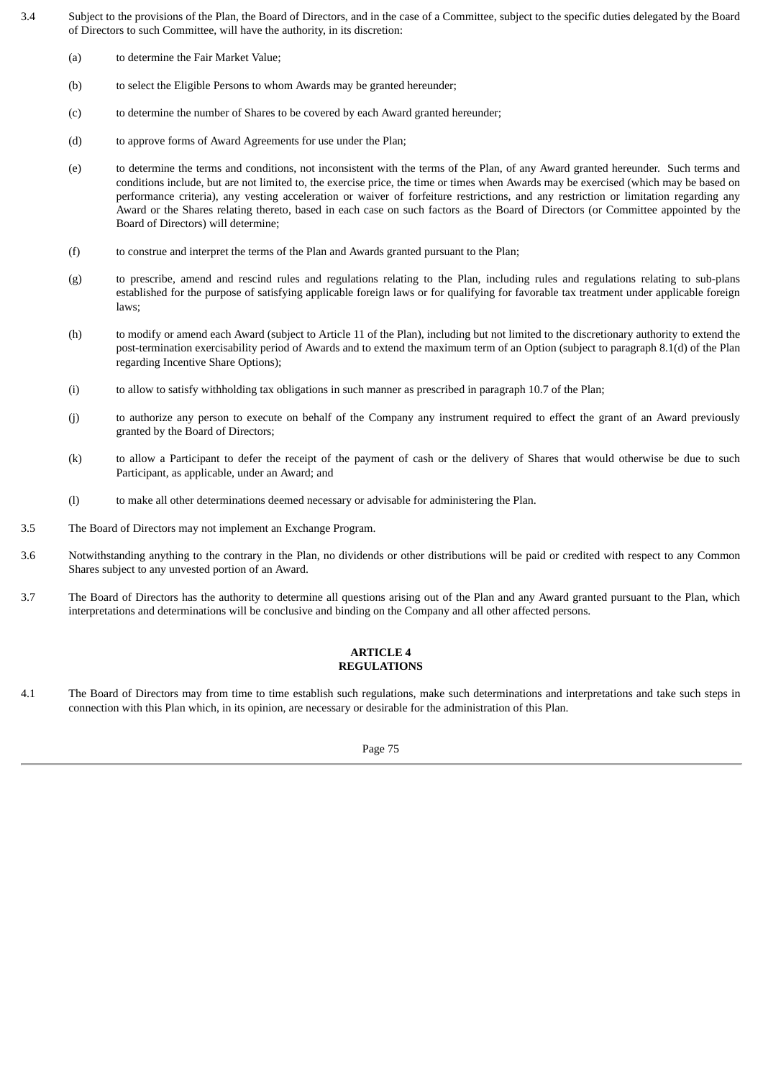- 3.4 Subject to the provisions of the Plan, the Board of Directors, and in the case of a Committee, subject to the specific duties delegated by the Board of Directors to such Committee, will have the authority, in its discretion:
	- (a) to determine the Fair Market Value;
	- (b) to select the Eligible Persons to whom Awards may be granted hereunder;
	- (c) to determine the number of Shares to be covered by each Award granted hereunder;
	- (d) to approve forms of Award Agreements for use under the Plan;
	- (e) to determine the terms and conditions, not inconsistent with the terms of the Plan, of any Award granted hereunder. Such terms and conditions include, but are not limited to, the exercise price, the time or times when Awards may be exercised (which may be based on performance criteria), any vesting acceleration or waiver of forfeiture restrictions, and any restriction or limitation regarding any Award or the Shares relating thereto, based in each case on such factors as the Board of Directors (or Committee appointed by the Board of Directors) will determine;
	- (f) to construe and interpret the terms of the Plan and Awards granted pursuant to the Plan;
	- (g) to prescribe, amend and rescind rules and regulations relating to the Plan, including rules and regulations relating to sub-plans established for the purpose of satisfying applicable foreign laws or for qualifying for favorable tax treatment under applicable foreign laws;
	- (h) to modify or amend each Award (subject to Article 11 of the Plan), including but not limited to the discretionary authority to extend the post-termination exercisability period of Awards and to extend the maximum term of an Option (subject to paragraph 8.1(d) of the Plan regarding Incentive Share Options);
	- (i) to allow to satisfy withholding tax obligations in such manner as prescribed in paragraph 10.7 of the Plan;
	- (j) to authorize any person to execute on behalf of the Company any instrument required to effect the grant of an Award previously granted by the Board of Directors;
	- (k) to allow a Participant to defer the receipt of the payment of cash or the delivery of Shares that would otherwise be due to such Participant, as applicable, under an Award; and
	- (l) to make all other determinations deemed necessary or advisable for administering the Plan.
- 3.5 The Board of Directors may not implement an Exchange Program.
- 3.6 Notwithstanding anything to the contrary in the Plan, no dividends or other distributions will be paid or credited with respect to any Common Shares subject to any unvested portion of an Award.
- 3.7 The Board of Directors has the authority to determine all questions arising out of the Plan and any Award granted pursuant to the Plan, which interpretations and determinations will be conclusive and binding on the Company and all other affected persons.

#### **ARTICLE 4 REGULATIONS**

4.1 The Board of Directors may from time to time establish such regulations, make such determinations and interpretations and take such steps in connection with this Plan which, in its opinion, are necessary or desirable for the administration of this Plan.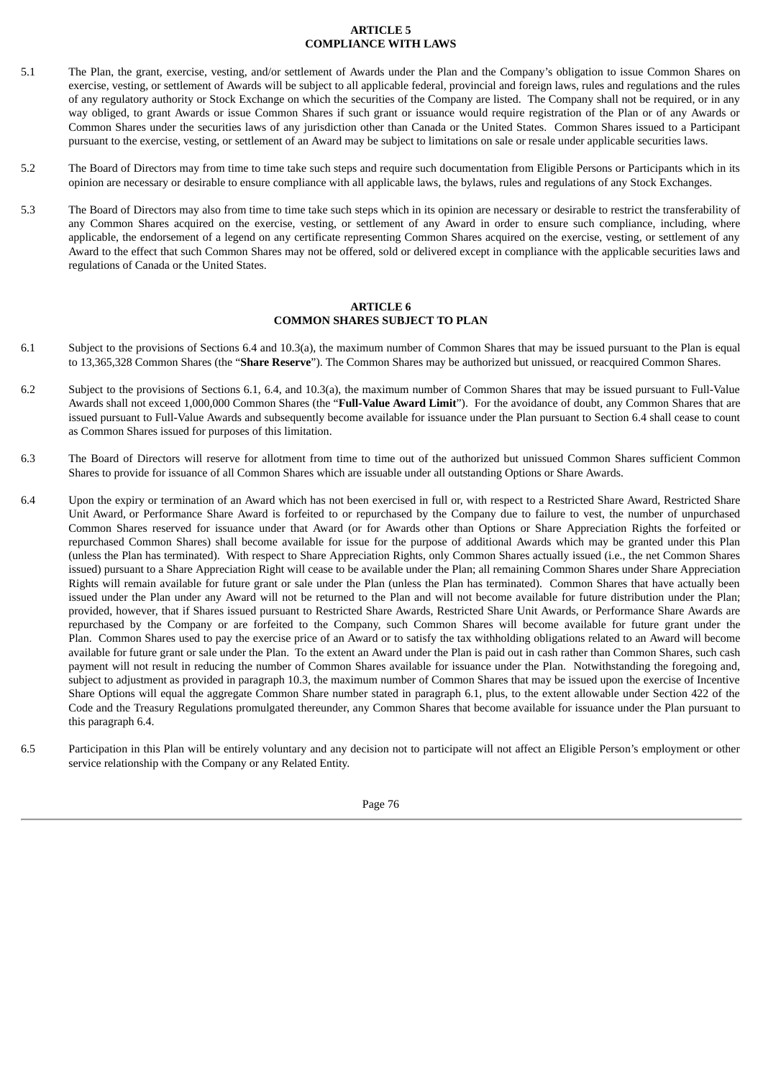## **ARTICLE 5 COMPLIANCE WITH LAWS**

- 5.1 The Plan, the grant, exercise, vesting, and/or settlement of Awards under the Plan and the Company's obligation to issue Common Shares on exercise, vesting, or settlement of Awards will be subject to all applicable federal, provincial and foreign laws, rules and regulations and the rules of any regulatory authority or Stock Exchange on which the securities of the Company are listed. The Company shall not be required, or in any way obliged, to grant Awards or issue Common Shares if such grant or issuance would require registration of the Plan or of any Awards or Common Shares under the securities laws of any jurisdiction other than Canada or the United States. Common Shares issued to a Participant pursuant to the exercise, vesting, or settlement of an Award may be subject to limitations on sale or resale under applicable securities laws.
- 5.2 The Board of Directors may from time to time take such steps and require such documentation from Eligible Persons or Participants which in its opinion are necessary or desirable to ensure compliance with all applicable laws, the bylaws, rules and regulations of any Stock Exchanges.
- 5.3 The Board of Directors may also from time to time take such steps which in its opinion are necessary or desirable to restrict the transferability of any Common Shares acquired on the exercise, vesting, or settlement of any Award in order to ensure such compliance, including, where applicable, the endorsement of a legend on any certificate representing Common Shares acquired on the exercise, vesting, or settlement of any Award to the effect that such Common Shares may not be offered, sold or delivered except in compliance with the applicable securities laws and regulations of Canada or the United States.

#### **ARTICLE 6 COMMON SHARES SUBJECT TO PLAN**

- 6.1 Subject to the provisions of Sections 6.4 and 10.3(a), the maximum number of Common Shares that may be issued pursuant to the Plan is equal to 13,365,328 Common Shares (the "**Share Reserve**"). The Common Shares may be authorized but unissued, or reacquired Common Shares.
- 6.2 Subject to the provisions of Sections 6.1, 6.4, and 10.3(a), the maximum number of Common Shares that may be issued pursuant to Full-Value Awards shall not exceed 1,000,000 Common Shares (the "**Full-Value Award Limit**"). For the avoidance of doubt, any Common Shares that are issued pursuant to Full-Value Awards and subsequently become available for issuance under the Plan pursuant to Section 6.4 shall cease to count as Common Shares issued for purposes of this limitation.
- 6.3 The Board of Directors will reserve for allotment from time to time out of the authorized but unissued Common Shares sufficient Common Shares to provide for issuance of all Common Shares which are issuable under all outstanding Options or Share Awards.
- 6.4 Upon the expiry or termination of an Award which has not been exercised in full or, with respect to a Restricted Share Award, Restricted Share Unit Award, or Performance Share Award is forfeited to or repurchased by the Company due to failure to vest, the number of unpurchased Common Shares reserved for issuance under that Award (or for Awards other than Options or Share Appreciation Rights the forfeited or repurchased Common Shares) shall become available for issue for the purpose of additional Awards which may be granted under this Plan (unless the Plan has terminated). With respect to Share Appreciation Rights, only Common Shares actually issued (i.e., the net Common Shares issued) pursuant to a Share Appreciation Right will cease to be available under the Plan; all remaining Common Shares under Share Appreciation Rights will remain available for future grant or sale under the Plan (unless the Plan has terminated). Common Shares that have actually been issued under the Plan under any Award will not be returned to the Plan and will not become available for future distribution under the Plan; provided, however, that if Shares issued pursuant to Restricted Share Awards, Restricted Share Unit Awards, or Performance Share Awards are repurchased by the Company or are forfeited to the Company, such Common Shares will become available for future grant under the Plan. Common Shares used to pay the exercise price of an Award or to satisfy the tax withholding obligations related to an Award will become available for future grant or sale under the Plan. To the extent an Award under the Plan is paid out in cash rather than Common Shares, such cash payment will not result in reducing the number of Common Shares available for issuance under the Plan. Notwithstanding the foregoing and, subject to adjustment as provided in paragraph 10.3, the maximum number of Common Shares that may be issued upon the exercise of Incentive Share Options will equal the aggregate Common Share number stated in paragraph 6.1, plus, to the extent allowable under Section 422 of the Code and the Treasury Regulations promulgated thereunder, any Common Shares that become available for issuance under the Plan pursuant to this paragraph 6.4.
- 6.5 Participation in this Plan will be entirely voluntary and any decision not to participate will not affect an Eligible Person's employment or other service relationship with the Company or any Related Entity.

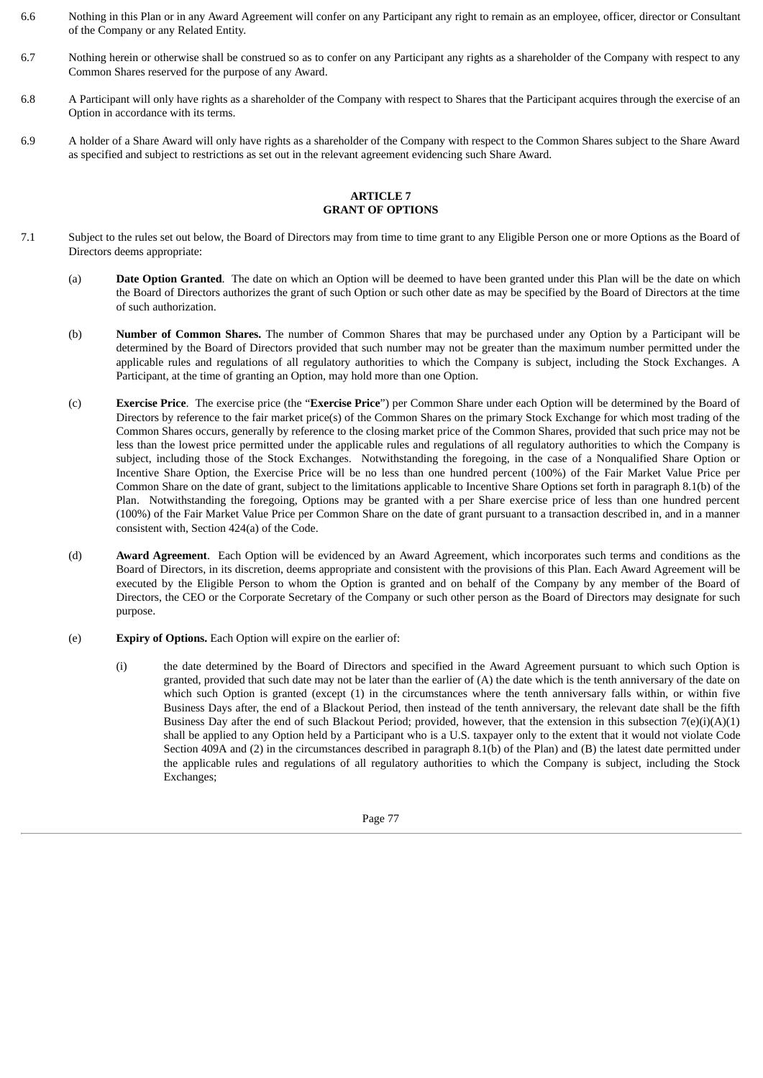- 6.6 Nothing in this Plan or in any Award Agreement will confer on any Participant any right to remain as an employee, officer, director or Consultant of the Company or any Related Entity.
- 6.7 Nothing herein or otherwise shall be construed so as to confer on any Participant any rights as a shareholder of the Company with respect to any Common Shares reserved for the purpose of any Award.
- 6.8 A Participant will only have rights as a shareholder of the Company with respect to Shares that the Participant acquires through the exercise of an Option in accordance with its terms.
- 6.9 A holder of a Share Award will only have rights as a shareholder of the Company with respect to the Common Shares subject to the Share Award as specified and subject to restrictions as set out in the relevant agreement evidencing such Share Award.

#### **ARTICLE 7 GRANT OF OPTIONS**

- 7.1 Subject to the rules set out below, the Board of Directors may from time to time grant to any Eligible Person one or more Options as the Board of Directors deems appropriate:
	- (a) **Date Option Granted**. The date on which an Option will be deemed to have been granted under this Plan will be the date on which the Board of Directors authorizes the grant of such Option or such other date as may be specified by the Board of Directors at the time of such authorization.
	- (b) **Number of Common Shares.** The number of Common Shares that may be purchased under any Option by a Participant will be determined by the Board of Directors provided that such number may not be greater than the maximum number permitted under the applicable rules and regulations of all regulatory authorities to which the Company is subject, including the Stock Exchanges. A Participant, at the time of granting an Option, may hold more than one Option.
	- (c) **Exercise Price**. The exercise price (the "**Exercise Price**") per Common Share under each Option will be determined by the Board of Directors by reference to the fair market price(s) of the Common Shares on the primary Stock Exchange for which most trading of the Common Shares occurs, generally by reference to the closing market price of the Common Shares, provided that such price may not be less than the lowest price permitted under the applicable rules and regulations of all regulatory authorities to which the Company is subject, including those of the Stock Exchanges. Notwithstanding the foregoing, in the case of a Nonqualified Share Option or Incentive Share Option, the Exercise Price will be no less than one hundred percent (100%) of the Fair Market Value Price per Common Share on the date of grant, subject to the limitations applicable to Incentive Share Options set forth in paragraph 8.1(b) of the Plan. Notwithstanding the foregoing, Options may be granted with a per Share exercise price of less than one hundred percent (100%) of the Fair Market Value Price per Common Share on the date of grant pursuant to a transaction described in, and in a manner consistent with, Section 424(a) of the Code.
	- (d) **Award Agreement**. Each Option will be evidenced by an Award Agreement, which incorporates such terms and conditions as the Board of Directors, in its discretion, deems appropriate and consistent with the provisions of this Plan. Each Award Agreement will be executed by the Eligible Person to whom the Option is granted and on behalf of the Company by any member of the Board of Directors, the CEO or the Corporate Secretary of the Company or such other person as the Board of Directors may designate for such purpose.
	- (e) **Expiry of Options.** Each Option will expire on the earlier of:
		- (i) the date determined by the Board of Directors and specified in the Award Agreement pursuant to which such Option is granted, provided that such date may not be later than the earlier of (A) the date which is the tenth anniversary of the date on which such Option is granted (except (1) in the circumstances where the tenth anniversary falls within, or within five Business Days after, the end of a Blackout Period, then instead of the tenth anniversary, the relevant date shall be the fifth Business Day after the end of such Blackout Period; provided, however, that the extension in this subsection  $7(e)(i)(A)(1)$ shall be applied to any Option held by a Participant who is a U.S. taxpayer only to the extent that it would not violate Code Section 409A and (2) in the circumstances described in paragraph 8.1(b) of the Plan) and (B) the latest date permitted under the applicable rules and regulations of all regulatory authorities to which the Company is subject, including the Stock Exchanges;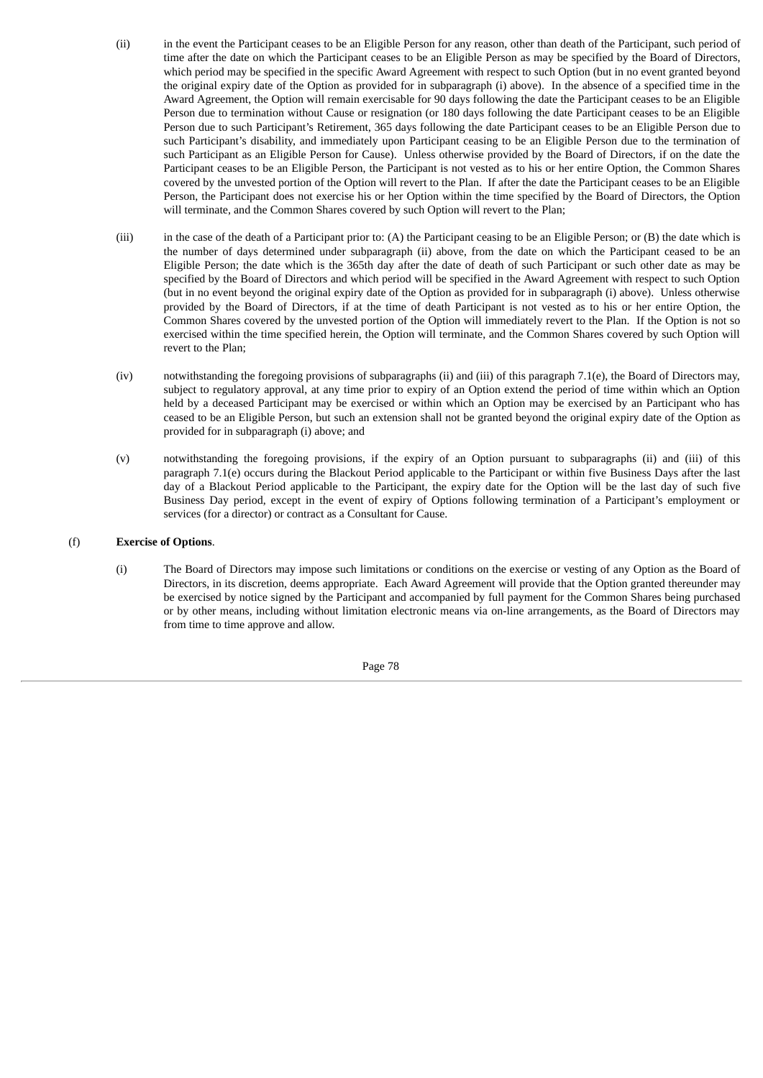- (ii) in the event the Participant ceases to be an Eligible Person for any reason, other than death of the Participant, such period of time after the date on which the Participant ceases to be an Eligible Person as may be specified by the Board of Directors, which period may be specified in the specific Award Agreement with respect to such Option (but in no event granted beyond the original expiry date of the Option as provided for in subparagraph (i) above). In the absence of a specified time in the Award Agreement, the Option will remain exercisable for 90 days following the date the Participant ceases to be an Eligible Person due to termination without Cause or resignation (or 180 days following the date Participant ceases to be an Eligible Person due to such Participant's Retirement, 365 days following the date Participant ceases to be an Eligible Person due to such Participant's disability, and immediately upon Participant ceasing to be an Eligible Person due to the termination of such Participant as an Eligible Person for Cause). Unless otherwise provided by the Board of Directors, if on the date the Participant ceases to be an Eligible Person, the Participant is not vested as to his or her entire Option, the Common Shares covered by the unvested portion of the Option will revert to the Plan. If after the date the Participant ceases to be an Eligible Person, the Participant does not exercise his or her Option within the time specified by the Board of Directors, the Option will terminate, and the Common Shares covered by such Option will revert to the Plan;
- (iii) in the case of the death of a Participant prior to: (A) the Participant ceasing to be an Eligible Person; or (B) the date which is the number of days determined under subparagraph (ii) above, from the date on which the Participant ceased to be an Eligible Person; the date which is the 365th day after the date of death of such Participant or such other date as may be specified by the Board of Directors and which period will be specified in the Award Agreement with respect to such Option (but in no event beyond the original expiry date of the Option as provided for in subparagraph (i) above). Unless otherwise provided by the Board of Directors, if at the time of death Participant is not vested as to his or her entire Option, the Common Shares covered by the unvested portion of the Option will immediately revert to the Plan. If the Option is not so exercised within the time specified herein, the Option will terminate, and the Common Shares covered by such Option will revert to the Plan;
- (iv) notwithstanding the foregoing provisions of subparagraphs (ii) and (iii) of this paragraph 7.1(e), the Board of Directors may, subject to regulatory approval, at any time prior to expiry of an Option extend the period of time within which an Option held by a deceased Participant may be exercised or within which an Option may be exercised by an Participant who has ceased to be an Eligible Person, but such an extension shall not be granted beyond the original expiry date of the Option as provided for in subparagraph (i) above; and
- (v) notwithstanding the foregoing provisions, if the expiry of an Option pursuant to subparagraphs (ii) and (iii) of this paragraph 7.1(e) occurs during the Blackout Period applicable to the Participant or within five Business Days after the last day of a Blackout Period applicable to the Participant, the expiry date for the Option will be the last day of such five Business Day period, except in the event of expiry of Options following termination of a Participant's employment or services (for a director) or contract as a Consultant for Cause.

#### (f) **Exercise of Options**.

(i) The Board of Directors may impose such limitations or conditions on the exercise or vesting of any Option as the Board of Directors, in its discretion, deems appropriate. Each Award Agreement will provide that the Option granted thereunder may be exercised by notice signed by the Participant and accompanied by full payment for the Common Shares being purchased or by other means, including without limitation electronic means via on-line arrangements, as the Board of Directors may from time to time approve and allow.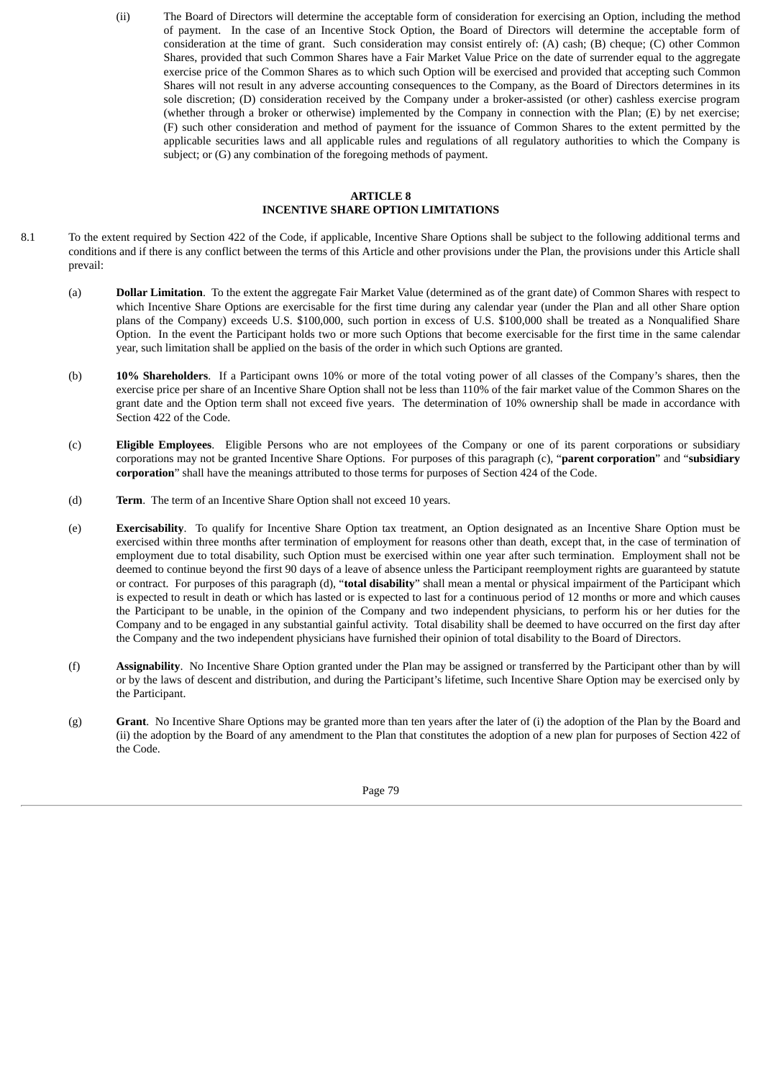(ii) The Board of Directors will determine the acceptable form of consideration for exercising an Option, including the method of payment. In the case of an Incentive Stock Option, the Board of Directors will determine the acceptable form of consideration at the time of grant. Such consideration may consist entirely of: (A) cash; (B) cheque; (C) other Common Shares, provided that such Common Shares have a Fair Market Value Price on the date of surrender equal to the aggregate exercise price of the Common Shares as to which such Option will be exercised and provided that accepting such Common Shares will not result in any adverse accounting consequences to the Company, as the Board of Directors determines in its sole discretion; (D) consideration received by the Company under a broker-assisted (or other) cashless exercise program (whether through a broker or otherwise) implemented by the Company in connection with the Plan; (E) by net exercise; (F) such other consideration and method of payment for the issuance of Common Shares to the extent permitted by the applicable securities laws and all applicable rules and regulations of all regulatory authorities to which the Company is subject; or (G) any combination of the foregoing methods of payment.

#### **ARTICLE 8 INCENTIVE SHARE OPTION LIMITATIONS**

- 8.1 To the extent required by Section 422 of the Code, if applicable, Incentive Share Options shall be subject to the following additional terms and conditions and if there is any conflict between the terms of this Article and other provisions under the Plan, the provisions under this Article shall prevail:
	- (a) **Dollar Limitation**. To the extent the aggregate Fair Market Value (determined as of the grant date) of Common Shares with respect to which Incentive Share Options are exercisable for the first time during any calendar year (under the Plan and all other Share option plans of the Company) exceeds U.S. \$100,000, such portion in excess of U.S. \$100,000 shall be treated as a Nonqualified Share Option. In the event the Participant holds two or more such Options that become exercisable for the first time in the same calendar year, such limitation shall be applied on the basis of the order in which such Options are granted.
	- (b) **10% Shareholders**. If a Participant owns 10% or more of the total voting power of all classes of the Company's shares, then the exercise price per share of an Incentive Share Option shall not be less than 110% of the fair market value of the Common Shares on the grant date and the Option term shall not exceed five years. The determination of 10% ownership shall be made in accordance with Section 422 of the Code.
	- (c) **Eligible Employees**. Eligible Persons who are not employees of the Company or one of its parent corporations or subsidiary corporations may not be granted Incentive Share Options. For purposes of this paragraph (c), "**parent corporation**" and "**subsidiary corporation**" shall have the meanings attributed to those terms for purposes of Section 424 of the Code.
	- (d) **Term**. The term of an Incentive Share Option shall not exceed 10 years.
	- (e) **Exercisability**. To qualify for Incentive Share Option tax treatment, an Option designated as an Incentive Share Option must be exercised within three months after termination of employment for reasons other than death, except that, in the case of termination of employment due to total disability, such Option must be exercised within one year after such termination. Employment shall not be deemed to continue beyond the first 90 days of a leave of absence unless the Participant reemployment rights are guaranteed by statute or contract. For purposes of this paragraph (d), "**total disability**" shall mean a mental or physical impairment of the Participant which is expected to result in death or which has lasted or is expected to last for a continuous period of 12 months or more and which causes the Participant to be unable, in the opinion of the Company and two independent physicians, to perform his or her duties for the Company and to be engaged in any substantial gainful activity. Total disability shall be deemed to have occurred on the first day after the Company and the two independent physicians have furnished their opinion of total disability to the Board of Directors.
	- (f) **Assignability**. No Incentive Share Option granted under the Plan may be assigned or transferred by the Participant other than by will or by the laws of descent and distribution, and during the Participant's lifetime, such Incentive Share Option may be exercised only by the Participant.
	- (g) **Grant**. No Incentive Share Options may be granted more than ten years after the later of (i) the adoption of the Plan by the Board and (ii) the adoption by the Board of any amendment to the Plan that constitutes the adoption of a new plan for purposes of Section 422 of the Code.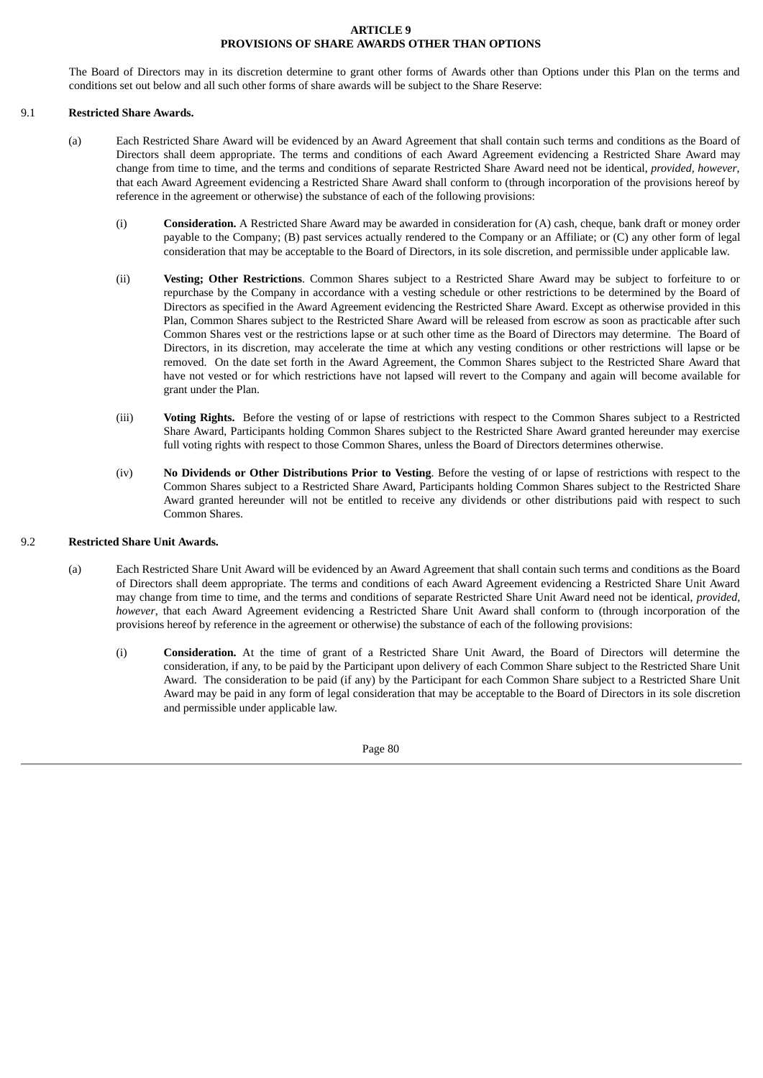## **ARTICLE 9 PROVISIONS OF SHARE AWARDS OTHER THAN OPTIONS**

The Board of Directors may in its discretion determine to grant other forms of Awards other than Options under this Plan on the terms and conditions set out below and all such other forms of share awards will be subject to the Share Reserve:

#### 9.1 **Restricted Share Awards.**

- (a) Each Restricted Share Award will be evidenced by an Award Agreement that shall contain such terms and conditions as the Board of Directors shall deem appropriate. The terms and conditions of each Award Agreement evidencing a Restricted Share Award may change from time to time, and the terms and conditions of separate Restricted Share Award need not be identical, *provided, however*, that each Award Agreement evidencing a Restricted Share Award shall conform to (through incorporation of the provisions hereof by reference in the agreement or otherwise) the substance of each of the following provisions:
	- (i) **Consideration.** A Restricted Share Award may be awarded in consideration for (A) cash, cheque, bank draft or money order payable to the Company; (B) past services actually rendered to the Company or an Affiliate; or (C) any other form of legal consideration that may be acceptable to the Board of Directors, in its sole discretion, and permissible under applicable law.
	- (ii) **Vesting; Other Restrictions**. Common Shares subject to a Restricted Share Award may be subject to forfeiture to or repurchase by the Company in accordance with a vesting schedule or other restrictions to be determined by the Board of Directors as specified in the Award Agreement evidencing the Restricted Share Award. Except as otherwise provided in this Plan, Common Shares subject to the Restricted Share Award will be released from escrow as soon as practicable after such Common Shares vest or the restrictions lapse or at such other time as the Board of Directors may determine. The Board of Directors, in its discretion, may accelerate the time at which any vesting conditions or other restrictions will lapse or be removed. On the date set forth in the Award Agreement, the Common Shares subject to the Restricted Share Award that have not vested or for which restrictions have not lapsed will revert to the Company and again will become available for grant under the Plan.
	- (iii) **Voting Rights.** Before the vesting of or lapse of restrictions with respect to the Common Shares subject to a Restricted Share Award, Participants holding Common Shares subject to the Restricted Share Award granted hereunder may exercise full voting rights with respect to those Common Shares, unless the Board of Directors determines otherwise.
	- (iv) **No Dividends or Other Distributions Prior to Vesting**. Before the vesting of or lapse of restrictions with respect to the Common Shares subject to a Restricted Share Award, Participants holding Common Shares subject to the Restricted Share Award granted hereunder will not be entitled to receive any dividends or other distributions paid with respect to such Common Shares.

#### 9.2 **Restricted Share Unit Awards.**

- (a) Each Restricted Share Unit Award will be evidenced by an Award Agreement that shall contain such terms and conditions as the Board of Directors shall deem appropriate. The terms and conditions of each Award Agreement evidencing a Restricted Share Unit Award may change from time to time, and the terms and conditions of separate Restricted Share Unit Award need not be identical, *provided, however*, that each Award Agreement evidencing a Restricted Share Unit Award shall conform to (through incorporation of the provisions hereof by reference in the agreement or otherwise) the substance of each of the following provisions:
	- (i) **Consideration.** At the time of grant of a Restricted Share Unit Award, the Board of Directors will determine the consideration, if any, to be paid by the Participant upon delivery of each Common Share subject to the Restricted Share Unit Award. The consideration to be paid (if any) by the Participant for each Common Share subject to a Restricted Share Unit Award may be paid in any form of legal consideration that may be acceptable to the Board of Directors in its sole discretion and permissible under applicable law.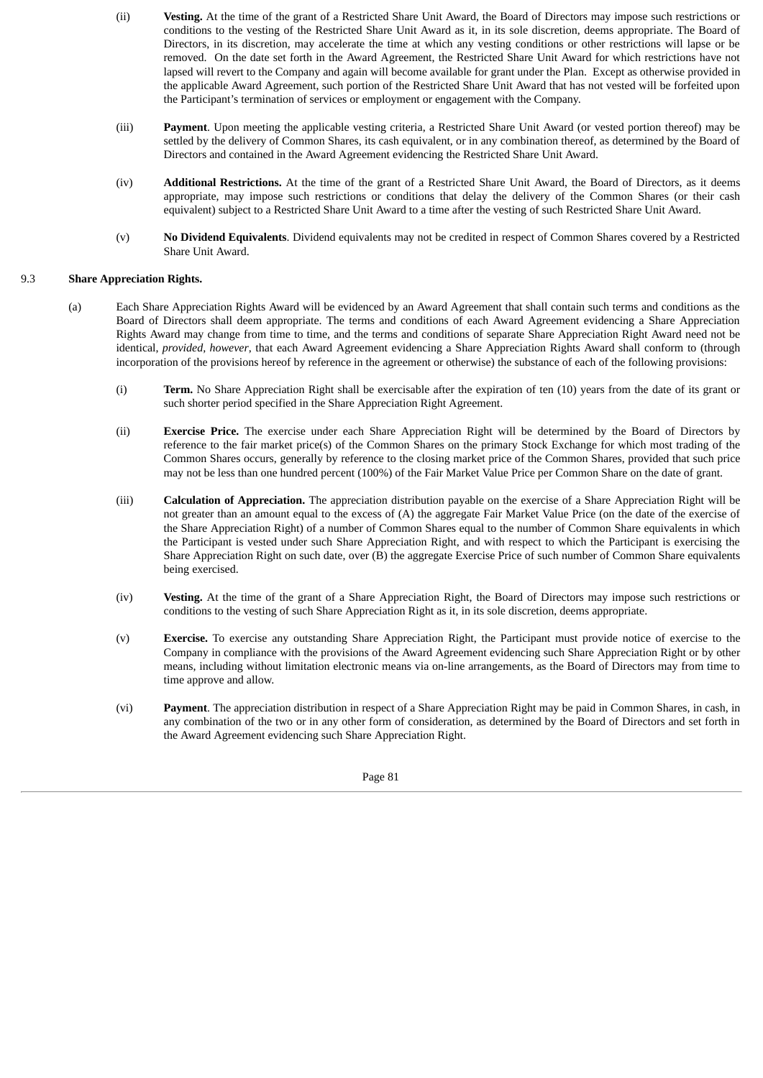- (ii) **Vesting.** At the time of the grant of a Restricted Share Unit Award, the Board of Directors may impose such restrictions or conditions to the vesting of the Restricted Share Unit Award as it, in its sole discretion, deems appropriate. The Board of Directors, in its discretion, may accelerate the time at which any vesting conditions or other restrictions will lapse or be removed. On the date set forth in the Award Agreement, the Restricted Share Unit Award for which restrictions have not lapsed will revert to the Company and again will become available for grant under the Plan. Except as otherwise provided in the applicable Award Agreement, such portion of the Restricted Share Unit Award that has not vested will be forfeited upon the Participant's termination of services or employment or engagement with the Company.
- (iii) **Payment**. Upon meeting the applicable vesting criteria, a Restricted Share Unit Award (or vested portion thereof) may be settled by the delivery of Common Shares, its cash equivalent, or in any combination thereof, as determined by the Board of Directors and contained in the Award Agreement evidencing the Restricted Share Unit Award.
- (iv) **Additional Restrictions.** At the time of the grant of a Restricted Share Unit Award, the Board of Directors, as it deems appropriate, may impose such restrictions or conditions that delay the delivery of the Common Shares (or their cash equivalent) subject to a Restricted Share Unit Award to a time after the vesting of such Restricted Share Unit Award.
- (v) **No Dividend Equivalents**. Dividend equivalents may not be credited in respect of Common Shares covered by a Restricted Share Unit Award.

#### 9.3 **Share Appreciation Rights.**

- (a) Each Share Appreciation Rights Award will be evidenced by an Award Agreement that shall contain such terms and conditions as the Board of Directors shall deem appropriate. The terms and conditions of each Award Agreement evidencing a Share Appreciation Rights Award may change from time to time, and the terms and conditions of separate Share Appreciation Right Award need not be identical, *provided, however*, that each Award Agreement evidencing a Share Appreciation Rights Award shall conform to (through incorporation of the provisions hereof by reference in the agreement or otherwise) the substance of each of the following provisions:
	- (i) **Term.** No Share Appreciation Right shall be exercisable after the expiration of ten (10) years from the date of its grant or such shorter period specified in the Share Appreciation Right Agreement.
	- (ii) **Exercise Price.** The exercise under each Share Appreciation Right will be determined by the Board of Directors by reference to the fair market price(s) of the Common Shares on the primary Stock Exchange for which most trading of the Common Shares occurs, generally by reference to the closing market price of the Common Shares, provided that such price may not be less than one hundred percent (100%) of the Fair Market Value Price per Common Share on the date of grant.
	- (iii) **Calculation of Appreciation.** The appreciation distribution payable on the exercise of a Share Appreciation Right will be not greater than an amount equal to the excess of (A) the aggregate Fair Market Value Price (on the date of the exercise of the Share Appreciation Right) of a number of Common Shares equal to the number of Common Share equivalents in which the Participant is vested under such Share Appreciation Right, and with respect to which the Participant is exercising the Share Appreciation Right on such date, over (B) the aggregate Exercise Price of such number of Common Share equivalents being exercised.
	- (iv) **Vesting.** At the time of the grant of a Share Appreciation Right, the Board of Directors may impose such restrictions or conditions to the vesting of such Share Appreciation Right as it, in its sole discretion, deems appropriate.
	- (v) **Exercise.** To exercise any outstanding Share Appreciation Right, the Participant must provide notice of exercise to the Company in compliance with the provisions of the Award Agreement evidencing such Share Appreciation Right or by other means, including without limitation electronic means via on-line arrangements, as the Board of Directors may from time to time approve and allow.
	- (vi) **Payment**. The appreciation distribution in respect of a Share Appreciation Right may be paid in Common Shares, in cash, in any combination of the two or in any other form of consideration, as determined by the Board of Directors and set forth in the Award Agreement evidencing such Share Appreciation Right.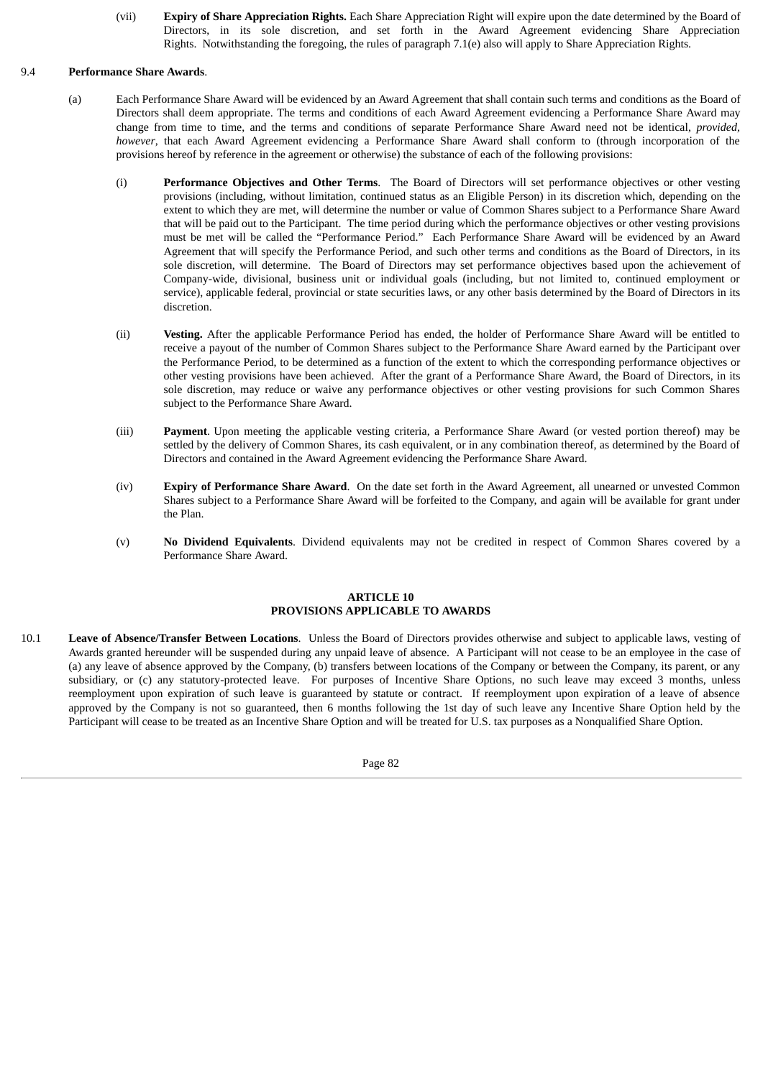(vii) **Expiry of Share Appreciation Rights.** Each Share Appreciation Right will expire upon the date determined by the Board of Directors, in its sole discretion, and set forth in the Award Agreement evidencing Share Appreciation Rights. Notwithstanding the foregoing, the rules of paragraph 7.1(e) also will apply to Share Appreciation Rights.

#### 9.4 **Performance Share Awards**.

- (a) Each Performance Share Award will be evidenced by an Award Agreement that shall contain such terms and conditions as the Board of Directors shall deem appropriate. The terms and conditions of each Award Agreement evidencing a Performance Share Award may change from time to time, and the terms and conditions of separate Performance Share Award need not be identical, *provided, however*, that each Award Agreement evidencing a Performance Share Award shall conform to (through incorporation of the provisions hereof by reference in the agreement or otherwise) the substance of each of the following provisions:
	- (i) **Performance Objectives and Other Terms**. The Board of Directors will set performance objectives or other vesting provisions (including, without limitation, continued status as an Eligible Person) in its discretion which, depending on the extent to which they are met, will determine the number or value of Common Shares subject to a Performance Share Award that will be paid out to the Participant. The time period during which the performance objectives or other vesting provisions must be met will be called the "Performance Period." Each Performance Share Award will be evidenced by an Award Agreement that will specify the Performance Period, and such other terms and conditions as the Board of Directors, in its sole discretion, will determine. The Board of Directors may set performance objectives based upon the achievement of Company-wide, divisional, business unit or individual goals (including, but not limited to, continued employment or service), applicable federal, provincial or state securities laws, or any other basis determined by the Board of Directors in its discretion.
	- (ii) **Vesting.** After the applicable Performance Period has ended, the holder of Performance Share Award will be entitled to receive a payout of the number of Common Shares subject to the Performance Share Award earned by the Participant over the Performance Period, to be determined as a function of the extent to which the corresponding performance objectives or other vesting provisions have been achieved. After the grant of a Performance Share Award, the Board of Directors, in its sole discretion, may reduce or waive any performance objectives or other vesting provisions for such Common Shares subject to the Performance Share Award.
	- (iii) **Payment**. Upon meeting the applicable vesting criteria, a Performance Share Award (or vested portion thereof) may be settled by the delivery of Common Shares, its cash equivalent, or in any combination thereof, as determined by the Board of Directors and contained in the Award Agreement evidencing the Performance Share Award.
	- (iv) **Expiry of Performance Share Award**. On the date set forth in the Award Agreement, all unearned or unvested Common Shares subject to a Performance Share Award will be forfeited to the Company, and again will be available for grant under the Plan.
	- (v) **No Dividend Equivalents**. Dividend equivalents may not be credited in respect of Common Shares covered by a Performance Share Award.

#### **ARTICLE 10 PROVISIONS APPLICABLE TO AWARDS**

10.1 **Leave of Absence/Transfer Between Locations**. Unless the Board of Directors provides otherwise and subject to applicable laws, vesting of Awards granted hereunder will be suspended during any unpaid leave of absence. A Participant will not cease to be an employee in the case of (a) any leave of absence approved by the Company, (b) transfers between locations of the Company or between the Company, its parent, or any subsidiary, or (c) any statutory-protected leave. For purposes of Incentive Share Options, no such leave may exceed 3 months, unless reemployment upon expiration of such leave is guaranteed by statute or contract. If reemployment upon expiration of a leave of absence approved by the Company is not so guaranteed, then 6 months following the 1st day of such leave any Incentive Share Option held by the Participant will cease to be treated as an Incentive Share Option and will be treated for U.S. tax purposes as a Nonqualified Share Option.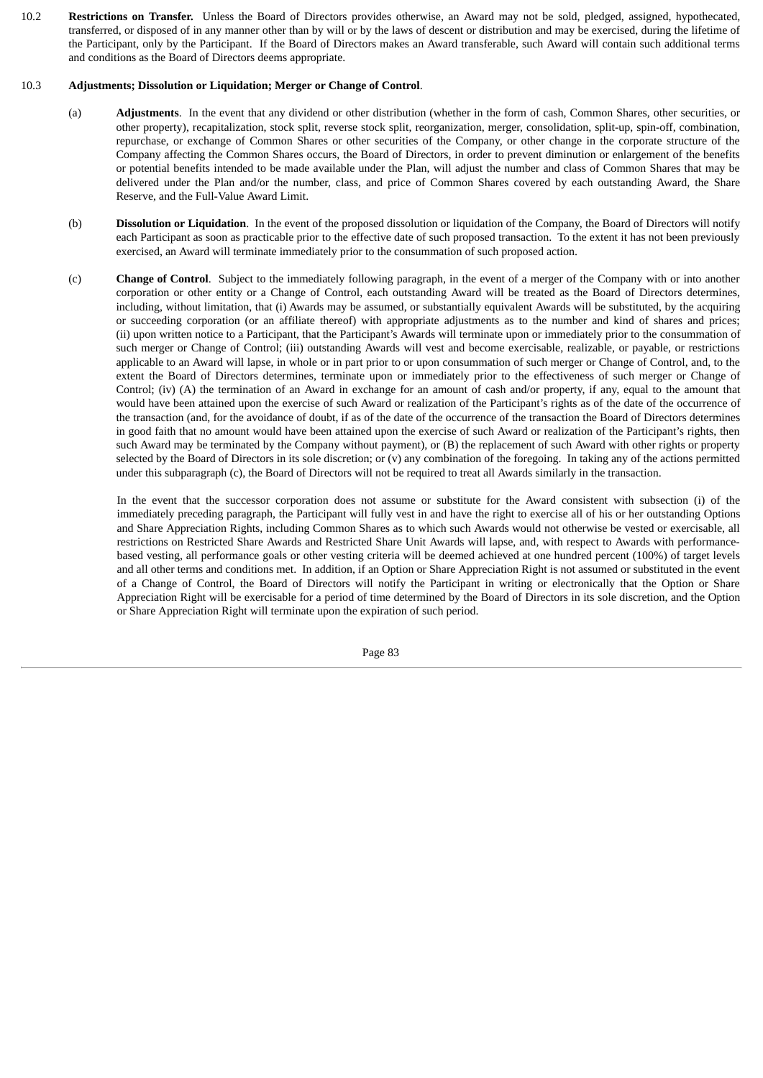10.2 **Restrictions on Transfer.** Unless the Board of Directors provides otherwise, an Award may not be sold, pledged, assigned, hypothecated, transferred, or disposed of in any manner other than by will or by the laws of descent or distribution and may be exercised, during the lifetime of the Participant, only by the Participant. If the Board of Directors makes an Award transferable, such Award will contain such additional terms and conditions as the Board of Directors deems appropriate.

#### 10.3 **Adjustments; Dissolution or Liquidation; Merger or Change of Control**.

- (a) **Adjustments**. In the event that any dividend or other distribution (whether in the form of cash, Common Shares, other securities, or other property), recapitalization, stock split, reverse stock split, reorganization, merger, consolidation, split-up, spin-off, combination, repurchase, or exchange of Common Shares or other securities of the Company, or other change in the corporate structure of the Company affecting the Common Shares occurs, the Board of Directors, in order to prevent diminution or enlargement of the benefits or potential benefits intended to be made available under the Plan, will adjust the number and class of Common Shares that may be delivered under the Plan and/or the number, class, and price of Common Shares covered by each outstanding Award, the Share Reserve, and the Full-Value Award Limit.
- (b) **Dissolution or Liquidation**. In the event of the proposed dissolution or liquidation of the Company, the Board of Directors will notify each Participant as soon as practicable prior to the effective date of such proposed transaction. To the extent it has not been previously exercised, an Award will terminate immediately prior to the consummation of such proposed action.
- (c) **Change of Control**. Subject to the immediately following paragraph, in the event of a merger of the Company with or into another corporation or other entity or a Change of Control, each outstanding Award will be treated as the Board of Directors determines, including, without limitation, that (i) Awards may be assumed, or substantially equivalent Awards will be substituted, by the acquiring or succeeding corporation (or an affiliate thereof) with appropriate adjustments as to the number and kind of shares and prices; (ii) upon written notice to a Participant, that the Participant's Awards will terminate upon or immediately prior to the consummation of such merger or Change of Control; (iii) outstanding Awards will vest and become exercisable, realizable, or payable, or restrictions applicable to an Award will lapse, in whole or in part prior to or upon consummation of such merger or Change of Control, and, to the extent the Board of Directors determines, terminate upon or immediately prior to the effectiveness of such merger or Change of Control; (iv) (A) the termination of an Award in exchange for an amount of cash and/or property, if any, equal to the amount that would have been attained upon the exercise of such Award or realization of the Participant's rights as of the date of the occurrence of the transaction (and, for the avoidance of doubt, if as of the date of the occurrence of the transaction the Board of Directors determines in good faith that no amount would have been attained upon the exercise of such Award or realization of the Participant's rights, then such Award may be terminated by the Company without payment), or (B) the replacement of such Award with other rights or property selected by the Board of Directors in its sole discretion; or  $(v)$  any combination of the foregoing. In taking any of the actions permitted under this subparagraph (c), the Board of Directors will not be required to treat all Awards similarly in the transaction.

In the event that the successor corporation does not assume or substitute for the Award consistent with subsection (i) of the immediately preceding paragraph, the Participant will fully vest in and have the right to exercise all of his or her outstanding Options and Share Appreciation Rights, including Common Shares as to which such Awards would not otherwise be vested or exercisable, all restrictions on Restricted Share Awards and Restricted Share Unit Awards will lapse, and, with respect to Awards with performancebased vesting, all performance goals or other vesting criteria will be deemed achieved at one hundred percent (100%) of target levels and all other terms and conditions met. In addition, if an Option or Share Appreciation Right is not assumed or substituted in the event of a Change of Control, the Board of Directors will notify the Participant in writing or electronically that the Option or Share Appreciation Right will be exercisable for a period of time determined by the Board of Directors in its sole discretion, and the Option or Share Appreciation Right will terminate upon the expiration of such period.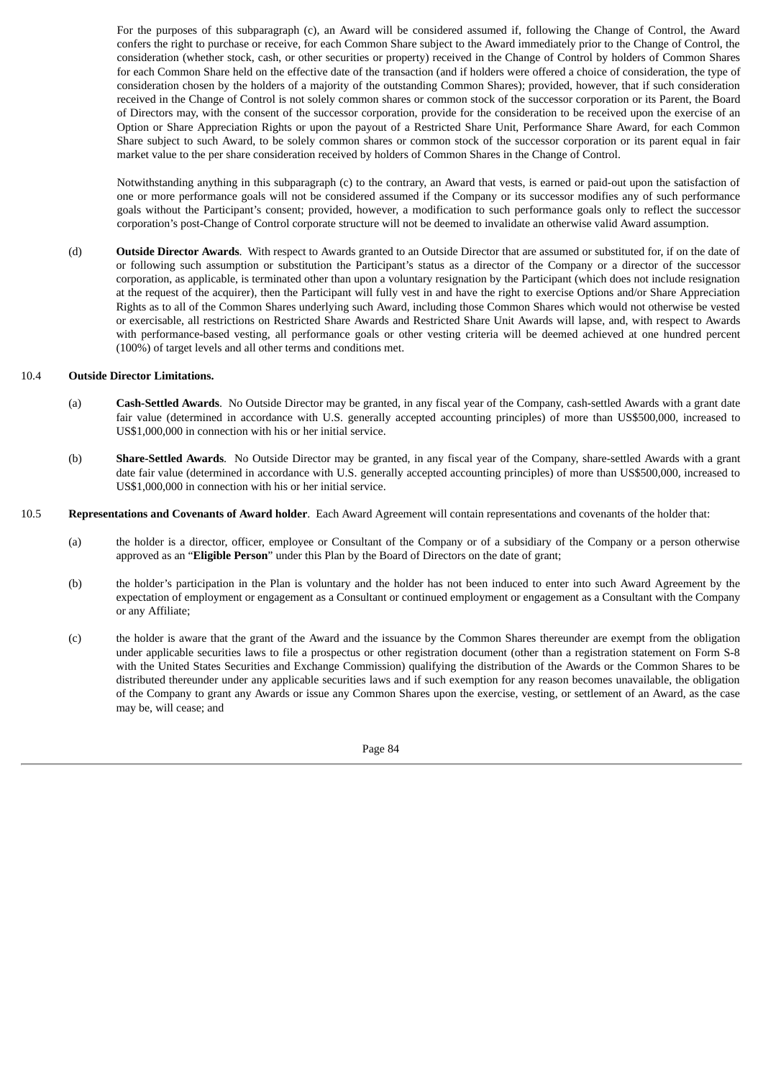For the purposes of this subparagraph (c), an Award will be considered assumed if, following the Change of Control, the Award confers the right to purchase or receive, for each Common Share subject to the Award immediately prior to the Change of Control, the consideration (whether stock, cash, or other securities or property) received in the Change of Control by holders of Common Shares for each Common Share held on the effective date of the transaction (and if holders were offered a choice of consideration, the type of consideration chosen by the holders of a majority of the outstanding Common Shares); provided, however, that if such consideration received in the Change of Control is not solely common shares or common stock of the successor corporation or its Parent, the Board of Directors may, with the consent of the successor corporation, provide for the consideration to be received upon the exercise of an Option or Share Appreciation Rights or upon the payout of a Restricted Share Unit, Performance Share Award, for each Common Share subject to such Award, to be solely common shares or common stock of the successor corporation or its parent equal in fair market value to the per share consideration received by holders of Common Shares in the Change of Control.

Notwithstanding anything in this subparagraph (c) to the contrary, an Award that vests, is earned or paid-out upon the satisfaction of one or more performance goals will not be considered assumed if the Company or its successor modifies any of such performance goals without the Participant's consent; provided, however, a modification to such performance goals only to reflect the successor corporation's post-Change of Control corporate structure will not be deemed to invalidate an otherwise valid Award assumption.

(d) **Outside Director Awards**. With respect to Awards granted to an Outside Director that are assumed or substituted for, if on the date of or following such assumption or substitution the Participant's status as a director of the Company or a director of the successor corporation, as applicable, is terminated other than upon a voluntary resignation by the Participant (which does not include resignation at the request of the acquirer), then the Participant will fully vest in and have the right to exercise Options and/or Share Appreciation Rights as to all of the Common Shares underlying such Award, including those Common Shares which would not otherwise be vested or exercisable, all restrictions on Restricted Share Awards and Restricted Share Unit Awards will lapse, and, with respect to Awards with performance-based vesting, all performance goals or other vesting criteria will be deemed achieved at one hundred percent (100%) of target levels and all other terms and conditions met.

#### 10.4 **Outside Director Limitations.**

- (a) **Cash-Settled Awards**. No Outside Director may be granted, in any fiscal year of the Company, cash-settled Awards with a grant date fair value (determined in accordance with U.S. generally accepted accounting principles) of more than US\$500,000, increased to US\$1,000,000 in connection with his or her initial service.
- (b) **Share-Settled Awards**. No Outside Director may be granted, in any fiscal year of the Company, share-settled Awards with a grant date fair value (determined in accordance with U.S. generally accepted accounting principles) of more than US\$500,000, increased to US\$1,000,000 in connection with his or her initial service.
- 10.5 **Representations and Covenants of Award holder**. Each Award Agreement will contain representations and covenants of the holder that:
	- (a) the holder is a director, officer, employee or Consultant of the Company or of a subsidiary of the Company or a person otherwise approved as an "**Eligible Person**" under this Plan by the Board of Directors on the date of grant;
	- (b) the holder's participation in the Plan is voluntary and the holder has not been induced to enter into such Award Agreement by the expectation of employment or engagement as a Consultant or continued employment or engagement as a Consultant with the Company or any Affiliate;
	- (c) the holder is aware that the grant of the Award and the issuance by the Common Shares thereunder are exempt from the obligation under applicable securities laws to file a prospectus or other registration document (other than a registration statement on Form S-8 with the United States Securities and Exchange Commission) qualifying the distribution of the Awards or the Common Shares to be distributed thereunder under any applicable securities laws and if such exemption for any reason becomes unavailable, the obligation of the Company to grant any Awards or issue any Common Shares upon the exercise, vesting, or settlement of an Award, as the case may be, will cease; and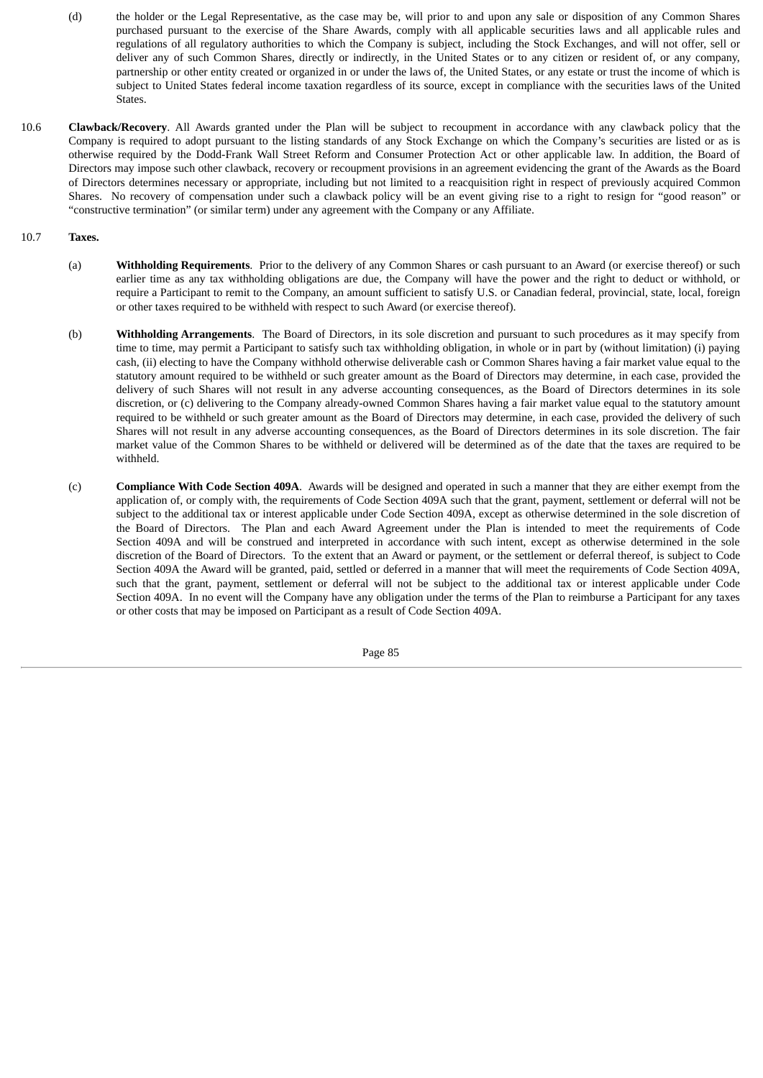- (d) the holder or the Legal Representative, as the case may be, will prior to and upon any sale or disposition of any Common Shares purchased pursuant to the exercise of the Share Awards, comply with all applicable securities laws and all applicable rules and regulations of all regulatory authorities to which the Company is subject, including the Stock Exchanges, and will not offer, sell or deliver any of such Common Shares, directly or indirectly, in the United States or to any citizen or resident of, or any company, partnership or other entity created or organized in or under the laws of, the United States, or any estate or trust the income of which is subject to United States federal income taxation regardless of its source, except in compliance with the securities laws of the United States.
- 10.6 **Clawback/Recovery**. All Awards granted under the Plan will be subject to recoupment in accordance with any clawback policy that the Company is required to adopt pursuant to the listing standards of any Stock Exchange on which the Company's securities are listed or as is otherwise required by the Dodd-Frank Wall Street Reform and Consumer Protection Act or other applicable law. In addition, the Board of Directors may impose such other clawback, recovery or recoupment provisions in an agreement evidencing the grant of the Awards as the Board of Directors determines necessary or appropriate, including but not limited to a reacquisition right in respect of previously acquired Common Shares. No recovery of compensation under such a clawback policy will be an event giving rise to a right to resign for "good reason" or "constructive termination" (or similar term) under any agreement with the Company or any Affiliate.

#### 10.7 **Taxes.**

- (a) **Withholding Requirements**. Prior to the delivery of any Common Shares or cash pursuant to an Award (or exercise thereof) or such earlier time as any tax withholding obligations are due, the Company will have the power and the right to deduct or withhold, or require a Participant to remit to the Company, an amount sufficient to satisfy U.S. or Canadian federal, provincial, state, local, foreign or other taxes required to be withheld with respect to such Award (or exercise thereof).
- (b) **Withholding Arrangements**. The Board of Directors, in its sole discretion and pursuant to such procedures as it may specify from time to time, may permit a Participant to satisfy such tax withholding obligation, in whole or in part by (without limitation) (i) paying cash, (ii) electing to have the Company withhold otherwise deliverable cash or Common Shares having a fair market value equal to the statutory amount required to be withheld or such greater amount as the Board of Directors may determine, in each case, provided the delivery of such Shares will not result in any adverse accounting consequences, as the Board of Directors determines in its sole discretion, or (c) delivering to the Company already-owned Common Shares having a fair market value equal to the statutory amount required to be withheld or such greater amount as the Board of Directors may determine, in each case, provided the delivery of such Shares will not result in any adverse accounting consequences, as the Board of Directors determines in its sole discretion. The fair market value of the Common Shares to be withheld or delivered will be determined as of the date that the taxes are required to be withheld.
- (c) **Compliance With Code Section 409A**. Awards will be designed and operated in such a manner that they are either exempt from the application of, or comply with, the requirements of Code Section 409A such that the grant, payment, settlement or deferral will not be subject to the additional tax or interest applicable under Code Section 409A, except as otherwise determined in the sole discretion of the Board of Directors. The Plan and each Award Agreement under the Plan is intended to meet the requirements of Code Section 409A and will be construed and interpreted in accordance with such intent, except as otherwise determined in the sole discretion of the Board of Directors. To the extent that an Award or payment, or the settlement or deferral thereof, is subject to Code Section 409A the Award will be granted, paid, settled or deferred in a manner that will meet the requirements of Code Section 409A, such that the grant, payment, settlement or deferral will not be subject to the additional tax or interest applicable under Code Section 409A. In no event will the Company have any obligation under the terms of the Plan to reimburse a Participant for any taxes or other costs that may be imposed on Participant as a result of Code Section 409A.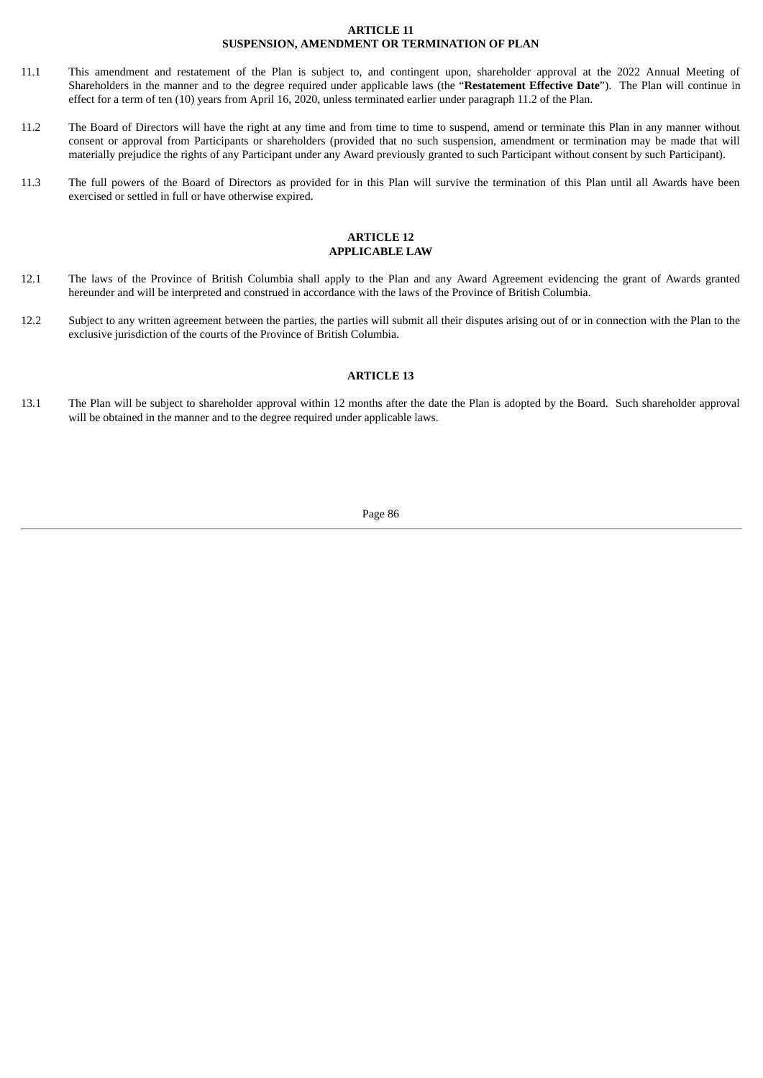#### **ARTICLE 11 SUSPENSION, AMENDMENT OR TERMINATION OF PLAN**

- 11.1 This amendment and restatement of the Plan is subject to, and contingent upon, shareholder approval at the 2022 Annual Meeting of Shareholders in the manner and to the degree required under applicable laws (the "**Restatement Effective Date**"). The Plan will continue in effect for a term of ten (10) years from April 16, 2020, unless terminated earlier under paragraph 11.2 of the Plan.
- 11.2 The Board of Directors will have the right at any time and from time to time to suspend, amend or terminate this Plan in any manner without consent or approval from Participants or shareholders (provided that no such suspension, amendment or termination may be made that will materially prejudice the rights of any Participant under any Award previously granted to such Participant without consent by such Participant).
- 11.3 The full powers of the Board of Directors as provided for in this Plan will survive the termination of this Plan until all Awards have been exercised or settled in full or have otherwise expired.

#### **ARTICLE 12 APPLICABLE LAW**

- 12.1 The laws of the Province of British Columbia shall apply to the Plan and any Award Agreement evidencing the grant of Awards granted hereunder and will be interpreted and construed in accordance with the laws of the Province of British Columbia.
- 12.2 Subject to any written agreement between the parties, the parties will submit all their disputes arising out of or in connection with the Plan to the exclusive jurisdiction of the courts of the Province of British Columbia.

## **ARTICLE 13**

13.1 The Plan will be subject to shareholder approval within 12 months after the date the Plan is adopted by the Board. Such shareholder approval will be obtained in the manner and to the degree required under applicable laws.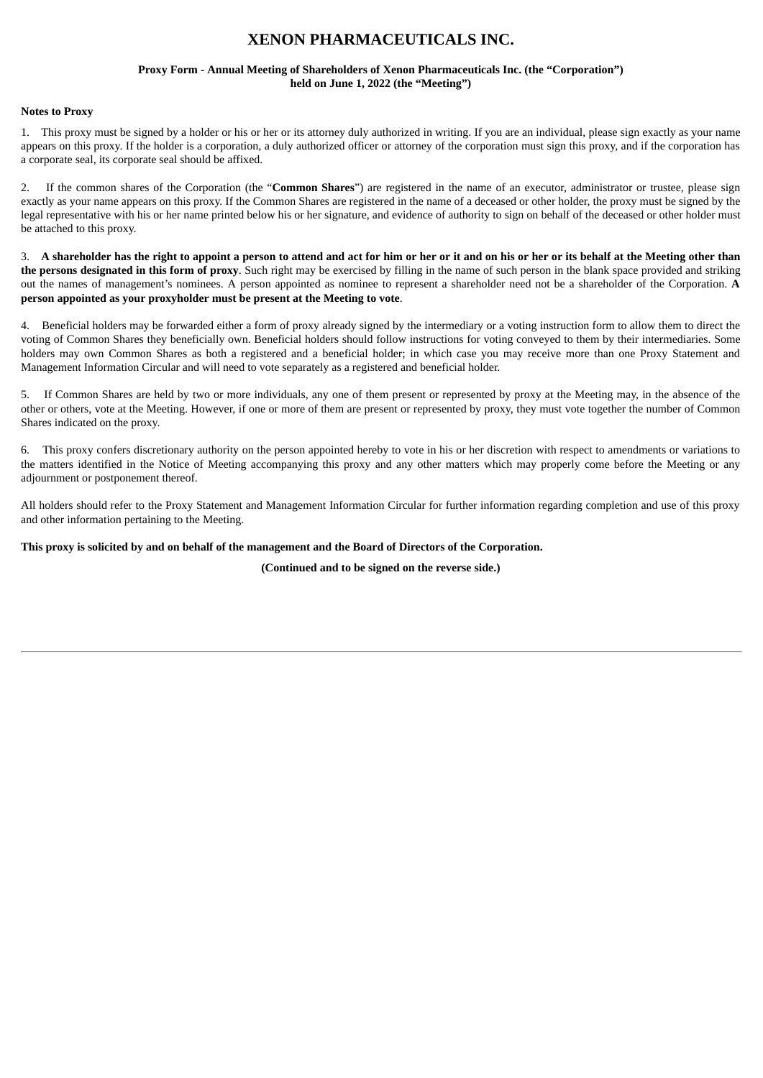# **XENON PHARMACEUTICALS INC.**

#### **Proxy Form - Annual Meeting of Shareholders of Xenon Pharmaceuticals Inc. (the "Corporation") held on June 1, 2022 (the "Meeting")**

#### **Notes to Proxy**

1. This proxy must be signed by a holder or his or her or its attorney duly authorized in writing. If you are an individual, please sign exactly as your name appears on this proxy. If the holder is a corporation, a duly authorized officer or attorney of the corporation must sign this proxy, and if the corporation has a corporate seal, its corporate seal should be affixed.

2. If the common shares of the Corporation (the "**Common Shares**") are registered in the name of an executor, administrator or trustee, please sign exactly as your name appears on this proxy. If the Common Shares are registered in the name of a deceased or other holder, the proxy must be signed by the legal representative with his or her name printed below his or her signature, and evidence of authority to sign on behalf of the deceased or other holder must be attached to this proxy.

3. A shareholder has the right to appoint a person to attend and act for him or her or it and on his or her or its behalf at the Meeting other than **the persons designated in this form of proxy**. Such right may be exercised by filling in the name of such person in the blank space provided and striking out the names of management's nominees. A person appointed as nominee to represent a shareholder need not be a shareholder of the Corporation. **A person appointed as your proxyholder must be present at the Meeting to vote**.

4. Beneficial holders may be forwarded either a form of proxy already signed by the intermediary or a voting instruction form to allow them to direct the voting of Common Shares they beneficially own. Beneficial holders should follow instructions for voting conveyed to them by their intermediaries. Some holders may own Common Shares as both a registered and a beneficial holder; in which case you may receive more than one Proxy Statement and Management Information Circular and will need to vote separately as a registered and beneficial holder.

5. If Common Shares are held by two or more individuals, any one of them present or represented by proxy at the Meeting may, in the absence of the other or others, vote at the Meeting. However, if one or more of them are present or represented by proxy, they must vote together the number of Common Shares indicated on the proxy.

6. This proxy confers discretionary authority on the person appointed hereby to vote in his or her discretion with respect to amendments or variations to the matters identified in the Notice of Meeting accompanying this proxy and any other matters which may properly come before the Meeting or any adjournment or postponement thereof.

All holders should refer to the Proxy Statement and Management Information Circular for further information regarding completion and use of this proxy and other information pertaining to the Meeting.

#### This proxy is solicited by and on behalf of the management and the Board of Directors of the Corporation.

**(Continued and to be signed on the reverse side.)**